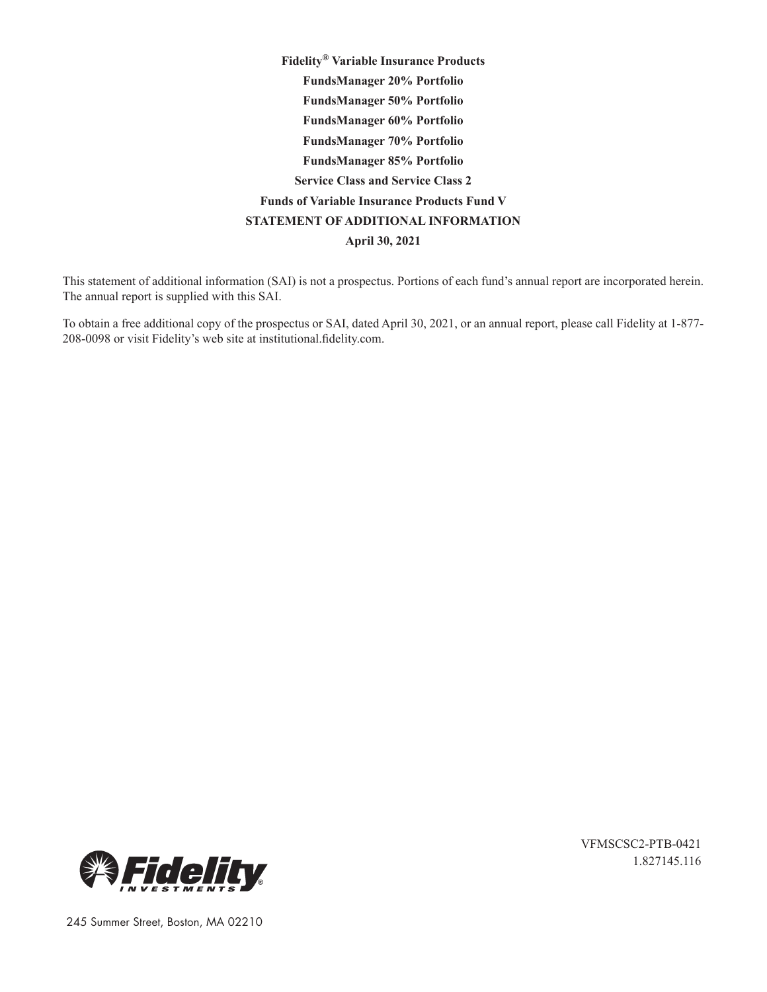**Fidelity® Variable Insurance Products FundsManager 20% Portfolio FundsManager 50% Portfolio FundsManager 60% Portfolio FundsManager 70% Portfolio FundsManager 85% Portfolio Service Class and Service Class 2 Funds of Variable Insurance Products Fund V STATEMENT OF ADDITIONAL INFORMATION April 30, 2021**

This statement of additional information (SAI) is not a prospectus. Portions of each fund's annual report are incorporated herein. The annual report is supplied with this SAI.

To obtain a free additional copy of the prospectus or SAI, dated April 30, 2021, or an annual report, please call Fidelity at 1-877- 208-0098 or visit Fidelity's web site at institutional.fidelity.com.



VFMSCSC2-PTB-0421 1.827145.116

245 Summer Street, Boston, MA 02210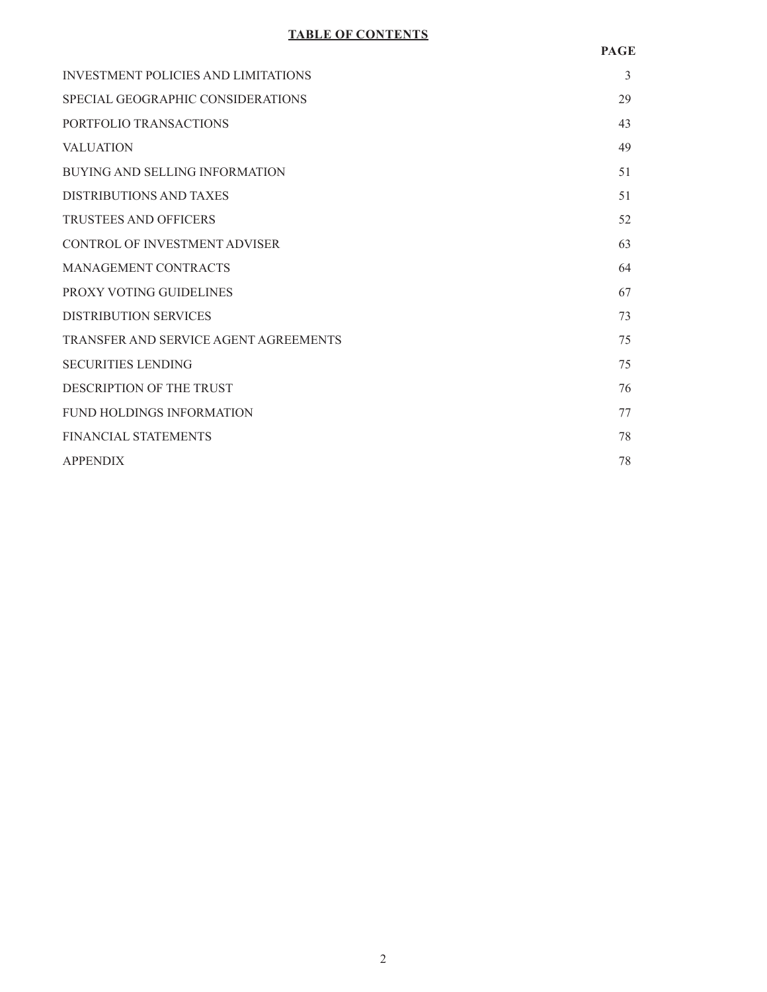# **TABLE OF CONTENTS**

| <b>INVESTMENT POLICIES AND LIMITATIONS</b> | 3  |
|--------------------------------------------|----|
| SPECIAL GEOGRAPHIC CONSIDERATIONS          | 29 |
| PORTFOLIO TRANSACTIONS                     | 43 |
| <b>VALUATION</b>                           | 49 |
| <b>BUYING AND SELLING INFORMATION</b>      | 51 |
| DISTRIBUTIONS AND TAXES                    | 51 |
| <b>TRUSTEES AND OFFICERS</b>               | 52 |
| CONTROL OF INVESTMENT ADVISER              | 63 |
| MANAGEMENT CONTRACTS                       | 64 |
| PROXY VOTING GUIDELINES                    | 67 |
| <b>DISTRIBUTION SERVICES</b>               | 73 |
| TRANSFER AND SERVICE AGENT AGREEMENTS      | 75 |
| <b>SECURITIES LENDING</b>                  | 75 |
| DESCRIPTION OF THE TRUST                   | 76 |
| <b>FUND HOLDINGS INFORMATION</b>           | 77 |
| <b>FINANCIAL STATEMENTS</b>                | 78 |
| <b>APPENDIX</b>                            | 78 |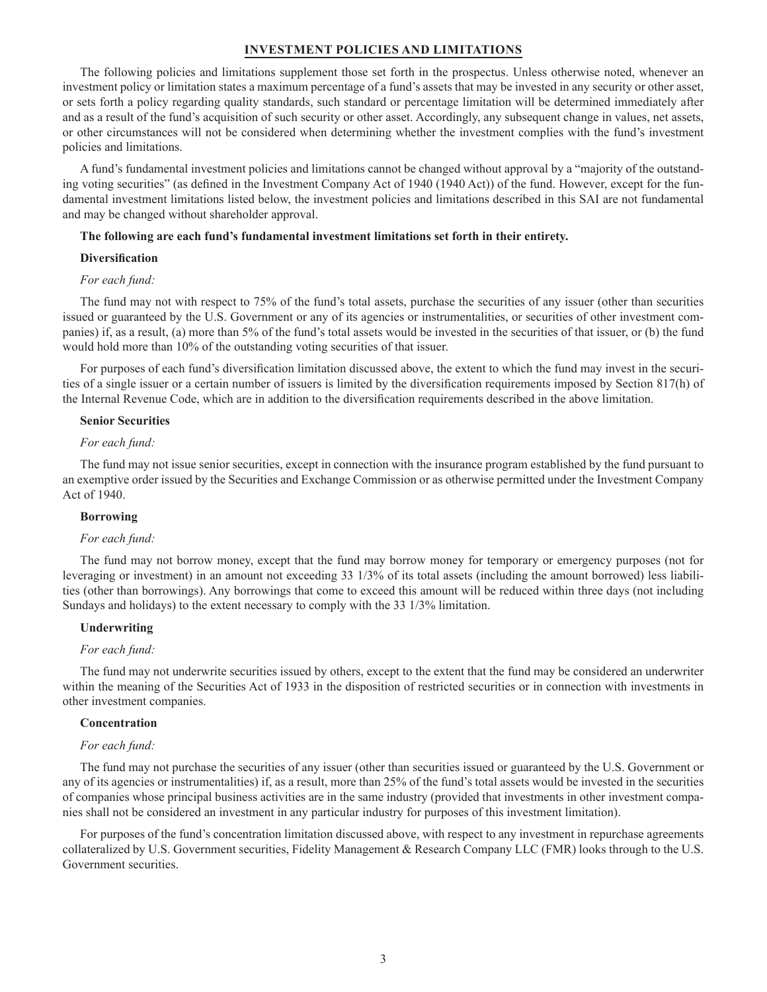# **INVESTMENT POLICIES AND LIMITATIONS**

The following policies and limitations supplement those set forth in the prospectus. Unless otherwise noted, whenever an investment policy or limitation states a maximum percentage of a fund's assets that may be invested in any security or other asset, or sets forth a policy regarding quality standards, such standard or percentage limitation will be determined immediately after and as a result of the fund's acquisition of such security or other asset. Accordingly, any subsequent change in values, net assets, or other circumstances will not be considered when determining whether the investment complies with the fund's investment policies and limitations.

A fund's fundamental investment policies and limitations cannot be changed without approval by a "majority of the outstanding voting securities" (as defined in the Investment Company Act of 1940 (1940 Act)) of the fund. However, except for the fundamental investment limitations listed below, the investment policies and limitations described in this SAI are not fundamental and may be changed without shareholder approval.

# **The following are each fund's fundamental investment limitations set forth in their entirety.**

# **Diversification**

# *For each fund:*

The fund may not with respect to 75% of the fund's total assets, purchase the securities of any issuer (other than securities issued or guaranteed by the U.S. Government or any of its agencies or instrumentalities, or securities of other investment companies) if, as a result, (a) more than 5% of the fund's total assets would be invested in the securities of that issuer, or (b) the fund would hold more than 10% of the outstanding voting securities of that issuer.

For purposes of each fund's diversification limitation discussed above, the extent to which the fund may invest in the securities of a single issuer or a certain number of issuers is limited by the diversification requirements imposed by Section 817(h) of the Internal Revenue Code, which are in addition to the diversification requirements described in the above limitation.

### **Senior Securities**

### *For each fund:*

The fund may not issue senior securities, except in connection with the insurance program established by the fund pursuant to an exemptive order issued by the Securities and Exchange Commission or as otherwise permitted under the Investment Company Act of 1940.

# **Borrowing**

#### *For each fund:*

The fund may not borrow money, except that the fund may borrow money for temporary or emergency purposes (not for leveraging or investment) in an amount not exceeding 33 1/3% of its total assets (including the amount borrowed) less liabilities (other than borrowings). Any borrowings that come to exceed this amount will be reduced within three days (not including Sundays and holidays) to the extent necessary to comply with the 33 1/3% limitation.

# **Underwriting**

#### *For each fund:*

The fund may not underwrite securities issued by others, except to the extent that the fund may be considered an underwriter within the meaning of the Securities Act of 1933 in the disposition of restricted securities or in connection with investments in other investment companies.

# **Concentration**

# *For each fund:*

The fund may not purchase the securities of any issuer (other than securities issued or guaranteed by the U.S. Government or any of its agencies or instrumentalities) if, as a result, more than 25% of the fund's total assets would be invested in the securities of companies whose principal business activities are in the same industry (provided that investments in other investment companies shall not be considered an investment in any particular industry for purposes of this investment limitation).

For purposes of the fund's concentration limitation discussed above, with respect to any investment in repurchase agreements collateralized by U.S. Government securities, Fidelity Management & Research Company LLC (FMR) looks through to the U.S. Government securities.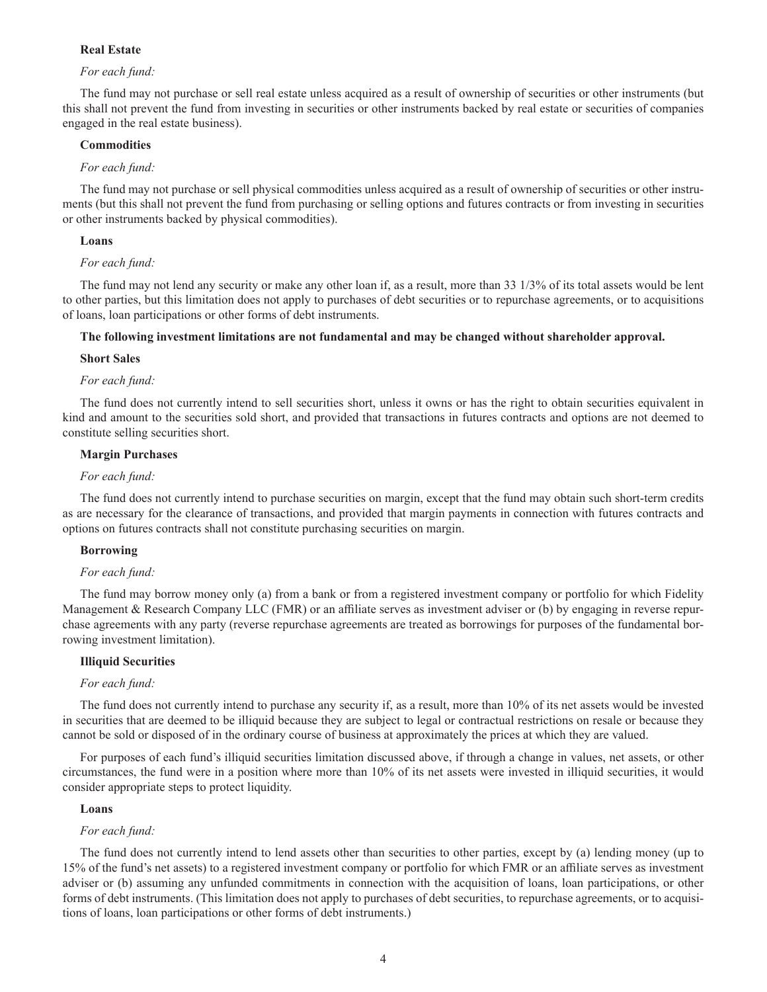# **Real Estate**

# *For each fund:*

The fund may not purchase or sell real estate unless acquired as a result of ownership of securities or other instruments (but this shall not prevent the fund from investing in securities or other instruments backed by real estate or securities of companies engaged in the real estate business).

#### **Commodities**

# *For each fund:*

The fund may not purchase or sell physical commodities unless acquired as a result of ownership of securities or other instruments (but this shall not prevent the fund from purchasing or selling options and futures contracts or from investing in securities or other instruments backed by physical commodities).

## **Loans**

## *For each fund:*

The fund may not lend any security or make any other loan if, as a result, more than 33 1/3% of its total assets would be lent to other parties, but this limitation does not apply to purchases of debt securities or to repurchase agreements, or to acquisitions of loans, loan participations or other forms of debt instruments.

# **The following investment limitations are not fundamental and may be changed without shareholder approval.**

#### **Short Sales**

## *For each fund:*

The fund does not currently intend to sell securities short, unless it owns or has the right to obtain securities equivalent in kind and amount to the securities sold short, and provided that transactions in futures contracts and options are not deemed to constitute selling securities short.

## **Margin Purchases**

# *For each fund:*

The fund does not currently intend to purchase securities on margin, except that the fund may obtain such short-term credits as are necessary for the clearance of transactions, and provided that margin payments in connection with futures contracts and options on futures contracts shall not constitute purchasing securities on margin.

# **Borrowing**

# *For each fund:*

The fund may borrow money only (a) from a bank or from a registered investment company or portfolio for which Fidelity Management & Research Company LLC (FMR) or an affiliate serves as investment adviser or (b) by engaging in reverse repurchase agreements with any party (reverse repurchase agreements are treated as borrowings for purposes of the fundamental borrowing investment limitation).

#### **Illiquid Securities**

#### *For each fund:*

The fund does not currently intend to purchase any security if, as a result, more than 10% of its net assets would be invested in securities that are deemed to be illiquid because they are subject to legal or contractual restrictions on resale or because they cannot be sold or disposed of in the ordinary course of business at approximately the prices at which they are valued.

For purposes of each fund's illiquid securities limitation discussed above, if through a change in values, net assets, or other circumstances, the fund were in a position where more than 10% of its net assets were invested in illiquid securities, it would consider appropriate steps to protect liquidity.

#### **Loans**

# *For each fund:*

The fund does not currently intend to lend assets other than securities to other parties, except by (a) lending money (up to 15% of the fund's net assets) to a registered investment company or portfolio for which FMR or an affiliate serves as investment adviser or (b) assuming any unfunded commitments in connection with the acquisition of loans, loan participations, or other forms of debt instruments. (This limitation does not apply to purchases of debt securities, to repurchase agreements, or to acquisitions of loans, loan participations or other forms of debt instruments.)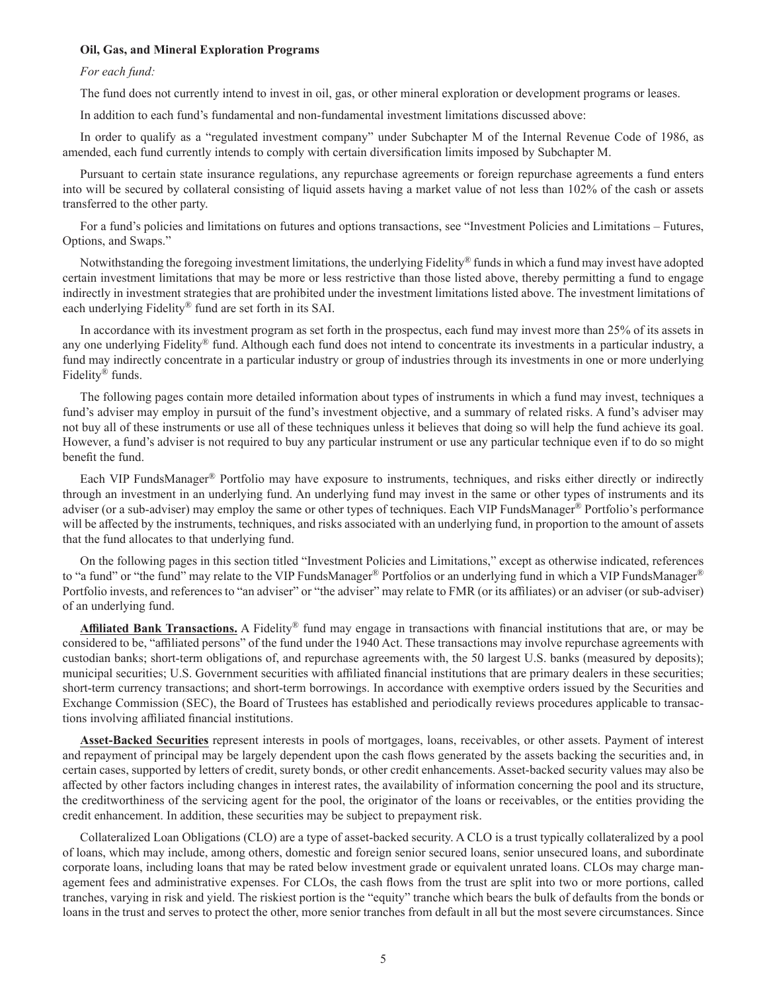#### **Oil, Gas, and Mineral Exploration Programs**

# *For each fund:*

The fund does not currently intend to invest in oil, gas, or other mineral exploration or development programs or leases.

In addition to each fund's fundamental and non-fundamental investment limitations discussed above:

In order to qualify as a "regulated investment company" under Subchapter M of the Internal Revenue Code of 1986, as amended, each fund currently intends to comply with certain diversification limits imposed by Subchapter M.

Pursuant to certain state insurance regulations, any repurchase agreements or foreign repurchase agreements a fund enters into will be secured by collateral consisting of liquid assets having a market value of not less than 102% of the cash or assets transferred to the other party.

For a fund's policies and limitations on futures and options transactions, see "Investment Policies and Limitations – Futures, Options, and Swaps."

Notwithstanding the foregoing investment limitations, the underlying Fidelity® funds in which a fund may invest have adopted certain investment limitations that may be more or less restrictive than those listed above, thereby permitting a fund to engage indirectly in investment strategies that are prohibited under the investment limitations listed above. The investment limitations of each underlying Fidelity® fund are set forth in its SAI.

In accordance with its investment program as set forth in the prospectus, each fund may invest more than 25% of its assets in any one underlying Fidelity® fund. Although each fund does not intend to concentrate its investments in a particular industry, a fund may indirectly concentrate in a particular industry or group of industries through its investments in one or more underlying Fidelity® funds.

The following pages contain more detailed information about types of instruments in which a fund may invest, techniques a fund's adviser may employ in pursuit of the fund's investment objective, and a summary of related risks. A fund's adviser may not buy all of these instruments or use all of these techniques unless it believes that doing so will help the fund achieve its goal. However, a fund's adviser is not required to buy any particular instrument or use any particular technique even if to do so might benefit the fund.

Each VIP FundsManager® Portfolio may have exposure to instruments, techniques, and risks either directly or indirectly through an investment in an underlying fund. An underlying fund may invest in the same or other types of instruments and its adviser (or a sub-adviser) may employ the same or other types of techniques. Each VIP FundsManager® Portfolio's performance will be affected by the instruments, techniques, and risks associated with an underlying fund, in proportion to the amount of assets that the fund allocates to that underlying fund.

On the following pages in this section titled "Investment Policies and Limitations," except as otherwise indicated, references to "a fund" or "the fund" may relate to the VIP FundsManager® Portfolios or an underlying fund in which a VIP FundsManager® Portfolio invests, and references to "an adviser" or "the adviser" may relate to FMR (or its affiliates) or an adviser (or sub-adviser) of an underlying fund.

**Affiliated Bank Transactions.** A Fidelity® fund may engage in transactions with financial institutions that are, or may be considered to be, "affiliated persons" of the fund under the 1940 Act. These transactions may involve repurchase agreements with custodian banks; short-term obligations of, and repurchase agreements with, the 50 largest U.S. banks (measured by deposits); municipal securities; U.S. Government securities with affiliated financial institutions that are primary dealers in these securities; short-term currency transactions; and short-term borrowings. In accordance with exemptive orders issued by the Securities and Exchange Commission (SEC), the Board of Trustees has established and periodically reviews procedures applicable to transactions involving affiliated financial institutions.

**Asset-Backed Securities** represent interests in pools of mortgages, loans, receivables, or other assets. Payment of interest and repayment of principal may be largely dependent upon the cash flows generated by the assets backing the securities and, in certain cases, supported by letters of credit, surety bonds, or other credit enhancements. Asset-backed security values may also be affected by other factors including changes in interest rates, the availability of information concerning the pool and its structure, the creditworthiness of the servicing agent for the pool, the originator of the loans or receivables, or the entities providing the credit enhancement. In addition, these securities may be subject to prepayment risk.

Collateralized Loan Obligations (CLO) are a type of asset-backed security. A CLO is a trust typically collateralized by a pool of loans, which may include, among others, domestic and foreign senior secured loans, senior unsecured loans, and subordinate corporate loans, including loans that may be rated below investment grade or equivalent unrated loans. CLOs may charge management fees and administrative expenses. For CLOs, the cash flows from the trust are split into two or more portions, called tranches, varying in risk and yield. The riskiest portion is the "equity" tranche which bears the bulk of defaults from the bonds or loans in the trust and serves to protect the other, more senior tranches from default in all but the most severe circumstances. Since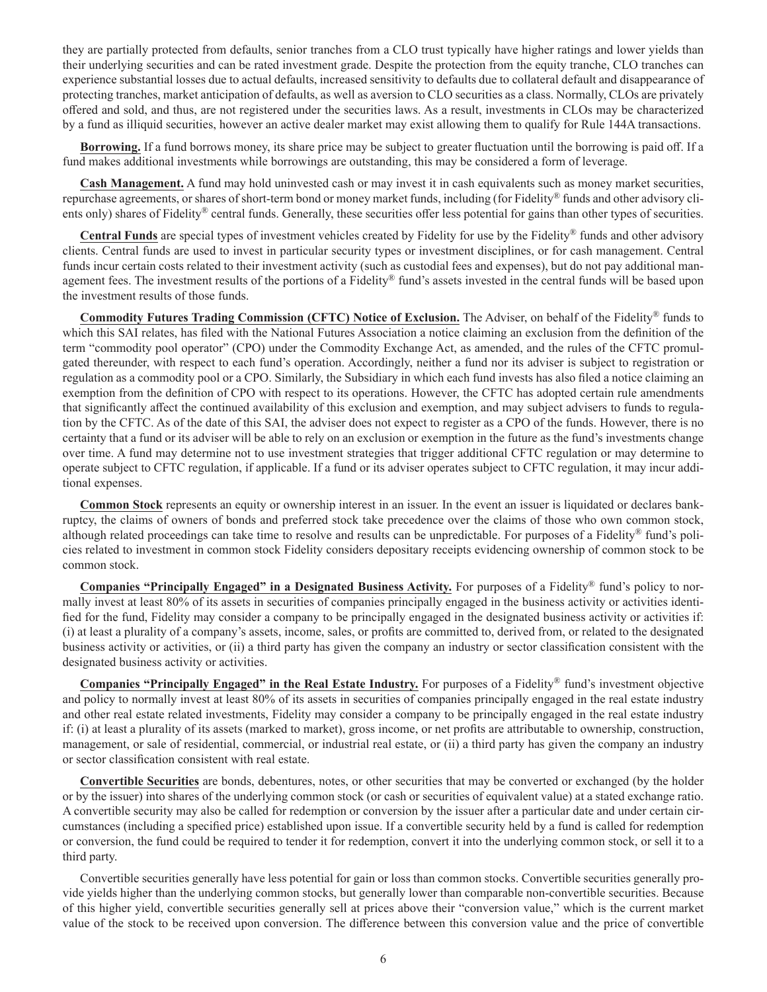they are partially protected from defaults, senior tranches from a CLO trust typically have higher ratings and lower yields than their underlying securities and can be rated investment grade. Despite the protection from the equity tranche, CLO tranches can experience substantial losses due to actual defaults, increased sensitivity to defaults due to collateral default and disappearance of protecting tranches, market anticipation of defaults, as well as aversion to CLO securities as a class. Normally, CLOs are privately offered and sold, and thus, are not registered under the securities laws. As a result, investments in CLOs may be characterized by a fund as illiquid securities, however an active dealer market may exist allowing them to qualify for Rule 144A transactions.

**Borrowing.** If a fund borrows money, its share price may be subject to greater fluctuation until the borrowing is paid off. If a fund makes additional investments while borrowings are outstanding, this may be considered a form of leverage.

**Cash Management.** A fund may hold uninvested cash or may invest it in cash equivalents such as money market securities, repurchase agreements, or shares of short-term bond or money market funds, including (for Fidelity® funds and other advisory clients only) shares of Fidelity® central funds. Generally, these securities offer less potential for gains than other types of securities.

**Central Funds** are special types of investment vehicles created by Fidelity for use by the Fidelity® funds and other advisory clients. Central funds are used to invest in particular security types or investment disciplines, or for cash management. Central funds incur certain costs related to their investment activity (such as custodial fees and expenses), but do not pay additional management fees. The investment results of the portions of a Fidelity® fund's assets invested in the central funds will be based upon the investment results of those funds.

**Commodity Futures Trading Commission (CFTC) Notice of Exclusion.** The Adviser, on behalf of the Fidelity® funds to which this SAI relates, has filed with the National Futures Association a notice claiming an exclusion from the definition of the term "commodity pool operator" (CPO) under the Commodity Exchange Act, as amended, and the rules of the CFTC promulgated thereunder, with respect to each fund's operation. Accordingly, neither a fund nor its adviser is subject to registration or regulation as a commodity pool or a CPO. Similarly, the Subsidiary in which each fund invests has also filed a notice claiming an exemption from the definition of CPO with respect to its operations. However, the CFTC has adopted certain rule amendments that significantly affect the continued availability of this exclusion and exemption, and may subject advisers to funds to regulation by the CFTC. As of the date of this SAI, the adviser does not expect to register as a CPO of the funds. However, there is no certainty that a fund or its adviser will be able to rely on an exclusion or exemption in the future as the fund's investments change over time. A fund may determine not to use investment strategies that trigger additional CFTC regulation or may determine to operate subject to CFTC regulation, if applicable. If a fund or its adviser operates subject to CFTC regulation, it may incur additional expenses.

**Common Stock** represents an equity or ownership interest in an issuer. In the event an issuer is liquidated or declares bankruptcy, the claims of owners of bonds and preferred stock take precedence over the claims of those who own common stock, although related proceedings can take time to resolve and results can be unpredictable. For purposes of a Fidelity® fund's policies related to investment in common stock Fidelity considers depositary receipts evidencing ownership of common stock to be common stock.

**Companies "Principally Engaged" in a Designated Business Activity.** For purposes of a Fidelity® fund's policy to normally invest at least 80% of its assets in securities of companies principally engaged in the business activity or activities identified for the fund, Fidelity may consider a company to be principally engaged in the designated business activity or activities if: (i) at least a plurality of a company's assets, income, sales, or profits are committed to, derived from, or related to the designated business activity or activities, or (ii) a third party has given the company an industry or sector classification consistent with the designated business activity or activities.

**Companies "Principally Engaged" in the Real Estate Industry.** For purposes of a Fidelity® fund's investment objective and policy to normally invest at least 80% of its assets in securities of companies principally engaged in the real estate industry and other real estate related investments, Fidelity may consider a company to be principally engaged in the real estate industry if: (i) at least a plurality of its assets (marked to market), gross income, or net profits are attributable to ownership, construction, management, or sale of residential, commercial, or industrial real estate, or (ii) a third party has given the company an industry or sector classification consistent with real estate.

**Convertible Securities** are bonds, debentures, notes, or other securities that may be converted or exchanged (by the holder or by the issuer) into shares of the underlying common stock (or cash or securities of equivalent value) at a stated exchange ratio. A convertible security may also be called for redemption or conversion by the issuer after a particular date and under certain circumstances (including a specified price) established upon issue. If a convertible security held by a fund is called for redemption or conversion, the fund could be required to tender it for redemption, convert it into the underlying common stock, or sell it to a third party.

Convertible securities generally have less potential for gain or loss than common stocks. Convertible securities generally provide yields higher than the underlying common stocks, but generally lower than comparable non-convertible securities. Because of this higher yield, convertible securities generally sell at prices above their "conversion value," which is the current market value of the stock to be received upon conversion. The difference between this conversion value and the price of convertible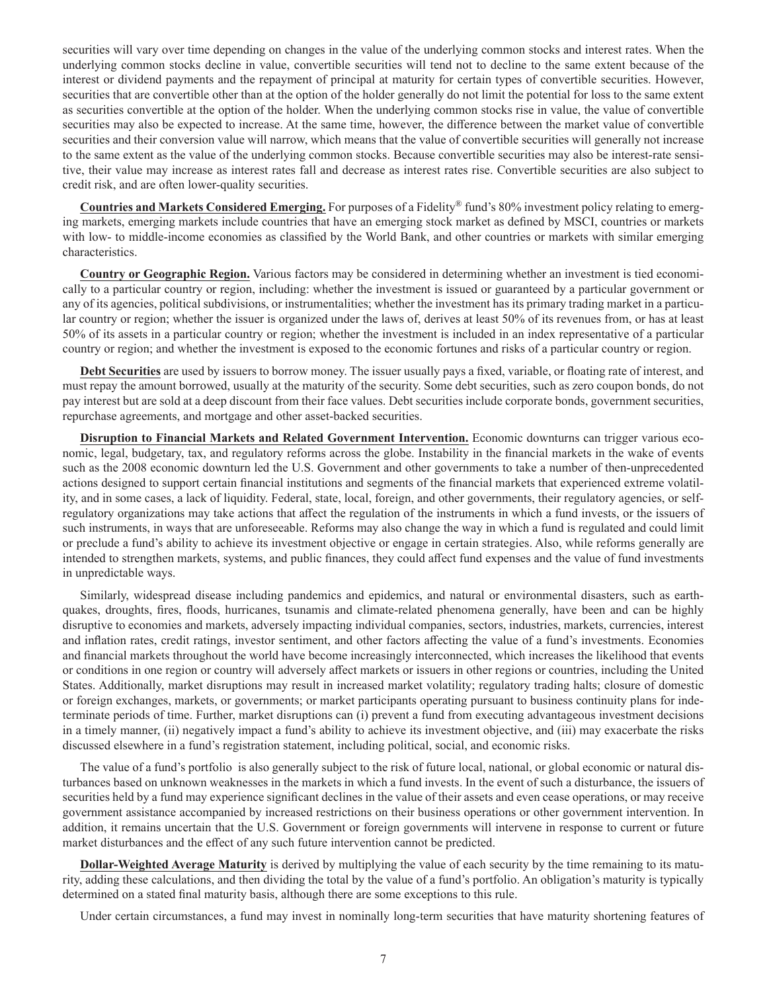securities will vary over time depending on changes in the value of the underlying common stocks and interest rates. When the underlying common stocks decline in value, convertible securities will tend not to decline to the same extent because of the interest or dividend payments and the repayment of principal at maturity for certain types of convertible securities. However, securities that are convertible other than at the option of the holder generally do not limit the potential for loss to the same extent as securities convertible at the option of the holder. When the underlying common stocks rise in value, the value of convertible securities may also be expected to increase. At the same time, however, the difference between the market value of convertible securities and their conversion value will narrow, which means that the value of convertible securities will generally not increase to the same extent as the value of the underlying common stocks. Because convertible securities may also be interest-rate sensitive, their value may increase as interest rates fall and decrease as interest rates rise. Convertible securities are also subject to credit risk, and are often lower-quality securities.

**Countries and Markets Considered Emerging.** For purposes of a Fidelity® fund's 80% investment policy relating to emerging markets, emerging markets include countries that have an emerging stock market as defined by MSCI, countries or markets with low- to middle-income economies as classified by the World Bank, and other countries or markets with similar emerging characteristics.

**Country or Geographic Region.** Various factors may be considered in determining whether an investment is tied economically to a particular country or region, including: whether the investment is issued or guaranteed by a particular government or any of its agencies, political subdivisions, or instrumentalities; whether the investment has its primary trading market in a particular country or region; whether the issuer is organized under the laws of, derives at least 50% of its revenues from, or has at least 50% of its assets in a particular country or region; whether the investment is included in an index representative of a particular country or region; and whether the investment is exposed to the economic fortunes and risks of a particular country or region.

**Debt Securities** are used by issuers to borrow money. The issuer usually pays a fixed, variable, or floating rate of interest, and must repay the amount borrowed, usually at the maturity of the security. Some debt securities, such as zero coupon bonds, do not pay interest but are sold at a deep discount from their face values. Debt securities include corporate bonds, government securities, repurchase agreements, and mortgage and other asset-backed securities.

**Disruption to Financial Markets and Related Government Intervention.** Economic downturns can trigger various economic, legal, budgetary, tax, and regulatory reforms across the globe. Instability in the financial markets in the wake of events such as the 2008 economic downturn led the U.S. Government and other governments to take a number of then-unprecedented actions designed to support certain financial institutions and segments of the financial markets that experienced extreme volatility, and in some cases, a lack of liquidity. Federal, state, local, foreign, and other governments, their regulatory agencies, or selfregulatory organizations may take actions that affect the regulation of the instruments in which a fund invests, or the issuers of such instruments, in ways that are unforeseeable. Reforms may also change the way in which a fund is regulated and could limit or preclude a fund's ability to achieve its investment objective or engage in certain strategies. Also, while reforms generally are intended to strengthen markets, systems, and public finances, they could affect fund expenses and the value of fund investments in unpredictable ways.

Similarly, widespread disease including pandemics and epidemics, and natural or environmental disasters, such as earthquakes, droughts, fires, floods, hurricanes, tsunamis and climate-related phenomena generally, have been and can be highly disruptive to economies and markets, adversely impacting individual companies, sectors, industries, markets, currencies, interest and inflation rates, credit ratings, investor sentiment, and other factors affecting the value of a fund's investments. Economies and financial markets throughout the world have become increasingly interconnected, which increases the likelihood that events or conditions in one region or country will adversely affect markets or issuers in other regions or countries, including the United States. Additionally, market disruptions may result in increased market volatility; regulatory trading halts; closure of domestic or foreign exchanges, markets, or governments; or market participants operating pursuant to business continuity plans for indeterminate periods of time. Further, market disruptions can (i) prevent a fund from executing advantageous investment decisions in a timely manner, (ii) negatively impact a fund's ability to achieve its investment objective, and (iii) may exacerbate the risks discussed elsewhere in a fund's registration statement, including political, social, and economic risks.

The value of a fund's portfolio is also generally subject to the risk of future local, national, or global economic or natural disturbances based on unknown weaknesses in the markets in which a fund invests. In the event of such a disturbance, the issuers of securities held by a fund may experience significant declines in the value of their assets and even cease operations, or may receive government assistance accompanied by increased restrictions on their business operations or other government intervention. In addition, it remains uncertain that the U.S. Government or foreign governments will intervene in response to current or future market disturbances and the effect of any such future intervention cannot be predicted.

**Dollar-Weighted Average Maturity** is derived by multiplying the value of each security by the time remaining to its maturity, adding these calculations, and then dividing the total by the value of a fund's portfolio. An obligation's maturity is typically determined on a stated final maturity basis, although there are some exceptions to this rule.

Under certain circumstances, a fund may invest in nominally long-term securities that have maturity shortening features of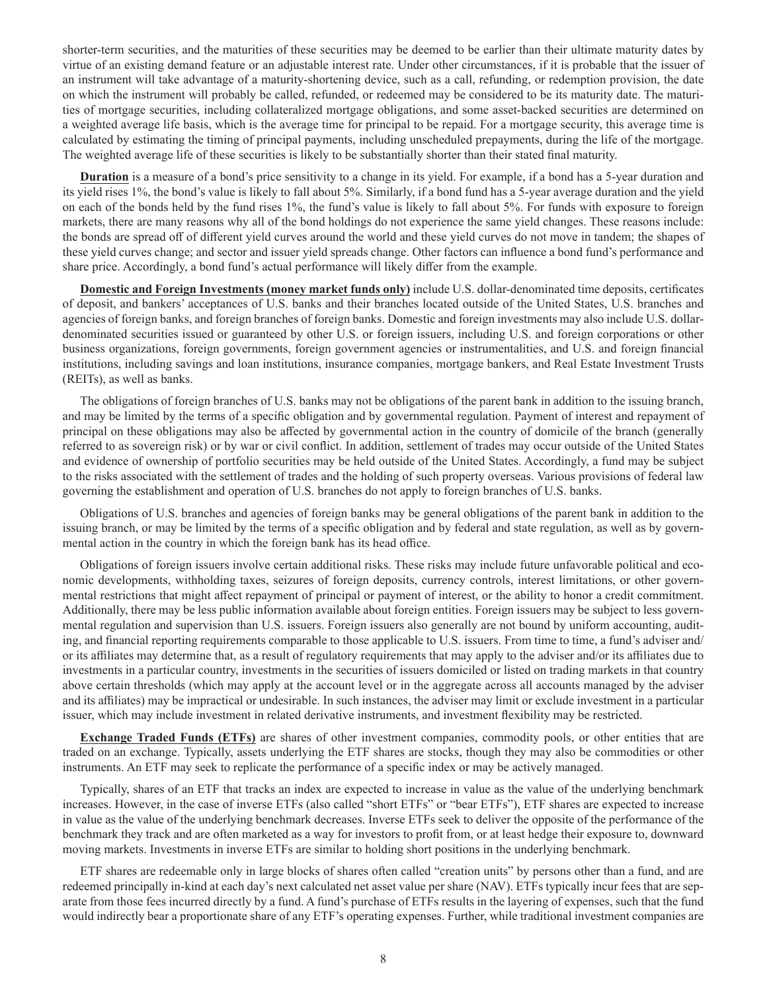shorter-term securities, and the maturities of these securities may be deemed to be earlier than their ultimate maturity dates by virtue of an existing demand feature or an adjustable interest rate. Under other circumstances, if it is probable that the issuer of an instrument will take advantage of a maturity-shortening device, such as a call, refunding, or redemption provision, the date on which the instrument will probably be called, refunded, or redeemed may be considered to be its maturity date. The maturities of mortgage securities, including collateralized mortgage obligations, and some asset-backed securities are determined on a weighted average life basis, which is the average time for principal to be repaid. For a mortgage security, this average time is calculated by estimating the timing of principal payments, including unscheduled prepayments, during the life of the mortgage. The weighted average life of these securities is likely to be substantially shorter than their stated final maturity.

**Duration** is a measure of a bond's price sensitivity to a change in its yield. For example, if a bond has a 5-year duration and its yield rises 1%, the bond's value is likely to fall about 5%. Similarly, if a bond fund has a 5-year average duration and the yield on each of the bonds held by the fund rises 1%, the fund's value is likely to fall about 5%. For funds with exposure to foreign markets, there are many reasons why all of the bond holdings do not experience the same yield changes. These reasons include: the bonds are spread off of different yield curves around the world and these yield curves do not move in tandem; the shapes of these yield curves change; and sector and issuer yield spreads change. Other factors can influence a bond fund's performance and share price. Accordingly, a bond fund's actual performance will likely differ from the example.

**Domestic and Foreign Investments (money market funds only)** include U.S. dollar-denominated time deposits, certificates of deposit, and bankers' acceptances of U.S. banks and their branches located outside of the United States, U.S. branches and agencies of foreign banks, and foreign branches of foreign banks. Domestic and foreign investments may also include U.S. dollardenominated securities issued or guaranteed by other U.S. or foreign issuers, including U.S. and foreign corporations or other business organizations, foreign governments, foreign government agencies or instrumentalities, and U.S. and foreign financial institutions, including savings and loan institutions, insurance companies, mortgage bankers, and Real Estate Investment Trusts (REITs), as well as banks.

The obligations of foreign branches of U.S. banks may not be obligations of the parent bank in addition to the issuing branch, and may be limited by the terms of a specific obligation and by governmental regulation. Payment of interest and repayment of principal on these obligations may also be affected by governmental action in the country of domicile of the branch (generally referred to as sovereign risk) or by war or civil conflict. In addition, settlement of trades may occur outside of the United States and evidence of ownership of portfolio securities may be held outside of the United States. Accordingly, a fund may be subject to the risks associated with the settlement of trades and the holding of such property overseas. Various provisions of federal law governing the establishment and operation of U.S. branches do not apply to foreign branches of U.S. banks.

Obligations of U.S. branches and agencies of foreign banks may be general obligations of the parent bank in addition to the issuing branch, or may be limited by the terms of a specific obligation and by federal and state regulation, as well as by governmental action in the country in which the foreign bank has its head office.

Obligations of foreign issuers involve certain additional risks. These risks may include future unfavorable political and economic developments, withholding taxes, seizures of foreign deposits, currency controls, interest limitations, or other governmental restrictions that might affect repayment of principal or payment of interest, or the ability to honor a credit commitment. Additionally, there may be less public information available about foreign entities. Foreign issuers may be subject to less governmental regulation and supervision than U.S. issuers. Foreign issuers also generally are not bound by uniform accounting, auditing, and financial reporting requirements comparable to those applicable to U.S. issuers. From time to time, a fund's adviser and/ or its affiliates may determine that, as a result of regulatory requirements that may apply to the adviser and/or its affiliates due to investments in a particular country, investments in the securities of issuers domiciled or listed on trading markets in that country above certain thresholds (which may apply at the account level or in the aggregate across all accounts managed by the adviser and its affiliates) may be impractical or undesirable. In such instances, the adviser may limit or exclude investment in a particular issuer, which may include investment in related derivative instruments, and investment flexibility may be restricted.

**Exchange Traded Funds (ETFs)** are shares of other investment companies, commodity pools, or other entities that are traded on an exchange. Typically, assets underlying the ETF shares are stocks, though they may also be commodities or other instruments. An ETF may seek to replicate the performance of a specific index or may be actively managed.

Typically, shares of an ETF that tracks an index are expected to increase in value as the value of the underlying benchmark increases. However, in the case of inverse ETFs (also called "short ETFs" or "bear ETFs"), ETF shares are expected to increase in value as the value of the underlying benchmark decreases. Inverse ETFs seek to deliver the opposite of the performance of the benchmark they track and are often marketed as a way for investors to profit from, or at least hedge their exposure to, downward moving markets. Investments in inverse ETFs are similar to holding short positions in the underlying benchmark.

ETF shares are redeemable only in large blocks of shares often called "creation units" by persons other than a fund, and are redeemed principally in-kind at each day's next calculated net asset value per share (NAV). ETFs typically incur fees that are separate from those fees incurred directly by a fund. A fund's purchase of ETFs results in the layering of expenses, such that the fund would indirectly bear a proportionate share of any ETF's operating expenses. Further, while traditional investment companies are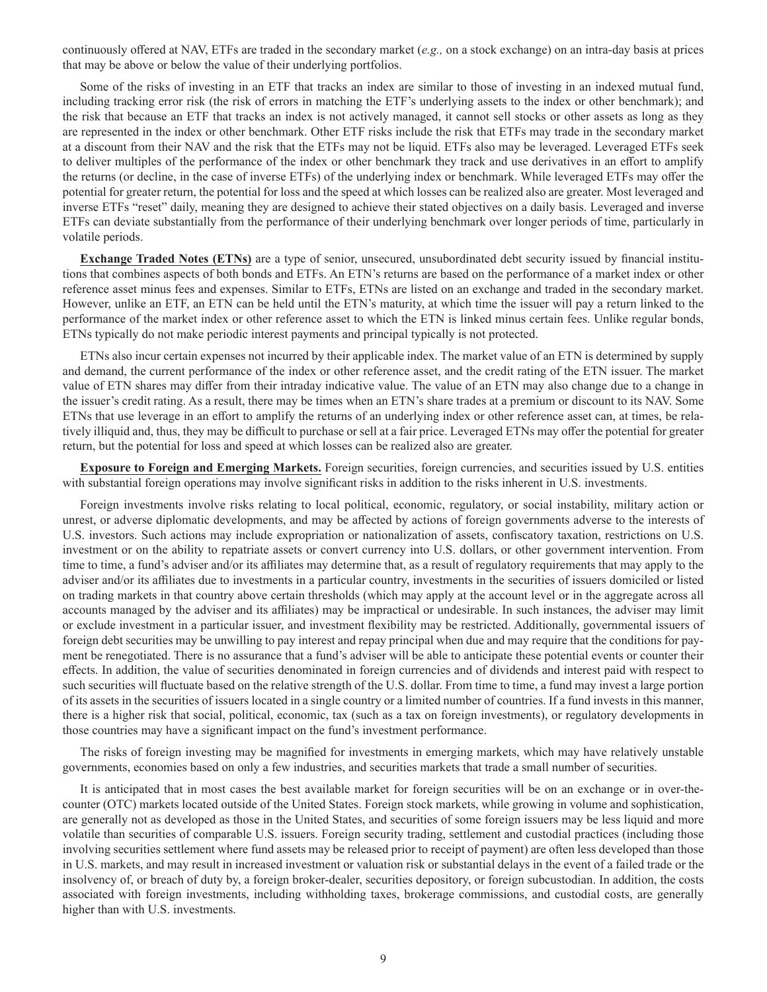continuously offered at NAV, ETFs are traded in the secondary market (*e.g.,* on a stock exchange) on an intra-day basis at prices that may be above or below the value of their underlying portfolios.

Some of the risks of investing in an ETF that tracks an index are similar to those of investing in an indexed mutual fund, including tracking error risk (the risk of errors in matching the ETF's underlying assets to the index or other benchmark); and the risk that because an ETF that tracks an index is not actively managed, it cannot sell stocks or other assets as long as they are represented in the index or other benchmark. Other ETF risks include the risk that ETFs may trade in the secondary market at a discount from their NAV and the risk that the ETFs may not be liquid. ETFs also may be leveraged. Leveraged ETFs seek to deliver multiples of the performance of the index or other benchmark they track and use derivatives in an effort to amplify the returns (or decline, in the case of inverse ETFs) of the underlying index or benchmark. While leveraged ETFs may offer the potential for greater return, the potential for loss and the speed at which losses can be realized also are greater. Most leveraged and inverse ETFs "reset" daily, meaning they are designed to achieve their stated objectives on a daily basis. Leveraged and inverse ETFs can deviate substantially from the performance of their underlying benchmark over longer periods of time, particularly in volatile periods.

**Exchange Traded Notes (ETNs)** are a type of senior, unsecured, unsubordinated debt security issued by financial institutions that combines aspects of both bonds and ETFs. An ETN's returns are based on the performance of a market index or other reference asset minus fees and expenses. Similar to ETFs, ETNs are listed on an exchange and traded in the secondary market. However, unlike an ETF, an ETN can be held until the ETN's maturity, at which time the issuer will pay a return linked to the performance of the market index or other reference asset to which the ETN is linked minus certain fees. Unlike regular bonds, ETNs typically do not make periodic interest payments and principal typically is not protected.

ETNs also incur certain expenses not incurred by their applicable index. The market value of an ETN is determined by supply and demand, the current performance of the index or other reference asset, and the credit rating of the ETN issuer. The market value of ETN shares may differ from their intraday indicative value. The value of an ETN may also change due to a change in the issuer's credit rating. As a result, there may be times when an ETN's share trades at a premium or discount to its NAV. Some ETNs that use leverage in an effort to amplify the returns of an underlying index or other reference asset can, at times, be relatively illiquid and, thus, they may be difficult to purchase or sell at a fair price. Leveraged ETNs may offer the potential for greater return, but the potential for loss and speed at which losses can be realized also are greater.

**Exposure to Foreign and Emerging Markets.** Foreign securities, foreign currencies, and securities issued by U.S. entities with substantial foreign operations may involve significant risks in addition to the risks inherent in U.S. investments.

Foreign investments involve risks relating to local political, economic, regulatory, or social instability, military action or unrest, or adverse diplomatic developments, and may be affected by actions of foreign governments adverse to the interests of U.S. investors. Such actions may include expropriation or nationalization of assets, confiscatory taxation, restrictions on U.S. investment or on the ability to repatriate assets or convert currency into U.S. dollars, or other government intervention. From time to time, a fund's adviser and/or its affiliates may determine that, as a result of regulatory requirements that may apply to the adviser and/or its affiliates due to investments in a particular country, investments in the securities of issuers domiciled or listed on trading markets in that country above certain thresholds (which may apply at the account level or in the aggregate across all accounts managed by the adviser and its affiliates) may be impractical or undesirable. In such instances, the adviser may limit or exclude investment in a particular issuer, and investment flexibility may be restricted. Additionally, governmental issuers of foreign debt securities may be unwilling to pay interest and repay principal when due and may require that the conditions for payment be renegotiated. There is no assurance that a fund's adviser will be able to anticipate these potential events or counter their effects. In addition, the value of securities denominated in foreign currencies and of dividends and interest paid with respect to such securities will fluctuate based on the relative strength of the U.S. dollar. From time to time, a fund may invest a large portion of its assets in the securities of issuers located in a single country or a limited number of countries. If a fund invests in this manner, there is a higher risk that social, political, economic, tax (such as a tax on foreign investments), or regulatory developments in those countries may have a significant impact on the fund's investment performance.

The risks of foreign investing may be magnified for investments in emerging markets, which may have relatively unstable governments, economies based on only a few industries, and securities markets that trade a small number of securities.

It is anticipated that in most cases the best available market for foreign securities will be on an exchange or in over-thecounter (OTC) markets located outside of the United States. Foreign stock markets, while growing in volume and sophistication, are generally not as developed as those in the United States, and securities of some foreign issuers may be less liquid and more volatile than securities of comparable U.S. issuers. Foreign security trading, settlement and custodial practices (including those involving securities settlement where fund assets may be released prior to receipt of payment) are often less developed than those in U.S. markets, and may result in increased investment or valuation risk or substantial delays in the event of a failed trade or the insolvency of, or breach of duty by, a foreign broker-dealer, securities depository, or foreign subcustodian. In addition, the costs associated with foreign investments, including withholding taxes, brokerage commissions, and custodial costs, are generally higher than with U.S. investments.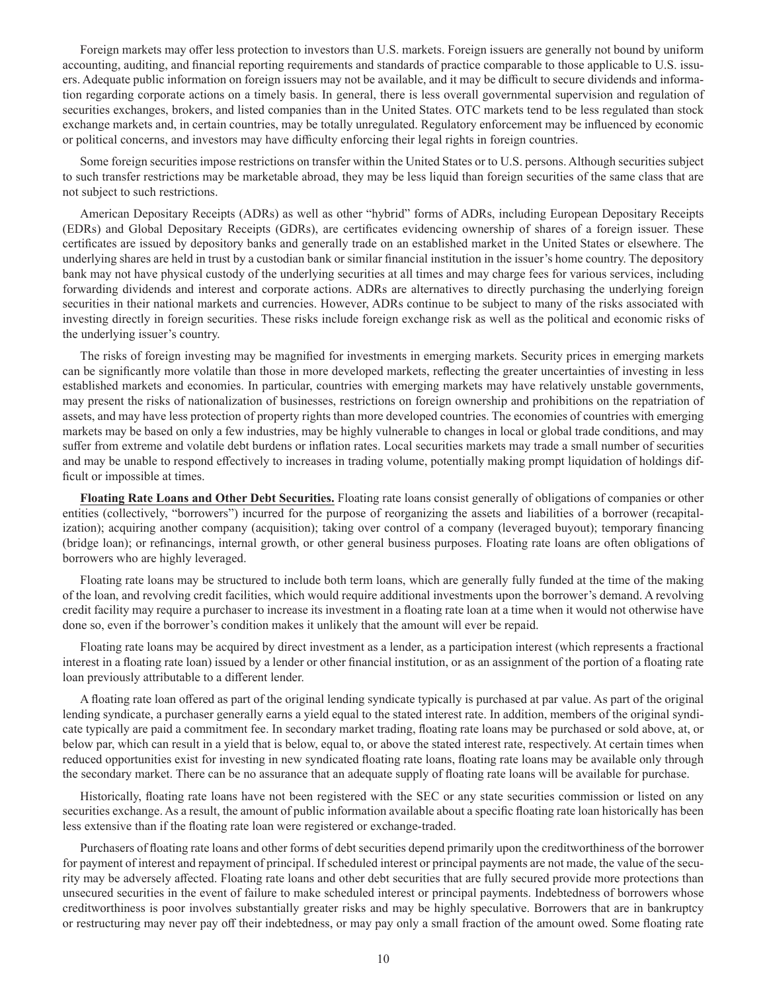Foreign markets may offer less protection to investors than U.S. markets. Foreign issuers are generally not bound by uniform accounting, auditing, and financial reporting requirements and standards of practice comparable to those applicable to U.S. issuers. Adequate public information on foreign issuers may not be available, and it may be difficult to secure dividends and information regarding corporate actions on a timely basis. In general, there is less overall governmental supervision and regulation of securities exchanges, brokers, and listed companies than in the United States. OTC markets tend to be less regulated than stock exchange markets and, in certain countries, may be totally unregulated. Regulatory enforcement may be influenced by economic or political concerns, and investors may have difficulty enforcing their legal rights in foreign countries.

Some foreign securities impose restrictions on transfer within the United States or to U.S. persons. Although securities subject to such transfer restrictions may be marketable abroad, they may be less liquid than foreign securities of the same class that are not subject to such restrictions.

American Depositary Receipts (ADRs) as well as other "hybrid" forms of ADRs, including European Depositary Receipts (EDRs) and Global Depositary Receipts (GDRs), are certificates evidencing ownership of shares of a foreign issuer. These certificates are issued by depository banks and generally trade on an established market in the United States or elsewhere. The underlying shares are held in trust by a custodian bank or similar financial institution in the issuer's home country. The depository bank may not have physical custody of the underlying securities at all times and may charge fees for various services, including forwarding dividends and interest and corporate actions. ADRs are alternatives to directly purchasing the underlying foreign securities in their national markets and currencies. However, ADRs continue to be subject to many of the risks associated with investing directly in foreign securities. These risks include foreign exchange risk as well as the political and economic risks of the underlying issuer's country.

The risks of foreign investing may be magnified for investments in emerging markets. Security prices in emerging markets can be significantly more volatile than those in more developed markets, reflecting the greater uncertainties of investing in less established markets and economies. In particular, countries with emerging markets may have relatively unstable governments, may present the risks of nationalization of businesses, restrictions on foreign ownership and prohibitions on the repatriation of assets, and may have less protection of property rights than more developed countries. The economies of countries with emerging markets may be based on only a few industries, may be highly vulnerable to changes in local or global trade conditions, and may suffer from extreme and volatile debt burdens or inflation rates. Local securities markets may trade a small number of securities and may be unable to respond effectively to increases in trading volume, potentially making prompt liquidation of holdings difficult or impossible at times.

**Floating Rate Loans and Other Debt Securities.** Floating rate loans consist generally of obligations of companies or other entities (collectively, "borrowers") incurred for the purpose of reorganizing the assets and liabilities of a borrower (recapitalization); acquiring another company (acquisition); taking over control of a company (leveraged buyout); temporary financing (bridge loan); or refinancings, internal growth, or other general business purposes. Floating rate loans are often obligations of borrowers who are highly leveraged.

Floating rate loans may be structured to include both term loans, which are generally fully funded at the time of the making of the loan, and revolving credit facilities, which would require additional investments upon the borrower's demand. A revolving credit facility may require a purchaser to increase its investment in a floating rate loan at a time when it would not otherwise have done so, even if the borrower's condition makes it unlikely that the amount will ever be repaid.

Floating rate loans may be acquired by direct investment as a lender, as a participation interest (which represents a fractional interest in a floating rate loan) issued by a lender or other financial institution, or as an assignment of the portion of a floating rate loan previously attributable to a different lender.

A floating rate loan offered as part of the original lending syndicate typically is purchased at par value. As part of the original lending syndicate, a purchaser generally earns a yield equal to the stated interest rate. In addition, members of the original syndicate typically are paid a commitment fee. In secondary market trading, floating rate loans may be purchased or sold above, at, or below par, which can result in a yield that is below, equal to, or above the stated interest rate, respectively. At certain times when reduced opportunities exist for investing in new syndicated floating rate loans, floating rate loans may be available only through the secondary market. There can be no assurance that an adequate supply of floating rate loans will be available for purchase.

Historically, floating rate loans have not been registered with the SEC or any state securities commission or listed on any securities exchange. As a result, the amount of public information available about a specific floating rate loan historically has been less extensive than if the floating rate loan were registered or exchange-traded.

Purchasers of floating rate loans and other forms of debt securities depend primarily upon the creditworthiness of the borrower for payment of interest and repayment of principal. If scheduled interest or principal payments are not made, the value of the security may be adversely affected. Floating rate loans and other debt securities that are fully secured provide more protections than unsecured securities in the event of failure to make scheduled interest or principal payments. Indebtedness of borrowers whose creditworthiness is poor involves substantially greater risks and may be highly speculative. Borrowers that are in bankruptcy or restructuring may never pay off their indebtedness, or may pay only a small fraction of the amount owed. Some floating rate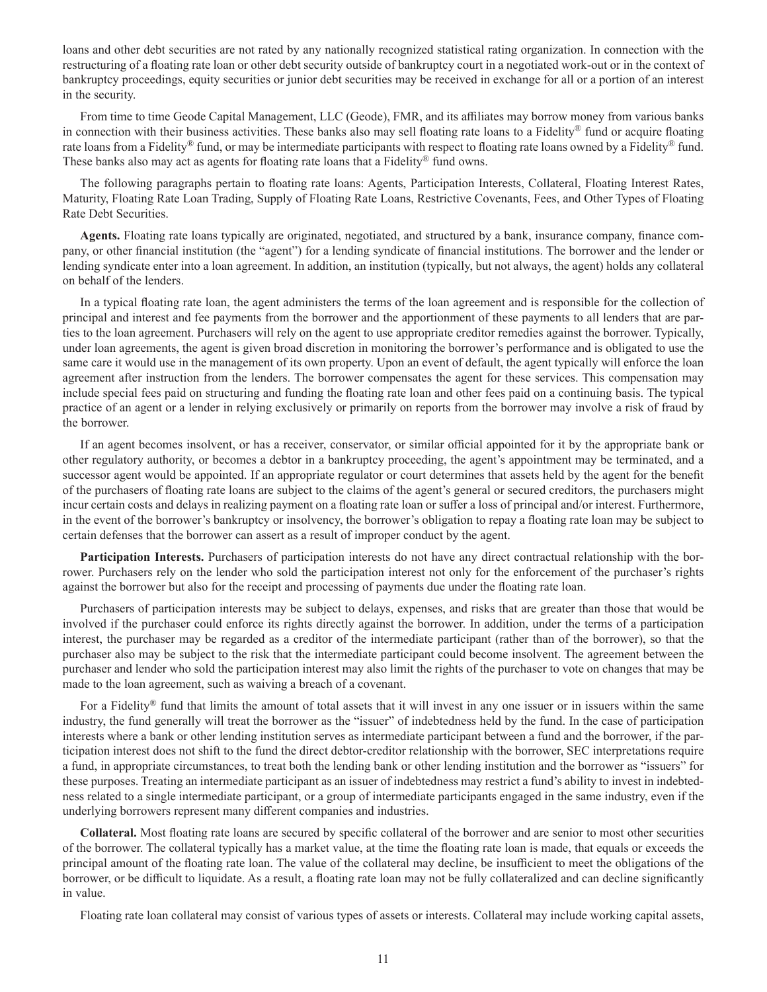loans and other debt securities are not rated by any nationally recognized statistical rating organization. In connection with the restructuring of a floating rate loan or other debt security outside of bankruptcy court in a negotiated work-out or in the context of bankruptcy proceedings, equity securities or junior debt securities may be received in exchange for all or a portion of an interest in the security.

From time to time Geode Capital Management, LLC (Geode), FMR, and its affiliates may borrow money from various banks in connection with their business activities. These banks also may sell floating rate loans to a Fidelity® fund or acquire floating rate loans from a Fidelity<sup>®</sup> fund, or may be intermediate participants with respect to floating rate loans owned by a Fidelity<sup>®</sup> fund. These banks also may act as agents for floating rate loans that a Fidelity® fund owns.

The following paragraphs pertain to floating rate loans: Agents, Participation Interests, Collateral, Floating Interest Rates, Maturity, Floating Rate Loan Trading, Supply of Floating Rate Loans, Restrictive Covenants, Fees, and Other Types of Floating Rate Debt Securities.

**Agents.** Floating rate loans typically are originated, negotiated, and structured by a bank, insurance company, finance company, or other financial institution (the "agent") for a lending syndicate of financial institutions. The borrower and the lender or lending syndicate enter into a loan agreement. In addition, an institution (typically, but not always, the agent) holds any collateral on behalf of the lenders.

In a typical floating rate loan, the agent administers the terms of the loan agreement and is responsible for the collection of principal and interest and fee payments from the borrower and the apportionment of these payments to all lenders that are parties to the loan agreement. Purchasers will rely on the agent to use appropriate creditor remedies against the borrower. Typically, under loan agreements, the agent is given broad discretion in monitoring the borrower's performance and is obligated to use the same care it would use in the management of its own property. Upon an event of default, the agent typically will enforce the loan agreement after instruction from the lenders. The borrower compensates the agent for these services. This compensation may include special fees paid on structuring and funding the floating rate loan and other fees paid on a continuing basis. The typical practice of an agent or a lender in relying exclusively or primarily on reports from the borrower may involve a risk of fraud by the borrower.

If an agent becomes insolvent, or has a receiver, conservator, or similar official appointed for it by the appropriate bank or other regulatory authority, or becomes a debtor in a bankruptcy proceeding, the agent's appointment may be terminated, and a successor agent would be appointed. If an appropriate regulator or court determines that assets held by the agent for the benefit of the purchasers of floating rate loans are subject to the claims of the agent's general or secured creditors, the purchasers might incur certain costs and delays in realizing payment on a floating rate loan or suffer a loss of principal and/or interest. Furthermore, in the event of the borrower's bankruptcy or insolvency, the borrower's obligation to repay a floating rate loan may be subject to certain defenses that the borrower can assert as a result of improper conduct by the agent.

**Participation Interests.** Purchasers of participation interests do not have any direct contractual relationship with the borrower. Purchasers rely on the lender who sold the participation interest not only for the enforcement of the purchaser's rights against the borrower but also for the receipt and processing of payments due under the floating rate loan.

Purchasers of participation interests may be subject to delays, expenses, and risks that are greater than those that would be involved if the purchaser could enforce its rights directly against the borrower. In addition, under the terms of a participation interest, the purchaser may be regarded as a creditor of the intermediate participant (rather than of the borrower), so that the purchaser also may be subject to the risk that the intermediate participant could become insolvent. The agreement between the purchaser and lender who sold the participation interest may also limit the rights of the purchaser to vote on changes that may be made to the loan agreement, such as waiving a breach of a covenant.

For a Fidelity® fund that limits the amount of total assets that it will invest in any one issuer or in issuers within the same industry, the fund generally will treat the borrower as the "issuer" of indebtedness held by the fund. In the case of participation interests where a bank or other lending institution serves as intermediate participant between a fund and the borrower, if the participation interest does not shift to the fund the direct debtor-creditor relationship with the borrower, SEC interpretations require a fund, in appropriate circumstances, to treat both the lending bank or other lending institution and the borrower as "issuers" for these purposes. Treating an intermediate participant as an issuer of indebtedness may restrict a fund's ability to invest in indebtedness related to a single intermediate participant, or a group of intermediate participants engaged in the same industry, even if the underlying borrowers represent many different companies and industries.

**Collateral.** Most floating rate loans are secured by specific collateral of the borrower and are senior to most other securities of the borrower. The collateral typically has a market value, at the time the floating rate loan is made, that equals or exceeds the principal amount of the floating rate loan. The value of the collateral may decline, be insufficient to meet the obligations of the borrower, or be difficult to liquidate. As a result, a floating rate loan may not be fully collateralized and can decline significantly in value.

Floating rate loan collateral may consist of various types of assets or interests. Collateral may include working capital assets,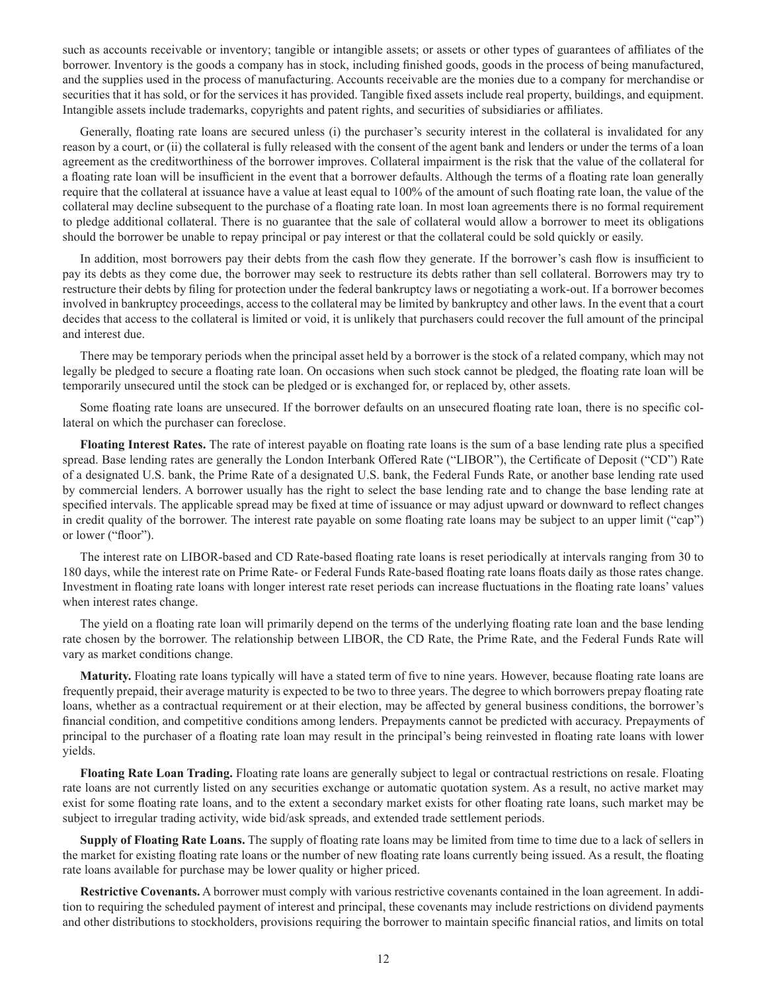such as accounts receivable or inventory; tangible or intangible assets; or assets or other types of guarantees of affiliates of the borrower. Inventory is the goods a company has in stock, including finished goods, goods in the process of being manufactured, and the supplies used in the process of manufacturing. Accounts receivable are the monies due to a company for merchandise or securities that it has sold, or for the services it has provided. Tangible fixed assets include real property, buildings, and equipment. Intangible assets include trademarks, copyrights and patent rights, and securities of subsidiaries or affiliates.

Generally, floating rate loans are secured unless (i) the purchaser's security interest in the collateral is invalidated for any reason by a court, or (ii) the collateral is fully released with the consent of the agent bank and lenders or under the terms of a loan agreement as the creditworthiness of the borrower improves. Collateral impairment is the risk that the value of the collateral for a floating rate loan will be insufficient in the event that a borrower defaults. Although the terms of a floating rate loan generally require that the collateral at issuance have a value at least equal to 100% of the amount of such floating rate loan, the value of the collateral may decline subsequent to the purchase of a floating rate loan. In most loan agreements there is no formal requirement to pledge additional collateral. There is no guarantee that the sale of collateral would allow a borrower to meet its obligations should the borrower be unable to repay principal or pay interest or that the collateral could be sold quickly or easily.

In addition, most borrowers pay their debts from the cash flow they generate. If the borrower's cash flow is insufficient to pay its debts as they come due, the borrower may seek to restructure its debts rather than sell collateral. Borrowers may try to restructure their debts by filing for protection under the federal bankruptcy laws or negotiating a work-out. If a borrower becomes involved in bankruptcy proceedings, access to the collateral may be limited by bankruptcy and other laws. In the event that a court decides that access to the collateral is limited or void, it is unlikely that purchasers could recover the full amount of the principal and interest due.

There may be temporary periods when the principal asset held by a borrower is the stock of a related company, which may not legally be pledged to secure a floating rate loan. On occasions when such stock cannot be pledged, the floating rate loan will be temporarily unsecured until the stock can be pledged or is exchanged for, or replaced by, other assets.

Some floating rate loans are unsecured. If the borrower defaults on an unsecured floating rate loan, there is no specific collateral on which the purchaser can foreclose.

**Floating Interest Rates.** The rate of interest payable on floating rate loans is the sum of a base lending rate plus a specified spread. Base lending rates are generally the London Interbank Offered Rate ("LIBOR"), the Certificate of Deposit ("CD") Rate of a designated U.S. bank, the Prime Rate of a designated U.S. bank, the Federal Funds Rate, or another base lending rate used by commercial lenders. A borrower usually has the right to select the base lending rate and to change the base lending rate at specified intervals. The applicable spread may be fixed at time of issuance or may adjust upward or downward to reflect changes in credit quality of the borrower. The interest rate payable on some floating rate loans may be subject to an upper limit ("cap") or lower ("floor").

The interest rate on LIBOR-based and CD Rate-based floating rate loans is reset periodically at intervals ranging from 30 to 180 days, while the interest rate on Prime Rate- or Federal Funds Rate-based floating rate loans floats daily as those rates change. Investment in floating rate loans with longer interest rate reset periods can increase fluctuations in the floating rate loans' values when interest rates change.

The yield on a floating rate loan will primarily depend on the terms of the underlying floating rate loan and the base lending rate chosen by the borrower. The relationship between LIBOR, the CD Rate, the Prime Rate, and the Federal Funds Rate will vary as market conditions change.

**Maturity.** Floating rate loans typically will have a stated term of five to nine years. However, because floating rate loans are frequently prepaid, their average maturity is expected to be two to three years. The degree to which borrowers prepay floating rate loans, whether as a contractual requirement or at their election, may be affected by general business conditions, the borrower's financial condition, and competitive conditions among lenders. Prepayments cannot be predicted with accuracy. Prepayments of principal to the purchaser of a floating rate loan may result in the principal's being reinvested in floating rate loans with lower yields.

**Floating Rate Loan Trading.** Floating rate loans are generally subject to legal or contractual restrictions on resale. Floating rate loans are not currently listed on any securities exchange or automatic quotation system. As a result, no active market may exist for some floating rate loans, and to the extent a secondary market exists for other floating rate loans, such market may be subject to irregular trading activity, wide bid/ask spreads, and extended trade settlement periods.

**Supply of Floating Rate Loans.** The supply of floating rate loans may be limited from time to time due to a lack of sellers in the market for existing floating rate loans or the number of new floating rate loans currently being issued. As a result, the floating rate loans available for purchase may be lower quality or higher priced.

**Restrictive Covenants.** A borrower must comply with various restrictive covenants contained in the loan agreement. In addition to requiring the scheduled payment of interest and principal, these covenants may include restrictions on dividend payments and other distributions to stockholders, provisions requiring the borrower to maintain specific financial ratios, and limits on total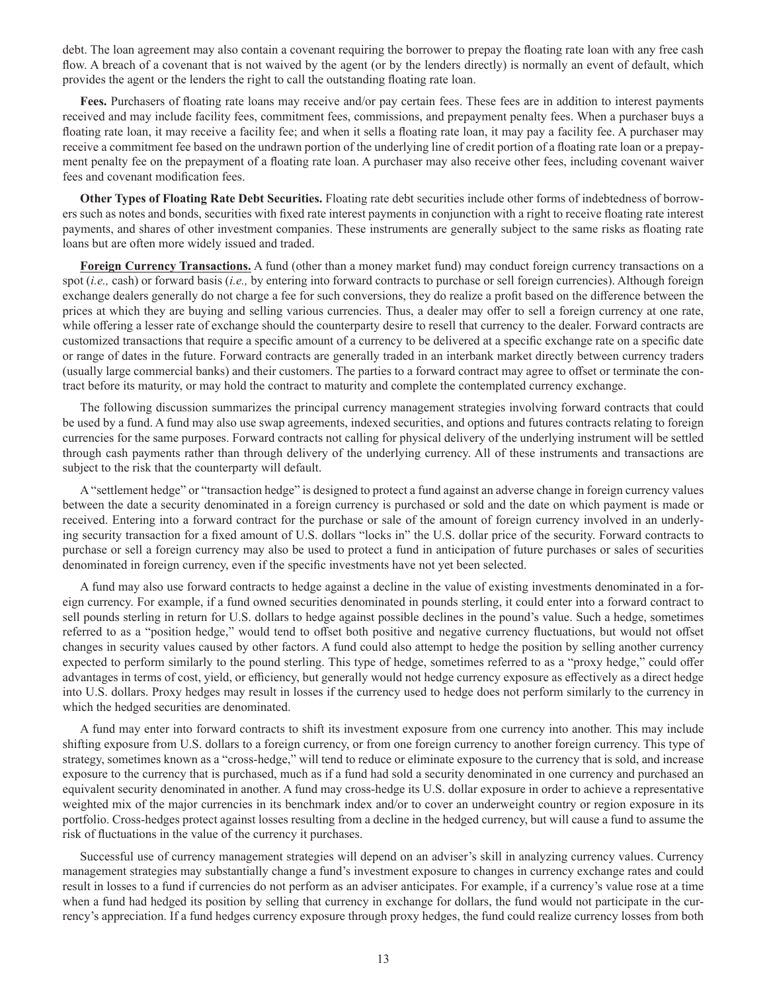debt. The loan agreement may also contain a covenant requiring the borrower to prepay the floating rate loan with any free cash flow. A breach of a covenant that is not waived by the agent (or by the lenders directly) is normally an event of default, which provides the agent or the lenders the right to call the outstanding floating rate loan.

**Fees.** Purchasers of floating rate loans may receive and/or pay certain fees. These fees are in addition to interest payments received and may include facility fees, commitment fees, commissions, and prepayment penalty fees. When a purchaser buys a floating rate loan, it may receive a facility fee; and when it sells a floating rate loan, it may pay a facility fee. A purchaser may receive a commitment fee based on the undrawn portion of the underlying line of credit portion of a floating rate loan or a prepayment penalty fee on the prepayment of a floating rate loan. A purchaser may also receive other fees, including covenant waiver fees and covenant modification fees.

**Other Types of Floating Rate Debt Securities.** Floating rate debt securities include other forms of indebtedness of borrowers such as notes and bonds, securities with fixed rate interest payments in conjunction with a right to receive floating rate interest payments, and shares of other investment companies. These instruments are generally subject to the same risks as floating rate loans but are often more widely issued and traded.

**Foreign Currency Transactions.** A fund (other than a money market fund) may conduct foreign currency transactions on a spot (*i.e.,* cash) or forward basis (*i.e.,* by entering into forward contracts to purchase or sell foreign currencies). Although foreign exchange dealers generally do not charge a fee for such conversions, they do realize a profit based on the difference between the prices at which they are buying and selling various currencies. Thus, a dealer may offer to sell a foreign currency at one rate, while offering a lesser rate of exchange should the counterparty desire to resell that currency to the dealer. Forward contracts are customized transactions that require a specific amount of a currency to be delivered at a specific exchange rate on a specific date or range of dates in the future. Forward contracts are generally traded in an interbank market directly between currency traders (usually large commercial banks) and their customers. The parties to a forward contract may agree to offset or terminate the contract before its maturity, or may hold the contract to maturity and complete the contemplated currency exchange.

The following discussion summarizes the principal currency management strategies involving forward contracts that could be used by a fund. A fund may also use swap agreements, indexed securities, and options and futures contracts relating to foreign currencies for the same purposes. Forward contracts not calling for physical delivery of the underlying instrument will be settled through cash payments rather than through delivery of the underlying currency. All of these instruments and transactions are subject to the risk that the counterparty will default.

A "settlement hedge" or "transaction hedge" is designed to protect a fund against an adverse change in foreign currency values between the date a security denominated in a foreign currency is purchased or sold and the date on which payment is made or received. Entering into a forward contract for the purchase or sale of the amount of foreign currency involved in an underlying security transaction for a fixed amount of U.S. dollars "locks in" the U.S. dollar price of the security. Forward contracts to purchase or sell a foreign currency may also be used to protect a fund in anticipation of future purchases or sales of securities denominated in foreign currency, even if the specific investments have not yet been selected.

A fund may also use forward contracts to hedge against a decline in the value of existing investments denominated in a foreign currency. For example, if a fund owned securities denominated in pounds sterling, it could enter into a forward contract to sell pounds sterling in return for U.S. dollars to hedge against possible declines in the pound's value. Such a hedge, sometimes referred to as a "position hedge," would tend to offset both positive and negative currency fluctuations, but would not offset changes in security values caused by other factors. A fund could also attempt to hedge the position by selling another currency expected to perform similarly to the pound sterling. This type of hedge, sometimes referred to as a "proxy hedge," could offer advantages in terms of cost, yield, or efficiency, but generally would not hedge currency exposure as effectively as a direct hedge into U.S. dollars. Proxy hedges may result in losses if the currency used to hedge does not perform similarly to the currency in which the hedged securities are denominated.

A fund may enter into forward contracts to shift its investment exposure from one currency into another. This may include shifting exposure from U.S. dollars to a foreign currency, or from one foreign currency to another foreign currency. This type of strategy, sometimes known as a "cross-hedge," will tend to reduce or eliminate exposure to the currency that is sold, and increase exposure to the currency that is purchased, much as if a fund had sold a security denominated in one currency and purchased an equivalent security denominated in another. A fund may cross-hedge its U.S. dollar exposure in order to achieve a representative weighted mix of the major currencies in its benchmark index and/or to cover an underweight country or region exposure in its portfolio. Cross-hedges protect against losses resulting from a decline in the hedged currency, but will cause a fund to assume the risk of fluctuations in the value of the currency it purchases.

Successful use of currency management strategies will depend on an adviser's skill in analyzing currency values. Currency management strategies may substantially change a fund's investment exposure to changes in currency exchange rates and could result in losses to a fund if currencies do not perform as an adviser anticipates. For example, if a currency's value rose at a time when a fund had hedged its position by selling that currency in exchange for dollars, the fund would not participate in the currency's appreciation. If a fund hedges currency exposure through proxy hedges, the fund could realize currency losses from both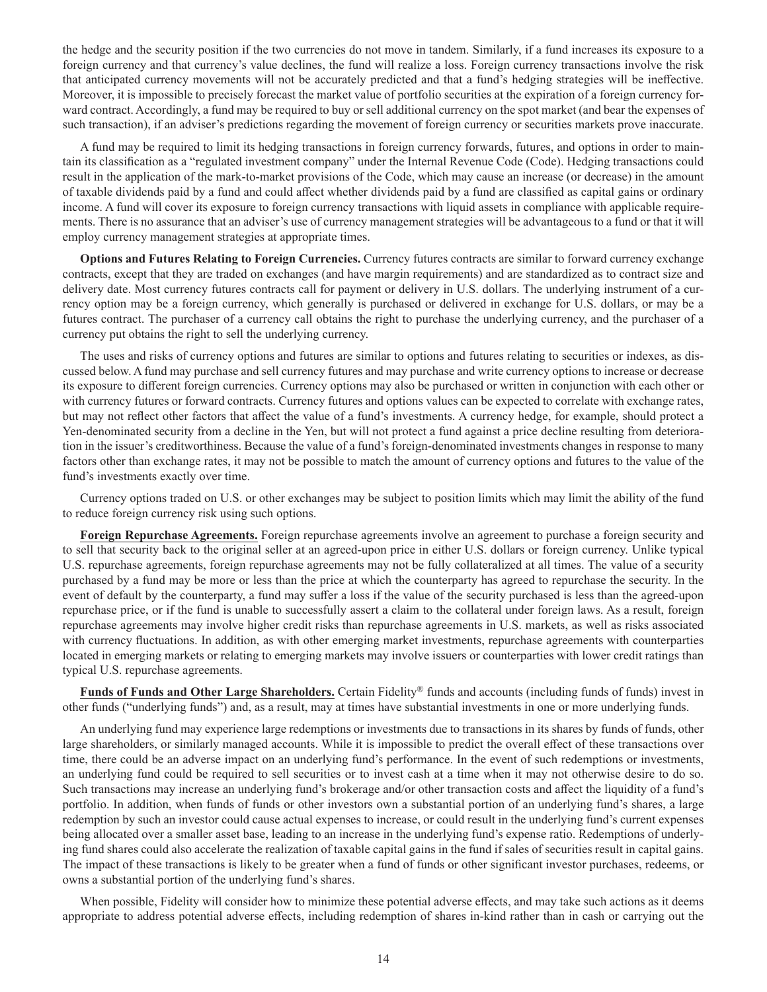the hedge and the security position if the two currencies do not move in tandem. Similarly, if a fund increases its exposure to a foreign currency and that currency's value declines, the fund will realize a loss. Foreign currency transactions involve the risk that anticipated currency movements will not be accurately predicted and that a fund's hedging strategies will be ineffective. Moreover, it is impossible to precisely forecast the market value of portfolio securities at the expiration of a foreign currency forward contract. Accordingly, a fund may be required to buy or sell additional currency on the spot market (and bear the expenses of such transaction), if an adviser's predictions regarding the movement of foreign currency or securities markets prove inaccurate.

A fund may be required to limit its hedging transactions in foreign currency forwards, futures, and options in order to maintain its classification as a "regulated investment company" under the Internal Revenue Code (Code). Hedging transactions could result in the application of the mark-to-market provisions of the Code, which may cause an increase (or decrease) in the amount of taxable dividends paid by a fund and could affect whether dividends paid by a fund are classified as capital gains or ordinary income. A fund will cover its exposure to foreign currency transactions with liquid assets in compliance with applicable requirements. There is no assurance that an adviser's use of currency management strategies will be advantageous to a fund or that it will employ currency management strategies at appropriate times.

**Options and Futures Relating to Foreign Currencies.** Currency futures contracts are similar to forward currency exchange contracts, except that they are traded on exchanges (and have margin requirements) and are standardized as to contract size and delivery date. Most currency futures contracts call for payment or delivery in U.S. dollars. The underlying instrument of a currency option may be a foreign currency, which generally is purchased or delivered in exchange for U.S. dollars, or may be a futures contract. The purchaser of a currency call obtains the right to purchase the underlying currency, and the purchaser of a currency put obtains the right to sell the underlying currency.

The uses and risks of currency options and futures are similar to options and futures relating to securities or indexes, as discussed below. A fund may purchase and sell currency futures and may purchase and write currency options to increase or decrease its exposure to different foreign currencies. Currency options may also be purchased or written in conjunction with each other or with currency futures or forward contracts. Currency futures and options values can be expected to correlate with exchange rates, but may not reflect other factors that affect the value of a fund's investments. A currency hedge, for example, should protect a Yen-denominated security from a decline in the Yen, but will not protect a fund against a price decline resulting from deterioration in the issuer's creditworthiness. Because the value of a fund's foreign-denominated investments changes in response to many factors other than exchange rates, it may not be possible to match the amount of currency options and futures to the value of the fund's investments exactly over time.

Currency options traded on U.S. or other exchanges may be subject to position limits which may limit the ability of the fund to reduce foreign currency risk using such options.

**Foreign Repurchase Agreements.** Foreign repurchase agreements involve an agreement to purchase a foreign security and to sell that security back to the original seller at an agreed-upon price in either U.S. dollars or foreign currency. Unlike typical U.S. repurchase agreements, foreign repurchase agreements may not be fully collateralized at all times. The value of a security purchased by a fund may be more or less than the price at which the counterparty has agreed to repurchase the security. In the event of default by the counterparty, a fund may suffer a loss if the value of the security purchased is less than the agreed-upon repurchase price, or if the fund is unable to successfully assert a claim to the collateral under foreign laws. As a result, foreign repurchase agreements may involve higher credit risks than repurchase agreements in U.S. markets, as well as risks associated with currency fluctuations. In addition, as with other emerging market investments, repurchase agreements with counterparties located in emerging markets or relating to emerging markets may involve issuers or counterparties with lower credit ratings than typical U.S. repurchase agreements.

**Funds of Funds and Other Large Shareholders.** Certain Fidelity® funds and accounts (including funds of funds) invest in other funds ("underlying funds") and, as a result, may at times have substantial investments in one or more underlying funds.

An underlying fund may experience large redemptions or investments due to transactions in its shares by funds of funds, other large shareholders, or similarly managed accounts. While it is impossible to predict the overall effect of these transactions over time, there could be an adverse impact on an underlying fund's performance. In the event of such redemptions or investments, an underlying fund could be required to sell securities or to invest cash at a time when it may not otherwise desire to do so. Such transactions may increase an underlying fund's brokerage and/or other transaction costs and affect the liquidity of a fund's portfolio. In addition, when funds of funds or other investors own a substantial portion of an underlying fund's shares, a large redemption by such an investor could cause actual expenses to increase, or could result in the underlying fund's current expenses being allocated over a smaller asset base, leading to an increase in the underlying fund's expense ratio. Redemptions of underlying fund shares could also accelerate the realization of taxable capital gains in the fund if sales of securities result in capital gains. The impact of these transactions is likely to be greater when a fund of funds or other significant investor purchases, redeems, or owns a substantial portion of the underlying fund's shares.

When possible, Fidelity will consider how to minimize these potential adverse effects, and may take such actions as it deems appropriate to address potential adverse effects, including redemption of shares in-kind rather than in cash or carrying out the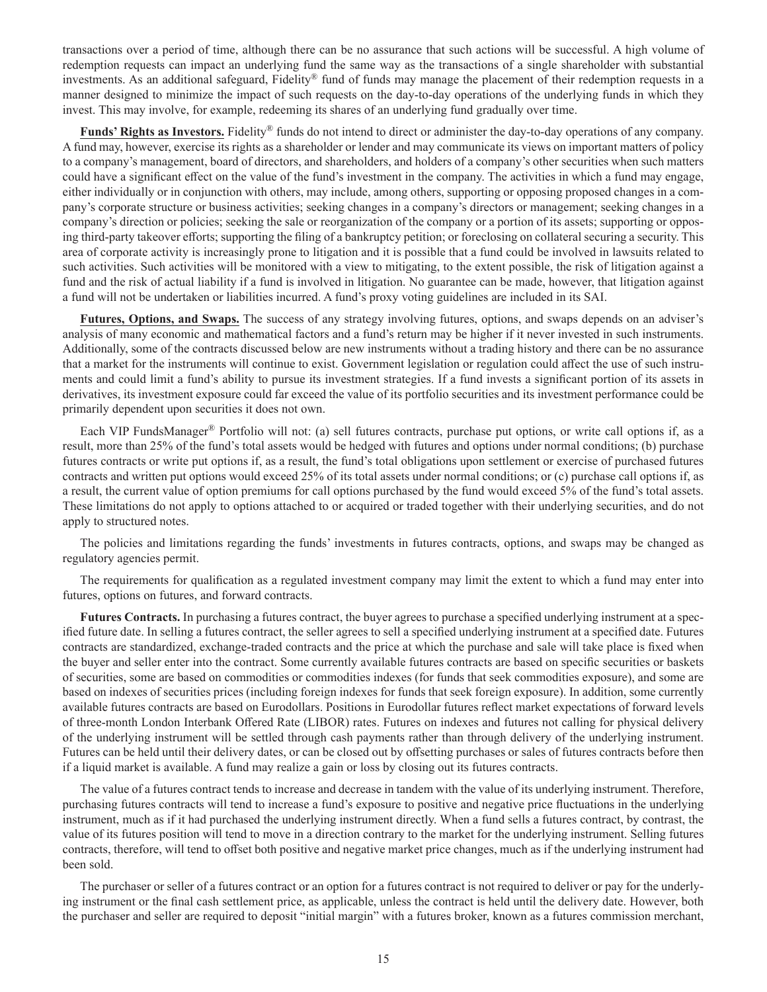transactions over a period of time, although there can be no assurance that such actions will be successful. A high volume of redemption requests can impact an underlying fund the same way as the transactions of a single shareholder with substantial investments. As an additional safeguard, Fidelity® fund of funds may manage the placement of their redemption requests in a manner designed to minimize the impact of such requests on the day-to-day operations of the underlying funds in which they invest. This may involve, for example, redeeming its shares of an underlying fund gradually over time.

**Funds' Rights as Investors.** Fidelity® funds do not intend to direct or administer the day-to-day operations of any company. A fund may, however, exercise its rights as a shareholder or lender and may communicate its views on important matters of policy to a company's management, board of directors, and shareholders, and holders of a company's other securities when such matters could have a significant effect on the value of the fund's investment in the company. The activities in which a fund may engage, either individually or in conjunction with others, may include, among others, supporting or opposing proposed changes in a company's corporate structure or business activities; seeking changes in a company's directors or management; seeking changes in a company's direction or policies; seeking the sale or reorganization of the company or a portion of its assets; supporting or opposing third-party takeover efforts; supporting the filing of a bankruptcy petition; or foreclosing on collateral securing a security. This area of corporate activity is increasingly prone to litigation and it is possible that a fund could be involved in lawsuits related to such activities. Such activities will be monitored with a view to mitigating, to the extent possible, the risk of litigation against a fund and the risk of actual liability if a fund is involved in litigation. No guarantee can be made, however, that litigation against a fund will not be undertaken or liabilities incurred. A fund's proxy voting guidelines are included in its SAI.

**Futures, Options, and Swaps.** The success of any strategy involving futures, options, and swaps depends on an adviser's analysis of many economic and mathematical factors and a fund's return may be higher if it never invested in such instruments. Additionally, some of the contracts discussed below are new instruments without a trading history and there can be no assurance that a market for the instruments will continue to exist. Government legislation or regulation could affect the use of such instruments and could limit a fund's ability to pursue its investment strategies. If a fund invests a significant portion of its assets in derivatives, its investment exposure could far exceed the value of its portfolio securities and its investment performance could be primarily dependent upon securities it does not own.

Each VIP FundsManager® Portfolio will not: (a) sell futures contracts, purchase put options, or write call options if, as a result, more than 25% of the fund's total assets would be hedged with futures and options under normal conditions; (b) purchase futures contracts or write put options if, as a result, the fund's total obligations upon settlement or exercise of purchased futures contracts and written put options would exceed 25% of its total assets under normal conditions; or (c) purchase call options if, as a result, the current value of option premiums for call options purchased by the fund would exceed 5% of the fund's total assets. These limitations do not apply to options attached to or acquired or traded together with their underlying securities, and do not apply to structured notes.

The policies and limitations regarding the funds' investments in futures contracts, options, and swaps may be changed as regulatory agencies permit.

The requirements for qualification as a regulated investment company may limit the extent to which a fund may enter into futures, options on futures, and forward contracts.

**Futures Contracts.** In purchasing a futures contract, the buyer agrees to purchase a specified underlying instrument at a specified future date. In selling a futures contract, the seller agrees to sell a specified underlying instrument at a specified date. Futures contracts are standardized, exchange-traded contracts and the price at which the purchase and sale will take place is fixed when the buyer and seller enter into the contract. Some currently available futures contracts are based on specific securities or baskets of securities, some are based on commodities or commodities indexes (for funds that seek commodities exposure), and some are based on indexes of securities prices (including foreign indexes for funds that seek foreign exposure). In addition, some currently available futures contracts are based on Eurodollars. Positions in Eurodollar futures reflect market expectations of forward levels of three-month London Interbank Offered Rate (LIBOR) rates. Futures on indexes and futures not calling for physical delivery of the underlying instrument will be settled through cash payments rather than through delivery of the underlying instrument. Futures can be held until their delivery dates, or can be closed out by offsetting purchases or sales of futures contracts before then if a liquid market is available. A fund may realize a gain or loss by closing out its futures contracts.

The value of a futures contract tends to increase and decrease in tandem with the value of its underlying instrument. Therefore, purchasing futures contracts will tend to increase a fund's exposure to positive and negative price fluctuations in the underlying instrument, much as if it had purchased the underlying instrument directly. When a fund sells a futures contract, by contrast, the value of its futures position will tend to move in a direction contrary to the market for the underlying instrument. Selling futures contracts, therefore, will tend to offset both positive and negative market price changes, much as if the underlying instrument had been sold.

The purchaser or seller of a futures contract or an option for a futures contract is not required to deliver or pay for the underlying instrument or the final cash settlement price, as applicable, unless the contract is held until the delivery date. However, both the purchaser and seller are required to deposit "initial margin" with a futures broker, known as a futures commission merchant,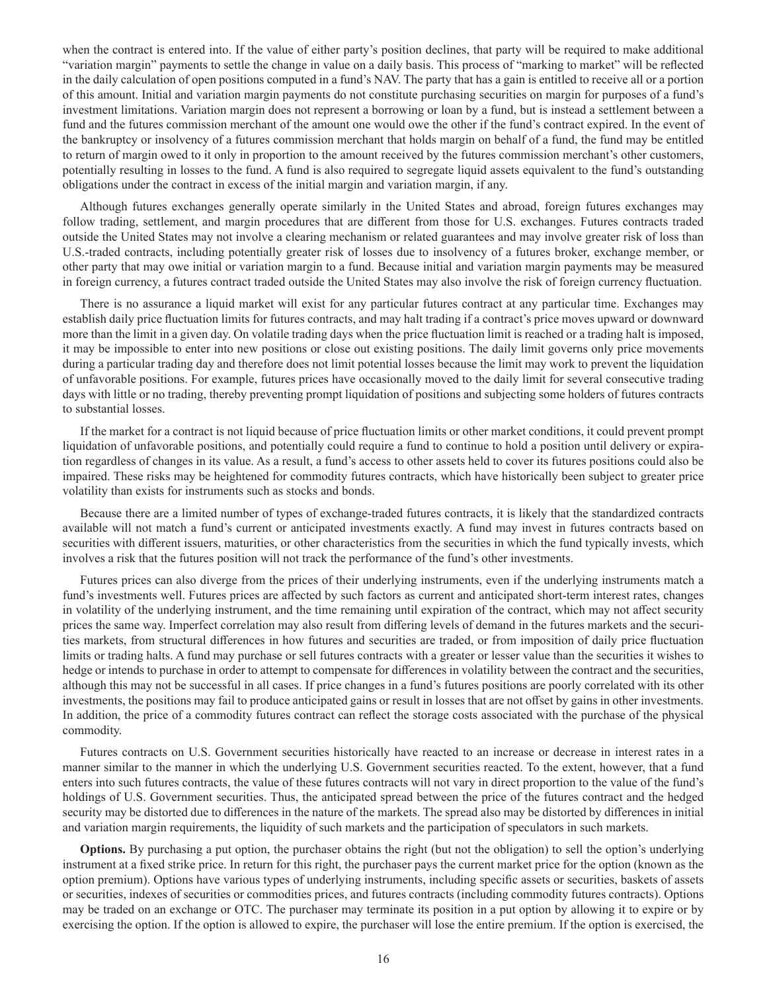when the contract is entered into. If the value of either party's position declines, that party will be required to make additional "variation margin" payments to settle the change in value on a daily basis. This process of "marking to market" will be reflected in the daily calculation of open positions computed in a fund's NAV. The party that has a gain is entitled to receive all or a portion of this amount. Initial and variation margin payments do not constitute purchasing securities on margin for purposes of a fund's investment limitations. Variation margin does not represent a borrowing or loan by a fund, but is instead a settlement between a fund and the futures commission merchant of the amount one would owe the other if the fund's contract expired. In the event of the bankruptcy or insolvency of a futures commission merchant that holds margin on behalf of a fund, the fund may be entitled to return of margin owed to it only in proportion to the amount received by the futures commission merchant's other customers, potentially resulting in losses to the fund. A fund is also required to segregate liquid assets equivalent to the fund's outstanding obligations under the contract in excess of the initial margin and variation margin, if any.

Although futures exchanges generally operate similarly in the United States and abroad, foreign futures exchanges may follow trading, settlement, and margin procedures that are different from those for U.S. exchanges. Futures contracts traded outside the United States may not involve a clearing mechanism or related guarantees and may involve greater risk of loss than U.S.-traded contracts, including potentially greater risk of losses due to insolvency of a futures broker, exchange member, or other party that may owe initial or variation margin to a fund. Because initial and variation margin payments may be measured in foreign currency, a futures contract traded outside the United States may also involve the risk of foreign currency fluctuation.

There is no assurance a liquid market will exist for any particular futures contract at any particular time. Exchanges may establish daily price fluctuation limits for futures contracts, and may halt trading if a contract's price moves upward or downward more than the limit in a given day. On volatile trading days when the price fluctuation limit is reached or a trading halt is imposed, it may be impossible to enter into new positions or close out existing positions. The daily limit governs only price movements during a particular trading day and therefore does not limit potential losses because the limit may work to prevent the liquidation of unfavorable positions. For example, futures prices have occasionally moved to the daily limit for several consecutive trading days with little or no trading, thereby preventing prompt liquidation of positions and subjecting some holders of futures contracts to substantial losses.

If the market for a contract is not liquid because of price fluctuation limits or other market conditions, it could prevent prompt liquidation of unfavorable positions, and potentially could require a fund to continue to hold a position until delivery or expiration regardless of changes in its value. As a result, a fund's access to other assets held to cover its futures positions could also be impaired. These risks may be heightened for commodity futures contracts, which have historically been subject to greater price volatility than exists for instruments such as stocks and bonds.

Because there are a limited number of types of exchange-traded futures contracts, it is likely that the standardized contracts available will not match a fund's current or anticipated investments exactly. A fund may invest in futures contracts based on securities with different issuers, maturities, or other characteristics from the securities in which the fund typically invests, which involves a risk that the futures position will not track the performance of the fund's other investments.

Futures prices can also diverge from the prices of their underlying instruments, even if the underlying instruments match a fund's investments well. Futures prices are affected by such factors as current and anticipated short-term interest rates, changes in volatility of the underlying instrument, and the time remaining until expiration of the contract, which may not affect security prices the same way. Imperfect correlation may also result from differing levels of demand in the futures markets and the securities markets, from structural differences in how futures and securities are traded, or from imposition of daily price fluctuation limits or trading halts. A fund may purchase or sell futures contracts with a greater or lesser value than the securities it wishes to hedge or intends to purchase in order to attempt to compensate for differences in volatility between the contract and the securities, although this may not be successful in all cases. If price changes in a fund's futures positions are poorly correlated with its other investments, the positions may fail to produce anticipated gains or result in losses that are not offset by gains in other investments. In addition, the price of a commodity futures contract can reflect the storage costs associated with the purchase of the physical commodity.

Futures contracts on U.S. Government securities historically have reacted to an increase or decrease in interest rates in a manner similar to the manner in which the underlying U.S. Government securities reacted. To the extent, however, that a fund enters into such futures contracts, the value of these futures contracts will not vary in direct proportion to the value of the fund's holdings of U.S. Government securities. Thus, the anticipated spread between the price of the futures contract and the hedged security may be distorted due to differences in the nature of the markets. The spread also may be distorted by differences in initial and variation margin requirements, the liquidity of such markets and the participation of speculators in such markets.

**Options.** By purchasing a put option, the purchaser obtains the right (but not the obligation) to sell the option's underlying instrument at a fixed strike price. In return for this right, the purchaser pays the current market price for the option (known as the option premium). Options have various types of underlying instruments, including specific assets or securities, baskets of assets or securities, indexes of securities or commodities prices, and futures contracts (including commodity futures contracts). Options may be traded on an exchange or OTC. The purchaser may terminate its position in a put option by allowing it to expire or by exercising the option. If the option is allowed to expire, the purchaser will lose the entire premium. If the option is exercised, the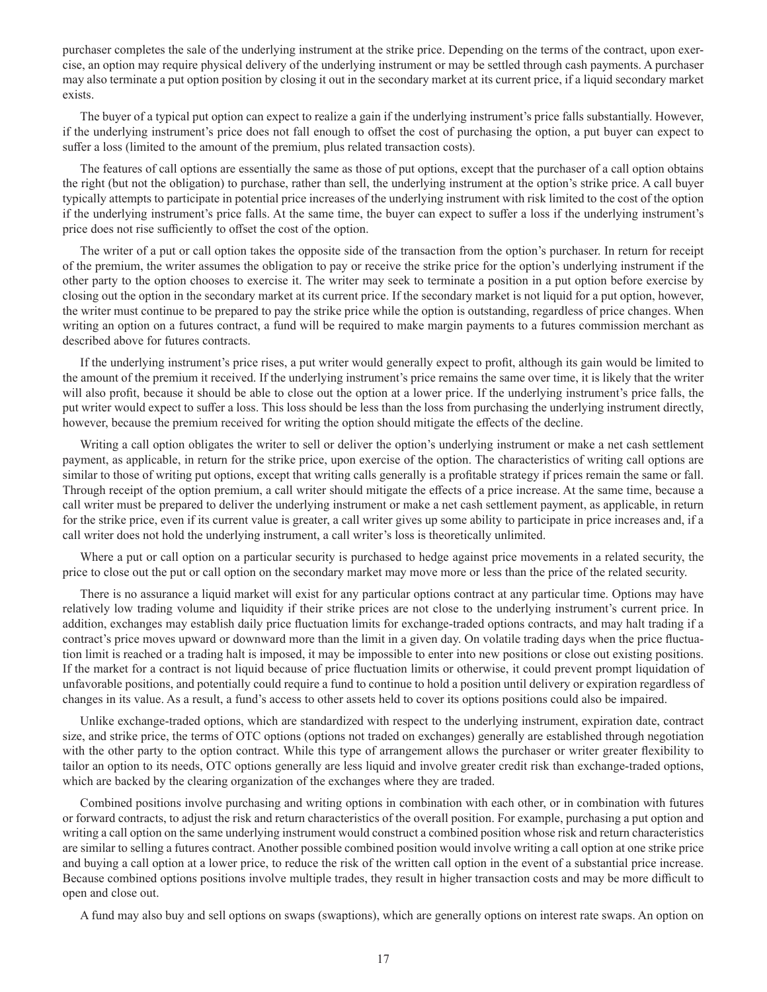purchaser completes the sale of the underlying instrument at the strike price. Depending on the terms of the contract, upon exercise, an option may require physical delivery of the underlying instrument or may be settled through cash payments. A purchaser may also terminate a put option position by closing it out in the secondary market at its current price, if a liquid secondary market exists.

The buyer of a typical put option can expect to realize a gain if the underlying instrument's price falls substantially. However, if the underlying instrument's price does not fall enough to offset the cost of purchasing the option, a put buyer can expect to suffer a loss (limited to the amount of the premium, plus related transaction costs).

The features of call options are essentially the same as those of put options, except that the purchaser of a call option obtains the right (but not the obligation) to purchase, rather than sell, the underlying instrument at the option's strike price. A call buyer typically attempts to participate in potential price increases of the underlying instrument with risk limited to the cost of the option if the underlying instrument's price falls. At the same time, the buyer can expect to suffer a loss if the underlying instrument's price does not rise sufficiently to offset the cost of the option.

The writer of a put or call option takes the opposite side of the transaction from the option's purchaser. In return for receipt of the premium, the writer assumes the obligation to pay or receive the strike price for the option's underlying instrument if the other party to the option chooses to exercise it. The writer may seek to terminate a position in a put option before exercise by closing out the option in the secondary market at its current price. If the secondary market is not liquid for a put option, however, the writer must continue to be prepared to pay the strike price while the option is outstanding, regardless of price changes. When writing an option on a futures contract, a fund will be required to make margin payments to a futures commission merchant as described above for futures contracts.

If the underlying instrument's price rises, a put writer would generally expect to profit, although its gain would be limited to the amount of the premium it received. If the underlying instrument's price remains the same over time, it is likely that the writer will also profit, because it should be able to close out the option at a lower price. If the underlying instrument's price falls, the put writer would expect to suffer a loss. This loss should be less than the loss from purchasing the underlying instrument directly, however, because the premium received for writing the option should mitigate the effects of the decline.

Writing a call option obligates the writer to sell or deliver the option's underlying instrument or make a net cash settlement payment, as applicable, in return for the strike price, upon exercise of the option. The characteristics of writing call options are similar to those of writing put options, except that writing calls generally is a profitable strategy if prices remain the same or fall. Through receipt of the option premium, a call writer should mitigate the effects of a price increase. At the same time, because a call writer must be prepared to deliver the underlying instrument or make a net cash settlement payment, as applicable, in return for the strike price, even if its current value is greater, a call writer gives up some ability to participate in price increases and, if a call writer does not hold the underlying instrument, a call writer's loss is theoretically unlimited.

Where a put or call option on a particular security is purchased to hedge against price movements in a related security, the price to close out the put or call option on the secondary market may move more or less than the price of the related security.

There is no assurance a liquid market will exist for any particular options contract at any particular time. Options may have relatively low trading volume and liquidity if their strike prices are not close to the underlying instrument's current price. In addition, exchanges may establish daily price fluctuation limits for exchange-traded options contracts, and may halt trading if a contract's price moves upward or downward more than the limit in a given day. On volatile trading days when the price fluctuation limit is reached or a trading halt is imposed, it may be impossible to enter into new positions or close out existing positions. If the market for a contract is not liquid because of price fluctuation limits or otherwise, it could prevent prompt liquidation of unfavorable positions, and potentially could require a fund to continue to hold a position until delivery or expiration regardless of changes in its value. As a result, a fund's access to other assets held to cover its options positions could also be impaired.

Unlike exchange-traded options, which are standardized with respect to the underlying instrument, expiration date, contract size, and strike price, the terms of OTC options (options not traded on exchanges) generally are established through negotiation with the other party to the option contract. While this type of arrangement allows the purchaser or writer greater flexibility to tailor an option to its needs, OTC options generally are less liquid and involve greater credit risk than exchange-traded options, which are backed by the clearing organization of the exchanges where they are traded.

Combined positions involve purchasing and writing options in combination with each other, or in combination with futures or forward contracts, to adjust the risk and return characteristics of the overall position. For example, purchasing a put option and writing a call option on the same underlying instrument would construct a combined position whose risk and return characteristics are similar to selling a futures contract. Another possible combined position would involve writing a call option at one strike price and buying a call option at a lower price, to reduce the risk of the written call option in the event of a substantial price increase. Because combined options positions involve multiple trades, they result in higher transaction costs and may be more difficult to open and close out.

A fund may also buy and sell options on swaps (swaptions), which are generally options on interest rate swaps. An option on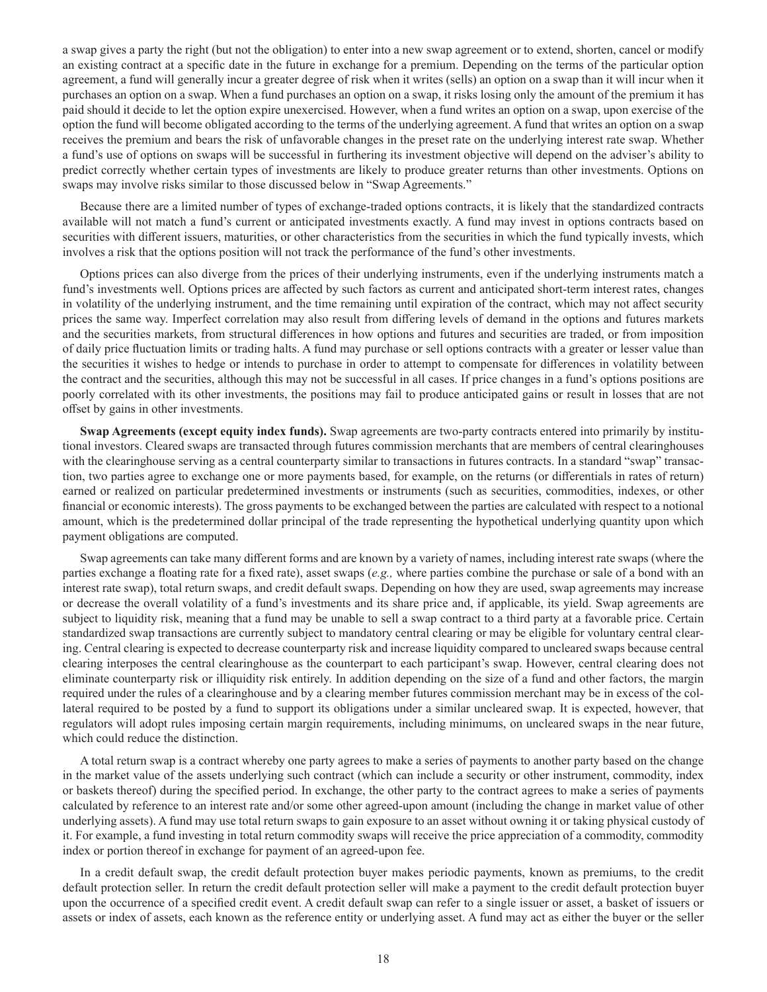a swap gives a party the right (but not the obligation) to enter into a new swap agreement or to extend, shorten, cancel or modify an existing contract at a specific date in the future in exchange for a premium. Depending on the terms of the particular option agreement, a fund will generally incur a greater degree of risk when it writes (sells) an option on a swap than it will incur when it purchases an option on a swap. When a fund purchases an option on a swap, it risks losing only the amount of the premium it has paid should it decide to let the option expire unexercised. However, when a fund writes an option on a swap, upon exercise of the option the fund will become obligated according to the terms of the underlying agreement. A fund that writes an option on a swap receives the premium and bears the risk of unfavorable changes in the preset rate on the underlying interest rate swap. Whether a fund's use of options on swaps will be successful in furthering its investment objective will depend on the adviser's ability to predict correctly whether certain types of investments are likely to produce greater returns than other investments. Options on swaps may involve risks similar to those discussed below in "Swap Agreements."

Because there are a limited number of types of exchange-traded options contracts, it is likely that the standardized contracts available will not match a fund's current or anticipated investments exactly. A fund may invest in options contracts based on securities with different issuers, maturities, or other characteristics from the securities in which the fund typically invests, which involves a risk that the options position will not track the performance of the fund's other investments.

Options prices can also diverge from the prices of their underlying instruments, even if the underlying instruments match a fund's investments well. Options prices are affected by such factors as current and anticipated short-term interest rates, changes in volatility of the underlying instrument, and the time remaining until expiration of the contract, which may not affect security prices the same way. Imperfect correlation may also result from differing levels of demand in the options and futures markets and the securities markets, from structural differences in how options and futures and securities are traded, or from imposition of daily price fluctuation limits or trading halts. A fund may purchase or sell options contracts with a greater or lesser value than the securities it wishes to hedge or intends to purchase in order to attempt to compensate for differences in volatility between the contract and the securities, although this may not be successful in all cases. If price changes in a fund's options positions are poorly correlated with its other investments, the positions may fail to produce anticipated gains or result in losses that are not offset by gains in other investments.

**Swap Agreements (except equity index funds).** Swap agreements are two-party contracts entered into primarily by institutional investors. Cleared swaps are transacted through futures commission merchants that are members of central clearinghouses with the clearinghouse serving as a central counterparty similar to transactions in futures contracts. In a standard "swap" transaction, two parties agree to exchange one or more payments based, for example, on the returns (or differentials in rates of return) earned or realized on particular predetermined investments or instruments (such as securities, commodities, indexes, or other financial or economic interests). The gross payments to be exchanged between the parties are calculated with respect to a notional amount, which is the predetermined dollar principal of the trade representing the hypothetical underlying quantity upon which payment obligations are computed.

Swap agreements can take many different forms and are known by a variety of names, including interest rate swaps (where the parties exchange a floating rate for a fixed rate), asset swaps (*e.g.,* where parties combine the purchase or sale of a bond with an interest rate swap), total return swaps, and credit default swaps. Depending on how they are used, swap agreements may increase or decrease the overall volatility of a fund's investments and its share price and, if applicable, its yield. Swap agreements are subject to liquidity risk, meaning that a fund may be unable to sell a swap contract to a third party at a favorable price. Certain standardized swap transactions are currently subject to mandatory central clearing or may be eligible for voluntary central clearing. Central clearing is expected to decrease counterparty risk and increase liquidity compared to uncleared swaps because central clearing interposes the central clearinghouse as the counterpart to each participant's swap. However, central clearing does not eliminate counterparty risk or illiquidity risk entirely. In addition depending on the size of a fund and other factors, the margin required under the rules of a clearinghouse and by a clearing member futures commission merchant may be in excess of the collateral required to be posted by a fund to support its obligations under a similar uncleared swap. It is expected, however, that regulators will adopt rules imposing certain margin requirements, including minimums, on uncleared swaps in the near future, which could reduce the distinction.

A total return swap is a contract whereby one party agrees to make a series of payments to another party based on the change in the market value of the assets underlying such contract (which can include a security or other instrument, commodity, index or baskets thereof) during the specified period. In exchange, the other party to the contract agrees to make a series of payments calculated by reference to an interest rate and/or some other agreed-upon amount (including the change in market value of other underlying assets). A fund may use total return swaps to gain exposure to an asset without owning it or taking physical custody of it. For example, a fund investing in total return commodity swaps will receive the price appreciation of a commodity, commodity index or portion thereof in exchange for payment of an agreed-upon fee.

In a credit default swap, the credit default protection buyer makes periodic payments, known as premiums, to the credit default protection seller. In return the credit default protection seller will make a payment to the credit default protection buyer upon the occurrence of a specified credit event. A credit default swap can refer to a single issuer or asset, a basket of issuers or assets or index of assets, each known as the reference entity or underlying asset. A fund may act as either the buyer or the seller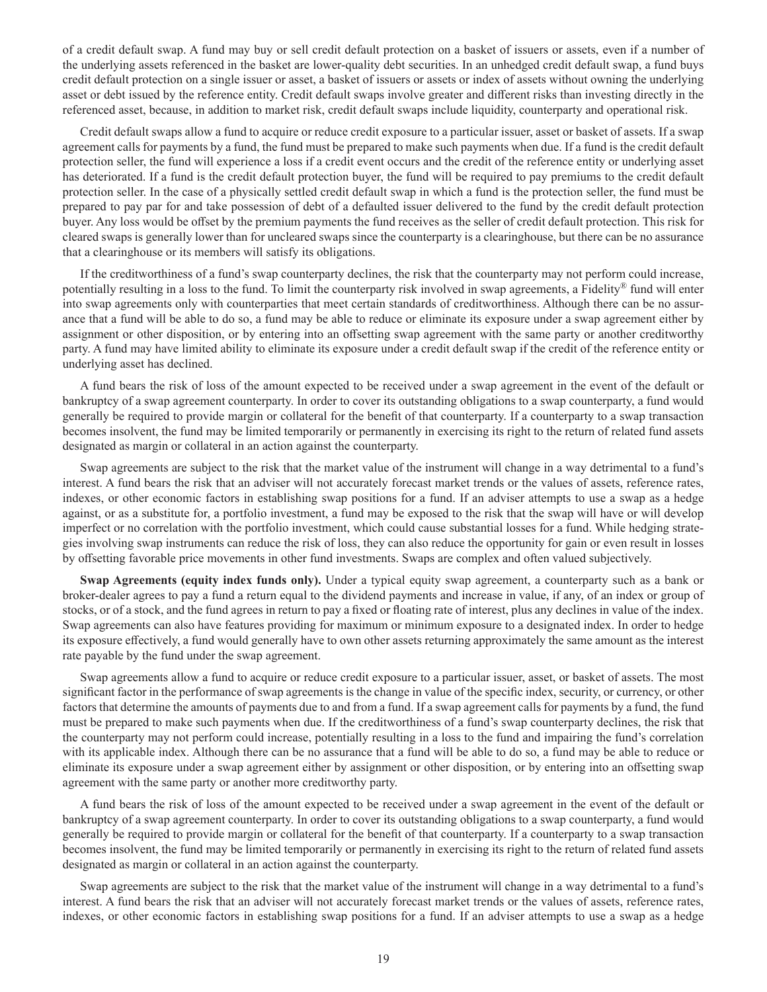of a credit default swap. A fund may buy or sell credit default protection on a basket of issuers or assets, even if a number of the underlying assets referenced in the basket are lower-quality debt securities. In an unhedged credit default swap, a fund buys credit default protection on a single issuer or asset, a basket of issuers or assets or index of assets without owning the underlying asset or debt issued by the reference entity. Credit default swaps involve greater and different risks than investing directly in the referenced asset, because, in addition to market risk, credit default swaps include liquidity, counterparty and operational risk.

Credit default swaps allow a fund to acquire or reduce credit exposure to a particular issuer, asset or basket of assets. If a swap agreement calls for payments by a fund, the fund must be prepared to make such payments when due. If a fund is the credit default protection seller, the fund will experience a loss if a credit event occurs and the credit of the reference entity or underlying asset has deteriorated. If a fund is the credit default protection buyer, the fund will be required to pay premiums to the credit default protection seller. In the case of a physically settled credit default swap in which a fund is the protection seller, the fund must be prepared to pay par for and take possession of debt of a defaulted issuer delivered to the fund by the credit default protection buyer. Any loss would be offset by the premium payments the fund receives as the seller of credit default protection. This risk for cleared swaps is generally lower than for uncleared swaps since the counterparty is a clearinghouse, but there can be no assurance that a clearinghouse or its members will satisfy its obligations.

If the creditworthiness of a fund's swap counterparty declines, the risk that the counterparty may not perform could increase, potentially resulting in a loss to the fund. To limit the counterparty risk involved in swap agreements, a Fidelity® fund will enter into swap agreements only with counterparties that meet certain standards of creditworthiness. Although there can be no assurance that a fund will be able to do so, a fund may be able to reduce or eliminate its exposure under a swap agreement either by assignment or other disposition, or by entering into an offsetting swap agreement with the same party or another creditworthy party. A fund may have limited ability to eliminate its exposure under a credit default swap if the credit of the reference entity or underlying asset has declined.

A fund bears the risk of loss of the amount expected to be received under a swap agreement in the event of the default or bankruptcy of a swap agreement counterparty. In order to cover its outstanding obligations to a swap counterparty, a fund would generally be required to provide margin or collateral for the benefit of that counterparty. If a counterparty to a swap transaction becomes insolvent, the fund may be limited temporarily or permanently in exercising its right to the return of related fund assets designated as margin or collateral in an action against the counterparty.

Swap agreements are subject to the risk that the market value of the instrument will change in a way detrimental to a fund's interest. A fund bears the risk that an adviser will not accurately forecast market trends or the values of assets, reference rates, indexes, or other economic factors in establishing swap positions for a fund. If an adviser attempts to use a swap as a hedge against, or as a substitute for, a portfolio investment, a fund may be exposed to the risk that the swap will have or will develop imperfect or no correlation with the portfolio investment, which could cause substantial losses for a fund. While hedging strategies involving swap instruments can reduce the risk of loss, they can also reduce the opportunity for gain or even result in losses by offsetting favorable price movements in other fund investments. Swaps are complex and often valued subjectively.

**Swap Agreements (equity index funds only).** Under a typical equity swap agreement, a counterparty such as a bank or broker-dealer agrees to pay a fund a return equal to the dividend payments and increase in value, if any, of an index or group of stocks, or of a stock, and the fund agrees in return to pay a fixed or floating rate of interest, plus any declines in value of the index. Swap agreements can also have features providing for maximum or minimum exposure to a designated index. In order to hedge its exposure effectively, a fund would generally have to own other assets returning approximately the same amount as the interest rate payable by the fund under the swap agreement.

Swap agreements allow a fund to acquire or reduce credit exposure to a particular issuer, asset, or basket of assets. The most significant factor in the performance of swap agreements is the change in value of the specific index, security, or currency, or other factors that determine the amounts of payments due to and from a fund. If a swap agreement calls for payments by a fund, the fund must be prepared to make such payments when due. If the creditworthiness of a fund's swap counterparty declines, the risk that the counterparty may not perform could increase, potentially resulting in a loss to the fund and impairing the fund's correlation with its applicable index. Although there can be no assurance that a fund will be able to do so, a fund may be able to reduce or eliminate its exposure under a swap agreement either by assignment or other disposition, or by entering into an offsetting swap agreement with the same party or another more creditworthy party.

A fund bears the risk of loss of the amount expected to be received under a swap agreement in the event of the default or bankruptcy of a swap agreement counterparty. In order to cover its outstanding obligations to a swap counterparty, a fund would generally be required to provide margin or collateral for the benefit of that counterparty. If a counterparty to a swap transaction becomes insolvent, the fund may be limited temporarily or permanently in exercising its right to the return of related fund assets designated as margin or collateral in an action against the counterparty.

Swap agreements are subject to the risk that the market value of the instrument will change in a way detrimental to a fund's interest. A fund bears the risk that an adviser will not accurately forecast market trends or the values of assets, reference rates, indexes, or other economic factors in establishing swap positions for a fund. If an adviser attempts to use a swap as a hedge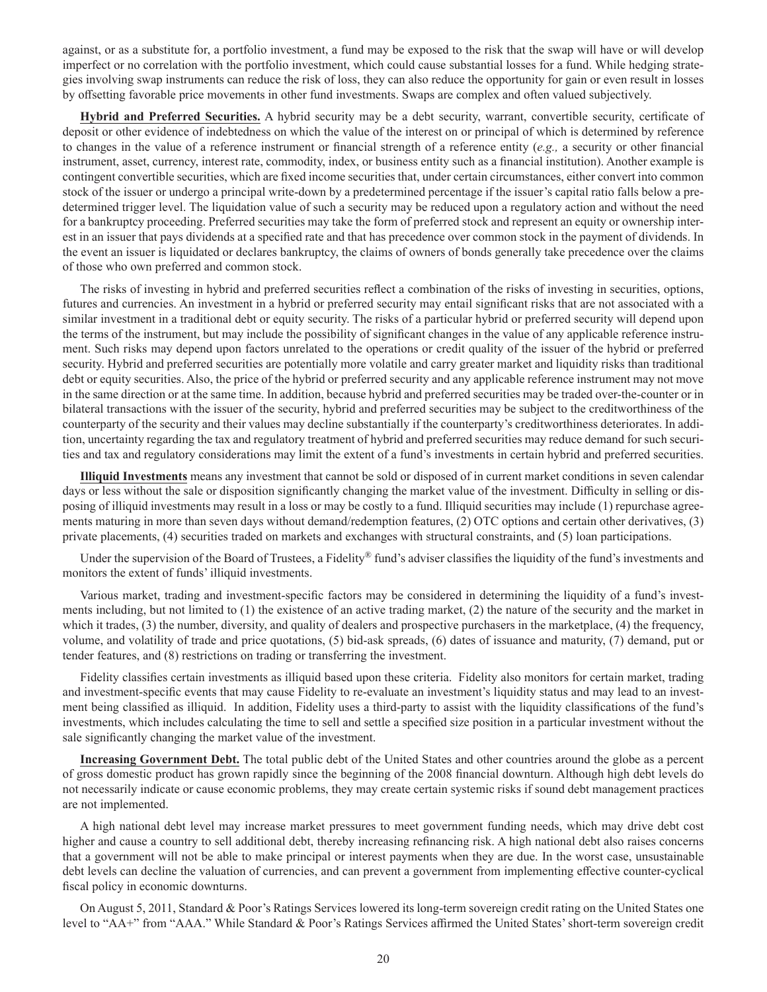against, or as a substitute for, a portfolio investment, a fund may be exposed to the risk that the swap will have or will develop imperfect or no correlation with the portfolio investment, which could cause substantial losses for a fund. While hedging strategies involving swap instruments can reduce the risk of loss, they can also reduce the opportunity for gain or even result in losses by offsetting favorable price movements in other fund investments. Swaps are complex and often valued subjectively.

**Hybrid and Preferred Securities.** A hybrid security may be a debt security, warrant, convertible security, certificate of deposit or other evidence of indebtedness on which the value of the interest on or principal of which is determined by reference to changes in the value of a reference instrument or financial strength of a reference entity (*e.g.,* a security or other financial instrument, asset, currency, interest rate, commodity, index, or business entity such as a financial institution). Another example is contingent convertible securities, which are fixed income securities that, under certain circumstances, either convert into common stock of the issuer or undergo a principal write-down by a predetermined percentage if the issuer's capital ratio falls below a predetermined trigger level. The liquidation value of such a security may be reduced upon a regulatory action and without the need for a bankruptcy proceeding. Preferred securities may take the form of preferred stock and represent an equity or ownership interest in an issuer that pays dividends at a specified rate and that has precedence over common stock in the payment of dividends. In the event an issuer is liquidated or declares bankruptcy, the claims of owners of bonds generally take precedence over the claims of those who own preferred and common stock.

The risks of investing in hybrid and preferred securities reflect a combination of the risks of investing in securities, options, futures and currencies. An investment in a hybrid or preferred security may entail significant risks that are not associated with a similar investment in a traditional debt or equity security. The risks of a particular hybrid or preferred security will depend upon the terms of the instrument, but may include the possibility of significant changes in the value of any applicable reference instrument. Such risks may depend upon factors unrelated to the operations or credit quality of the issuer of the hybrid or preferred security. Hybrid and preferred securities are potentially more volatile and carry greater market and liquidity risks than traditional debt or equity securities. Also, the price of the hybrid or preferred security and any applicable reference instrument may not move in the same direction or at the same time. In addition, because hybrid and preferred securities may be traded over-the-counter or in bilateral transactions with the issuer of the security, hybrid and preferred securities may be subject to the creditworthiness of the counterparty of the security and their values may decline substantially if the counterparty's creditworthiness deteriorates. In addition, uncertainty regarding the tax and regulatory treatment of hybrid and preferred securities may reduce demand for such securities and tax and regulatory considerations may limit the extent of a fund's investments in certain hybrid and preferred securities.

**Illiquid Investments** means any investment that cannot be sold or disposed of in current market conditions in seven calendar days or less without the sale or disposition significantly changing the market value of the investment. Difficulty in selling or disposing of illiquid investments may result in a loss or may be costly to a fund. Illiquid securities may include (1) repurchase agreements maturing in more than seven days without demand/redemption features, (2) OTC options and certain other derivatives, (3) private placements, (4) securities traded on markets and exchanges with structural constraints, and (5) loan participations.

Under the supervision of the Board of Trustees, a Fidelity® fund's adviser classifies the liquidity of the fund's investments and monitors the extent of funds' illiquid investments.

Various market, trading and investment-specific factors may be considered in determining the liquidity of a fund's investments including, but not limited to (1) the existence of an active trading market, (2) the nature of the security and the market in which it trades, (3) the number, diversity, and quality of dealers and prospective purchasers in the marketplace, (4) the frequency, volume, and volatility of trade and price quotations, (5) bid-ask spreads, (6) dates of issuance and maturity, (7) demand, put or tender features, and (8) restrictions on trading or transferring the investment.

Fidelity classifies certain investments as illiquid based upon these criteria. Fidelity also monitors for certain market, trading and investment-specific events that may cause Fidelity to re-evaluate an investment's liquidity status and may lead to an investment being classified as illiquid. In addition, Fidelity uses a third-party to assist with the liquidity classifications of the fund's investments, which includes calculating the time to sell and settle a specified size position in a particular investment without the sale significantly changing the market value of the investment.

**Increasing Government Debt.** The total public debt of the United States and other countries around the globe as a percent of gross domestic product has grown rapidly since the beginning of the 2008 financial downturn. Although high debt levels do not necessarily indicate or cause economic problems, they may create certain systemic risks if sound debt management practices are not implemented.

A high national debt level may increase market pressures to meet government funding needs, which may drive debt cost higher and cause a country to sell additional debt, thereby increasing refinancing risk. A high national debt also raises concerns that a government will not be able to make principal or interest payments when they are due. In the worst case, unsustainable debt levels can decline the valuation of currencies, and can prevent a government from implementing effective counter-cyclical fiscal policy in economic downturns.

On August 5, 2011, Standard & Poor's Ratings Services lowered its long-term sovereign credit rating on the United States one level to "AA+" from "AAA." While Standard & Poor's Ratings Services affirmed the United States' short-term sovereign credit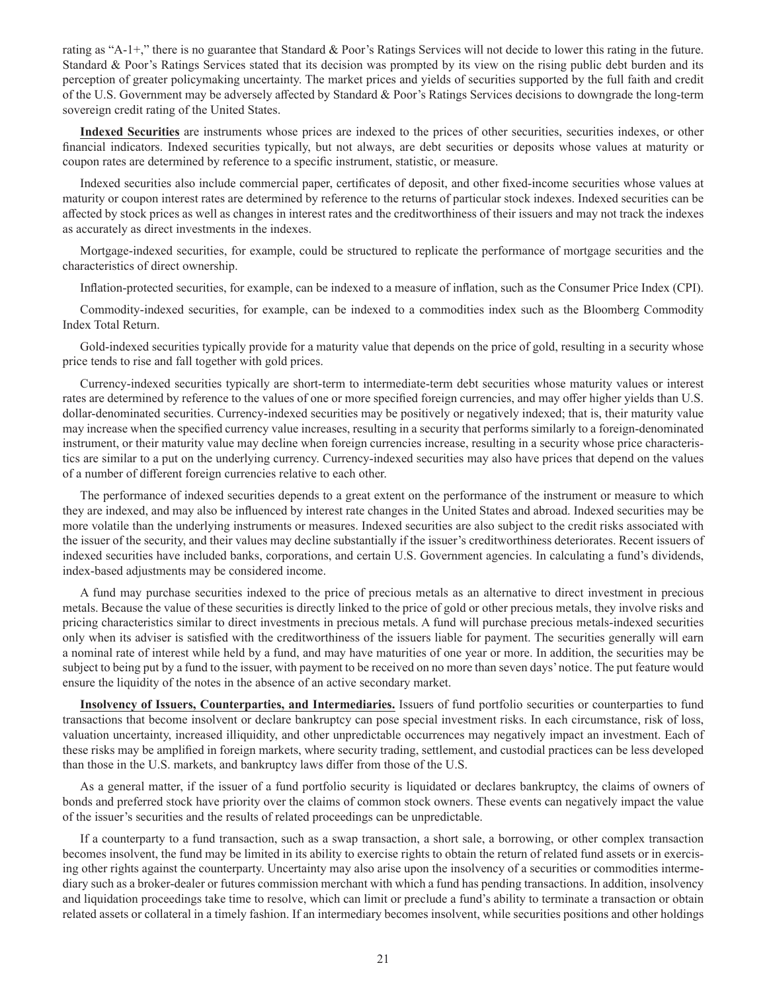rating as "A-1+," there is no guarantee that Standard & Poor's Ratings Services will not decide to lower this rating in the future. Standard & Poor's Ratings Services stated that its decision was prompted by its view on the rising public debt burden and its perception of greater policymaking uncertainty. The market prices and yields of securities supported by the full faith and credit of the U.S. Government may be adversely affected by Standard & Poor's Ratings Services decisions to downgrade the long-term sovereign credit rating of the United States.

**Indexed Securities** are instruments whose prices are indexed to the prices of other securities, securities indexes, or other financial indicators. Indexed securities typically, but not always, are debt securities or deposits whose values at maturity or coupon rates are determined by reference to a specific instrument, statistic, or measure.

Indexed securities also include commercial paper, certificates of deposit, and other fixed-income securities whose values at maturity or coupon interest rates are determined by reference to the returns of particular stock indexes. Indexed securities can be affected by stock prices as well as changes in interest rates and the creditworthiness of their issuers and may not track the indexes as accurately as direct investments in the indexes.

Mortgage-indexed securities, for example, could be structured to replicate the performance of mortgage securities and the characteristics of direct ownership.

Inflation-protected securities, for example, can be indexed to a measure of inflation, such as the Consumer Price Index (CPI).

Commodity-indexed securities, for example, can be indexed to a commodities index such as the Bloomberg Commodity Index Total Return.

Gold-indexed securities typically provide for a maturity value that depends on the price of gold, resulting in a security whose price tends to rise and fall together with gold prices.

Currency-indexed securities typically are short-term to intermediate-term debt securities whose maturity values or interest rates are determined by reference to the values of one or more specified foreign currencies, and may offer higher yields than U.S. dollar-denominated securities. Currency-indexed securities may be positively or negatively indexed; that is, their maturity value may increase when the specified currency value increases, resulting in a security that performs similarly to a foreign-denominated instrument, or their maturity value may decline when foreign currencies increase, resulting in a security whose price characteristics are similar to a put on the underlying currency. Currency-indexed securities may also have prices that depend on the values of a number of different foreign currencies relative to each other.

The performance of indexed securities depends to a great extent on the performance of the instrument or measure to which they are indexed, and may also be influenced by interest rate changes in the United States and abroad. Indexed securities may be more volatile than the underlying instruments or measures. Indexed securities are also subject to the credit risks associated with the issuer of the security, and their values may decline substantially if the issuer's creditworthiness deteriorates. Recent issuers of indexed securities have included banks, corporations, and certain U.S. Government agencies. In calculating a fund's dividends, index-based adjustments may be considered income.

A fund may purchase securities indexed to the price of precious metals as an alternative to direct investment in precious metals. Because the value of these securities is directly linked to the price of gold or other precious metals, they involve risks and pricing characteristics similar to direct investments in precious metals. A fund will purchase precious metals-indexed securities only when its adviser is satisfied with the creditworthiness of the issuers liable for payment. The securities generally will earn a nominal rate of interest while held by a fund, and may have maturities of one year or more. In addition, the securities may be subject to being put by a fund to the issuer, with payment to be received on no more than seven days' notice. The put feature would ensure the liquidity of the notes in the absence of an active secondary market.

**Insolvency of Issuers, Counterparties, and Intermediaries.** Issuers of fund portfolio securities or counterparties to fund transactions that become insolvent or declare bankruptcy can pose special investment risks. In each circumstance, risk of loss, valuation uncertainty, increased illiquidity, and other unpredictable occurrences may negatively impact an investment. Each of these risks may be amplified in foreign markets, where security trading, settlement, and custodial practices can be less developed than those in the U.S. markets, and bankruptcy laws differ from those of the U.S.

As a general matter, if the issuer of a fund portfolio security is liquidated or declares bankruptcy, the claims of owners of bonds and preferred stock have priority over the claims of common stock owners. These events can negatively impact the value of the issuer's securities and the results of related proceedings can be unpredictable.

If a counterparty to a fund transaction, such as a swap transaction, a short sale, a borrowing, or other complex transaction becomes insolvent, the fund may be limited in its ability to exercise rights to obtain the return of related fund assets or in exercising other rights against the counterparty. Uncertainty may also arise upon the insolvency of a securities or commodities intermediary such as a broker-dealer or futures commission merchant with which a fund has pending transactions. In addition, insolvency and liquidation proceedings take time to resolve, which can limit or preclude a fund's ability to terminate a transaction or obtain related assets or collateral in a timely fashion. If an intermediary becomes insolvent, while securities positions and other holdings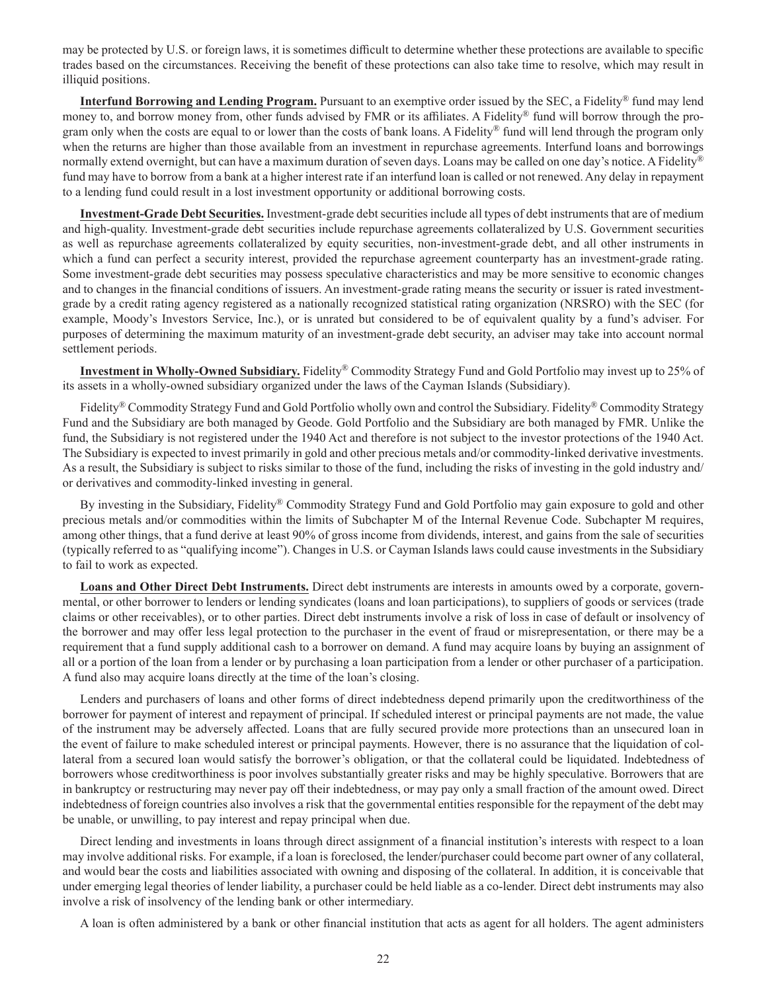may be protected by U.S. or foreign laws, it is sometimes difficult to determine whether these protections are available to specific trades based on the circumstances. Receiving the benefit of these protections can also take time to resolve, which may result in illiquid positions.

**Interfund Borrowing and Lending Program.** Pursuant to an exemptive order issued by the SEC, a Fidelity® fund may lend money to, and borrow money from, other funds advised by FMR or its affiliates. A Fidelity® fund will borrow through the program only when the costs are equal to or lower than the costs of bank loans. A Fidelity® fund will lend through the program only when the returns are higher than those available from an investment in repurchase agreements. Interfund loans and borrowings normally extend overnight, but can have a maximum duration of seven days. Loans may be called on one day's notice. A Fidelity<sup>®</sup> fund may have to borrow from a bank at a higher interest rate if an interfund loan is called or not renewed. Any delay in repayment to a lending fund could result in a lost investment opportunity or additional borrowing costs.

**Investment-Grade Debt Securities.** Investment-grade debt securities include all types of debt instruments that are of medium and high-quality. Investment-grade debt securities include repurchase agreements collateralized by U.S. Government securities as well as repurchase agreements collateralized by equity securities, non-investment-grade debt, and all other instruments in which a fund can perfect a security interest, provided the repurchase agreement counterparty has an investment-grade rating. Some investment-grade debt securities may possess speculative characteristics and may be more sensitive to economic changes and to changes in the financial conditions of issuers. An investment-grade rating means the security or issuer is rated investmentgrade by a credit rating agency registered as a nationally recognized statistical rating organization (NRSRO) with the SEC (for example, Moody's Investors Service, Inc.), or is unrated but considered to be of equivalent quality by a fund's adviser. For purposes of determining the maximum maturity of an investment-grade debt security, an adviser may take into account normal settlement periods.

**Investment in Wholly-Owned Subsidiary.** Fidelity® Commodity Strategy Fund and Gold Portfolio may invest up to 25% of its assets in a wholly-owned subsidiary organized under the laws of the Cayman Islands (Subsidiary).

Fidelity® Commodity Strategy Fund and Gold Portfolio wholly own and control the Subsidiary. Fidelity® Commodity Strategy Fund and the Subsidiary are both managed by Geode. Gold Portfolio and the Subsidiary are both managed by FMR. Unlike the fund, the Subsidiary is not registered under the 1940 Act and therefore is not subject to the investor protections of the 1940 Act. The Subsidiary is expected to invest primarily in gold and other precious metals and/or commodity-linked derivative investments. As a result, the Subsidiary is subject to risks similar to those of the fund, including the risks of investing in the gold industry and/ or derivatives and commodity-linked investing in general.

By investing in the Subsidiary, Fidelity® Commodity Strategy Fund and Gold Portfolio may gain exposure to gold and other precious metals and/or commodities within the limits of Subchapter M of the Internal Revenue Code. Subchapter M requires, among other things, that a fund derive at least 90% of gross income from dividends, interest, and gains from the sale of securities (typically referred to as "qualifying income"). Changes in U.S. or Cayman Islands laws could cause investments in the Subsidiary to fail to work as expected.

**Loans and Other Direct Debt Instruments.** Direct debt instruments are interests in amounts owed by a corporate, governmental, or other borrower to lenders or lending syndicates (loans and loan participations), to suppliers of goods or services (trade claims or other receivables), or to other parties. Direct debt instruments involve a risk of loss in case of default or insolvency of the borrower and may offer less legal protection to the purchaser in the event of fraud or misrepresentation, or there may be a requirement that a fund supply additional cash to a borrower on demand. A fund may acquire loans by buying an assignment of all or a portion of the loan from a lender or by purchasing a loan participation from a lender or other purchaser of a participation. A fund also may acquire loans directly at the time of the loan's closing.

Lenders and purchasers of loans and other forms of direct indebtedness depend primarily upon the creditworthiness of the borrower for payment of interest and repayment of principal. If scheduled interest or principal payments are not made, the value of the instrument may be adversely affected. Loans that are fully secured provide more protections than an unsecured loan in the event of failure to make scheduled interest or principal payments. However, there is no assurance that the liquidation of collateral from a secured loan would satisfy the borrower's obligation, or that the collateral could be liquidated. Indebtedness of borrowers whose creditworthiness is poor involves substantially greater risks and may be highly speculative. Borrowers that are in bankruptcy or restructuring may never pay off their indebtedness, or may pay only a small fraction of the amount owed. Direct indebtedness of foreign countries also involves a risk that the governmental entities responsible for the repayment of the debt may be unable, or unwilling, to pay interest and repay principal when due.

Direct lending and investments in loans through direct assignment of a financial institution's interests with respect to a loan may involve additional risks. For example, if a loan is foreclosed, the lender/purchaser could become part owner of any collateral, and would bear the costs and liabilities associated with owning and disposing of the collateral. In addition, it is conceivable that under emerging legal theories of lender liability, a purchaser could be held liable as a co-lender. Direct debt instruments may also involve a risk of insolvency of the lending bank or other intermediary.

A loan is often administered by a bank or other financial institution that acts as agent for all holders. The agent administers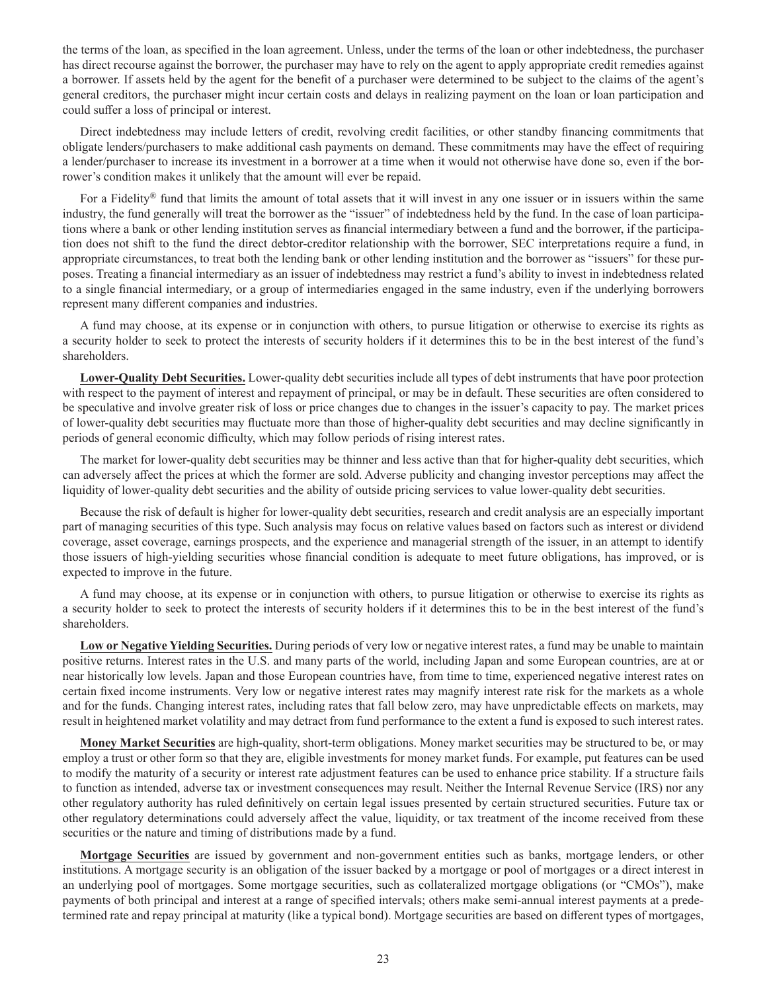the terms of the loan, as specified in the loan agreement. Unless, under the terms of the loan or other indebtedness, the purchaser has direct recourse against the borrower, the purchaser may have to rely on the agent to apply appropriate credit remedies against a borrower. If assets held by the agent for the benefit of a purchaser were determined to be subject to the claims of the agent's general creditors, the purchaser might incur certain costs and delays in realizing payment on the loan or loan participation and could suffer a loss of principal or interest.

Direct indebtedness may include letters of credit, revolving credit facilities, or other standby financing commitments that obligate lenders/purchasers to make additional cash payments on demand. These commitments may have the effect of requiring a lender/purchaser to increase its investment in a borrower at a time when it would not otherwise have done so, even if the borrower's condition makes it unlikely that the amount will ever be repaid.

For a Fidelity® fund that limits the amount of total assets that it will invest in any one issuer or in issuers within the same industry, the fund generally will treat the borrower as the "issuer" of indebtedness held by the fund. In the case of loan participations where a bank or other lending institution serves as financial intermediary between a fund and the borrower, if the participation does not shift to the fund the direct debtor-creditor relationship with the borrower, SEC interpretations require a fund, in appropriate circumstances, to treat both the lending bank or other lending institution and the borrower as "issuers" for these purposes. Treating a financial intermediary as an issuer of indebtedness may restrict a fund's ability to invest in indebtedness related to a single financial intermediary, or a group of intermediaries engaged in the same industry, even if the underlying borrowers represent many different companies and industries.

A fund may choose, at its expense or in conjunction with others, to pursue litigation or otherwise to exercise its rights as a security holder to seek to protect the interests of security holders if it determines this to be in the best interest of the fund's shareholders.

**Lower-Quality Debt Securities.** Lower-quality debt securities include all types of debt instruments that have poor protection with respect to the payment of interest and repayment of principal, or may be in default. These securities are often considered to be speculative and involve greater risk of loss or price changes due to changes in the issuer's capacity to pay. The market prices of lower-quality debt securities may fluctuate more than those of higher-quality debt securities and may decline significantly in periods of general economic difficulty, which may follow periods of rising interest rates.

The market for lower-quality debt securities may be thinner and less active than that for higher-quality debt securities, which can adversely affect the prices at which the former are sold. Adverse publicity and changing investor perceptions may affect the liquidity of lower-quality debt securities and the ability of outside pricing services to value lower-quality debt securities.

Because the risk of default is higher for lower-quality debt securities, research and credit analysis are an especially important part of managing securities of this type. Such analysis may focus on relative values based on factors such as interest or dividend coverage, asset coverage, earnings prospects, and the experience and managerial strength of the issuer, in an attempt to identify those issuers of high-yielding securities whose financial condition is adequate to meet future obligations, has improved, or is expected to improve in the future.

A fund may choose, at its expense or in conjunction with others, to pursue litigation or otherwise to exercise its rights as a security holder to seek to protect the interests of security holders if it determines this to be in the best interest of the fund's shareholders.

**Low or Negative Yielding Securities.** During periods of very low or negative interest rates, a fund may be unable to maintain positive returns. Interest rates in the U.S. and many parts of the world, including Japan and some European countries, are at or near historically low levels. Japan and those European countries have, from time to time, experienced negative interest rates on certain fixed income instruments. Very low or negative interest rates may magnify interest rate risk for the markets as a whole and for the funds. Changing interest rates, including rates that fall below zero, may have unpredictable effects on markets, may result in heightened market volatility and may detract from fund performance to the extent a fund is exposed to such interest rates.

**Money Market Securities** are high-quality, short-term obligations. Money market securities may be structured to be, or may employ a trust or other form so that they are, eligible investments for money market funds. For example, put features can be used to modify the maturity of a security or interest rate adjustment features can be used to enhance price stability. If a structure fails to function as intended, adverse tax or investment consequences may result. Neither the Internal Revenue Service (IRS) nor any other regulatory authority has ruled definitively on certain legal issues presented by certain structured securities. Future tax or other regulatory determinations could adversely affect the value, liquidity, or tax treatment of the income received from these securities or the nature and timing of distributions made by a fund.

**Mortgage Securities** are issued by government and non-government entities such as banks, mortgage lenders, or other institutions. A mortgage security is an obligation of the issuer backed by a mortgage or pool of mortgages or a direct interest in an underlying pool of mortgages. Some mortgage securities, such as collateralized mortgage obligations (or "CMOs"), make payments of both principal and interest at a range of specified intervals; others make semi-annual interest payments at a predetermined rate and repay principal at maturity (like a typical bond). Mortgage securities are based on different types of mortgages,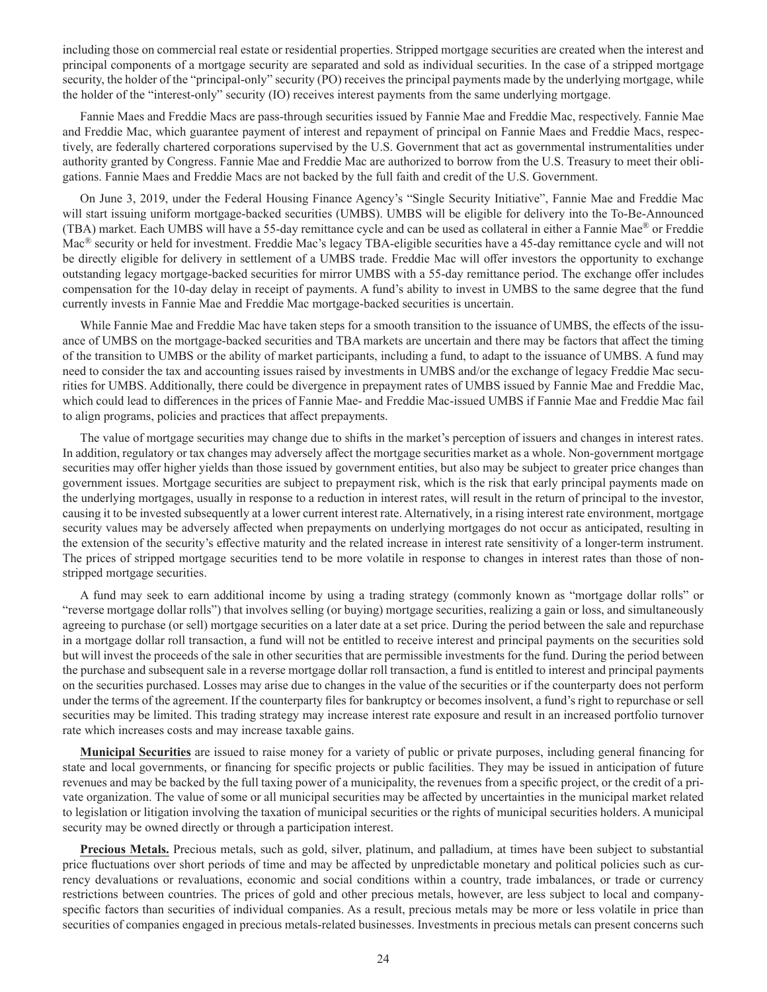including those on commercial real estate or residential properties. Stripped mortgage securities are created when the interest and principal components of a mortgage security are separated and sold as individual securities. In the case of a stripped mortgage security, the holder of the "principal-only" security (PO) receives the principal payments made by the underlying mortgage, while the holder of the "interest-only" security (IO) receives interest payments from the same underlying mortgage.

Fannie Maes and Freddie Macs are pass-through securities issued by Fannie Mae and Freddie Mac, respectively. Fannie Mae and Freddie Mac, which guarantee payment of interest and repayment of principal on Fannie Maes and Freddie Macs, respectively, are federally chartered corporations supervised by the U.S. Government that act as governmental instrumentalities under authority granted by Congress. Fannie Mae and Freddie Mac are authorized to borrow from the U.S. Treasury to meet their obligations. Fannie Maes and Freddie Macs are not backed by the full faith and credit of the U.S. Government.

On June 3, 2019, under the Federal Housing Finance Agency's "Single Security Initiative", Fannie Mae and Freddie Mac will start issuing uniform mortgage-backed securities (UMBS). UMBS will be eligible for delivery into the To-Be-Announced (TBA) market. Each UMBS will have a 55-day remittance cycle and can be used as collateral in either a Fannie Mae® or Freddie Mac® security or held for investment. Freddie Mac's legacy TBA-eligible securities have a 45-day remittance cycle and will not be directly eligible for delivery in settlement of a UMBS trade. Freddie Mac will offer investors the opportunity to exchange outstanding legacy mortgage-backed securities for mirror UMBS with a 55-day remittance period. The exchange offer includes compensation for the 10-day delay in receipt of payments. A fund's ability to invest in UMBS to the same degree that the fund currently invests in Fannie Mae and Freddie Mac mortgage-backed securities is uncertain.

While Fannie Mae and Freddie Mac have taken steps for a smooth transition to the issuance of UMBS, the effects of the issuance of UMBS on the mortgage-backed securities and TBA markets are uncertain and there may be factors that affect the timing of the transition to UMBS or the ability of market participants, including a fund, to adapt to the issuance of UMBS. A fund may need to consider the tax and accounting issues raised by investments in UMBS and/or the exchange of legacy Freddie Mac securities for UMBS. Additionally, there could be divergence in prepayment rates of UMBS issued by Fannie Mae and Freddie Mac, which could lead to differences in the prices of Fannie Mae- and Freddie Mac-issued UMBS if Fannie Mae and Freddie Mac fail to align programs, policies and practices that affect prepayments.

The value of mortgage securities may change due to shifts in the market's perception of issuers and changes in interest rates. In addition, regulatory or tax changes may adversely affect the mortgage securities market as a whole. Non-government mortgage securities may offer higher yields than those issued by government entities, but also may be subject to greater price changes than government issues. Mortgage securities are subject to prepayment risk, which is the risk that early principal payments made on the underlying mortgages, usually in response to a reduction in interest rates, will result in the return of principal to the investor, causing it to be invested subsequently at a lower current interest rate. Alternatively, in a rising interest rate environment, mortgage security values may be adversely affected when prepayments on underlying mortgages do not occur as anticipated, resulting in the extension of the security's effective maturity and the related increase in interest rate sensitivity of a longer-term instrument. The prices of stripped mortgage securities tend to be more volatile in response to changes in interest rates than those of nonstripped mortgage securities.

A fund may seek to earn additional income by using a trading strategy (commonly known as "mortgage dollar rolls" or "reverse mortgage dollar rolls") that involves selling (or buying) mortgage securities, realizing a gain or loss, and simultaneously agreeing to purchase (or sell) mortgage securities on a later date at a set price. During the period between the sale and repurchase in a mortgage dollar roll transaction, a fund will not be entitled to receive interest and principal payments on the securities sold but will invest the proceeds of the sale in other securities that are permissible investments for the fund. During the period between the purchase and subsequent sale in a reverse mortgage dollar roll transaction, a fund is entitled to interest and principal payments on the securities purchased. Losses may arise due to changes in the value of the securities or if the counterparty does not perform under the terms of the agreement. If the counterparty files for bankruptcy or becomes insolvent, a fund's right to repurchase or sell securities may be limited. This trading strategy may increase interest rate exposure and result in an increased portfolio turnover rate which increases costs and may increase taxable gains.

**Municipal Securities** are issued to raise money for a variety of public or private purposes, including general financing for state and local governments, or financing for specific projects or public facilities. They may be issued in anticipation of future revenues and may be backed by the full taxing power of a municipality, the revenues from a specific project, or the credit of a private organization. The value of some or all municipal securities may be affected by uncertainties in the municipal market related to legislation or litigation involving the taxation of municipal securities or the rights of municipal securities holders. A municipal security may be owned directly or through a participation interest.

**Precious Metals.** Precious metals, such as gold, silver, platinum, and palladium, at times have been subject to substantial price fluctuations over short periods of time and may be affected by unpredictable monetary and political policies such as currency devaluations or revaluations, economic and social conditions within a country, trade imbalances, or trade or currency restrictions between countries. The prices of gold and other precious metals, however, are less subject to local and companyspecific factors than securities of individual companies. As a result, precious metals may be more or less volatile in price than securities of companies engaged in precious metals-related businesses. Investments in precious metals can present concerns such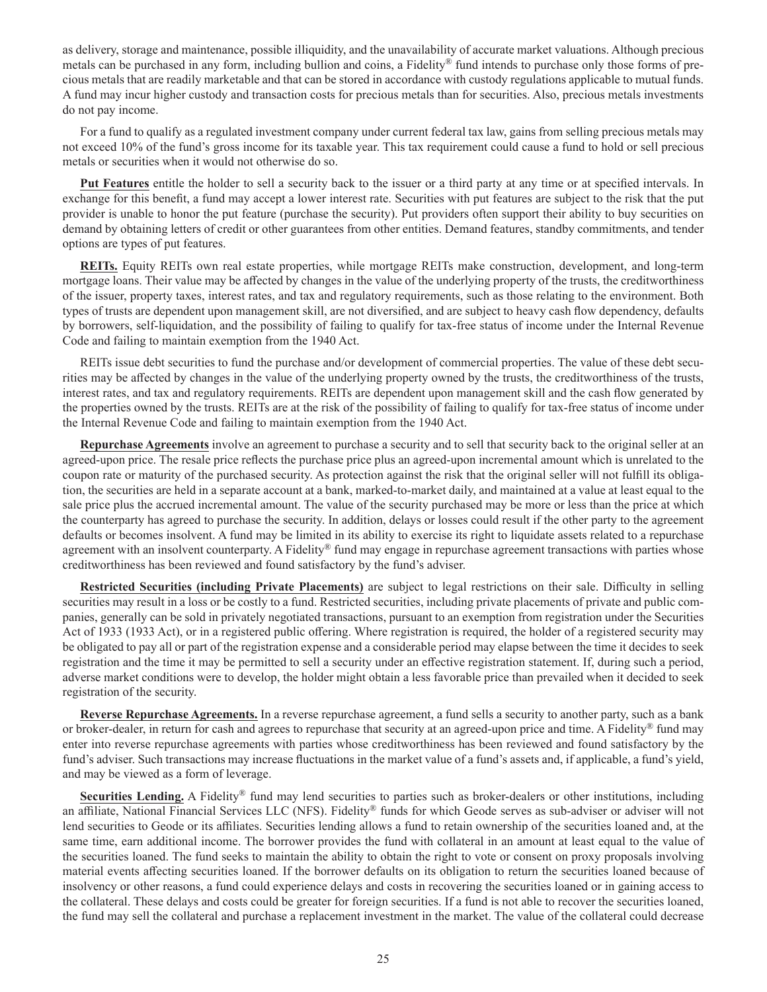as delivery, storage and maintenance, possible illiquidity, and the unavailability of accurate market valuations. Although precious metals can be purchased in any form, including bullion and coins, a Fidelity® fund intends to purchase only those forms of precious metals that are readily marketable and that can be stored in accordance with custody regulations applicable to mutual funds. A fund may incur higher custody and transaction costs for precious metals than for securities. Also, precious metals investments do not pay income.

For a fund to qualify as a regulated investment company under current federal tax law, gains from selling precious metals may not exceed 10% of the fund's gross income for its taxable year. This tax requirement could cause a fund to hold or sell precious metals or securities when it would not otherwise do so.

**Put Features** entitle the holder to sell a security back to the issuer or a third party at any time or at specified intervals. In exchange for this benefit, a fund may accept a lower interest rate. Securities with put features are subject to the risk that the put provider is unable to honor the put feature (purchase the security). Put providers often support their ability to buy securities on demand by obtaining letters of credit or other guarantees from other entities. Demand features, standby commitments, and tender options are types of put features.

**REITs.** Equity REITs own real estate properties, while mortgage REITs make construction, development, and long-term mortgage loans. Their value may be affected by changes in the value of the underlying property of the trusts, the creditworthiness of the issuer, property taxes, interest rates, and tax and regulatory requirements, such as those relating to the environment. Both types of trusts are dependent upon management skill, are not diversified, and are subject to heavy cash flow dependency, defaults by borrowers, self-liquidation, and the possibility of failing to qualify for tax-free status of income under the Internal Revenue Code and failing to maintain exemption from the 1940 Act.

REITs issue debt securities to fund the purchase and/or development of commercial properties. The value of these debt securities may be affected by changes in the value of the underlying property owned by the trusts, the creditworthiness of the trusts, interest rates, and tax and regulatory requirements. REITs are dependent upon management skill and the cash flow generated by the properties owned by the trusts. REITs are at the risk of the possibility of failing to qualify for tax-free status of income under the Internal Revenue Code and failing to maintain exemption from the 1940 Act.

**Repurchase Agreements** involve an agreement to purchase a security and to sell that security back to the original seller at an agreed-upon price. The resale price reflects the purchase price plus an agreed-upon incremental amount which is unrelated to the coupon rate or maturity of the purchased security. As protection against the risk that the original seller will not fulfill its obligation, the securities are held in a separate account at a bank, marked-to-market daily, and maintained at a value at least equal to the sale price plus the accrued incremental amount. The value of the security purchased may be more or less than the price at which the counterparty has agreed to purchase the security. In addition, delays or losses could result if the other party to the agreement defaults or becomes insolvent. A fund may be limited in its ability to exercise its right to liquidate assets related to a repurchase agreement with an insolvent counterparty. A Fidelity® fund may engage in repurchase agreement transactions with parties whose creditworthiness has been reviewed and found satisfactory by the fund's adviser.

**Restricted Securities (including Private Placements)** are subject to legal restrictions on their sale. Difficulty in selling securities may result in a loss or be costly to a fund. Restricted securities, including private placements of private and public companies, generally can be sold in privately negotiated transactions, pursuant to an exemption from registration under the Securities Act of 1933 (1933 Act), or in a registered public offering. Where registration is required, the holder of a registered security may be obligated to pay all or part of the registration expense and a considerable period may elapse between the time it decides to seek registration and the time it may be permitted to sell a security under an effective registration statement. If, during such a period, adverse market conditions were to develop, the holder might obtain a less favorable price than prevailed when it decided to seek registration of the security.

**Reverse Repurchase Agreements.** In a reverse repurchase agreement, a fund sells a security to another party, such as a bank or broker-dealer, in return for cash and agrees to repurchase that security at an agreed-upon price and time. A Fidelity<sup>®</sup> fund may enter into reverse repurchase agreements with parties whose creditworthiness has been reviewed and found satisfactory by the fund's adviser. Such transactions may increase fluctuations in the market value of a fund's assets and, if applicable, a fund's yield, and may be viewed as a form of leverage.

**Securities Lending.** A Fidelity<sup>®</sup> fund may lend securities to parties such as broker-dealers or other institutions, including an affiliate, National Financial Services LLC (NFS). Fidelity® funds for which Geode serves as sub-adviser or adviser will not lend securities to Geode or its affiliates. Securities lending allows a fund to retain ownership of the securities loaned and, at the same time, earn additional income. The borrower provides the fund with collateral in an amount at least equal to the value of the securities loaned. The fund seeks to maintain the ability to obtain the right to vote or consent on proxy proposals involving material events affecting securities loaned. If the borrower defaults on its obligation to return the securities loaned because of insolvency or other reasons, a fund could experience delays and costs in recovering the securities loaned or in gaining access to the collateral. These delays and costs could be greater for foreign securities. If a fund is not able to recover the securities loaned, the fund may sell the collateral and purchase a replacement investment in the market. The value of the collateral could decrease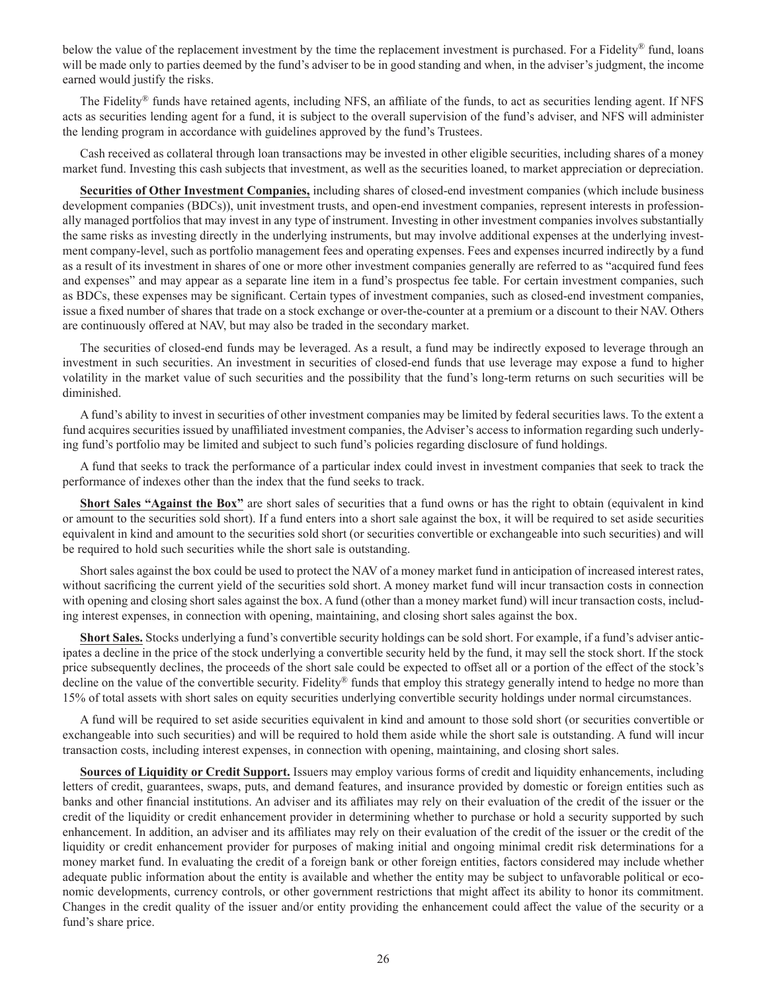below the value of the replacement investment by the time the replacement investment is purchased. For a Fidelity<sup>®</sup> fund, loans will be made only to parties deemed by the fund's adviser to be in good standing and when, in the adviser's judgment, the income earned would justify the risks.

The Fidelity® funds have retained agents, including NFS, an affiliate of the funds, to act as securities lending agent. If NFS acts as securities lending agent for a fund, it is subject to the overall supervision of the fund's adviser, and NFS will administer the lending program in accordance with guidelines approved by the fund's Trustees.

Cash received as collateral through loan transactions may be invested in other eligible securities, including shares of a money market fund. Investing this cash subjects that investment, as well as the securities loaned, to market appreciation or depreciation.

**Securities of Other Investment Companies,** including shares of closed-end investment companies (which include business development companies (BDCs)), unit investment trusts, and open-end investment companies, represent interests in professionally managed portfolios that may invest in any type of instrument. Investing in other investment companies involves substantially the same risks as investing directly in the underlying instruments, but may involve additional expenses at the underlying investment company-level, such as portfolio management fees and operating expenses. Fees and expenses incurred indirectly by a fund as a result of its investment in shares of one or more other investment companies generally are referred to as "acquired fund fees and expenses" and may appear as a separate line item in a fund's prospectus fee table. For certain investment companies, such as BDCs, these expenses may be significant. Certain types of investment companies, such as closed-end investment companies, issue a fixed number of shares that trade on a stock exchange or over-the-counter at a premium or a discount to their NAV. Others are continuously offered at NAV, but may also be traded in the secondary market.

The securities of closed-end funds may be leveraged. As a result, a fund may be indirectly exposed to leverage through an investment in such securities. An investment in securities of closed-end funds that use leverage may expose a fund to higher volatility in the market value of such securities and the possibility that the fund's long-term returns on such securities will be diminished.

A fund's ability to invest in securities of other investment companies may be limited by federal securities laws. To the extent a fund acquires securities issued by unaffiliated investment companies, the Adviser's access to information regarding such underlying fund's portfolio may be limited and subject to such fund's policies regarding disclosure of fund holdings.

A fund that seeks to track the performance of a particular index could invest in investment companies that seek to track the performance of indexes other than the index that the fund seeks to track.

**Short Sales "Against the Box"** are short sales of securities that a fund owns or has the right to obtain (equivalent in kind or amount to the securities sold short). If a fund enters into a short sale against the box, it will be required to set aside securities equivalent in kind and amount to the securities sold short (or securities convertible or exchangeable into such securities) and will be required to hold such securities while the short sale is outstanding.

Short sales against the box could be used to protect the NAV of a money market fund in anticipation of increased interest rates, without sacrificing the current yield of the securities sold short. A money market fund will incur transaction costs in connection with opening and closing short sales against the box. A fund (other than a money market fund) will incur transaction costs, including interest expenses, in connection with opening, maintaining, and closing short sales against the box.

**Short Sales.** Stocks underlying a fund's convertible security holdings can be sold short. For example, if a fund's adviser anticipates a decline in the price of the stock underlying a convertible security held by the fund, it may sell the stock short. If the stock price subsequently declines, the proceeds of the short sale could be expected to offset all or a portion of the effect of the stock's decline on the value of the convertible security. Fidelity® funds that employ this strategy generally intend to hedge no more than 15% of total assets with short sales on equity securities underlying convertible security holdings under normal circumstances.

A fund will be required to set aside securities equivalent in kind and amount to those sold short (or securities convertible or exchangeable into such securities) and will be required to hold them aside while the short sale is outstanding. A fund will incur transaction costs, including interest expenses, in connection with opening, maintaining, and closing short sales.

**Sources of Liquidity or Credit Support.** Issuers may employ various forms of credit and liquidity enhancements, including letters of credit, guarantees, swaps, puts, and demand features, and insurance provided by domestic or foreign entities such as banks and other financial institutions. An adviser and its affiliates may rely on their evaluation of the credit of the issuer or the credit of the liquidity or credit enhancement provider in determining whether to purchase or hold a security supported by such enhancement. In addition, an adviser and its affiliates may rely on their evaluation of the credit of the issuer or the credit of the liquidity or credit enhancement provider for purposes of making initial and ongoing minimal credit risk determinations for a money market fund. In evaluating the credit of a foreign bank or other foreign entities, factors considered may include whether adequate public information about the entity is available and whether the entity may be subject to unfavorable political or economic developments, currency controls, or other government restrictions that might affect its ability to honor its commitment. Changes in the credit quality of the issuer and/or entity providing the enhancement could affect the value of the security or a fund's share price.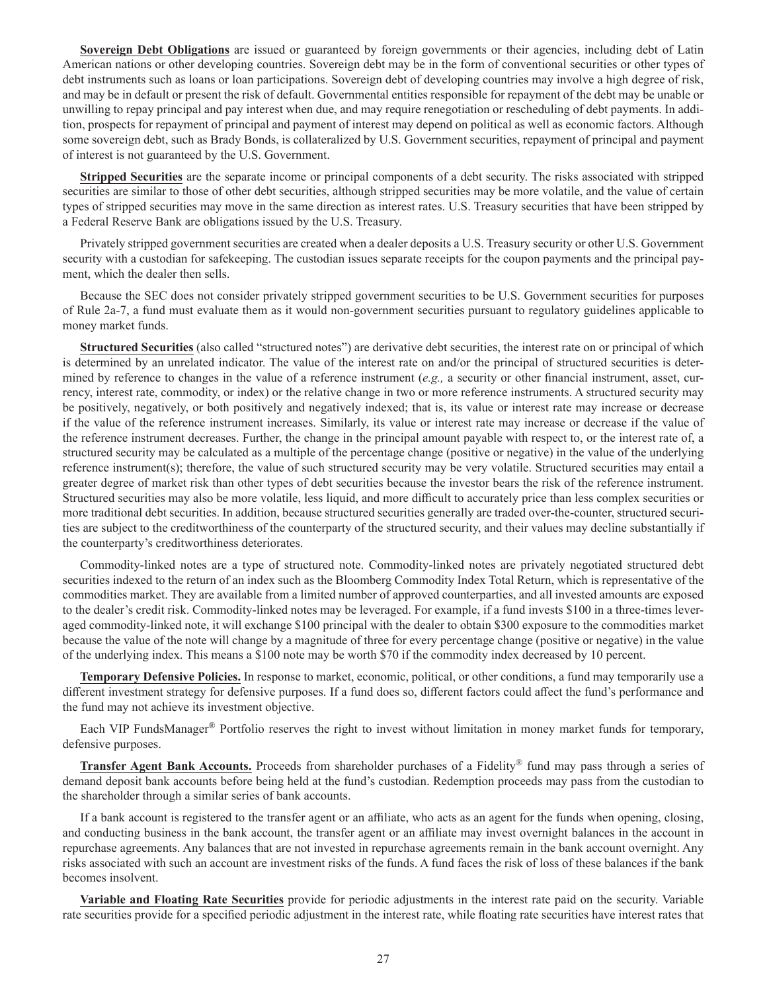**Sovereign Debt Obligations** are issued or guaranteed by foreign governments or their agencies, including debt of Latin American nations or other developing countries. Sovereign debt may be in the form of conventional securities or other types of debt instruments such as loans or loan participations. Sovereign debt of developing countries may involve a high degree of risk, and may be in default or present the risk of default. Governmental entities responsible for repayment of the debt may be unable or unwilling to repay principal and pay interest when due, and may require renegotiation or rescheduling of debt payments. In addition, prospects for repayment of principal and payment of interest may depend on political as well as economic factors. Although some sovereign debt, such as Brady Bonds, is collateralized by U.S. Government securities, repayment of principal and payment of interest is not guaranteed by the U.S. Government.

**Stripped Securities** are the separate income or principal components of a debt security. The risks associated with stripped securities are similar to those of other debt securities, although stripped securities may be more volatile, and the value of certain types of stripped securities may move in the same direction as interest rates. U.S. Treasury securities that have been stripped by a Federal Reserve Bank are obligations issued by the U.S. Treasury.

Privately stripped government securities are created when a dealer deposits a U.S. Treasury security or other U.S. Government security with a custodian for safekeeping. The custodian issues separate receipts for the coupon payments and the principal payment, which the dealer then sells.

Because the SEC does not consider privately stripped government securities to be U.S. Government securities for purposes of Rule 2a-7, a fund must evaluate them as it would non-government securities pursuant to regulatory guidelines applicable to money market funds.

**Structured Securities** (also called "structured notes") are derivative debt securities, the interest rate on or principal of which is determined by an unrelated indicator. The value of the interest rate on and/or the principal of structured securities is determined by reference to changes in the value of a reference instrument (*e.g.,* a security or other financial instrument, asset, currency, interest rate, commodity, or index) or the relative change in two or more reference instruments. A structured security may be positively, negatively, or both positively and negatively indexed; that is, its value or interest rate may increase or decrease if the value of the reference instrument increases. Similarly, its value or interest rate may increase or decrease if the value of the reference instrument decreases. Further, the change in the principal amount payable with respect to, or the interest rate of, a structured security may be calculated as a multiple of the percentage change (positive or negative) in the value of the underlying reference instrument(s); therefore, the value of such structured security may be very volatile. Structured securities may entail a greater degree of market risk than other types of debt securities because the investor bears the risk of the reference instrument. Structured securities may also be more volatile, less liquid, and more difficult to accurately price than less complex securities or more traditional debt securities. In addition, because structured securities generally are traded over-the-counter, structured securities are subject to the creditworthiness of the counterparty of the structured security, and their values may decline substantially if the counterparty's creditworthiness deteriorates.

Commodity-linked notes are a type of structured note. Commodity-linked notes are privately negotiated structured debt securities indexed to the return of an index such as the Bloomberg Commodity Index Total Return, which is representative of the commodities market. They are available from a limited number of approved counterparties, and all invested amounts are exposed to the dealer's credit risk. Commodity-linked notes may be leveraged. For example, if a fund invests \$100 in a three-times leveraged commodity-linked note, it will exchange \$100 principal with the dealer to obtain \$300 exposure to the commodities market because the value of the note will change by a magnitude of three for every percentage change (positive or negative) in the value of the underlying index. This means a \$100 note may be worth \$70 if the commodity index decreased by 10 percent.

**Temporary Defensive Policies.** In response to market, economic, political, or other conditions, a fund may temporarily use a different investment strategy for defensive purposes. If a fund does so, different factors could affect the fund's performance and the fund may not achieve its investment objective.

Each VIP FundsManager® Portfolio reserves the right to invest without limitation in money market funds for temporary, defensive purposes.

**Transfer Agent Bank Accounts.** Proceeds from shareholder purchases of a Fidelity® fund may pass through a series of demand deposit bank accounts before being held at the fund's custodian. Redemption proceeds may pass from the custodian to the shareholder through a similar series of bank accounts.

If a bank account is registered to the transfer agent or an affiliate, who acts as an agent for the funds when opening, closing, and conducting business in the bank account, the transfer agent or an affiliate may invest overnight balances in the account in repurchase agreements. Any balances that are not invested in repurchase agreements remain in the bank account overnight. Any risks associated with such an account are investment risks of the funds. A fund faces the risk of loss of these balances if the bank becomes insolvent.

**Variable and Floating Rate Securities** provide for periodic adjustments in the interest rate paid on the security. Variable rate securities provide for a specified periodic adjustment in the interest rate, while floating rate securities have interest rates that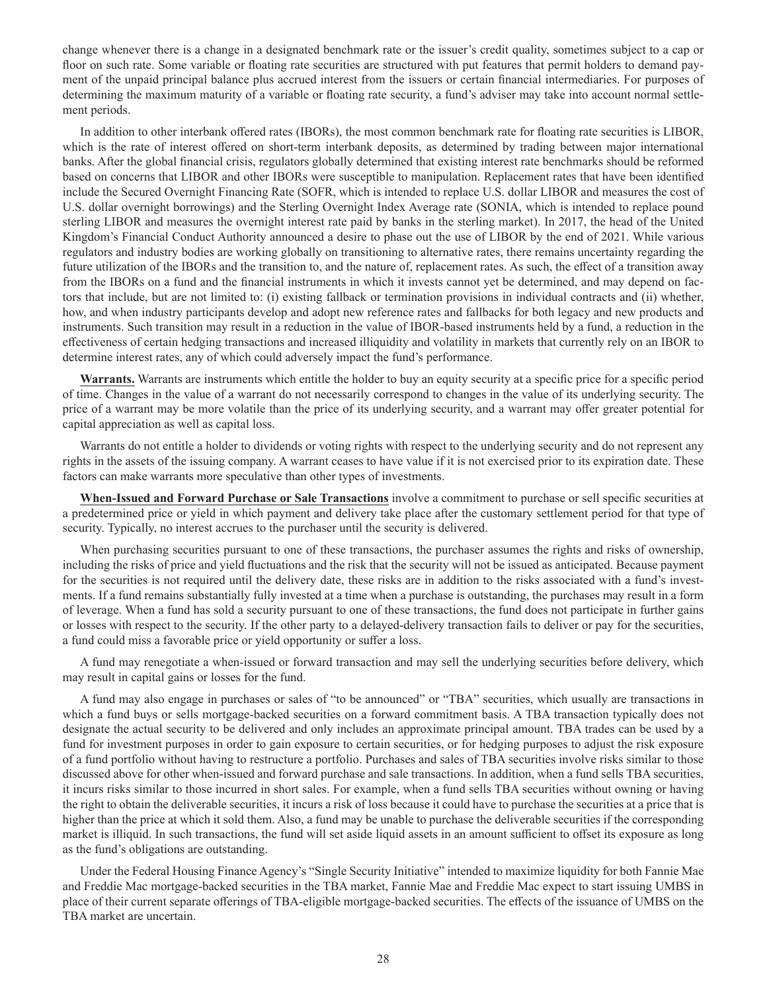change whenever there is a change in a designated benchmark rate or the issuer's credit quality, sometimes subject to a cap or floor on such rate. Some variable or floating rate securities are structured with put features that permit holders to demand payment of the unpaid principal balance plus accrued interest from the issuers or certain financial intermediaries. For purposes of determining the maximum maturity of a variable or floating rate security, a fund's adviser may take into account normal settlement periods.

In addition to other interbank offered rates (IBORs), the most common benchmark rate for floating rate securities is LIBOR, which is the rate of interest offered on short-term interbank deposits, as determined by trading between major international banks. After the global financial crisis, regulators globally determined that existing interest rate benchmarks should be reformed based on concerns that LIBOR and other IBORs were susceptible to manipulation. Replacement rates that have been identified include the Secured Overnight Financing Rate (SOFR, which is intended to replace U.S. dollar LIBOR and measures the cost of U.S. dollar overnight borrowings) and the Sterling Overnight Index Average rate (SONIA, which is intended to replace pound sterling LIBOR and measures the overnight interest rate paid by banks in the sterling market). In 2017, the head of the United Kingdom's Financial Conduct Authority announced a desire to phase out the use of LIBOR by the end of 2021. While various regulators and industry bodies are working globally on transitioning to alternative rates, there remains uncertainty regarding the future utilization of the IBORs and the transition to, and the nature of, replacement rates. As such, the effect of a transition away from the IBORs on a fund and the financial instruments in which it invests cannot yet be determined, and may depend on factors that include, but are not limited to: (i) existing fallback or termination provisions in individual contracts and (ii) whether, how, and when industry participants develop and adopt new reference rates and fallbacks for both legacy and new products and instruments. Such transition may result in a reduction in the value of IBOR-based instruments held by a fund, a reduction in the effectiveness of certain hedging transactions and increased illiquidity and volatility in markets that currently rely on an IBOR to determine interest rates, any of which could adversely impact the fund's performance.

**Warrants.** Warrants are instruments which entitle the holder to buy an equity security at a specific price for a specific period of time. Changes in the value of a warrant do not necessarily correspond to changes in the value of its underlying security. The price of a warrant may be more volatile than the price of its underlying security, and a warrant may offer greater potential for capital appreciation as well as capital loss.

Warrants do not entitle a holder to dividends or voting rights with respect to the underlying security and do not represent any rights in the assets of the issuing company. A warrant ceases to have value if it is not exercised prior to its expiration date. These factors can make warrants more speculative than other types of investments.

**When-Issued and Forward Purchase or Sale Transactions** involve a commitment to purchase or sell specific securities at a predetermined price or yield in which payment and delivery take place after the customary settlement period for that type of security. Typically, no interest accrues to the purchaser until the security is delivered.

When purchasing securities pursuant to one of these transactions, the purchaser assumes the rights and risks of ownership, including the risks of price and yield fluctuations and the risk that the security will not be issued as anticipated. Because payment for the securities is not required until the delivery date, these risks are in addition to the risks associated with a fund's investments. If a fund remains substantially fully invested at a time when a purchase is outstanding, the purchases may result in a form of leverage. When a fund has sold a security pursuant to one of these transactions, the fund does not participate in further gains or losses with respect to the security. If the other party to a delayed-delivery transaction fails to deliver or pay for the securities, a fund could miss a favorable price or yield opportunity or suffer a loss.

A fund may renegotiate a when-issued or forward transaction and may sell the underlying securities before delivery, which may result in capital gains or losses for the fund.

A fund may also engage in purchases or sales of "to be announced" or "TBA" securities, which usually are transactions in which a fund buys or sells mortgage-backed securities on a forward commitment basis. A TBA transaction typically does not designate the actual security to be delivered and only includes an approximate principal amount. TBA trades can be used by a fund for investment purposes in order to gain exposure to certain securities, or for hedging purposes to adjust the risk exposure of a fund portfolio without having to restructure a portfolio. Purchases and sales of TBA securities involve risks similar to those discussed above for other when-issued and forward purchase and sale transactions. In addition, when a fund sells TBA securities, it incurs risks similar to those incurred in short sales. For example, when a fund sells TBA securities without owning or having the right to obtain the deliverable securities, it incurs a risk of loss because it could have to purchase the securities at a price that is higher than the price at which it sold them. Also, a fund may be unable to purchase the deliverable securities if the corresponding market is illiquid. In such transactions, the fund will set aside liquid assets in an amount sufficient to offset its exposure as long as the fund's obligations are outstanding.

Under the Federal Housing Finance Agency's "Single Security Initiative" intended to maximize liquidity for both Fannie Mae and Freddie Mac mortgage-backed securities in the TBA market, Fannie Mae and Freddie Mac expect to start issuing UMBS in place of their current separate offerings of TBA-eligible mortgage-backed securities. The effects of the issuance of UMBS on the TBA market are uncertain.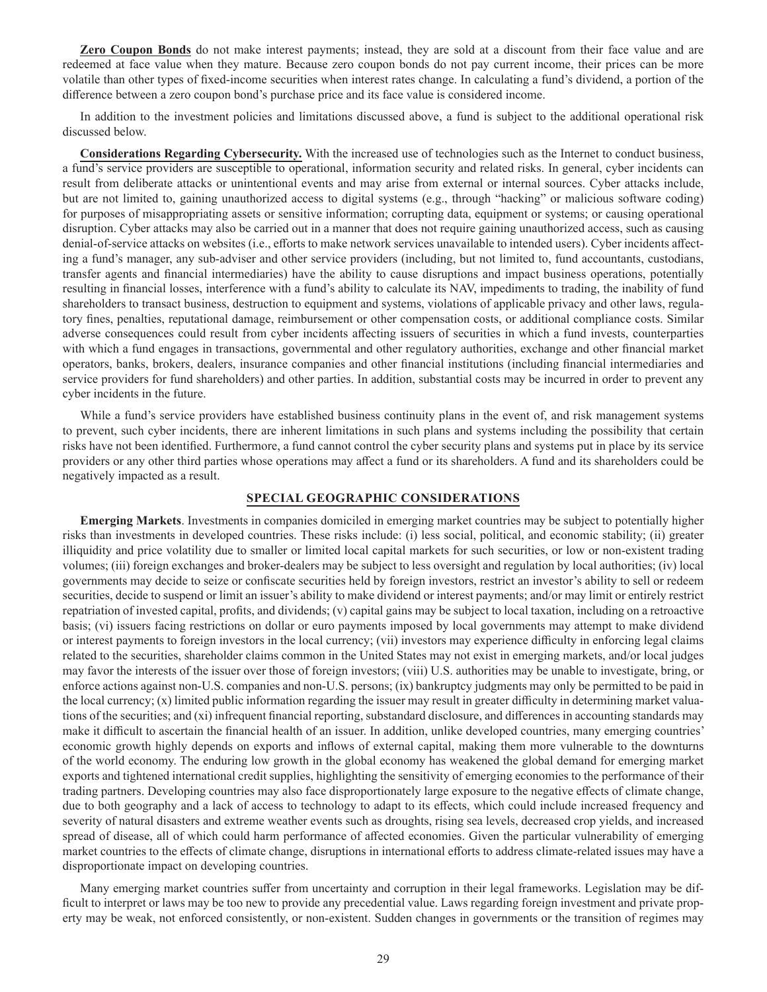**Zero Coupon Bonds** do not make interest payments; instead, they are sold at a discount from their face value and are redeemed at face value when they mature. Because zero coupon bonds do not pay current income, their prices can be more volatile than other types of fixed-income securities when interest rates change. In calculating a fund's dividend, a portion of the difference between a zero coupon bond's purchase price and its face value is considered income.

In addition to the investment policies and limitations discussed above, a fund is subject to the additional operational risk discussed below.

**Considerations Regarding Cybersecurity.** With the increased use of technologies such as the Internet to conduct business, a fund's service providers are susceptible to operational, information security and related risks. In general, cyber incidents can result from deliberate attacks or unintentional events and may arise from external or internal sources. Cyber attacks include, but are not limited to, gaining unauthorized access to digital systems (e.g., through "hacking" or malicious software coding) for purposes of misappropriating assets or sensitive information; corrupting data, equipment or systems; or causing operational disruption. Cyber attacks may also be carried out in a manner that does not require gaining unauthorized access, such as causing denial-of-service attacks on websites (i.e., efforts to make network services unavailable to intended users). Cyber incidents affecting a fund's manager, any sub-adviser and other service providers (including, but not limited to, fund accountants, custodians, transfer agents and financial intermediaries) have the ability to cause disruptions and impact business operations, potentially resulting in financial losses, interference with a fund's ability to calculate its NAV, impediments to trading, the inability of fund shareholders to transact business, destruction to equipment and systems, violations of applicable privacy and other laws, regulatory fines, penalties, reputational damage, reimbursement or other compensation costs, or additional compliance costs. Similar adverse consequences could result from cyber incidents affecting issuers of securities in which a fund invests, counterparties with which a fund engages in transactions, governmental and other regulatory authorities, exchange and other financial market operators, banks, brokers, dealers, insurance companies and other financial institutions (including financial intermediaries and service providers for fund shareholders) and other parties. In addition, substantial costs may be incurred in order to prevent any cyber incidents in the future.

While a fund's service providers have established business continuity plans in the event of, and risk management systems to prevent, such cyber incidents, there are inherent limitations in such plans and systems including the possibility that certain risks have not been identified. Furthermore, a fund cannot control the cyber security plans and systems put in place by its service providers or any other third parties whose operations may affect a fund or its shareholders. A fund and its shareholders could be negatively impacted as a result.

# **SPECIAL GEOGRAPHIC CONSIDERATIONS**

**Emerging Markets**. Investments in companies domiciled in emerging market countries may be subject to potentially higher risks than investments in developed countries. These risks include: (i) less social, political, and economic stability; (ii) greater illiquidity and price volatility due to smaller or limited local capital markets for such securities, or low or non-existent trading volumes; (iii) foreign exchanges and broker-dealers may be subject to less oversight and regulation by local authorities; (iv) local governments may decide to seize or confiscate securities held by foreign investors, restrict an investor's ability to sell or redeem securities, decide to suspend or limit an issuer's ability to make dividend or interest payments; and/or may limit or entirely restrict repatriation of invested capital, profits, and dividends; (v) capital gains may be subject to local taxation, including on a retroactive basis; (vi) issuers facing restrictions on dollar or euro payments imposed by local governments may attempt to make dividend or interest payments to foreign investors in the local currency; (vii) investors may experience difficulty in enforcing legal claims related to the securities, shareholder claims common in the United States may not exist in emerging markets, and/or local judges may favor the interests of the issuer over those of foreign investors; (viii) U.S. authorities may be unable to investigate, bring, or enforce actions against non-U.S. companies and non-U.S. persons; (ix) bankruptcy judgments may only be permitted to be paid in the local currency; (x) limited public information regarding the issuer may result in greater difficulty in determining market valuations of the securities; and (xi) infrequent financial reporting, substandard disclosure, and differences in accounting standards may make it difficult to ascertain the financial health of an issuer. In addition, unlike developed countries, many emerging countries' economic growth highly depends on exports and inflows of external capital, making them more vulnerable to the downturns of the world economy. The enduring low growth in the global economy has weakened the global demand for emerging market exports and tightened international credit supplies, highlighting the sensitivity of emerging economies to the performance of their trading partners. Developing countries may also face disproportionately large exposure to the negative effects of climate change, due to both geography and a lack of access to technology to adapt to its effects, which could include increased frequency and severity of natural disasters and extreme weather events such as droughts, rising sea levels, decreased crop yields, and increased spread of disease, all of which could harm performance of affected economies. Given the particular vulnerability of emerging market countries to the effects of climate change, disruptions in international efforts to address climate-related issues may have a disproportionate impact on developing countries.

Many emerging market countries suffer from uncertainty and corruption in their legal frameworks. Legislation may be difficult to interpret or laws may be too new to provide any precedential value. Laws regarding foreign investment and private property may be weak, not enforced consistently, or non-existent. Sudden changes in governments or the transition of regimes may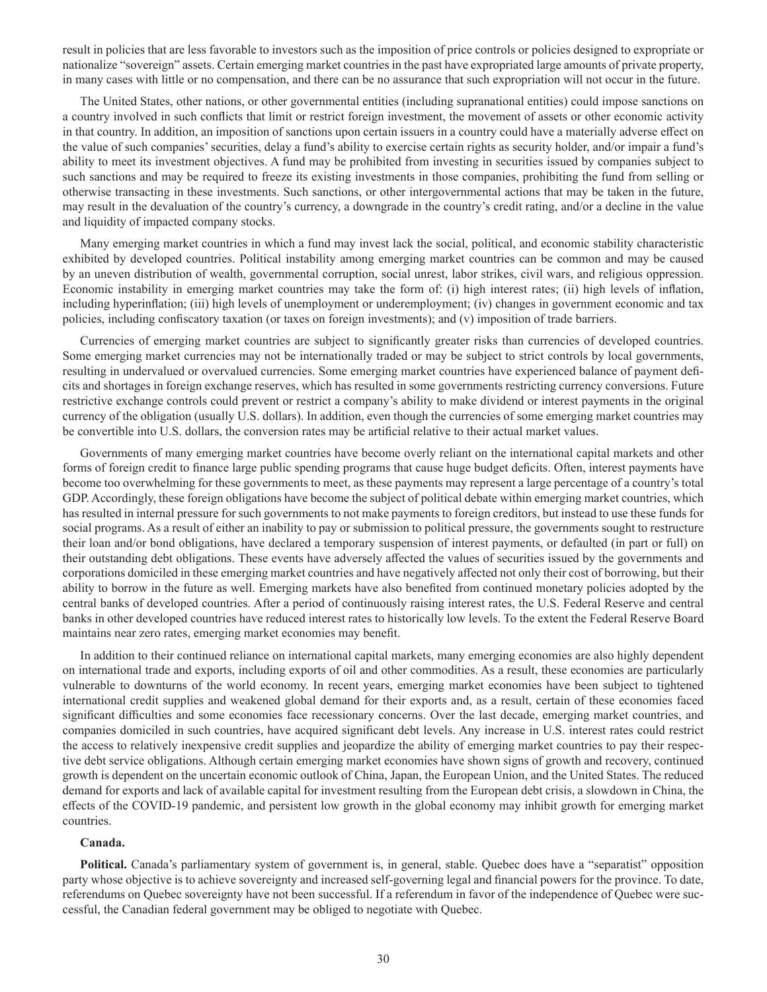result in policies that are less favorable to investors such as the imposition of price controls or policies designed to expropriate or nationalize "sovereign" assets. Certain emerging market countries in the past have expropriated large amounts of private property, in many cases with little or no compensation, and there can be no assurance that such expropriation will not occur in the future.

The United States, other nations, or other governmental entities (including supranational entities) could impose sanctions on a country involved in such conflicts that limit or restrict foreign investment, the movement of assets or other economic activity in that country. In addition, an imposition of sanctions upon certain issuers in a country could have a materially adverse effect on the value of such companies' securities, delay a fund's ability to exercise certain rights as security holder, and/or impair a fund's ability to meet its investment objectives. A fund may be prohibited from investing in securities issued by companies subject to such sanctions and may be required to freeze its existing investments in those companies, prohibiting the fund from selling or otherwise transacting in these investments. Such sanctions, or other intergovernmental actions that may be taken in the future, may result in the devaluation of the country's currency, a downgrade in the country's credit rating, and/or a decline in the value and liquidity of impacted company stocks.

Many emerging market countries in which a fund may invest lack the social, political, and economic stability characteristic exhibited by developed countries. Political instability among emerging market countries can be common and may be caused by an uneven distribution of wealth, governmental corruption, social unrest, labor strikes, civil wars, and religious oppression. Economic instability in emerging market countries may take the form of: (i) high interest rates; (ii) high levels of inflation, including hyperinflation; (iii) high levels of unemployment or underemployment; (iv) changes in government economic and tax policies, including confiscatory taxation (or taxes on foreign investments); and (v) imposition of trade barriers.

Currencies of emerging market countries are subject to significantly greater risks than currencies of developed countries. Some emerging market currencies may not be internationally traded or may be subject to strict controls by local governments, resulting in undervalued or overvalued currencies. Some emerging market countries have experienced balance of payment deficits and shortages in foreign exchange reserves, which has resulted in some governments restricting currency conversions. Future restrictive exchange controls could prevent or restrict a company's ability to make dividend or interest payments in the original currency of the obligation (usually U.S. dollars). In addition, even though the currencies of some emerging market countries may be convertible into U.S. dollars, the conversion rates may be artificial relative to their actual market values.

Governments of many emerging market countries have become overly reliant on the international capital markets and other forms of foreign credit to finance large public spending programs that cause huge budget deficits. Often, interest payments have become too overwhelming for these governments to meet, as these payments may represent a large percentage of a country's total GDP. Accordingly, these foreign obligations have become the subject of political debate within emerging market countries, which has resulted in internal pressure for such governments to not make payments to foreign creditors, but instead to use these funds for social programs. As a result of either an inability to pay or submission to political pressure, the governments sought to restructure their loan and/or bond obligations, have declared a temporary suspension of interest payments, or defaulted (in part or full) on their outstanding debt obligations. These events have adversely affected the values of securities issued by the governments and corporations domiciled in these emerging market countries and have negatively affected not only their cost of borrowing, but their ability to borrow in the future as well. Emerging markets have also benefited from continued monetary policies adopted by the central banks of developed countries. After a period of continuously raising interest rates, the U.S. Federal Reserve and central banks in other developed countries have reduced interest rates to historically low levels. To the extent the Federal Reserve Board maintains near zero rates, emerging market economies may benefit.

In addition to their continued reliance on international capital markets, many emerging economies are also highly dependent on international trade and exports, including exports of oil and other commodities. As a result, these economies are particularly vulnerable to downturns of the world economy. In recent years, emerging market economies have been subject to tightened international credit supplies and weakened global demand for their exports and, as a result, certain of these economies faced significant difficulties and some economies face recessionary concerns. Over the last decade, emerging market countries, and companies domiciled in such countries, have acquired significant debt levels. Any increase in U.S. interest rates could restrict the access to relatively inexpensive credit supplies and jeopardize the ability of emerging market countries to pay their respective debt service obligations. Although certain emerging market economies have shown signs of growth and recovery, continued growth is dependent on the uncertain economic outlook of China, Japan, the European Union, and the United States. The reduced demand for exports and lack of available capital for investment resulting from the European debt crisis, a slowdown in China, the effects of the COVID-19 pandemic, and persistent low growth in the global economy may inhibit growth for emerging market countries.

#### **Canada.**

**Political.** Canada's parliamentary system of government is, in general, stable. Quebec does have a "separatist" opposition party whose objective is to achieve sovereignty and increased self-governing legal and financial powers for the province. To date, referendums on Quebec sovereignty have not been successful. If a referendum in favor of the independence of Quebec were successful, the Canadian federal government may be obliged to negotiate with Quebec.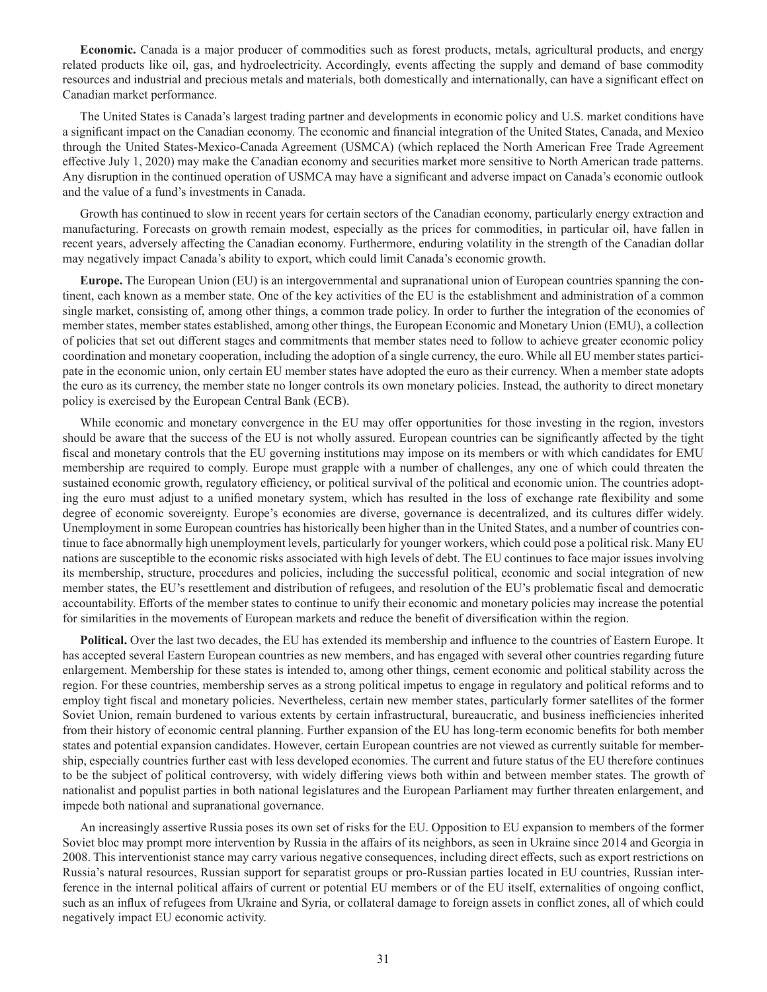**Economic.** Canada is a major producer of commodities such as forest products, metals, agricultural products, and energy related products like oil, gas, and hydroelectricity. Accordingly, events affecting the supply and demand of base commodity resources and industrial and precious metals and materials, both domestically and internationally, can have a significant effect on Canadian market performance.

The United States is Canada's largest trading partner and developments in economic policy and U.S. market conditions have a significant impact on the Canadian economy. The economic and financial integration of the United States, Canada, and Mexico through the United States-Mexico-Canada Agreement (USMCA) (which replaced the North American Free Trade Agreement effective July 1, 2020) may make the Canadian economy and securities market more sensitive to North American trade patterns. Any disruption in the continued operation of USMCA may have a significant and adverse impact on Canada's economic outlook and the value of a fund's investments in Canada.

Growth has continued to slow in recent years for certain sectors of the Canadian economy, particularly energy extraction and manufacturing. Forecasts on growth remain modest, especially as the prices for commodities, in particular oil, have fallen in recent years, adversely affecting the Canadian economy. Furthermore, enduring volatility in the strength of the Canadian dollar may negatively impact Canada's ability to export, which could limit Canada's economic growth.

**Europe.** The European Union (EU) is an intergovernmental and supranational union of European countries spanning the continent, each known as a member state. One of the key activities of the EU is the establishment and administration of a common single market, consisting of, among other things, a common trade policy. In order to further the integration of the economies of member states, member states established, among other things, the European Economic and Monetary Union (EMU), a collection of policies that set out different stages and commitments that member states need to follow to achieve greater economic policy coordination and monetary cooperation, including the adoption of a single currency, the euro. While all EU member states participate in the economic union, only certain EU member states have adopted the euro as their currency. When a member state adopts the euro as its currency, the member state no longer controls its own monetary policies. Instead, the authority to direct monetary policy is exercised by the European Central Bank (ECB).

While economic and monetary convergence in the EU may offer opportunities for those investing in the region, investors should be aware that the success of the EU is not wholly assured. European countries can be significantly affected by the tight fiscal and monetary controls that the EU governing institutions may impose on its members or with which candidates for EMU membership are required to comply. Europe must grapple with a number of challenges, any one of which could threaten the sustained economic growth, regulatory efficiency, or political survival of the political and economic union. The countries adopting the euro must adjust to a unified monetary system, which has resulted in the loss of exchange rate flexibility and some degree of economic sovereignty. Europe's economies are diverse, governance is decentralized, and its cultures differ widely. Unemployment in some European countries has historically been higher than in the United States, and a number of countries continue to face abnormally high unemployment levels, particularly for younger workers, which could pose a political risk. Many EU nations are susceptible to the economic risks associated with high levels of debt. The EU continues to face major issues involving its membership, structure, procedures and policies, including the successful political, economic and social integration of new member states, the EU's resettlement and distribution of refugees, and resolution of the EU's problematic fiscal and democratic accountability. Efforts of the member states to continue to unify their economic and monetary policies may increase the potential for similarities in the movements of European markets and reduce the benefit of diversification within the region.

**Political.** Over the last two decades, the EU has extended its membership and influence to the countries of Eastern Europe. It has accepted several Eastern European countries as new members, and has engaged with several other countries regarding future enlargement. Membership for these states is intended to, among other things, cement economic and political stability across the region. For these countries, membership serves as a strong political impetus to engage in regulatory and political reforms and to employ tight fiscal and monetary policies. Nevertheless, certain new member states, particularly former satellites of the former Soviet Union, remain burdened to various extents by certain infrastructural, bureaucratic, and business inefficiencies inherited from their history of economic central planning. Further expansion of the EU has long-term economic benefits for both member states and potential expansion candidates. However, certain European countries are not viewed as currently suitable for membership, especially countries further east with less developed economies. The current and future status of the EU therefore continues to be the subject of political controversy, with widely differing views both within and between member states. The growth of nationalist and populist parties in both national legislatures and the European Parliament may further threaten enlargement, and impede both national and supranational governance.

An increasingly assertive Russia poses its own set of risks for the EU. Opposition to EU expansion to members of the former Soviet bloc may prompt more intervention by Russia in the affairs of its neighbors, as seen in Ukraine since 2014 and Georgia in 2008. This interventionist stance may carry various negative consequences, including direct effects, such as export restrictions on Russia's natural resources, Russian support for separatist groups or pro-Russian parties located in EU countries, Russian interference in the internal political affairs of current or potential EU members or of the EU itself, externalities of ongoing conflict, such as an influx of refugees from Ukraine and Syria, or collateral damage to foreign assets in conflict zones, all of which could negatively impact EU economic activity.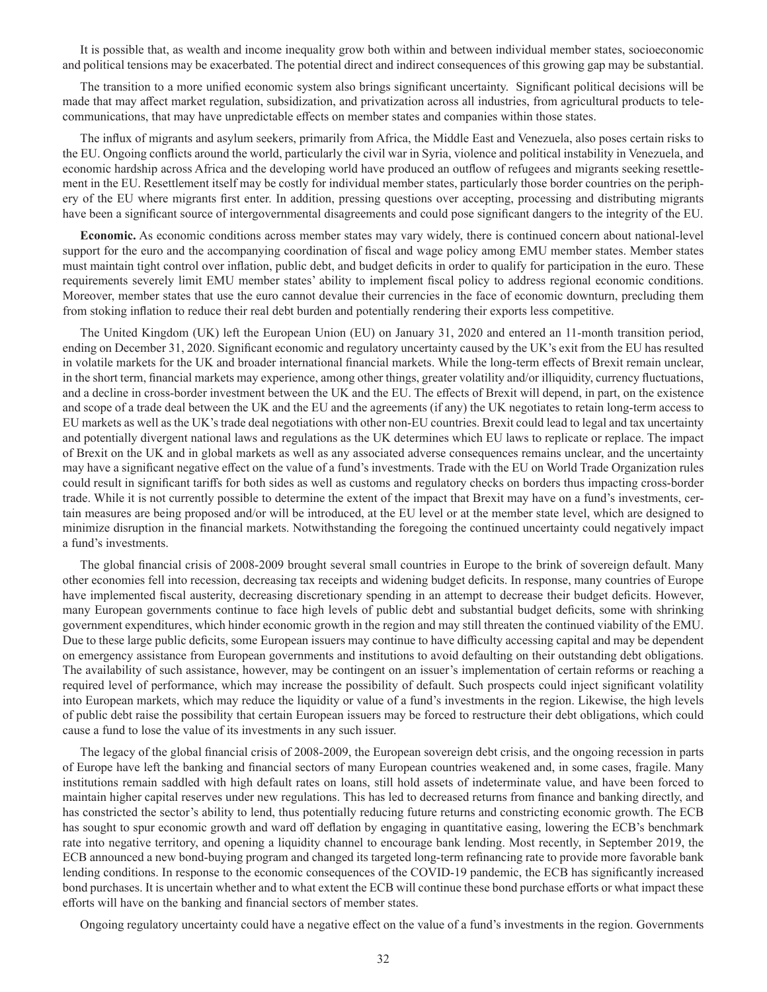It is possible that, as wealth and income inequality grow both within and between individual member states, socioeconomic and political tensions may be exacerbated. The potential direct and indirect consequences of this growing gap may be substantial.

The transition to a more unified economic system also brings significant uncertainty. Significant political decisions will be made that may affect market regulation, subsidization, and privatization across all industries, from agricultural products to telecommunications, that may have unpredictable effects on member states and companies within those states.

The influx of migrants and asylum seekers, primarily from Africa, the Middle East and Venezuela, also poses certain risks to the EU. Ongoing conflicts around the world, particularly the civil war in Syria, violence and political instability in Venezuela, and economic hardship across Africa and the developing world have produced an outflow of refugees and migrants seeking resettlement in the EU. Resettlement itself may be costly for individual member states, particularly those border countries on the periphery of the EU where migrants first enter. In addition, pressing questions over accepting, processing and distributing migrants have been a significant source of intergovernmental disagreements and could pose significant dangers to the integrity of the EU.

**Economic.** As economic conditions across member states may vary widely, there is continued concern about national-level support for the euro and the accompanying coordination of fiscal and wage policy among EMU member states. Member states must maintain tight control over inflation, public debt, and budget deficits in order to qualify for participation in the euro. These requirements severely limit EMU member states' ability to implement fiscal policy to address regional economic conditions. Moreover, member states that use the euro cannot devalue their currencies in the face of economic downturn, precluding them from stoking inflation to reduce their real debt burden and potentially rendering their exports less competitive.

The United Kingdom (UK) left the European Union (EU) on January 31, 2020 and entered an 11-month transition period, ending on December 31, 2020. Significant economic and regulatory uncertainty caused by the UK's exit from the EU has resulted in volatile markets for the UK and broader international financial markets. While the long-term effects of Brexit remain unclear, in the short term, financial markets may experience, among other things, greater volatility and/or illiquidity, currency fluctuations, and a decline in cross-border investment between the UK and the EU. The effects of Brexit will depend, in part, on the existence and scope of a trade deal between the UK and the EU and the agreements (if any) the UK negotiates to retain long-term access to EU markets as well as the UK's trade deal negotiations with other non-EU countries. Brexit could lead to legal and tax uncertainty and potentially divergent national laws and regulations as the UK determines which EU laws to replicate or replace. The impact of Brexit on the UK and in global markets as well as any associated adverse consequences remains unclear, and the uncertainty may have a significant negative effect on the value of a fund's investments. Trade with the EU on World Trade Organization rules could result in significant tariffs for both sides as well as customs and regulatory checks on borders thus impacting cross-border trade. While it is not currently possible to determine the extent of the impact that Brexit may have on a fund's investments, certain measures are being proposed and/or will be introduced, at the EU level or at the member state level, which are designed to minimize disruption in the financial markets. Notwithstanding the foregoing the continued uncertainty could negatively impact a fund's investments.

The global financial crisis of 2008-2009 brought several small countries in Europe to the brink of sovereign default. Many other economies fell into recession, decreasing tax receipts and widening budget deficits. In response, many countries of Europe have implemented fiscal austerity, decreasing discretionary spending in an attempt to decrease their budget deficits. However, many European governments continue to face high levels of public debt and substantial budget deficits, some with shrinking government expenditures, which hinder economic growth in the region and may still threaten the continued viability of the EMU. Due to these large public deficits, some European issuers may continue to have difficulty accessing capital and may be dependent on emergency assistance from European governments and institutions to avoid defaulting on their outstanding debt obligations. The availability of such assistance, however, may be contingent on an issuer's implementation of certain reforms or reaching a required level of performance, which may increase the possibility of default. Such prospects could inject significant volatility into European markets, which may reduce the liquidity or value of a fund's investments in the region. Likewise, the high levels of public debt raise the possibility that certain European issuers may be forced to restructure their debt obligations, which could cause a fund to lose the value of its investments in any such issuer.

The legacy of the global financial crisis of 2008-2009, the European sovereign debt crisis, and the ongoing recession in parts of Europe have left the banking and financial sectors of many European countries weakened and, in some cases, fragile. Many institutions remain saddled with high default rates on loans, still hold assets of indeterminate value, and have been forced to maintain higher capital reserves under new regulations. This has led to decreased returns from finance and banking directly, and has constricted the sector's ability to lend, thus potentially reducing future returns and constricting economic growth. The ECB has sought to spur economic growth and ward off deflation by engaging in quantitative easing, lowering the ECB's benchmark rate into negative territory, and opening a liquidity channel to encourage bank lending. Most recently, in September 2019, the ECB announced a new bond-buying program and changed its targeted long-term refinancing rate to provide more favorable bank lending conditions. In response to the economic consequences of the COVID-19 pandemic, the ECB has significantly increased bond purchases. It is uncertain whether and to what extent the ECB will continue these bond purchase efforts or what impact these efforts will have on the banking and financial sectors of member states.

Ongoing regulatory uncertainty could have a negative effect on the value of a fund's investments in the region. Governments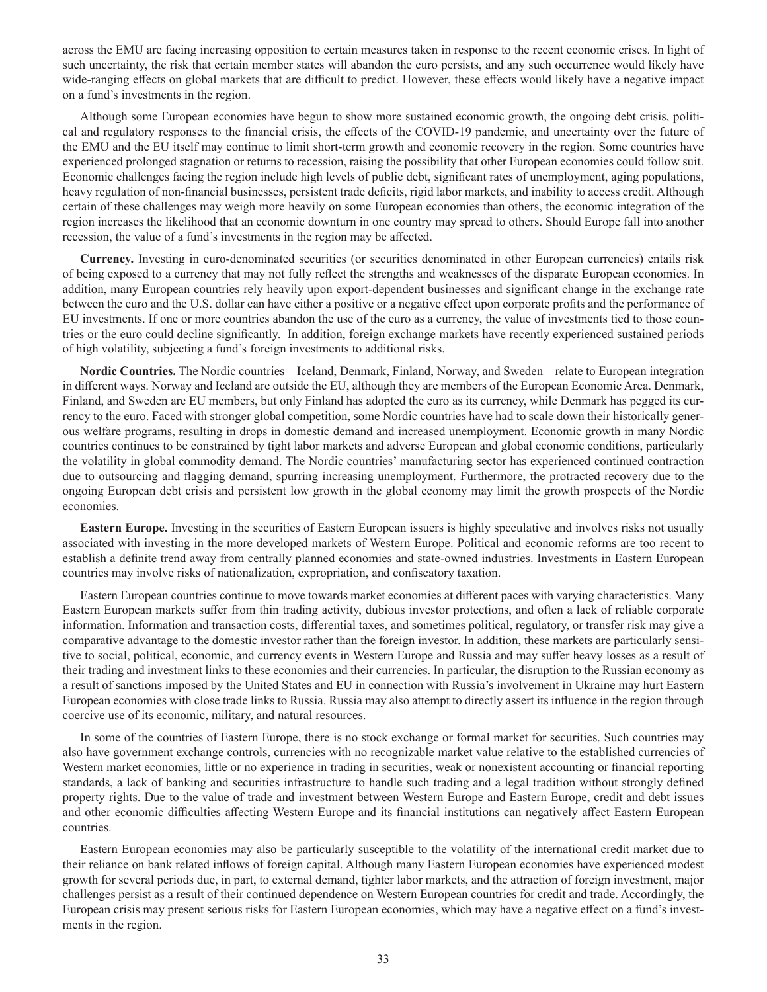across the EMU are facing increasing opposition to certain measures taken in response to the recent economic crises. In light of such uncertainty, the risk that certain member states will abandon the euro persists, and any such occurrence would likely have wide-ranging effects on global markets that are difficult to predict. However, these effects would likely have a negative impact on a fund's investments in the region.

Although some European economies have begun to show more sustained economic growth, the ongoing debt crisis, political and regulatory responses to the financial crisis, the effects of the COVID-19 pandemic, and uncertainty over the future of the EMU and the EU itself may continue to limit short-term growth and economic recovery in the region. Some countries have experienced prolonged stagnation or returns to recession, raising the possibility that other European economies could follow suit. Economic challenges facing the region include high levels of public debt, significant rates of unemployment, aging populations, heavy regulation of non-financial businesses, persistent trade deficits, rigid labor markets, and inability to access credit. Although certain of these challenges may weigh more heavily on some European economies than others, the economic integration of the region increases the likelihood that an economic downturn in one country may spread to others. Should Europe fall into another recession, the value of a fund's investments in the region may be affected.

**Currency.** Investing in euro-denominated securities (or securities denominated in other European currencies) entails risk of being exposed to a currency that may not fully reflect the strengths and weaknesses of the disparate European economies. In addition, many European countries rely heavily upon export-dependent businesses and significant change in the exchange rate between the euro and the U.S. dollar can have either a positive or a negative effect upon corporate profits and the performance of EU investments. If one or more countries abandon the use of the euro as a currency, the value of investments tied to those countries or the euro could decline significantly. In addition, foreign exchange markets have recently experienced sustained periods of high volatility, subjecting a fund's foreign investments to additional risks.

**Nordic Countries.** The Nordic countries – Iceland, Denmark, Finland, Norway, and Sweden – relate to European integration in different ways. Norway and Iceland are outside the EU, although they are members of the European Economic Area. Denmark, Finland, and Sweden are EU members, but only Finland has adopted the euro as its currency, while Denmark has pegged its currency to the euro. Faced with stronger global competition, some Nordic countries have had to scale down their historically generous welfare programs, resulting in drops in domestic demand and increased unemployment. Economic growth in many Nordic countries continues to be constrained by tight labor markets and adverse European and global economic conditions, particularly the volatility in global commodity demand. The Nordic countries' manufacturing sector has experienced continued contraction due to outsourcing and flagging demand, spurring increasing unemployment. Furthermore, the protracted recovery due to the ongoing European debt crisis and persistent low growth in the global economy may limit the growth prospects of the Nordic economies.

**Eastern Europe.** Investing in the securities of Eastern European issuers is highly speculative and involves risks not usually associated with investing in the more developed markets of Western Europe. Political and economic reforms are too recent to establish a definite trend away from centrally planned economies and state-owned industries. Investments in Eastern European countries may involve risks of nationalization, expropriation, and confiscatory taxation.

Eastern European countries continue to move towards market economies at different paces with varying characteristics. Many Eastern European markets suffer from thin trading activity, dubious investor protections, and often a lack of reliable corporate information. Information and transaction costs, differential taxes, and sometimes political, regulatory, or transfer risk may give a comparative advantage to the domestic investor rather than the foreign investor. In addition, these markets are particularly sensitive to social, political, economic, and currency events in Western Europe and Russia and may suffer heavy losses as a result of their trading and investment links to these economies and their currencies. In particular, the disruption to the Russian economy as a result of sanctions imposed by the United States and EU in connection with Russia's involvement in Ukraine may hurt Eastern European economies with close trade links to Russia. Russia may also attempt to directly assert its influence in the region through coercive use of its economic, military, and natural resources.

In some of the countries of Eastern Europe, there is no stock exchange or formal market for securities. Such countries may also have government exchange controls, currencies with no recognizable market value relative to the established currencies of Western market economies, little or no experience in trading in securities, weak or nonexistent accounting or financial reporting standards, a lack of banking and securities infrastructure to handle such trading and a legal tradition without strongly defined property rights. Due to the value of trade and investment between Western Europe and Eastern Europe, credit and debt issues and other economic difficulties affecting Western Europe and its financial institutions can negatively affect Eastern European countries.

Eastern European economies may also be particularly susceptible to the volatility of the international credit market due to their reliance on bank related inflows of foreign capital. Although many Eastern European economies have experienced modest growth for several periods due, in part, to external demand, tighter labor markets, and the attraction of foreign investment, major challenges persist as a result of their continued dependence on Western European countries for credit and trade. Accordingly, the European crisis may present serious risks for Eastern European economies, which may have a negative effect on a fund's investments in the region.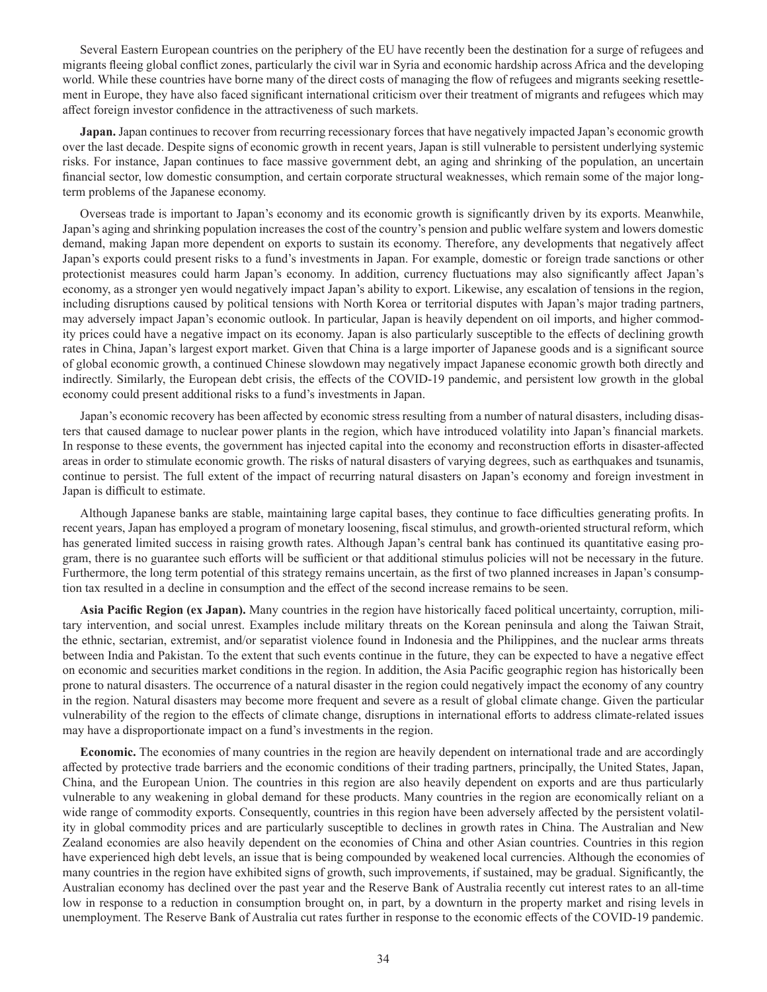Several Eastern European countries on the periphery of the EU have recently been the destination for a surge of refugees and migrants fleeing global conflict zones, particularly the civil war in Syria and economic hardship across Africa and the developing world. While these countries have borne many of the direct costs of managing the flow of refugees and migrants seeking resettlement in Europe, they have also faced significant international criticism over their treatment of migrants and refugees which may affect foreign investor confidence in the attractiveness of such markets.

**Japan.** Japan continues to recover from recurring recessionary forces that have negatively impacted Japan's economic growth over the last decade. Despite signs of economic growth in recent years, Japan is still vulnerable to persistent underlying systemic risks. For instance, Japan continues to face massive government debt, an aging and shrinking of the population, an uncertain financial sector, low domestic consumption, and certain corporate structural weaknesses, which remain some of the major longterm problems of the Japanese economy.

Overseas trade is important to Japan's economy and its economic growth is significantly driven by its exports. Meanwhile, Japan's aging and shrinking population increases the cost of the country's pension and public welfare system and lowers domestic demand, making Japan more dependent on exports to sustain its economy. Therefore, any developments that negatively affect Japan's exports could present risks to a fund's investments in Japan. For example, domestic or foreign trade sanctions or other protectionist measures could harm Japan's economy. In addition, currency fluctuations may also significantly affect Japan's economy, as a stronger yen would negatively impact Japan's ability to export. Likewise, any escalation of tensions in the region, including disruptions caused by political tensions with North Korea or territorial disputes with Japan's major trading partners, may adversely impact Japan's economic outlook. In particular, Japan is heavily dependent on oil imports, and higher commodity prices could have a negative impact on its economy. Japan is also particularly susceptible to the effects of declining growth rates in China, Japan's largest export market. Given that China is a large importer of Japanese goods and is a significant source of global economic growth, a continued Chinese slowdown may negatively impact Japanese economic growth both directly and indirectly. Similarly, the European debt crisis, the effects of the COVID-19 pandemic, and persistent low growth in the global economy could present additional risks to a fund's investments in Japan.

Japan's economic recovery has been affected by economic stress resulting from a number of natural disasters, including disasters that caused damage to nuclear power plants in the region, which have introduced volatility into Japan's financial markets. In response to these events, the government has injected capital into the economy and reconstruction efforts in disaster-affected areas in order to stimulate economic growth. The risks of natural disasters of varying degrees, such as earthquakes and tsunamis, continue to persist. The full extent of the impact of recurring natural disasters on Japan's economy and foreign investment in Japan is difficult to estimate.

Although Japanese banks are stable, maintaining large capital bases, they continue to face difficulties generating profits. In recent years, Japan has employed a program of monetary loosening, fiscal stimulus, and growth-oriented structural reform, which has generated limited success in raising growth rates. Although Japan's central bank has continued its quantitative easing program, there is no guarantee such efforts will be sufficient or that additional stimulus policies will not be necessary in the future. Furthermore, the long term potential of this strategy remains uncertain, as the first of two planned increases in Japan's consumption tax resulted in a decline in consumption and the effect of the second increase remains to be seen.

**Asia Pacific Region (ex Japan).** Many countries in the region have historically faced political uncertainty, corruption, military intervention, and social unrest. Examples include military threats on the Korean peninsula and along the Taiwan Strait, the ethnic, sectarian, extremist, and/or separatist violence found in Indonesia and the Philippines, and the nuclear arms threats between India and Pakistan. To the extent that such events continue in the future, they can be expected to have a negative effect on economic and securities market conditions in the region. In addition, the Asia Pacific geographic region has historically been prone to natural disasters. The occurrence of a natural disaster in the region could negatively impact the economy of any country in the region. Natural disasters may become more frequent and severe as a result of global climate change. Given the particular vulnerability of the region to the effects of climate change, disruptions in international efforts to address climate-related issues may have a disproportionate impact on a fund's investments in the region.

**Economic.** The economies of many countries in the region are heavily dependent on international trade and are accordingly affected by protective trade barriers and the economic conditions of their trading partners, principally, the United States, Japan, China, and the European Union. The countries in this region are also heavily dependent on exports and are thus particularly vulnerable to any weakening in global demand for these products. Many countries in the region are economically reliant on a wide range of commodity exports. Consequently, countries in this region have been adversely affected by the persistent volatility in global commodity prices and are particularly susceptible to declines in growth rates in China. The Australian and New Zealand economies are also heavily dependent on the economies of China and other Asian countries. Countries in this region have experienced high debt levels, an issue that is being compounded by weakened local currencies. Although the economies of many countries in the region have exhibited signs of growth, such improvements, if sustained, may be gradual. Significantly, the Australian economy has declined over the past year and the Reserve Bank of Australia recently cut interest rates to an all-time low in response to a reduction in consumption brought on, in part, by a downturn in the property market and rising levels in unemployment. The Reserve Bank of Australia cut rates further in response to the economic effects of the COVID-19 pandemic.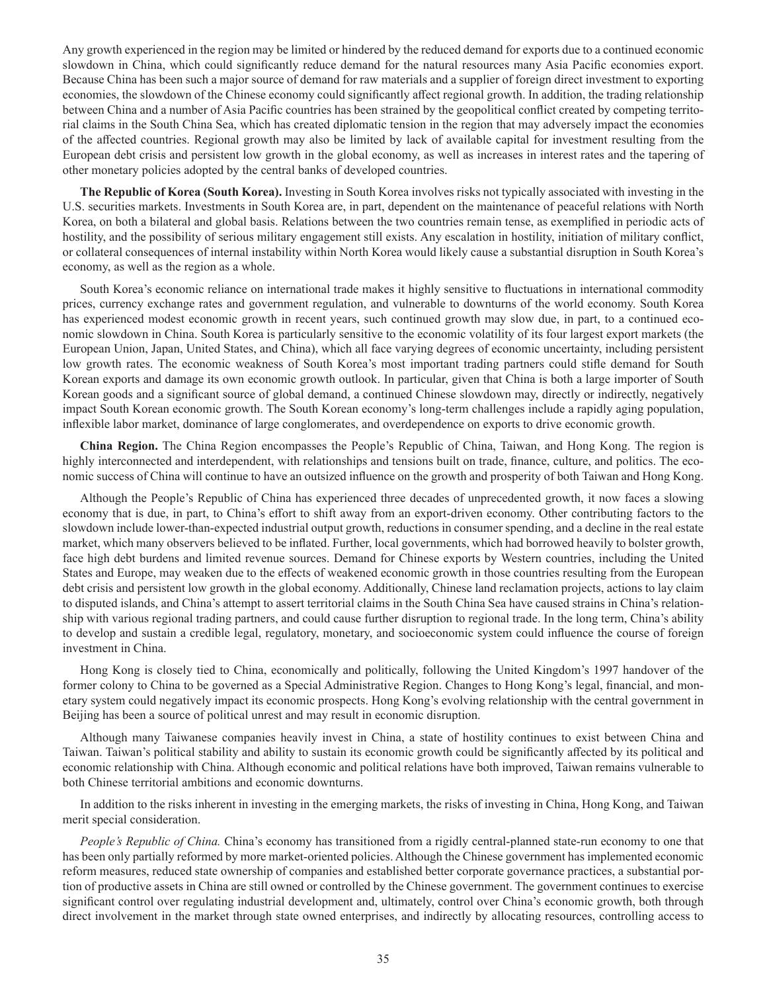Any growth experienced in the region may be limited or hindered by the reduced demand for exports due to a continued economic slowdown in China, which could significantly reduce demand for the natural resources many Asia Pacific economies export. Because China has been such a major source of demand for raw materials and a supplier of foreign direct investment to exporting economies, the slowdown of the Chinese economy could significantly affect regional growth. In addition, the trading relationship between China and a number of Asia Pacific countries has been strained by the geopolitical conflict created by competing territorial claims in the South China Sea, which has created diplomatic tension in the region that may adversely impact the economies of the affected countries. Regional growth may also be limited by lack of available capital for investment resulting from the European debt crisis and persistent low growth in the global economy, as well as increases in interest rates and the tapering of other monetary policies adopted by the central banks of developed countries.

**The Republic of Korea (South Korea).** Investing in South Korea involves risks not typically associated with investing in the U.S. securities markets. Investments in South Korea are, in part, dependent on the maintenance of peaceful relations with North Korea, on both a bilateral and global basis. Relations between the two countries remain tense, as exemplified in periodic acts of hostility, and the possibility of serious military engagement still exists. Any escalation in hostility, initiation of military conflict, or collateral consequences of internal instability within North Korea would likely cause a substantial disruption in South Korea's economy, as well as the region as a whole.

South Korea's economic reliance on international trade makes it highly sensitive to fluctuations in international commodity prices, currency exchange rates and government regulation, and vulnerable to downturns of the world economy. South Korea has experienced modest economic growth in recent years, such continued growth may slow due, in part, to a continued economic slowdown in China. South Korea is particularly sensitive to the economic volatility of its four largest export markets (the European Union, Japan, United States, and China), which all face varying degrees of economic uncertainty, including persistent low growth rates. The economic weakness of South Korea's most important trading partners could stifle demand for South Korean exports and damage its own economic growth outlook. In particular, given that China is both a large importer of South Korean goods and a significant source of global demand, a continued Chinese slowdown may, directly or indirectly, negatively impact South Korean economic growth. The South Korean economy's long-term challenges include a rapidly aging population, inflexible labor market, dominance of large conglomerates, and overdependence on exports to drive economic growth.

**China Region.** The China Region encompasses the People's Republic of China, Taiwan, and Hong Kong. The region is highly interconnected and interdependent, with relationships and tensions built on trade, finance, culture, and politics. The economic success of China will continue to have an outsized influence on the growth and prosperity of both Taiwan and Hong Kong.

Although the People's Republic of China has experienced three decades of unprecedented growth, it now faces a slowing economy that is due, in part, to China's effort to shift away from an export-driven economy. Other contributing factors to the slowdown include lower-than-expected industrial output growth, reductions in consumer spending, and a decline in the real estate market, which many observers believed to be inflated. Further, local governments, which had borrowed heavily to bolster growth, face high debt burdens and limited revenue sources. Demand for Chinese exports by Western countries, including the United States and Europe, may weaken due to the effects of weakened economic growth in those countries resulting from the European debt crisis and persistent low growth in the global economy. Additionally, Chinese land reclamation projects, actions to lay claim to disputed islands, and China's attempt to assert territorial claims in the South China Sea have caused strains in China's relationship with various regional trading partners, and could cause further disruption to regional trade. In the long term, China's ability to develop and sustain a credible legal, regulatory, monetary, and socioeconomic system could influence the course of foreign investment in China.

Hong Kong is closely tied to China, economically and politically, following the United Kingdom's 1997 handover of the former colony to China to be governed as a Special Administrative Region. Changes to Hong Kong's legal, financial, and monetary system could negatively impact its economic prospects. Hong Kong's evolving relationship with the central government in Beijing has been a source of political unrest and may result in economic disruption.

Although many Taiwanese companies heavily invest in China, a state of hostility continues to exist between China and Taiwan. Taiwan's political stability and ability to sustain its economic growth could be significantly affected by its political and economic relationship with China. Although economic and political relations have both improved, Taiwan remains vulnerable to both Chinese territorial ambitions and economic downturns.

In addition to the risks inherent in investing in the emerging markets, the risks of investing in China, Hong Kong, and Taiwan merit special consideration.

*People's Republic of China.* China's economy has transitioned from a rigidly central-planned state-run economy to one that has been only partially reformed by more market-oriented policies. Although the Chinese government has implemented economic reform measures, reduced state ownership of companies and established better corporate governance practices, a substantial portion of productive assets in China are still owned or controlled by the Chinese government. The government continues to exercise significant control over regulating industrial development and, ultimately, control over China's economic growth, both through direct involvement in the market through state owned enterprises, and indirectly by allocating resources, controlling access to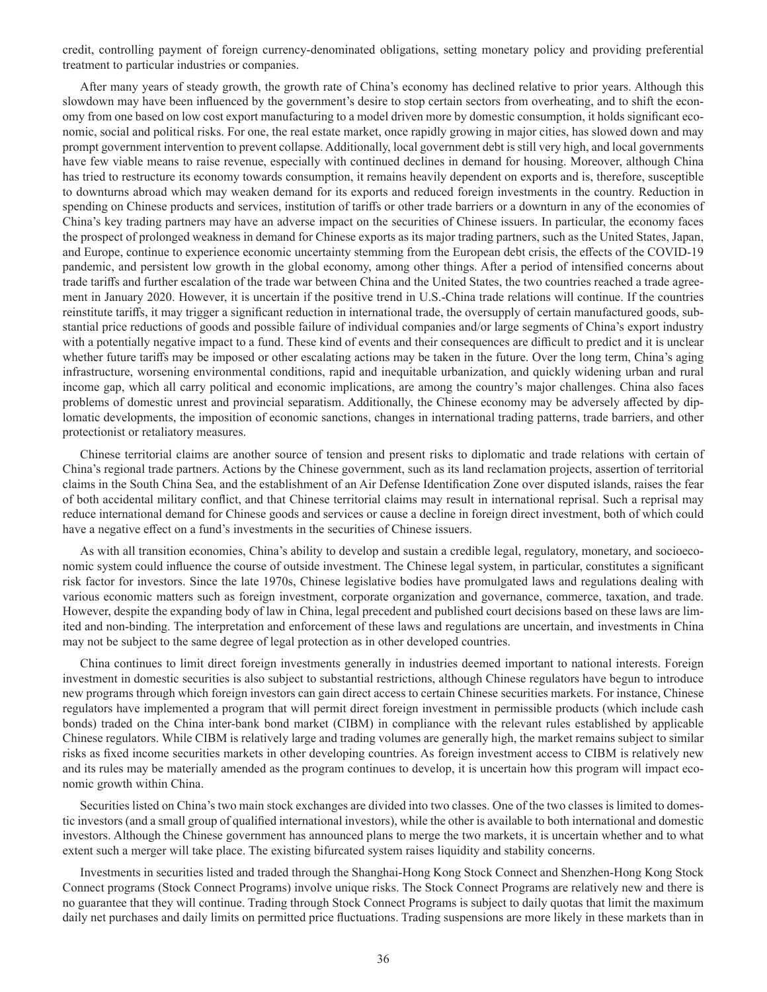credit, controlling payment of foreign currency-denominated obligations, setting monetary policy and providing preferential treatment to particular industries or companies.

After many years of steady growth, the growth rate of China's economy has declined relative to prior years. Although this slowdown may have been influenced by the government's desire to stop certain sectors from overheating, and to shift the economy from one based on low cost export manufacturing to a model driven more by domestic consumption, it holds significant economic, social and political risks. For one, the real estate market, once rapidly growing in major cities, has slowed down and may prompt government intervention to prevent collapse. Additionally, local government debt is still very high, and local governments have few viable means to raise revenue, especially with continued declines in demand for housing. Moreover, although China has tried to restructure its economy towards consumption, it remains heavily dependent on exports and is, therefore, susceptible to downturns abroad which may weaken demand for its exports and reduced foreign investments in the country. Reduction in spending on Chinese products and services, institution of tariffs or other trade barriers or a downturn in any of the economies of China's key trading partners may have an adverse impact on the securities of Chinese issuers. In particular, the economy faces the prospect of prolonged weakness in demand for Chinese exports as its major trading partners, such as the United States, Japan, and Europe, continue to experience economic uncertainty stemming from the European debt crisis, the effects of the COVID-19 pandemic, and persistent low growth in the global economy, among other things. After a period of intensified concerns about trade tariffs and further escalation of the trade war between China and the United States, the two countries reached a trade agreement in January 2020. However, it is uncertain if the positive trend in U.S.-China trade relations will continue. If the countries reinstitute tariffs, it may trigger a significant reduction in international trade, the oversupply of certain manufactured goods, substantial price reductions of goods and possible failure of individual companies and/or large segments of China's export industry with a potentially negative impact to a fund. These kind of events and their consequences are difficult to predict and it is unclear whether future tariffs may be imposed or other escalating actions may be taken in the future. Over the long term, China's aging infrastructure, worsening environmental conditions, rapid and inequitable urbanization, and quickly widening urban and rural income gap, which all carry political and economic implications, are among the country's major challenges. China also faces problems of domestic unrest and provincial separatism. Additionally, the Chinese economy may be adversely affected by diplomatic developments, the imposition of economic sanctions, changes in international trading patterns, trade barriers, and other protectionist or retaliatory measures.

Chinese territorial claims are another source of tension and present risks to diplomatic and trade relations with certain of China's regional trade partners. Actions by the Chinese government, such as its land reclamation projects, assertion of territorial claims in the South China Sea, and the establishment of an Air Defense Identification Zone over disputed islands, raises the fear of both accidental military conflict, and that Chinese territorial claims may result in international reprisal. Such a reprisal may reduce international demand for Chinese goods and services or cause a decline in foreign direct investment, both of which could have a negative effect on a fund's investments in the securities of Chinese issuers.

As with all transition economies, China's ability to develop and sustain a credible legal, regulatory, monetary, and socioeconomic system could influence the course of outside investment. The Chinese legal system, in particular, constitutes a significant risk factor for investors. Since the late 1970s, Chinese legislative bodies have promulgated laws and regulations dealing with various economic matters such as foreign investment, corporate organization and governance, commerce, taxation, and trade. However, despite the expanding body of law in China, legal precedent and published court decisions based on these laws are limited and non-binding. The interpretation and enforcement of these laws and regulations are uncertain, and investments in China may not be subject to the same degree of legal protection as in other developed countries.

China continues to limit direct foreign investments generally in industries deemed important to national interests. Foreign investment in domestic securities is also subject to substantial restrictions, although Chinese regulators have begun to introduce new programs through which foreign investors can gain direct access to certain Chinese securities markets. For instance, Chinese regulators have implemented a program that will permit direct foreign investment in permissible products (which include cash bonds) traded on the China inter-bank bond market (CIBM) in compliance with the relevant rules established by applicable Chinese regulators. While CIBM is relatively large and trading volumes are generally high, the market remains subject to similar risks as fixed income securities markets in other developing countries. As foreign investment access to CIBM is relatively new and its rules may be materially amended as the program continues to develop, it is uncertain how this program will impact economic growth within China.

Securities listed on China's two main stock exchanges are divided into two classes. One of the two classes is limited to domestic investors (and a small group of qualified international investors), while the other is available to both international and domestic investors. Although the Chinese government has announced plans to merge the two markets, it is uncertain whether and to what extent such a merger will take place. The existing bifurcated system raises liquidity and stability concerns.

Investments in securities listed and traded through the Shanghai-Hong Kong Stock Connect and Shenzhen-Hong Kong Stock Connect programs (Stock Connect Programs) involve unique risks. The Stock Connect Programs are relatively new and there is no guarantee that they will continue. Trading through Stock Connect Programs is subject to daily quotas that limit the maximum daily net purchases and daily limits on permitted price fluctuations. Trading suspensions are more likely in these markets than in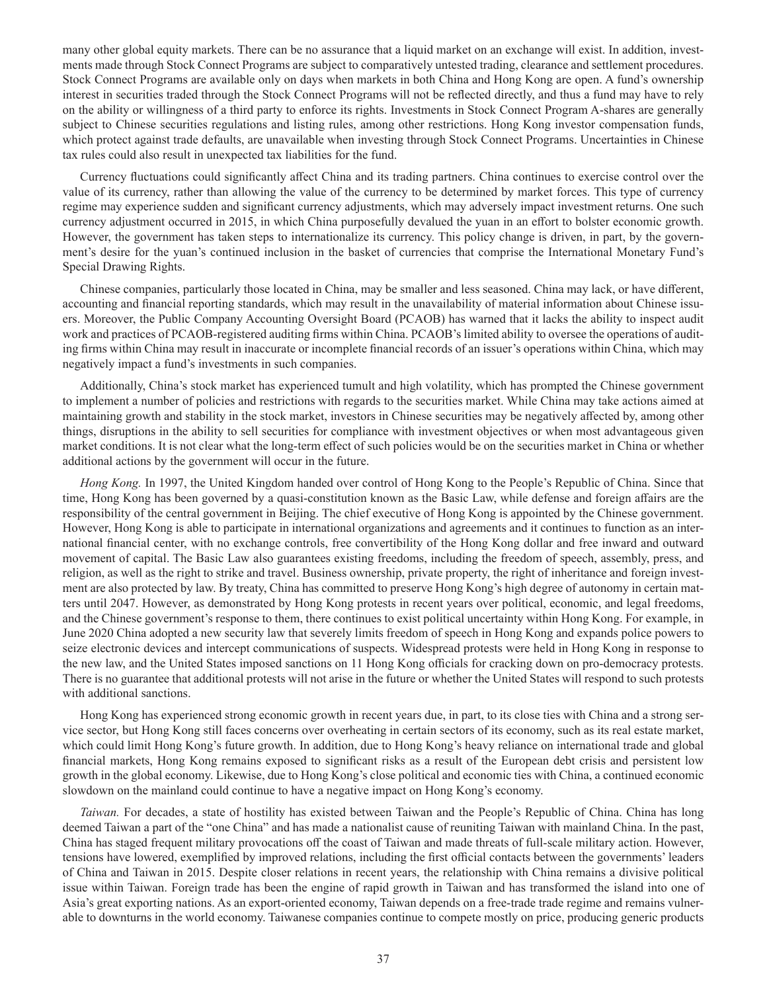many other global equity markets. There can be no assurance that a liquid market on an exchange will exist. In addition, investments made through Stock Connect Programs are subject to comparatively untested trading, clearance and settlement procedures. Stock Connect Programs are available only on days when markets in both China and Hong Kong are open. A fund's ownership interest in securities traded through the Stock Connect Programs will not be reflected directly, and thus a fund may have to rely on the ability or willingness of a third party to enforce its rights. Investments in Stock Connect Program A-shares are generally subject to Chinese securities regulations and listing rules, among other restrictions. Hong Kong investor compensation funds, which protect against trade defaults, are unavailable when investing through Stock Connect Programs. Uncertainties in Chinese tax rules could also result in unexpected tax liabilities for the fund.

Currency fluctuations could significantly affect China and its trading partners. China continues to exercise control over the value of its currency, rather than allowing the value of the currency to be determined by market forces. This type of currency regime may experience sudden and significant currency adjustments, which may adversely impact investment returns. One such currency adjustment occurred in 2015, in which China purposefully devalued the yuan in an effort to bolster economic growth. However, the government has taken steps to internationalize its currency. This policy change is driven, in part, by the government's desire for the yuan's continued inclusion in the basket of currencies that comprise the International Monetary Fund's Special Drawing Rights.

Chinese companies, particularly those located in China, may be smaller and less seasoned. China may lack, or have different, accounting and financial reporting standards, which may result in the unavailability of material information about Chinese issuers. Moreover, the Public Company Accounting Oversight Board (PCAOB) has warned that it lacks the ability to inspect audit work and practices of PCAOB-registered auditing firms within China. PCAOB's limited ability to oversee the operations of auditing firms within China may result in inaccurate or incomplete financial records of an issuer's operations within China, which may negatively impact a fund's investments in such companies.

Additionally, China's stock market has experienced tumult and high volatility, which has prompted the Chinese government to implement a number of policies and restrictions with regards to the securities market. While China may take actions aimed at maintaining growth and stability in the stock market, investors in Chinese securities may be negatively affected by, among other things, disruptions in the ability to sell securities for compliance with investment objectives or when most advantageous given market conditions. It is not clear what the long-term effect of such policies would be on the securities market in China or whether additional actions by the government will occur in the future.

*Hong Kong.* In 1997, the United Kingdom handed over control of Hong Kong to the People's Republic of China. Since that time, Hong Kong has been governed by a quasi-constitution known as the Basic Law, while defense and foreign affairs are the responsibility of the central government in Beijing. The chief executive of Hong Kong is appointed by the Chinese government. However, Hong Kong is able to participate in international organizations and agreements and it continues to function as an international financial center, with no exchange controls, free convertibility of the Hong Kong dollar and free inward and outward movement of capital. The Basic Law also guarantees existing freedoms, including the freedom of speech, assembly, press, and religion, as well as the right to strike and travel. Business ownership, private property, the right of inheritance and foreign investment are also protected by law. By treaty, China has committed to preserve Hong Kong's high degree of autonomy in certain matters until 2047. However, as demonstrated by Hong Kong protests in recent years over political, economic, and legal freedoms, and the Chinese government's response to them, there continues to exist political uncertainty within Hong Kong. For example, in June 2020 China adopted a new security law that severely limits freedom of speech in Hong Kong and expands police powers to seize electronic devices and intercept communications of suspects. Widespread protests were held in Hong Kong in response to the new law, and the United States imposed sanctions on 11 Hong Kong officials for cracking down on pro-democracy protests. There is no guarantee that additional protests will not arise in the future or whether the United States will respond to such protests with additional sanctions.

Hong Kong has experienced strong economic growth in recent years due, in part, to its close ties with China and a strong service sector, but Hong Kong still faces concerns over overheating in certain sectors of its economy, such as its real estate market, which could limit Hong Kong's future growth. In addition, due to Hong Kong's heavy reliance on international trade and global financial markets, Hong Kong remains exposed to significant risks as a result of the European debt crisis and persistent low growth in the global economy. Likewise, due to Hong Kong's close political and economic ties with China, a continued economic slowdown on the mainland could continue to have a negative impact on Hong Kong's economy.

*Taiwan.* For decades, a state of hostility has existed between Taiwan and the People's Republic of China. China has long deemed Taiwan a part of the "one China" and has made a nationalist cause of reuniting Taiwan with mainland China. In the past, China has staged frequent military provocations off the coast of Taiwan and made threats of full-scale military action. However, tensions have lowered, exemplified by improved relations, including the first official contacts between the governments' leaders of China and Taiwan in 2015. Despite closer relations in recent years, the relationship with China remains a divisive political issue within Taiwan. Foreign trade has been the engine of rapid growth in Taiwan and has transformed the island into one of Asia's great exporting nations. As an export-oriented economy, Taiwan depends on a free-trade trade regime and remains vulnerable to downturns in the world economy. Taiwanese companies continue to compete mostly on price, producing generic products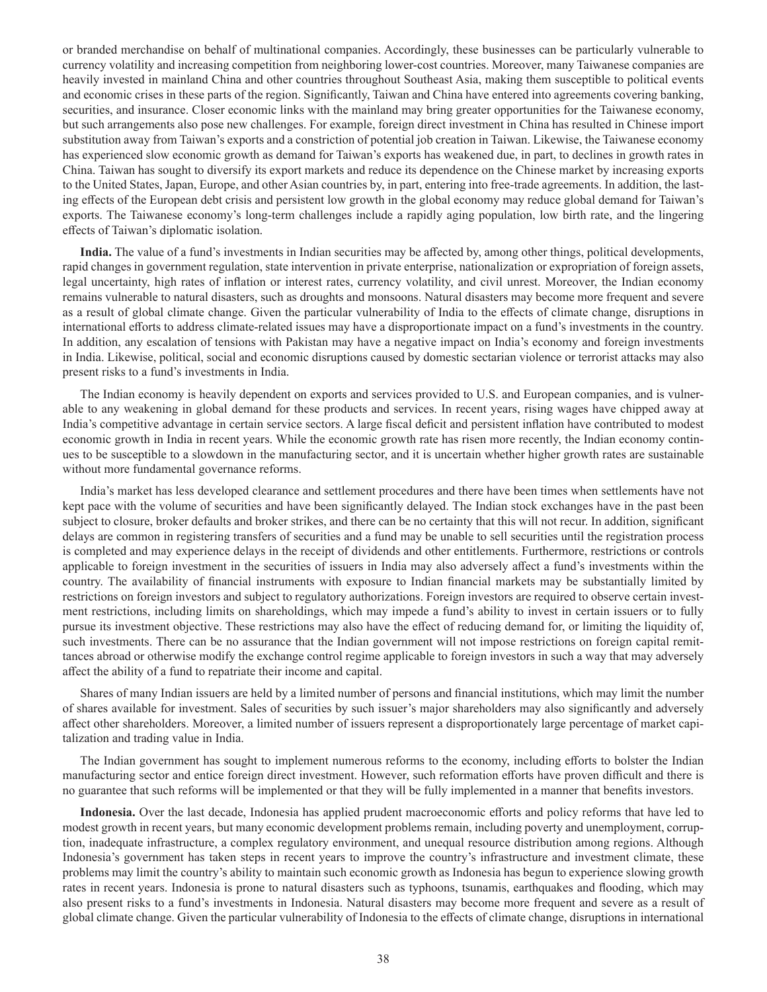or branded merchandise on behalf of multinational companies. Accordingly, these businesses can be particularly vulnerable to currency volatility and increasing competition from neighboring lower-cost countries. Moreover, many Taiwanese companies are heavily invested in mainland China and other countries throughout Southeast Asia, making them susceptible to political events and economic crises in these parts of the region. Significantly, Taiwan and China have entered into agreements covering banking, securities, and insurance. Closer economic links with the mainland may bring greater opportunities for the Taiwanese economy, but such arrangements also pose new challenges. For example, foreign direct investment in China has resulted in Chinese import substitution away from Taiwan's exports and a constriction of potential job creation in Taiwan. Likewise, the Taiwanese economy has experienced slow economic growth as demand for Taiwan's exports has weakened due, in part, to declines in growth rates in China. Taiwan has sought to diversify its export markets and reduce its dependence on the Chinese market by increasing exports to the United States, Japan, Europe, and other Asian countries by, in part, entering into free-trade agreements. In addition, the lasting effects of the European debt crisis and persistent low growth in the global economy may reduce global demand for Taiwan's exports. The Taiwanese economy's long-term challenges include a rapidly aging population, low birth rate, and the lingering effects of Taiwan's diplomatic isolation.

**India.** The value of a fund's investments in Indian securities may be affected by, among other things, political developments, rapid changes in government regulation, state intervention in private enterprise, nationalization or expropriation of foreign assets, legal uncertainty, high rates of inflation or interest rates, currency volatility, and civil unrest. Moreover, the Indian economy remains vulnerable to natural disasters, such as droughts and monsoons. Natural disasters may become more frequent and severe as a result of global climate change. Given the particular vulnerability of India to the effects of climate change, disruptions in international efforts to address climate-related issues may have a disproportionate impact on a fund's investments in the country. In addition, any escalation of tensions with Pakistan may have a negative impact on India's economy and foreign investments in India. Likewise, political, social and economic disruptions caused by domestic sectarian violence or terrorist attacks may also present risks to a fund's investments in India.

The Indian economy is heavily dependent on exports and services provided to U.S. and European companies, and is vulnerable to any weakening in global demand for these products and services. In recent years, rising wages have chipped away at India's competitive advantage in certain service sectors. A large fiscal deficit and persistent inflation have contributed to modest economic growth in India in recent years. While the economic growth rate has risen more recently, the Indian economy continues to be susceptible to a slowdown in the manufacturing sector, and it is uncertain whether higher growth rates are sustainable without more fundamental governance reforms.

India's market has less developed clearance and settlement procedures and there have been times when settlements have not kept pace with the volume of securities and have been significantly delayed. The Indian stock exchanges have in the past been subject to closure, broker defaults and broker strikes, and there can be no certainty that this will not recur. In addition, significant delays are common in registering transfers of securities and a fund may be unable to sell securities until the registration process is completed and may experience delays in the receipt of dividends and other entitlements. Furthermore, restrictions or controls applicable to foreign investment in the securities of issuers in India may also adversely affect a fund's investments within the country. The availability of financial instruments with exposure to Indian financial markets may be substantially limited by restrictions on foreign investors and subject to regulatory authorizations. Foreign investors are required to observe certain investment restrictions, including limits on shareholdings, which may impede a fund's ability to invest in certain issuers or to fully pursue its investment objective. These restrictions may also have the effect of reducing demand for, or limiting the liquidity of, such investments. There can be no assurance that the Indian government will not impose restrictions on foreign capital remittances abroad or otherwise modify the exchange control regime applicable to foreign investors in such a way that may adversely affect the ability of a fund to repatriate their income and capital.

Shares of many Indian issuers are held by a limited number of persons and financial institutions, which may limit the number of shares available for investment. Sales of securities by such issuer's major shareholders may also significantly and adversely affect other shareholders. Moreover, a limited number of issuers represent a disproportionately large percentage of market capitalization and trading value in India.

The Indian government has sought to implement numerous reforms to the economy, including efforts to bolster the Indian manufacturing sector and entice foreign direct investment. However, such reformation efforts have proven difficult and there is no guarantee that such reforms will be implemented or that they will be fully implemented in a manner that benefits investors.

**Indonesia.** Over the last decade, Indonesia has applied prudent macroeconomic efforts and policy reforms that have led to modest growth in recent years, but many economic development problems remain, including poverty and unemployment, corruption, inadequate infrastructure, a complex regulatory environment, and unequal resource distribution among regions. Although Indonesia's government has taken steps in recent years to improve the country's infrastructure and investment climate, these problems may limit the country's ability to maintain such economic growth as Indonesia has begun to experience slowing growth rates in recent years. Indonesia is prone to natural disasters such as typhoons, tsunamis, earthquakes and flooding, which may also present risks to a fund's investments in Indonesia. Natural disasters may become more frequent and severe as a result of global climate change. Given the particular vulnerability of Indonesia to the effects of climate change, disruptions in international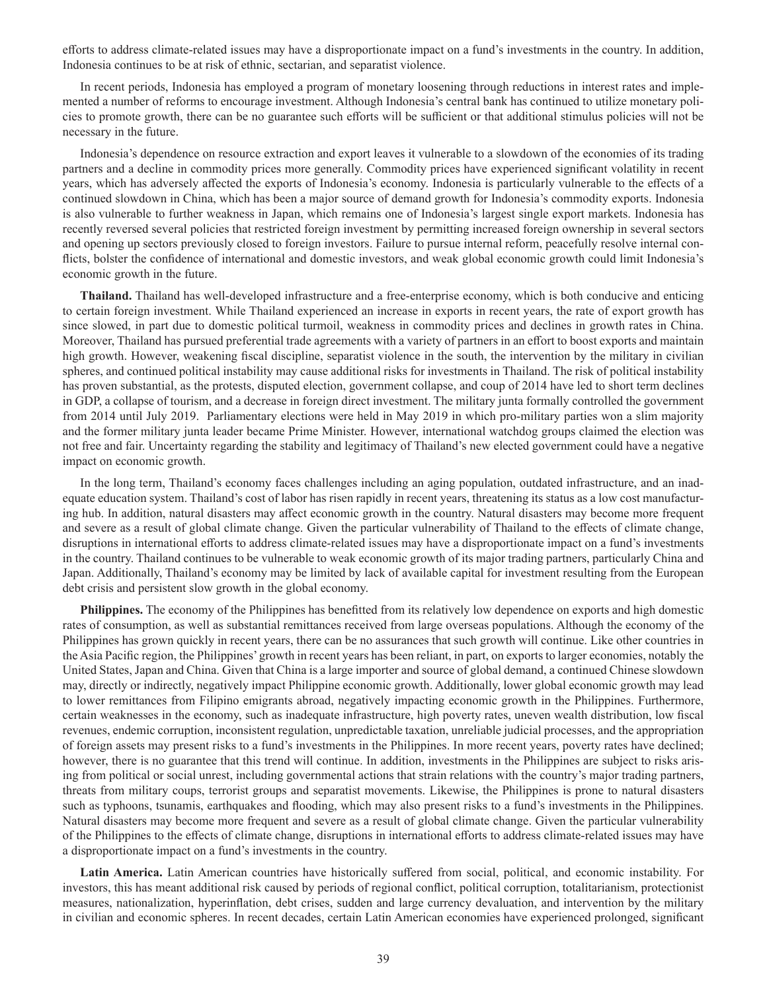efforts to address climate-related issues may have a disproportionate impact on a fund's investments in the country. In addition, Indonesia continues to be at risk of ethnic, sectarian, and separatist violence.

In recent periods, Indonesia has employed a program of monetary loosening through reductions in interest rates and implemented a number of reforms to encourage investment. Although Indonesia's central bank has continued to utilize monetary policies to promote growth, there can be no guarantee such efforts will be sufficient or that additional stimulus policies will not be necessary in the future.

Indonesia's dependence on resource extraction and export leaves it vulnerable to a slowdown of the economies of its trading partners and a decline in commodity prices more generally. Commodity prices have experienced significant volatility in recent years, which has adversely affected the exports of Indonesia's economy. Indonesia is particularly vulnerable to the effects of a continued slowdown in China, which has been a major source of demand growth for Indonesia's commodity exports. Indonesia is also vulnerable to further weakness in Japan, which remains one of Indonesia's largest single export markets. Indonesia has recently reversed several policies that restricted foreign investment by permitting increased foreign ownership in several sectors and opening up sectors previously closed to foreign investors. Failure to pursue internal reform, peacefully resolve internal conflicts, bolster the confidence of international and domestic investors, and weak global economic growth could limit Indonesia's economic growth in the future.

**Thailand.** Thailand has well-developed infrastructure and a free-enterprise economy, which is both conducive and enticing to certain foreign investment. While Thailand experienced an increase in exports in recent years, the rate of export growth has since slowed, in part due to domestic political turmoil, weakness in commodity prices and declines in growth rates in China. Moreover, Thailand has pursued preferential trade agreements with a variety of partners in an effort to boost exports and maintain high growth. However, weakening fiscal discipline, separatist violence in the south, the intervention by the military in civilian spheres, and continued political instability may cause additional risks for investments in Thailand. The risk of political instability has proven substantial, as the protests, disputed election, government collapse, and coup of 2014 have led to short term declines in GDP, a collapse of tourism, and a decrease in foreign direct investment. The military junta formally controlled the government from 2014 until July 2019. Parliamentary elections were held in May 2019 in which pro-military parties won a slim majority and the former military junta leader became Prime Minister. However, international watchdog groups claimed the election was not free and fair. Uncertainty regarding the stability and legitimacy of Thailand's new elected government could have a negative impact on economic growth.

In the long term, Thailand's economy faces challenges including an aging population, outdated infrastructure, and an inadequate education system. Thailand's cost of labor has risen rapidly in recent years, threatening its status as a low cost manufacturing hub. In addition, natural disasters may affect economic growth in the country. Natural disasters may become more frequent and severe as a result of global climate change. Given the particular vulnerability of Thailand to the effects of climate change, disruptions in international efforts to address climate-related issues may have a disproportionate impact on a fund's investments in the country. Thailand continues to be vulnerable to weak economic growth of its major trading partners, particularly China and Japan. Additionally, Thailand's economy may be limited by lack of available capital for investment resulting from the European debt crisis and persistent slow growth in the global economy.

**Philippines.** The economy of the Philippines has benefitted from its relatively low dependence on exports and high domestic rates of consumption, as well as substantial remittances received from large overseas populations. Although the economy of the Philippines has grown quickly in recent years, there can be no assurances that such growth will continue. Like other countries in the Asia Pacific region, the Philippines' growth in recent years has been reliant, in part, on exports to larger economies, notably the United States, Japan and China. Given that China is a large importer and source of global demand, a continued Chinese slowdown may, directly or indirectly, negatively impact Philippine economic growth. Additionally, lower global economic growth may lead to lower remittances from Filipino emigrants abroad, negatively impacting economic growth in the Philippines. Furthermore, certain weaknesses in the economy, such as inadequate infrastructure, high poverty rates, uneven wealth distribution, low fiscal revenues, endemic corruption, inconsistent regulation, unpredictable taxation, unreliable judicial processes, and the appropriation of foreign assets may present risks to a fund's investments in the Philippines. In more recent years, poverty rates have declined; however, there is no guarantee that this trend will continue. In addition, investments in the Philippines are subject to risks arising from political or social unrest, including governmental actions that strain relations with the country's major trading partners, threats from military coups, terrorist groups and separatist movements. Likewise, the Philippines is prone to natural disasters such as typhoons, tsunamis, earthquakes and flooding, which may also present risks to a fund's investments in the Philippines. Natural disasters may become more frequent and severe as a result of global climate change. Given the particular vulnerability of the Philippines to the effects of climate change, disruptions in international efforts to address climate-related issues may have a disproportionate impact on a fund's investments in the country.

**Latin America.** Latin American countries have historically suffered from social, political, and economic instability. For investors, this has meant additional risk caused by periods of regional conflict, political corruption, totalitarianism, protectionist measures, nationalization, hyperinflation, debt crises, sudden and large currency devaluation, and intervention by the military in civilian and economic spheres. In recent decades, certain Latin American economies have experienced prolonged, significant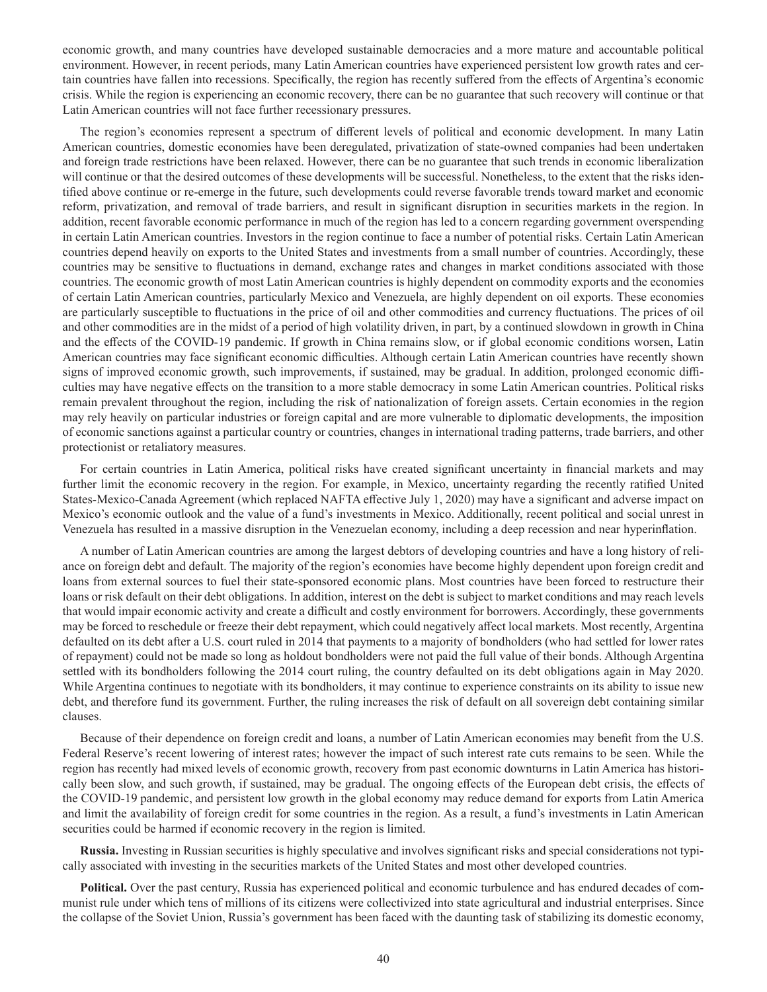economic growth, and many countries have developed sustainable democracies and a more mature and accountable political environment. However, in recent periods, many Latin American countries have experienced persistent low growth rates and certain countries have fallen into recessions. Specifically, the region has recently suffered from the effects of Argentina's economic crisis. While the region is experiencing an economic recovery, there can be no guarantee that such recovery will continue or that Latin American countries will not face further recessionary pressures.

The region's economies represent a spectrum of different levels of political and economic development. In many Latin American countries, domestic economies have been deregulated, privatization of state-owned companies had been undertaken and foreign trade restrictions have been relaxed. However, there can be no guarantee that such trends in economic liberalization will continue or that the desired outcomes of these developments will be successful. Nonetheless, to the extent that the risks identified above continue or re-emerge in the future, such developments could reverse favorable trends toward market and economic reform, privatization, and removal of trade barriers, and result in significant disruption in securities markets in the region. In addition, recent favorable economic performance in much of the region has led to a concern regarding government overspending in certain Latin American countries. Investors in the region continue to face a number of potential risks. Certain Latin American countries depend heavily on exports to the United States and investments from a small number of countries. Accordingly, these countries may be sensitive to fluctuations in demand, exchange rates and changes in market conditions associated with those countries. The economic growth of most Latin American countries is highly dependent on commodity exports and the economies of certain Latin American countries, particularly Mexico and Venezuela, are highly dependent on oil exports. These economies are particularly susceptible to fluctuations in the price of oil and other commodities and currency fluctuations. The prices of oil and other commodities are in the midst of a period of high volatility driven, in part, by a continued slowdown in growth in China and the effects of the COVID-19 pandemic. If growth in China remains slow, or if global economic conditions worsen, Latin American countries may face significant economic difficulties. Although certain Latin American countries have recently shown signs of improved economic growth, such improvements, if sustained, may be gradual. In addition, prolonged economic difficulties may have negative effects on the transition to a more stable democracy in some Latin American countries. Political risks remain prevalent throughout the region, including the risk of nationalization of foreign assets. Certain economies in the region may rely heavily on particular industries or foreign capital and are more vulnerable to diplomatic developments, the imposition of economic sanctions against a particular country or countries, changes in international trading patterns, trade barriers, and other protectionist or retaliatory measures.

For certain countries in Latin America, political risks have created significant uncertainty in financial markets and may further limit the economic recovery in the region. For example, in Mexico, uncertainty regarding the recently ratified United States-Mexico-Canada Agreement (which replaced NAFTA effective July 1, 2020) may have a significant and adverse impact on Mexico's economic outlook and the value of a fund's investments in Mexico. Additionally, recent political and social unrest in Venezuela has resulted in a massive disruption in the Venezuelan economy, including a deep recession and near hyperinflation.

A number of Latin American countries are among the largest debtors of developing countries and have a long history of reliance on foreign debt and default. The majority of the region's economies have become highly dependent upon foreign credit and loans from external sources to fuel their state-sponsored economic plans. Most countries have been forced to restructure their loans or risk default on their debt obligations. In addition, interest on the debt is subject to market conditions and may reach levels that would impair economic activity and create a difficult and costly environment for borrowers. Accordingly, these governments may be forced to reschedule or freeze their debt repayment, which could negatively affect local markets. Most recently, Argentina defaulted on its debt after a U.S. court ruled in 2014 that payments to a majority of bondholders (who had settled for lower rates of repayment) could not be made so long as holdout bondholders were not paid the full value of their bonds. Although Argentina settled with its bondholders following the 2014 court ruling, the country defaulted on its debt obligations again in May 2020. While Argentina continues to negotiate with its bondholders, it may continue to experience constraints on its ability to issue new debt, and therefore fund its government. Further, the ruling increases the risk of default on all sovereign debt containing similar clauses.

Because of their dependence on foreign credit and loans, a number of Latin American economies may benefit from the U.S. Federal Reserve's recent lowering of interest rates; however the impact of such interest rate cuts remains to be seen. While the region has recently had mixed levels of economic growth, recovery from past economic downturns in Latin America has historically been slow, and such growth, if sustained, may be gradual. The ongoing effects of the European debt crisis, the effects of the COVID-19 pandemic, and persistent low growth in the global economy may reduce demand for exports from Latin America and limit the availability of foreign credit for some countries in the region. As a result, a fund's investments in Latin American securities could be harmed if economic recovery in the region is limited.

**Russia.** Investing in Russian securities is highly speculative and involves significant risks and special considerations not typically associated with investing in the securities markets of the United States and most other developed countries.

**Political.** Over the past century, Russia has experienced political and economic turbulence and has endured decades of communist rule under which tens of millions of its citizens were collectivized into state agricultural and industrial enterprises. Since the collapse of the Soviet Union, Russia's government has been faced with the daunting task of stabilizing its domestic economy,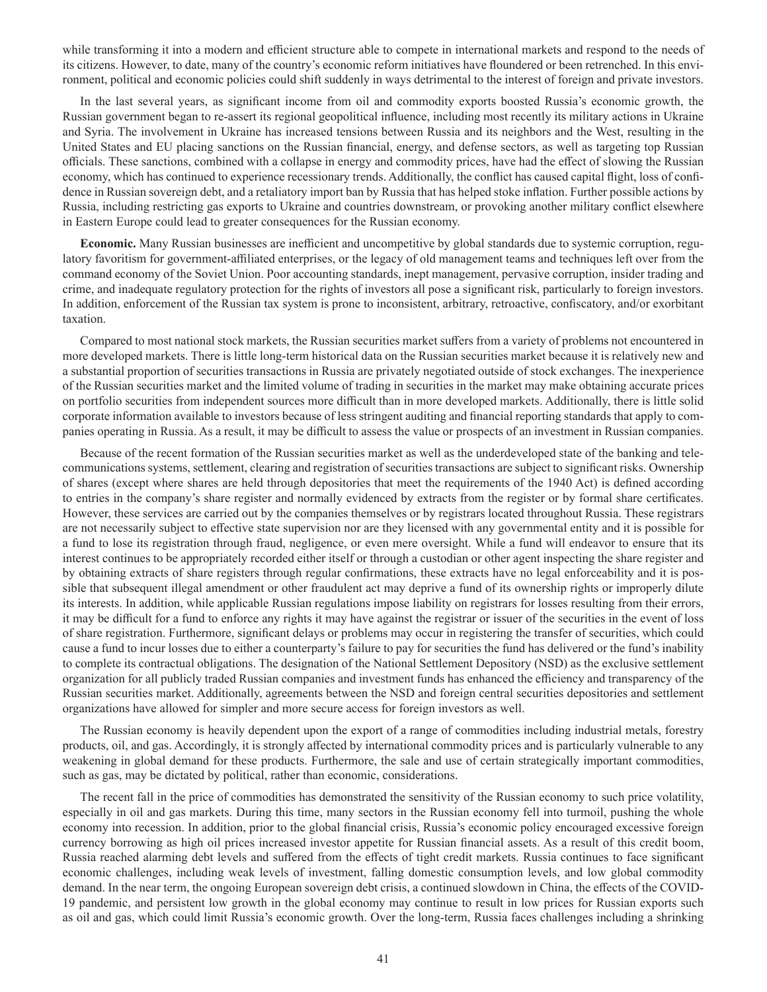while transforming it into a modern and efficient structure able to compete in international markets and respond to the needs of its citizens. However, to date, many of the country's economic reform initiatives have floundered or been retrenched. In this environment, political and economic policies could shift suddenly in ways detrimental to the interest of foreign and private investors.

In the last several years, as significant income from oil and commodity exports boosted Russia's economic growth, the Russian government began to re-assert its regional geopolitical influence, including most recently its military actions in Ukraine and Syria. The involvement in Ukraine has increased tensions between Russia and its neighbors and the West, resulting in the United States and EU placing sanctions on the Russian financial, energy, and defense sectors, as well as targeting top Russian officials. These sanctions, combined with a collapse in energy and commodity prices, have had the effect of slowing the Russian economy, which has continued to experience recessionary trends. Additionally, the conflict has caused capital flight, loss of confidence in Russian sovereign debt, and a retaliatory import ban by Russia that has helped stoke inflation. Further possible actions by Russia, including restricting gas exports to Ukraine and countries downstream, or provoking another military conflict elsewhere in Eastern Europe could lead to greater consequences for the Russian economy.

**Economic.** Many Russian businesses are inefficient and uncompetitive by global standards due to systemic corruption, regulatory favoritism for government-affiliated enterprises, or the legacy of old management teams and techniques left over from the command economy of the Soviet Union. Poor accounting standards, inept management, pervasive corruption, insider trading and crime, and inadequate regulatory protection for the rights of investors all pose a significant risk, particularly to foreign investors. In addition, enforcement of the Russian tax system is prone to inconsistent, arbitrary, retroactive, confiscatory, and/or exorbitant taxation.

Compared to most national stock markets, the Russian securities market suffers from a variety of problems not encountered in more developed markets. There is little long-term historical data on the Russian securities market because it is relatively new and a substantial proportion of securities transactions in Russia are privately negotiated outside of stock exchanges. The inexperience of the Russian securities market and the limited volume of trading in securities in the market may make obtaining accurate prices on portfolio securities from independent sources more difficult than in more developed markets. Additionally, there is little solid corporate information available to investors because of less stringent auditing and financial reporting standards that apply to companies operating in Russia. As a result, it may be difficult to assess the value or prospects of an investment in Russian companies.

Because of the recent formation of the Russian securities market as well as the underdeveloped state of the banking and telecommunications systems, settlement, clearing and registration of securities transactions are subject to significant risks. Ownership of shares (except where shares are held through depositories that meet the requirements of the 1940 Act) is defined according to entries in the company's share register and normally evidenced by extracts from the register or by formal share certificates. However, these services are carried out by the companies themselves or by registrars located throughout Russia. These registrars are not necessarily subject to effective state supervision nor are they licensed with any governmental entity and it is possible for a fund to lose its registration through fraud, negligence, or even mere oversight. While a fund will endeavor to ensure that its interest continues to be appropriately recorded either itself or through a custodian or other agent inspecting the share register and by obtaining extracts of share registers through regular confirmations, these extracts have no legal enforceability and it is possible that subsequent illegal amendment or other fraudulent act may deprive a fund of its ownership rights or improperly dilute its interests. In addition, while applicable Russian regulations impose liability on registrars for losses resulting from their errors, it may be difficult for a fund to enforce any rights it may have against the registrar or issuer of the securities in the event of loss of share registration. Furthermore, significant delays or problems may occur in registering the transfer of securities, which could cause a fund to incur losses due to either a counterparty's failure to pay for securities the fund has delivered or the fund's inability to complete its contractual obligations. The designation of the National Settlement Depository (NSD) as the exclusive settlement organization for all publicly traded Russian companies and investment funds has enhanced the efficiency and transparency of the Russian securities market. Additionally, agreements between the NSD and foreign central securities depositories and settlement organizations have allowed for simpler and more secure access for foreign investors as well.

The Russian economy is heavily dependent upon the export of a range of commodities including industrial metals, forestry products, oil, and gas. Accordingly, it is strongly affected by international commodity prices and is particularly vulnerable to any weakening in global demand for these products. Furthermore, the sale and use of certain strategically important commodities, such as gas, may be dictated by political, rather than economic, considerations.

The recent fall in the price of commodities has demonstrated the sensitivity of the Russian economy to such price volatility, especially in oil and gas markets. During this time, many sectors in the Russian economy fell into turmoil, pushing the whole economy into recession. In addition, prior to the global financial crisis, Russia's economic policy encouraged excessive foreign currency borrowing as high oil prices increased investor appetite for Russian financial assets. As a result of this credit boom, Russia reached alarming debt levels and suffered from the effects of tight credit markets. Russia continues to face significant economic challenges, including weak levels of investment, falling domestic consumption levels, and low global commodity demand. In the near term, the ongoing European sovereign debt crisis, a continued slowdown in China, the effects of the COVID-19 pandemic, and persistent low growth in the global economy may continue to result in low prices for Russian exports such as oil and gas, which could limit Russia's economic growth. Over the long-term, Russia faces challenges including a shrinking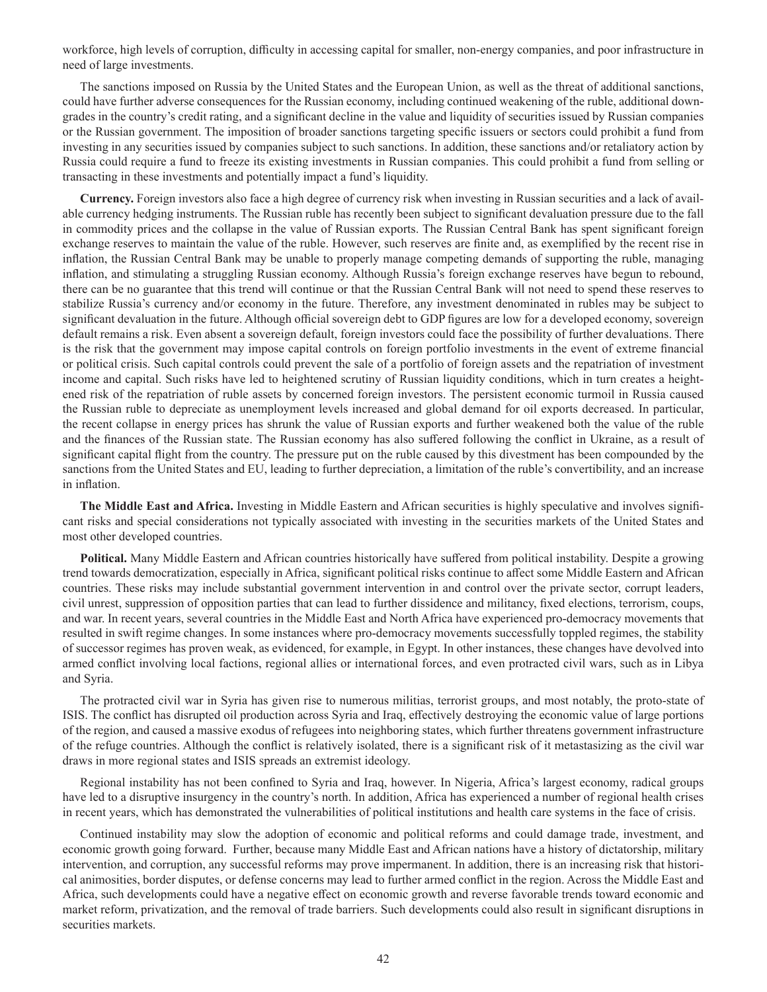workforce, high levels of corruption, difficulty in accessing capital for smaller, non-energy companies, and poor infrastructure in need of large investments.

The sanctions imposed on Russia by the United States and the European Union, as well as the threat of additional sanctions, could have further adverse consequences for the Russian economy, including continued weakening of the ruble, additional downgrades in the country's credit rating, and a significant decline in the value and liquidity of securities issued by Russian companies or the Russian government. The imposition of broader sanctions targeting specific issuers or sectors could prohibit a fund from investing in any securities issued by companies subject to such sanctions. In addition, these sanctions and/or retaliatory action by Russia could require a fund to freeze its existing investments in Russian companies. This could prohibit a fund from selling or transacting in these investments and potentially impact a fund's liquidity.

**Currency.** Foreign investors also face a high degree of currency risk when investing in Russian securities and a lack of available currency hedging instruments. The Russian ruble has recently been subject to significant devaluation pressure due to the fall in commodity prices and the collapse in the value of Russian exports. The Russian Central Bank has spent significant foreign exchange reserves to maintain the value of the ruble. However, such reserves are finite and, as exemplified by the recent rise in inflation, the Russian Central Bank may be unable to properly manage competing demands of supporting the ruble, managing inflation, and stimulating a struggling Russian economy. Although Russia's foreign exchange reserves have begun to rebound, there can be no guarantee that this trend will continue or that the Russian Central Bank will not need to spend these reserves to stabilize Russia's currency and/or economy in the future. Therefore, any investment denominated in rubles may be subject to significant devaluation in the future. Although official sovereign debt to GDP figures are low for a developed economy, sovereign default remains a risk. Even absent a sovereign default, foreign investors could face the possibility of further devaluations. There is the risk that the government may impose capital controls on foreign portfolio investments in the event of extreme financial or political crisis. Such capital controls could prevent the sale of a portfolio of foreign assets and the repatriation of investment income and capital. Such risks have led to heightened scrutiny of Russian liquidity conditions, which in turn creates a heightened risk of the repatriation of ruble assets by concerned foreign investors. The persistent economic turmoil in Russia caused the Russian ruble to depreciate as unemployment levels increased and global demand for oil exports decreased. In particular, the recent collapse in energy prices has shrunk the value of Russian exports and further weakened both the value of the ruble and the finances of the Russian state. The Russian economy has also suffered following the conflict in Ukraine, as a result of significant capital flight from the country. The pressure put on the ruble caused by this divestment has been compounded by the sanctions from the United States and EU, leading to further depreciation, a limitation of the ruble's convertibility, and an increase in inflation.

**The Middle East and Africa.** Investing in Middle Eastern and African securities is highly speculative and involves significant risks and special considerations not typically associated with investing in the securities markets of the United States and most other developed countries.

**Political.** Many Middle Eastern and African countries historically have suffered from political instability. Despite a growing trend towards democratization, especially in Africa, significant political risks continue to affect some Middle Eastern and African countries. These risks may include substantial government intervention in and control over the private sector, corrupt leaders, civil unrest, suppression of opposition parties that can lead to further dissidence and militancy, fixed elections, terrorism, coups, and war. In recent years, several countries in the Middle East and North Africa have experienced pro-democracy movements that resulted in swift regime changes. In some instances where pro-democracy movements successfully toppled regimes, the stability of successor regimes has proven weak, as evidenced, for example, in Egypt. In other instances, these changes have devolved into armed conflict involving local factions, regional allies or international forces, and even protracted civil wars, such as in Libya and Syria.

The protracted civil war in Syria has given rise to numerous militias, terrorist groups, and most notably, the proto-state of ISIS. The conflict has disrupted oil production across Syria and Iraq, effectively destroying the economic value of large portions of the region, and caused a massive exodus of refugees into neighboring states, which further threatens government infrastructure of the refuge countries. Although the conflict is relatively isolated, there is a significant risk of it metastasizing as the civil war draws in more regional states and ISIS spreads an extremist ideology.

Regional instability has not been confined to Syria and Iraq, however. In Nigeria, Africa's largest economy, radical groups have led to a disruptive insurgency in the country's north. In addition, Africa has experienced a number of regional health crises in recent years, which has demonstrated the vulnerabilities of political institutions and health care systems in the face of crisis.

Continued instability may slow the adoption of economic and political reforms and could damage trade, investment, and economic growth going forward. Further, because many Middle East and African nations have a history of dictatorship, military intervention, and corruption, any successful reforms may prove impermanent. In addition, there is an increasing risk that historical animosities, border disputes, or defense concerns may lead to further armed conflict in the region. Across the Middle East and Africa, such developments could have a negative effect on economic growth and reverse favorable trends toward economic and market reform, privatization, and the removal of trade barriers. Such developments could also result in significant disruptions in securities markets.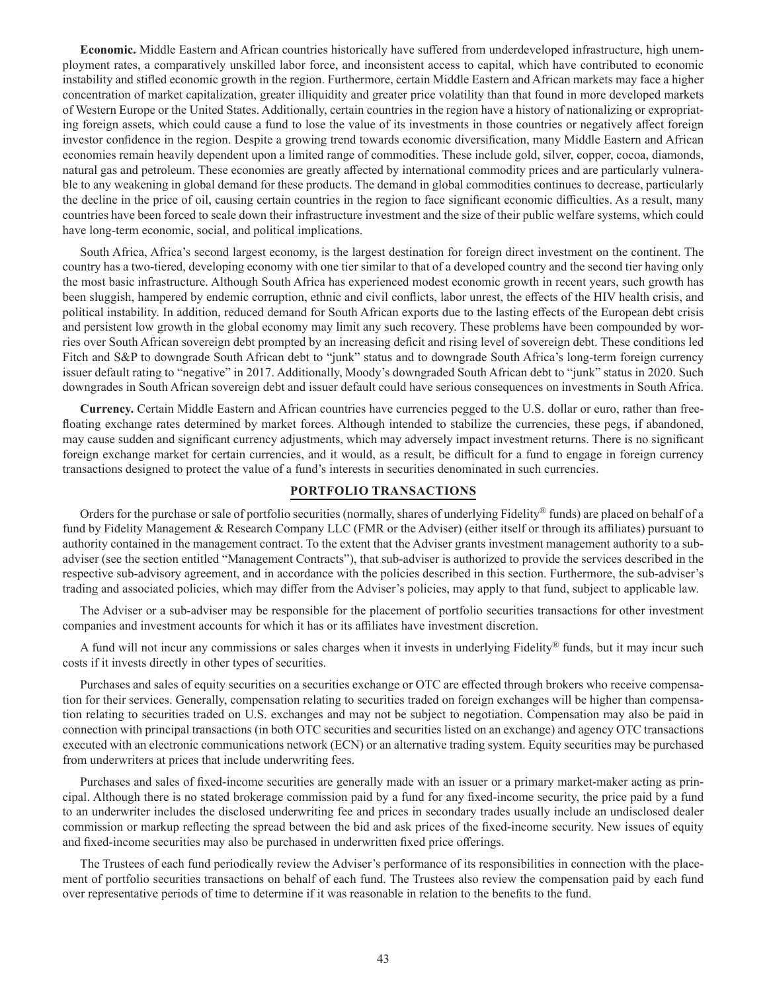**Economic.** Middle Eastern and African countries historically have suffered from underdeveloped infrastructure, high unemployment rates, a comparatively unskilled labor force, and inconsistent access to capital, which have contributed to economic instability and stifled economic growth in the region. Furthermore, certain Middle Eastern and African markets may face a higher concentration of market capitalization, greater illiquidity and greater price volatility than that found in more developed markets of Western Europe or the United States. Additionally, certain countries in the region have a history of nationalizing or expropriating foreign assets, which could cause a fund to lose the value of its investments in those countries or negatively affect foreign investor confidence in the region. Despite a growing trend towards economic diversification, many Middle Eastern and African economies remain heavily dependent upon a limited range of commodities. These include gold, silver, copper, cocoa, diamonds, natural gas and petroleum. These economies are greatly affected by international commodity prices and are particularly vulnerable to any weakening in global demand for these products. The demand in global commodities continues to decrease, particularly the decline in the price of oil, causing certain countries in the region to face significant economic difficulties. As a result, many countries have been forced to scale down their infrastructure investment and the size of their public welfare systems, which could have long-term economic, social, and political implications.

South Africa, Africa's second largest economy, is the largest destination for foreign direct investment on the continent. The country has a two-tiered, developing economy with one tier similar to that of a developed country and the second tier having only the most basic infrastructure. Although South Africa has experienced modest economic growth in recent years, such growth has been sluggish, hampered by endemic corruption, ethnic and civil conflicts, labor unrest, the effects of the HIV health crisis, and political instability. In addition, reduced demand for South African exports due to the lasting effects of the European debt crisis and persistent low growth in the global economy may limit any such recovery. These problems have been compounded by worries over South African sovereign debt prompted by an increasing deficit and rising level of sovereign debt. These conditions led Fitch and S&P to downgrade South African debt to "junk" status and to downgrade South Africa's long-term foreign currency issuer default rating to "negative" in 2017. Additionally, Moody's downgraded South African debt to "junk" status in 2020. Such downgrades in South African sovereign debt and issuer default could have serious consequences on investments in South Africa.

**Currency.** Certain Middle Eastern and African countries have currencies pegged to the U.S. dollar or euro, rather than freefloating exchange rates determined by market forces. Although intended to stabilize the currencies, these pegs, if abandoned, may cause sudden and significant currency adjustments, which may adversely impact investment returns. There is no significant foreign exchange market for certain currencies, and it would, as a result, be difficult for a fund to engage in foreign currency transactions designed to protect the value of a fund's interests in securities denominated in such currencies.

## **PORTFOLIO TRANSACTIONS**

Orders for the purchase or sale of portfolio securities (normally, shares of underlying Fidelity® funds) are placed on behalf of a fund by Fidelity Management & Research Company LLC (FMR or the Adviser) (either itself or through its affiliates) pursuant to authority contained in the management contract. To the extent that the Adviser grants investment management authority to a subadviser (see the section entitled "Management Contracts"), that sub-adviser is authorized to provide the services described in the respective sub-advisory agreement, and in accordance with the policies described in this section. Furthermore, the sub-adviser's trading and associated policies, which may differ from the Adviser's policies, may apply to that fund, subject to applicable law.

The Adviser or a sub-adviser may be responsible for the placement of portfolio securities transactions for other investment companies and investment accounts for which it has or its affiliates have investment discretion.

A fund will not incur any commissions or sales charges when it invests in underlying Fidelity® funds, but it may incur such costs if it invests directly in other types of securities.

Purchases and sales of equity securities on a securities exchange or OTC are effected through brokers who receive compensation for their services. Generally, compensation relating to securities traded on foreign exchanges will be higher than compensation relating to securities traded on U.S. exchanges and may not be subject to negotiation. Compensation may also be paid in connection with principal transactions (in both OTC securities and securities listed on an exchange) and agency OTC transactions executed with an electronic communications network (ECN) or an alternative trading system. Equity securities may be purchased from underwriters at prices that include underwriting fees.

Purchases and sales of fixed-income securities are generally made with an issuer or a primary market-maker acting as principal. Although there is no stated brokerage commission paid by a fund for any fixed-income security, the price paid by a fund to an underwriter includes the disclosed underwriting fee and prices in secondary trades usually include an undisclosed dealer commission or markup reflecting the spread between the bid and ask prices of the fixed-income security. New issues of equity and fixed-income securities may also be purchased in underwritten fixed price offerings.

The Trustees of each fund periodically review the Adviser's performance of its responsibilities in connection with the placement of portfolio securities transactions on behalf of each fund. The Trustees also review the compensation paid by each fund over representative periods of time to determine if it was reasonable in relation to the benefits to the fund.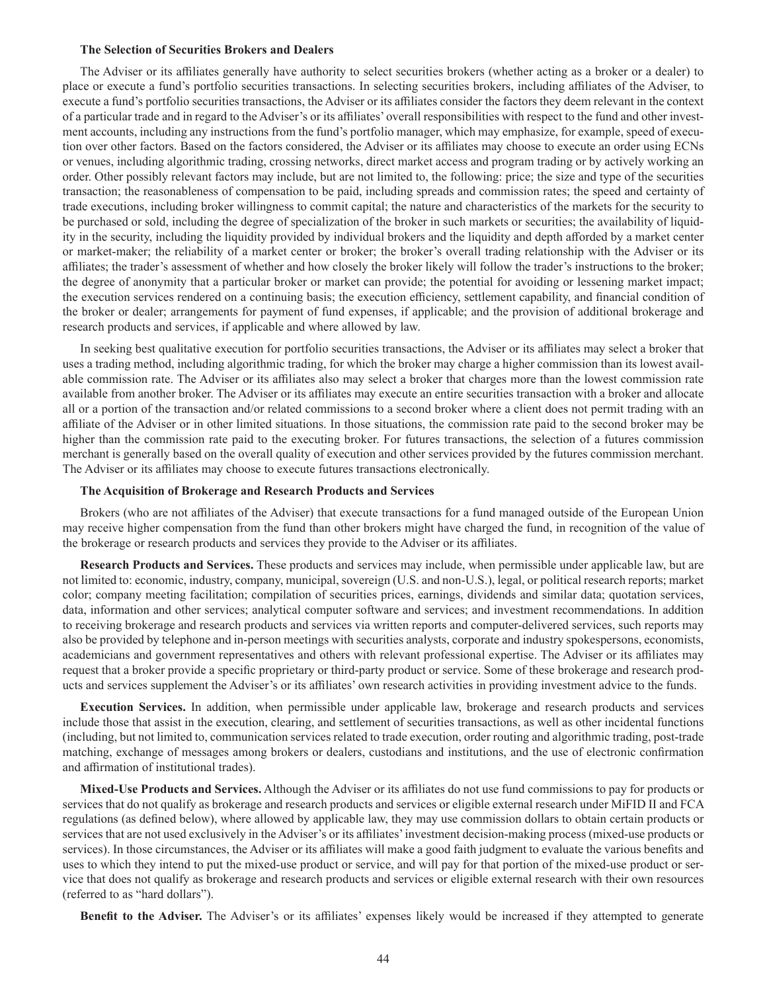#### **The Selection of Securities Brokers and Dealers**

The Adviser or its affiliates generally have authority to select securities brokers (whether acting as a broker or a dealer) to place or execute a fund's portfolio securities transactions. In selecting securities brokers, including affiliates of the Adviser, to execute a fund's portfolio securities transactions, the Adviser or its affiliates consider the factors they deem relevant in the context of a particular trade and in regard to the Adviser's or its affiliates' overall responsibilities with respect to the fund and other investment accounts, including any instructions from the fund's portfolio manager, which may emphasize, for example, speed of execution over other factors. Based on the factors considered, the Adviser or its affiliates may choose to execute an order using ECNs or venues, including algorithmic trading, crossing networks, direct market access and program trading or by actively working an order. Other possibly relevant factors may include, but are not limited to, the following: price; the size and type of the securities transaction; the reasonableness of compensation to be paid, including spreads and commission rates; the speed and certainty of trade executions, including broker willingness to commit capital; the nature and characteristics of the markets for the security to be purchased or sold, including the degree of specialization of the broker in such markets or securities; the availability of liquidity in the security, including the liquidity provided by individual brokers and the liquidity and depth afforded by a market center or market-maker; the reliability of a market center or broker; the broker's overall trading relationship with the Adviser or its affiliates; the trader's assessment of whether and how closely the broker likely will follow the trader's instructions to the broker; the degree of anonymity that a particular broker or market can provide; the potential for avoiding or lessening market impact; the execution services rendered on a continuing basis; the execution efficiency, settlement capability, and financial condition of the broker or dealer; arrangements for payment of fund expenses, if applicable; and the provision of additional brokerage and research products and services, if applicable and where allowed by law.

In seeking best qualitative execution for portfolio securities transactions, the Adviser or its affiliates may select a broker that uses a trading method, including algorithmic trading, for which the broker may charge a higher commission than its lowest available commission rate. The Adviser or its affiliates also may select a broker that charges more than the lowest commission rate available from another broker. The Adviser or its affiliates may execute an entire securities transaction with a broker and allocate all or a portion of the transaction and/or related commissions to a second broker where a client does not permit trading with an affiliate of the Adviser or in other limited situations. In those situations, the commission rate paid to the second broker may be higher than the commission rate paid to the executing broker. For futures transactions, the selection of a futures commission merchant is generally based on the overall quality of execution and other services provided by the futures commission merchant. The Adviser or its affiliates may choose to execute futures transactions electronically.

## **The Acquisition of Brokerage and Research Products and Services**

Brokers (who are not affiliates of the Adviser) that execute transactions for a fund managed outside of the European Union may receive higher compensation from the fund than other brokers might have charged the fund, in recognition of the value of the brokerage or research products and services they provide to the Adviser or its affiliates.

**Research Products and Services.** These products and services may include, when permissible under applicable law, but are not limited to: economic, industry, company, municipal, sovereign (U.S. and non-U.S.), legal, or political research reports; market color; company meeting facilitation; compilation of securities prices, earnings, dividends and similar data; quotation services, data, information and other services; analytical computer software and services; and investment recommendations. In addition to receiving brokerage and research products and services via written reports and computer-delivered services, such reports may also be provided by telephone and in-person meetings with securities analysts, corporate and industry spokespersons, economists, academicians and government representatives and others with relevant professional expertise. The Adviser or its affiliates may request that a broker provide a specific proprietary or third-party product or service. Some of these brokerage and research products and services supplement the Adviser's or its affiliates' own research activities in providing investment advice to the funds.

**Execution Services.** In addition, when permissible under applicable law, brokerage and research products and services include those that assist in the execution, clearing, and settlement of securities transactions, as well as other incidental functions (including, but not limited to, communication services related to trade execution, order routing and algorithmic trading, post-trade matching, exchange of messages among brokers or dealers, custodians and institutions, and the use of electronic confirmation and affirmation of institutional trades).

**Mixed-Use Products and Services.** Although the Adviser or its affiliates do not use fund commissions to pay for products or services that do not qualify as brokerage and research products and services or eligible external research under MiFID II and FCA regulations (as defined below), where allowed by applicable law, they may use commission dollars to obtain certain products or services that are not used exclusively in the Adviser's or its affiliates' investment decision-making process (mixed-use products or services). In those circumstances, the Adviser or its affiliates will make a good faith judgment to evaluate the various benefits and uses to which they intend to put the mixed-use product or service, and will pay for that portion of the mixed-use product or service that does not qualify as brokerage and research products and services or eligible external research with their own resources (referred to as "hard dollars").

**Benefit to the Adviser.** The Adviser's or its affiliates' expenses likely would be increased if they attempted to generate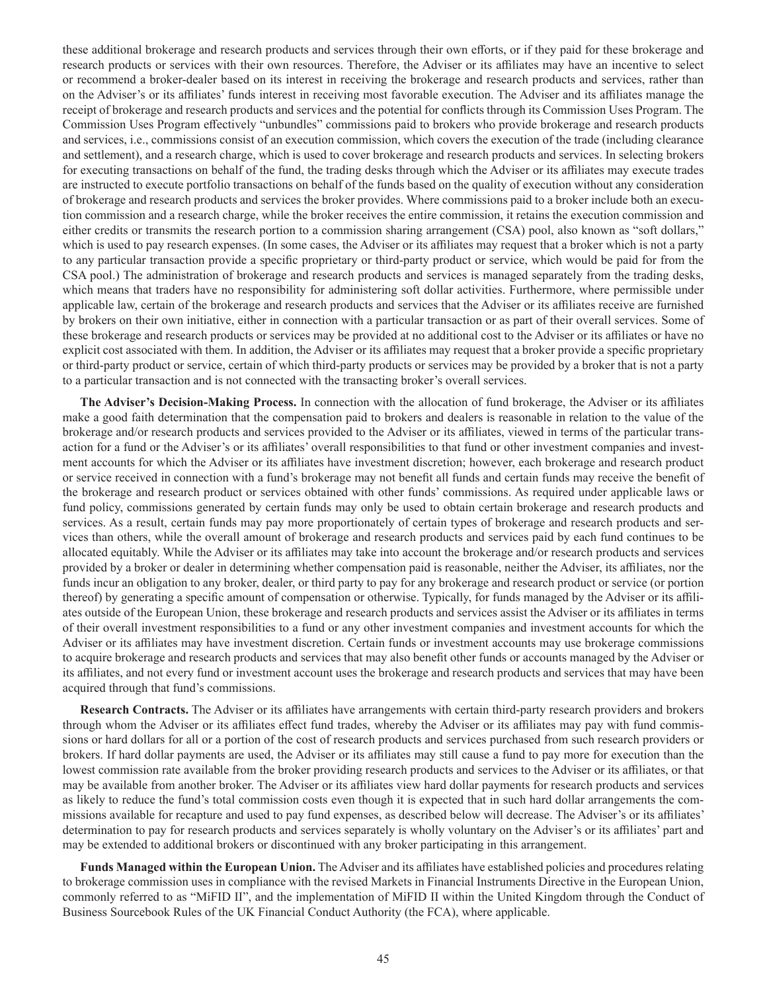these additional brokerage and research products and services through their own efforts, or if they paid for these brokerage and research products or services with their own resources. Therefore, the Adviser or its affiliates may have an incentive to select or recommend a broker-dealer based on its interest in receiving the brokerage and research products and services, rather than on the Adviser's or its affiliates' funds interest in receiving most favorable execution. The Adviser and its affiliates manage the receipt of brokerage and research products and services and the potential for conflicts through its Commission Uses Program. The Commission Uses Program effectively "unbundles" commissions paid to brokers who provide brokerage and research products and services, i.e., commissions consist of an execution commission, which covers the execution of the trade (including clearance and settlement), and a research charge, which is used to cover brokerage and research products and services. In selecting brokers for executing transactions on behalf of the fund, the trading desks through which the Adviser or its affiliates may execute trades are instructed to execute portfolio transactions on behalf of the funds based on the quality of execution without any consideration of brokerage and research products and services the broker provides. Where commissions paid to a broker include both an execution commission and a research charge, while the broker receives the entire commission, it retains the execution commission and either credits or transmits the research portion to a commission sharing arrangement (CSA) pool, also known as "soft dollars," which is used to pay research expenses. (In some cases, the Adviser or its affiliates may request that a broker which is not a party to any particular transaction provide a specific proprietary or third-party product or service, which would be paid for from the CSA pool.) The administration of brokerage and research products and services is managed separately from the trading desks, which means that traders have no responsibility for administering soft dollar activities. Furthermore, where permissible under applicable law, certain of the brokerage and research products and services that the Adviser or its affiliates receive are furnished by brokers on their own initiative, either in connection with a particular transaction or as part of their overall services. Some of these brokerage and research products or services may be provided at no additional cost to the Adviser or its affiliates or have no explicit cost associated with them. In addition, the Adviser or its affiliates may request that a broker provide a specific proprietary or third-party product or service, certain of which third-party products or services may be provided by a broker that is not a party to a particular transaction and is not connected with the transacting broker's overall services.

**The Adviser's Decision-Making Process.** In connection with the allocation of fund brokerage, the Adviser or its affiliates make a good faith determination that the compensation paid to brokers and dealers is reasonable in relation to the value of the brokerage and/or research products and services provided to the Adviser or its affiliates, viewed in terms of the particular transaction for a fund or the Adviser's or its affiliates' overall responsibilities to that fund or other investment companies and investment accounts for which the Adviser or its affiliates have investment discretion; however, each brokerage and research product or service received in connection with a fund's brokerage may not benefit all funds and certain funds may receive the benefit of the brokerage and research product or services obtained with other funds' commissions. As required under applicable laws or fund policy, commissions generated by certain funds may only be used to obtain certain brokerage and research products and services. As a result, certain funds may pay more proportionately of certain types of brokerage and research products and services than others, while the overall amount of brokerage and research products and services paid by each fund continues to be allocated equitably. While the Adviser or its affiliates may take into account the brokerage and/or research products and services provided by a broker or dealer in determining whether compensation paid is reasonable, neither the Adviser, its affiliates, nor the funds incur an obligation to any broker, dealer, or third party to pay for any brokerage and research product or service (or portion thereof) by generating a specific amount of compensation or otherwise. Typically, for funds managed by the Adviser or its affiliates outside of the European Union, these brokerage and research products and services assist the Adviser or its affiliates in terms of their overall investment responsibilities to a fund or any other investment companies and investment accounts for which the Adviser or its affiliates may have investment discretion. Certain funds or investment accounts may use brokerage commissions to acquire brokerage and research products and services that may also benefit other funds or accounts managed by the Adviser or its affiliates, and not every fund or investment account uses the brokerage and research products and services that may have been acquired through that fund's commissions.

**Research Contracts.** The Adviser or its affiliates have arrangements with certain third-party research providers and brokers through whom the Adviser or its affiliates effect fund trades, whereby the Adviser or its affiliates may pay with fund commissions or hard dollars for all or a portion of the cost of research products and services purchased from such research providers or brokers. If hard dollar payments are used, the Adviser or its affiliates may still cause a fund to pay more for execution than the lowest commission rate available from the broker providing research products and services to the Adviser or its affiliates, or that may be available from another broker. The Adviser or its affiliates view hard dollar payments for research products and services as likely to reduce the fund's total commission costs even though it is expected that in such hard dollar arrangements the commissions available for recapture and used to pay fund expenses, as described below will decrease. The Adviser's or its affiliates' determination to pay for research products and services separately is wholly voluntary on the Adviser's or its affiliates' part and may be extended to additional brokers or discontinued with any broker participating in this arrangement.

**Funds Managed within the European Union.** The Adviser and its affiliates have established policies and procedures relating to brokerage commission uses in compliance with the revised Markets in Financial Instruments Directive in the European Union, commonly referred to as "MiFID II", and the implementation of MiFID II within the United Kingdom through the Conduct of Business Sourcebook Rules of the UK Financial Conduct Authority (the FCA), where applicable.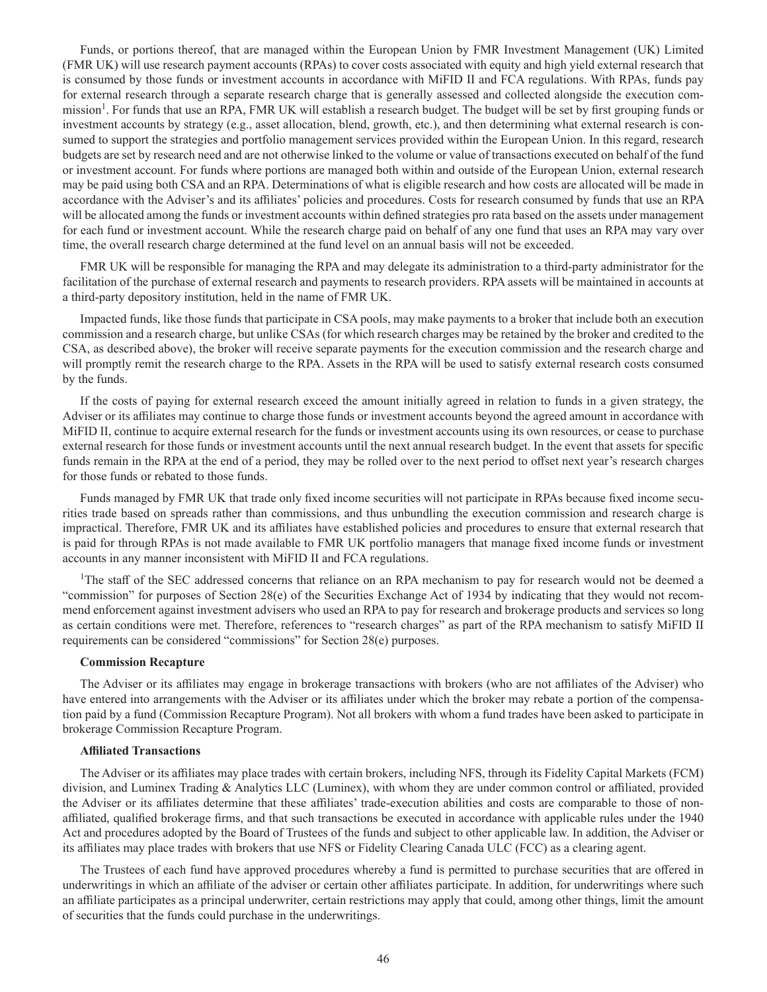Funds, or portions thereof, that are managed within the European Union by FMR Investment Management (UK) Limited (FMR UK) will use research payment accounts (RPAs) to cover costs associated with equity and high yield external research that is consumed by those funds or investment accounts in accordance with MiFID II and FCA regulations. With RPAs, funds pay for external research through a separate research charge that is generally assessed and collected alongside the execution commission<sup>1</sup>. For funds that use an RPA, FMR UK will establish a research budget. The budget will be set by first grouping funds or investment accounts by strategy (e.g., asset allocation, blend, growth, etc.), and then determining what external research is consumed to support the strategies and portfolio management services provided within the European Union. In this regard, research budgets are set by research need and are not otherwise linked to the volume or value of transactions executed on behalf of the fund or investment account. For funds where portions are managed both within and outside of the European Union, external research may be paid using both CSA and an RPA. Determinations of what is eligible research and how costs are allocated will be made in accordance with the Adviser's and its affiliates' policies and procedures. Costs for research consumed by funds that use an RPA will be allocated among the funds or investment accounts within defined strategies pro rata based on the assets under management for each fund or investment account. While the research charge paid on behalf of any one fund that uses an RPA may vary over time, the overall research charge determined at the fund level on an annual basis will not be exceeded.

FMR UK will be responsible for managing the RPA and may delegate its administration to a third-party administrator for the facilitation of the purchase of external research and payments to research providers. RPA assets will be maintained in accounts at a third-party depository institution, held in the name of FMR UK.

Impacted funds, like those funds that participate in CSA pools, may make payments to a broker that include both an execution commission and a research charge, but unlike CSAs (for which research charges may be retained by the broker and credited to the CSA, as described above), the broker will receive separate payments for the execution commission and the research charge and will promptly remit the research charge to the RPA. Assets in the RPA will be used to satisfy external research costs consumed by the funds.

If the costs of paying for external research exceed the amount initially agreed in relation to funds in a given strategy, the Adviser or its affiliates may continue to charge those funds or investment accounts beyond the agreed amount in accordance with MiFID II, continue to acquire external research for the funds or investment accounts using its own resources, or cease to purchase external research for those funds or investment accounts until the next annual research budget. In the event that assets for specific funds remain in the RPA at the end of a period, they may be rolled over to the next period to offset next year's research charges for those funds or rebated to those funds.

Funds managed by FMR UK that trade only fixed income securities will not participate in RPAs because fixed income securities trade based on spreads rather than commissions, and thus unbundling the execution commission and research charge is impractical. Therefore, FMR UK and its affiliates have established policies and procedures to ensure that external research that is paid for through RPAs is not made available to FMR UK portfolio managers that manage fixed income funds or investment accounts in any manner inconsistent with MiFID II and FCA regulations.

<sup>1</sup>The staff of the SEC addressed concerns that reliance on an RPA mechanism to pay for research would not be deemed a "commission" for purposes of Section 28(e) of the Securities Exchange Act of 1934 by indicating that they would not recommend enforcement against investment advisers who used an RPA to pay for research and brokerage products and services so long as certain conditions were met. Therefore, references to "research charges" as part of the RPA mechanism to satisfy MiFID II requirements can be considered "commissions" for Section 28(e) purposes.

#### **Commission Recapture**

The Adviser or its affiliates may engage in brokerage transactions with brokers (who are not affiliates of the Adviser) who have entered into arrangements with the Adviser or its affiliates under which the broker may rebate a portion of the compensation paid by a fund (Commission Recapture Program). Not all brokers with whom a fund trades have been asked to participate in brokerage Commission Recapture Program.

#### **Affiliated Transactions**

The Adviser or its affiliates may place trades with certain brokers, including NFS, through its Fidelity Capital Markets (FCM) division, and Luminex Trading & Analytics LLC (Luminex), with whom they are under common control or affiliated, provided the Adviser or its affiliates determine that these affiliates' trade-execution abilities and costs are comparable to those of nonaffiliated, qualified brokerage firms, and that such transactions be executed in accordance with applicable rules under the 1940 Act and procedures adopted by the Board of Trustees of the funds and subject to other applicable law. In addition, the Adviser or its affiliates may place trades with brokers that use NFS or Fidelity Clearing Canada ULC (FCC) as a clearing agent.

The Trustees of each fund have approved procedures whereby a fund is permitted to purchase securities that are offered in underwritings in which an affiliate of the adviser or certain other affiliates participate. In addition, for underwritings where such an affiliate participates as a principal underwriter, certain restrictions may apply that could, among other things, limit the amount of securities that the funds could purchase in the underwritings.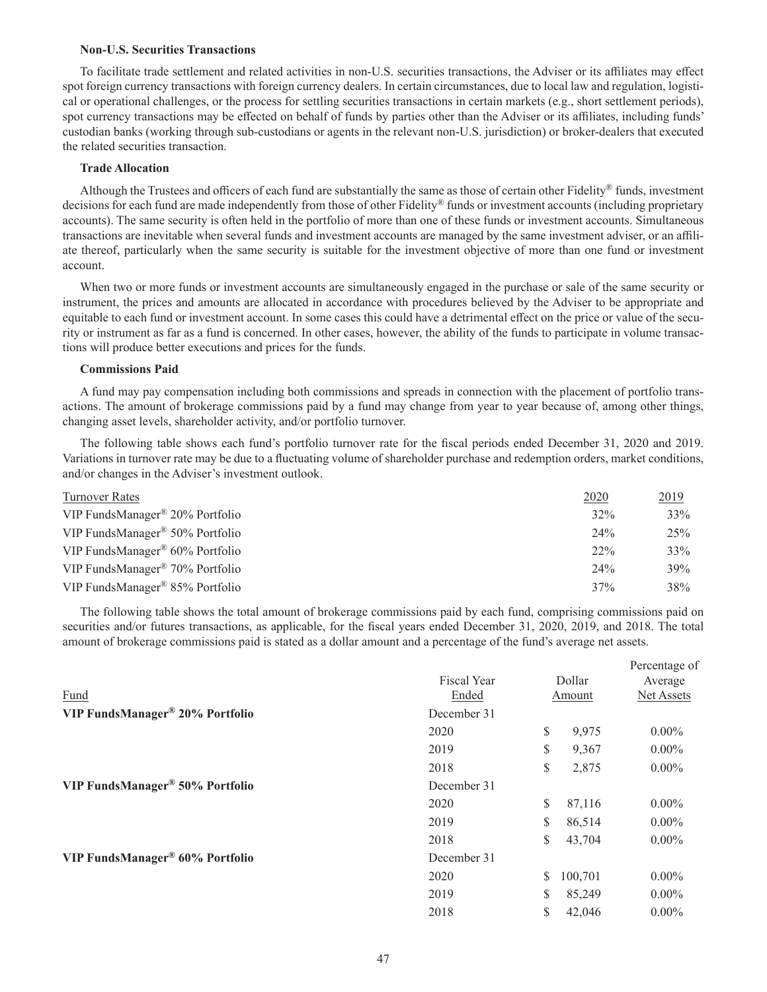#### **Non-U.S. Securities Transactions**

To facilitate trade settlement and related activities in non-U.S. securities transactions, the Adviser or its affiliates may effect spot foreign currency transactions with foreign currency dealers. In certain circumstances, due to local law and regulation, logistical or operational challenges, or the process for settling securities transactions in certain markets (e.g., short settlement periods), spot currency transactions may be effected on behalf of funds by parties other than the Adviser or its affiliates, including funds' custodian banks (working through sub-custodians or agents in the relevant non-U.S. jurisdiction) or broker-dealers that executed the related securities transaction.

#### **Trade Allocation**

Although the Trustees and officers of each fund are substantially the same as those of certain other Fidelity® funds, investment decisions for each fund are made independently from those of other Fidelity® funds or investment accounts (including proprietary accounts). The same security is often held in the portfolio of more than one of these funds or investment accounts. Simultaneous transactions are inevitable when several funds and investment accounts are managed by the same investment adviser, or an affiliate thereof, particularly when the same security is suitable for the investment objective of more than one fund or investment account.

When two or more funds or investment accounts are simultaneously engaged in the purchase or sale of the same security or instrument, the prices and amounts are allocated in accordance with procedures believed by the Adviser to be appropriate and equitable to each fund or investment account. In some cases this could have a detrimental effect on the price or value of the security or instrument as far as a fund is concerned. In other cases, however, the ability of the funds to participate in volume transactions will produce better executions and prices for the funds.

#### **Commissions Paid**

A fund may pay compensation including both commissions and spreads in connection with the placement of portfolio transactions. The amount of brokerage commissions paid by a fund may change from year to year because of, among other things, changing asset levels, shareholder activity, and/or portfolio turnover.

The following table shows each fund's portfolio turnover rate for the fiscal periods ended December 31, 2020 and 2019. Variations in turnover rate may be due to a fluctuating volume of shareholder purchase and redemption orders, market conditions, and/or changes in the Adviser's investment outlook.

| Turnover Rates                                 | 2020   | 2019 |
|------------------------------------------------|--------|------|
| VIP FundsManager® 20% Portfolio                | 32%    | 33%  |
| VIP FundsManager <sup>®</sup> 50% Portfolio    | 24%    | 25%  |
| VIP FundsManager <sup>®</sup> $60\%$ Portfolio | $22\%$ | 33%  |
| VIP FundsManager <sup>®</sup> 70% Portfolio    | 24%    | 39%  |
| VIP FundsManager <sup>®</sup> 85% Portfolio    | 37%    | 38%  |

The following table shows the total amount of brokerage commissions paid by each fund, comprising commissions paid on securities and/or futures transactions, as applicable, for the fiscal years ended December 31, 2020, 2019, and 2018. The total amount of brokerage commissions paid is stated as a dollar amount and a percentage of the fund's average net assets.

|                                 |                    |    |         | Percentage of |
|---------------------------------|--------------------|----|---------|---------------|
|                                 | <b>Fiscal Year</b> |    | Dollar  | Average       |
| Fund                            | Ended              |    | Amount  | Net Assets    |
| VIP FundsManager® 20% Portfolio | December 31        |    |         |               |
|                                 | 2020               | S  | 9,975   | $0.00\%$      |
|                                 | 2019               | \$ | 9,367   | $0.00\%$      |
|                                 | 2018               | \$ | 2,875   | $0.00\%$      |
| VIP FundsManager® 50% Portfolio | December 31        |    |         |               |
|                                 | 2020               | S. | 87,116  | $0.00\%$      |
|                                 | 2019               | \$ | 86,514  | $0.00\%$      |
|                                 | 2018               | S  | 43,704  | $0.00\%$      |
| VIP FundsManager® 60% Portfolio | December 31        |    |         |               |
|                                 | 2020               | S. | 100,701 | $0.00\%$      |
|                                 | 2019               | \$ | 85,249  | $0.00\%$      |
|                                 | 2018               | \$ | 42,046  | $0.00\%$      |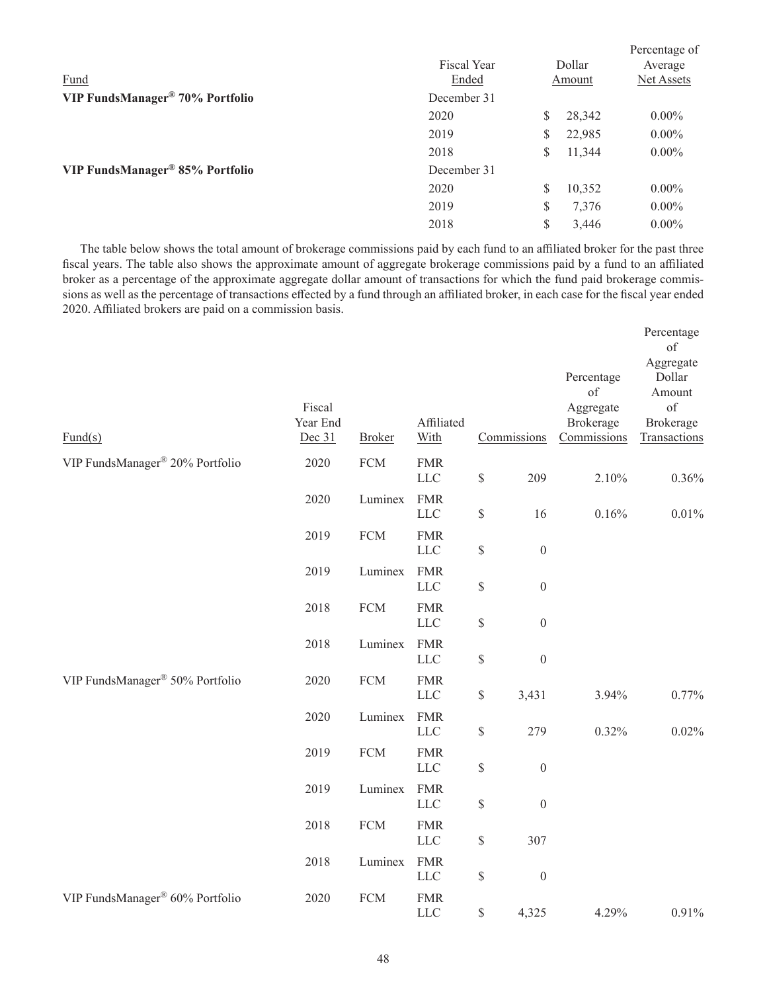| Fund                            | <b>Fiscal Year</b><br>Ended | Dollar<br>Amount | Percentage of<br>Average<br>Net Assets |
|---------------------------------|-----------------------------|------------------|----------------------------------------|
| VIP FundsManager® 70% Portfolio | December 31                 |                  |                                        |
|                                 | 2020                        | \$<br>28,342     | $0.00\%$                               |
|                                 | 2019                        | \$<br>22,985     | $0.00\%$                               |
|                                 | 2018                        | \$<br>11,344     | $0.00\%$                               |
| VIP FundsManager® 85% Portfolio | December 31                 |                  |                                        |
|                                 | 2020                        | \$<br>10,352     | $0.00\%$                               |
|                                 | 2019                        | \$<br>7,376      | $0.00\%$                               |
|                                 | 2018                        | \$<br>3,446      | $0.00\%$                               |

The table below shows the total amount of brokerage commissions paid by each fund to an affiliated broker for the past three fiscal years. The table also shows the approximate amount of aggregate brokerage commissions paid by a fund to an affiliated broker as a percentage of the approximate aggregate dollar amount of transactions for which the fund paid brokerage commissions as well as the percentage of transactions effected by a fund through an affiliated broker, in each case for the fiscal year ended 2020. Affiliated brokers are paid on a commission basis.

|                                 |                              |               |                           |                                                                       |                  |                                                           | Percentage<br>of                                                 |
|---------------------------------|------------------------------|---------------|---------------------------|-----------------------------------------------------------------------|------------------|-----------------------------------------------------------|------------------------------------------------------------------|
| $\text{Fund}(s)$                | Fiscal<br>Year End<br>Dec 31 | <b>Broker</b> | Affiliated<br>With        |                                                                       | Commissions      | Percentage<br>of<br>Aggregate<br>Brokerage<br>Commissions | Aggregate<br>Dollar<br>Amount<br>of<br>Brokerage<br>Transactions |
| VIP FundsManager® 20% Portfolio | 2020                         | ${\rm FCM}$   | <b>FMR</b><br><b>LLC</b>  | $\mathbb{S}$                                                          | 209              | 2.10%                                                     | 0.36%                                                            |
|                                 | 2020                         | Luminex       | <b>FMR</b><br><b>LLC</b>  | $\mathbb S$                                                           | 16               | 0.16%                                                     | $0.01\%$                                                         |
|                                 | 2019                         | ${\rm FCM}$   | <b>FMR</b><br><b>LLC</b>  | $\mathbb S$                                                           | $\boldsymbol{0}$ |                                                           |                                                                  |
|                                 | 2019                         | Luminex       | <b>FMR</b><br><b>LLC</b>  | $\mathbb S$                                                           | $\boldsymbol{0}$ |                                                           |                                                                  |
|                                 | 2018                         | ${\rm FCM}$   | <b>FMR</b><br>${\rm LLC}$ | \$                                                                    | $\boldsymbol{0}$ |                                                           |                                                                  |
|                                 | 2018                         | Luminex       | <b>FMR</b><br><b>LLC</b>  | $\mathbb{S}% _{t}\left( t\right) \equiv\mathbb{S}_{t}\left( t\right)$ | $\boldsymbol{0}$ |                                                           |                                                                  |
| VIP FundsManager® 50% Portfolio | 2020                         | ${\rm FCM}$   | <b>FMR</b><br><b>LLC</b>  | \$                                                                    | 3,431            | 3.94%                                                     | 0.77%                                                            |
|                                 | 2020                         | Luminex       | <b>FMR</b><br><b>LLC</b>  | $\$$                                                                  | 279              | 0.32%                                                     | 0.02%                                                            |
|                                 | 2019                         | ${\rm FCM}$   | <b>FMR</b><br><b>LLC</b>  | \$                                                                    | $\boldsymbol{0}$ |                                                           |                                                                  |
|                                 | 2019                         | Luminex       | <b>FMR</b><br><b>LLC</b>  | $\mathbb S$                                                           | $\boldsymbol{0}$ |                                                           |                                                                  |
|                                 | 2018                         | ${\rm FCM}$   | <b>FMR</b><br><b>LLC</b>  | \$                                                                    | 307              |                                                           |                                                                  |
|                                 | 2018                         | Luminex       | <b>FMR</b><br><b>LLC</b>  | $\$$                                                                  | $\boldsymbol{0}$ |                                                           |                                                                  |
| VIP FundsManager® 60% Portfolio | 2020                         | ${\rm FCM}$   | <b>FMR</b><br><b>LLC</b>  | $\mathbb{S}$                                                          | 4,325            | 4.29%                                                     | 0.91%                                                            |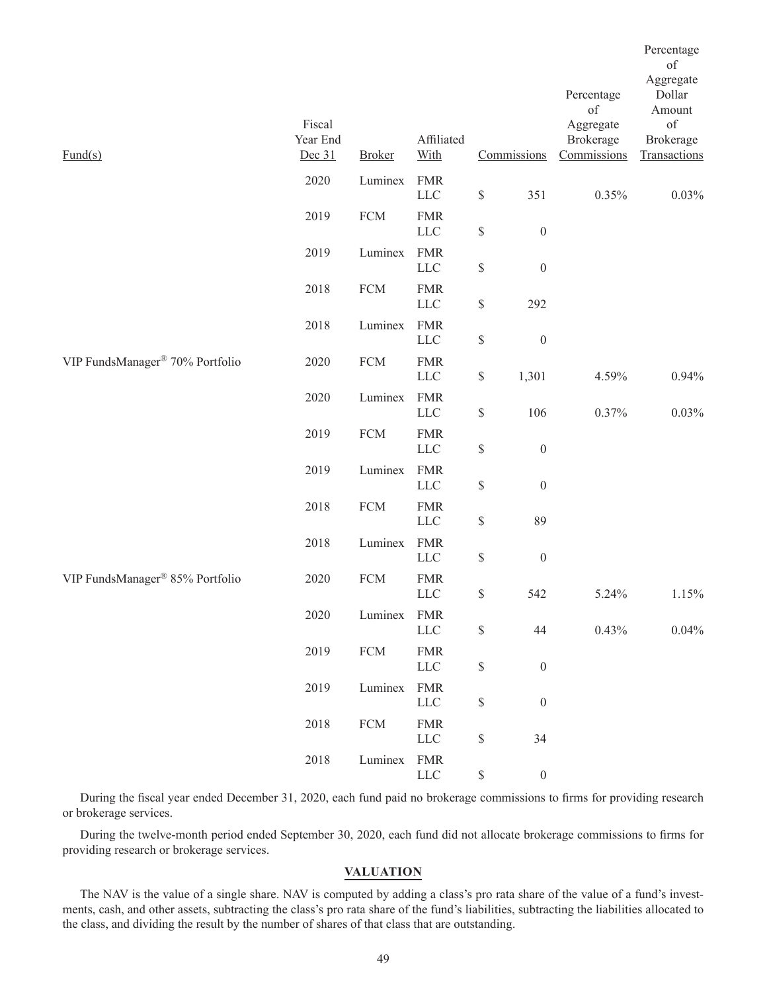|                                 |                              |               |                           |                                                                       |                  | Percentage<br>of                      | Percentage<br>of<br>Aggregate<br>Dollar<br>Amount |
|---------------------------------|------------------------------|---------------|---------------------------|-----------------------------------------------------------------------|------------------|---------------------------------------|---------------------------------------------------|
| $\text{Fund}(s)$                | Fiscal<br>Year End<br>Dec 31 | <b>Broker</b> | Affiliated<br>With        |                                                                       | Commissions      | Aggregate<br>Brokerage<br>Commissions | of<br>Brokerage<br>Transactions                   |
|                                 | 2020                         | Luminex       | <b>FMR</b><br>${\rm LLC}$ | $\mathbb{S}$                                                          | 351              | 0.35%                                 | 0.03%                                             |
|                                 | 2019                         | ${\rm FCM}$   | <b>FMR</b><br>${\rm LLC}$ | $\mathbb{S}% _{t}\left( t\right) \equiv\mathbb{S}_{t}\left( t\right)$ | $\boldsymbol{0}$ |                                       |                                                   |
|                                 | 2019                         | Luminex       | <b>FMR</b><br>${\rm LLC}$ | $\mathbb{S}% _{t}\left( t\right) \equiv\mathbb{S}_{t}\left( t\right)$ | $\boldsymbol{0}$ |                                       |                                                   |
|                                 | 2018                         | ${\rm FCM}$   | <b>FMR</b><br>${\rm LLC}$ | $\mathbb{S}$                                                          | 292              |                                       |                                                   |
|                                 | 2018                         | Luminex       | <b>FMR</b><br><b>LLC</b>  | $\mathbb{S}% _{t}\left( t\right) \equiv\mathbb{S}_{t}\left( t\right)$ | $\boldsymbol{0}$ |                                       |                                                   |
| VIP FundsManager® 70% Portfolio | 2020                         | ${\rm FCM}$   | <b>FMR</b><br>$LLC$       | $\mathbb{S}$                                                          | 1,301            | 4.59%                                 | 0.94%                                             |
|                                 | 2020                         | Luminex       | <b>FMR</b><br>LLC         | \$                                                                    | 106              | 0.37%                                 | 0.03%                                             |
|                                 | 2019                         | ${\rm FCM}$   | <b>FMR</b><br>${\rm LLC}$ | \$                                                                    | $\boldsymbol{0}$ |                                       |                                                   |
|                                 | 2019                         | Luminex       | <b>FMR</b><br><b>LLC</b>  | $\mathbb{S}% _{t}\left( t\right) \equiv\mathbb{S}_{t}\left( t\right)$ | $\boldsymbol{0}$ |                                       |                                                   |
|                                 | 2018                         | ${\rm FCM}$   | <b>FMR</b><br><b>LLC</b>  | \$                                                                    | 89               |                                       |                                                   |
|                                 | 2018                         | Luminex       | <b>FMR</b><br><b>LLC</b>  | $\mathbb{S}$                                                          | $\boldsymbol{0}$ |                                       |                                                   |
| VIP FundsManager® 85% Portfolio | 2020                         | ${\rm FCM}$   | <b>FMR</b><br><b>LLC</b>  | \$                                                                    | 542              | 5.24%                                 | 1.15%                                             |
|                                 | 2020                         | Luminex       | FMR<br>${\rm LLC}$        | \$                                                                    | 44               | 0.43%                                 | 0.04%                                             |
|                                 | 2019                         | ${\rm FCM}$   | <b>FMR</b><br><b>LLC</b>  | \$                                                                    | $\boldsymbol{0}$ |                                       |                                                   |
|                                 | 2019                         | Luminex       | <b>FMR</b><br>${\rm LLC}$ | $\mathbb S$                                                           | $\boldsymbol{0}$ |                                       |                                                   |
|                                 | 2018                         | ${\rm FCM}$   | <b>FMR</b><br>${\rm LLC}$ | \$                                                                    | 34               |                                       |                                                   |
|                                 | 2018                         | Luminex       | <b>FMR</b><br>LLC         | $\mathbb{S}$                                                          | $\boldsymbol{0}$ |                                       |                                                   |

During the fiscal year ended December 31, 2020, each fund paid no brokerage commissions to firms for providing research or brokerage services.

During the twelve-month period ended September 30, 2020, each fund did not allocate brokerage commissions to firms for providing research or brokerage services.

## **VALUATION**

The NAV is the value of a single share. NAV is computed by adding a class's pro rata share of the value of a fund's investments, cash, and other assets, subtracting the class's pro rata share of the fund's liabilities, subtracting the liabilities allocated to the class, and dividing the result by the number of shares of that class that are outstanding.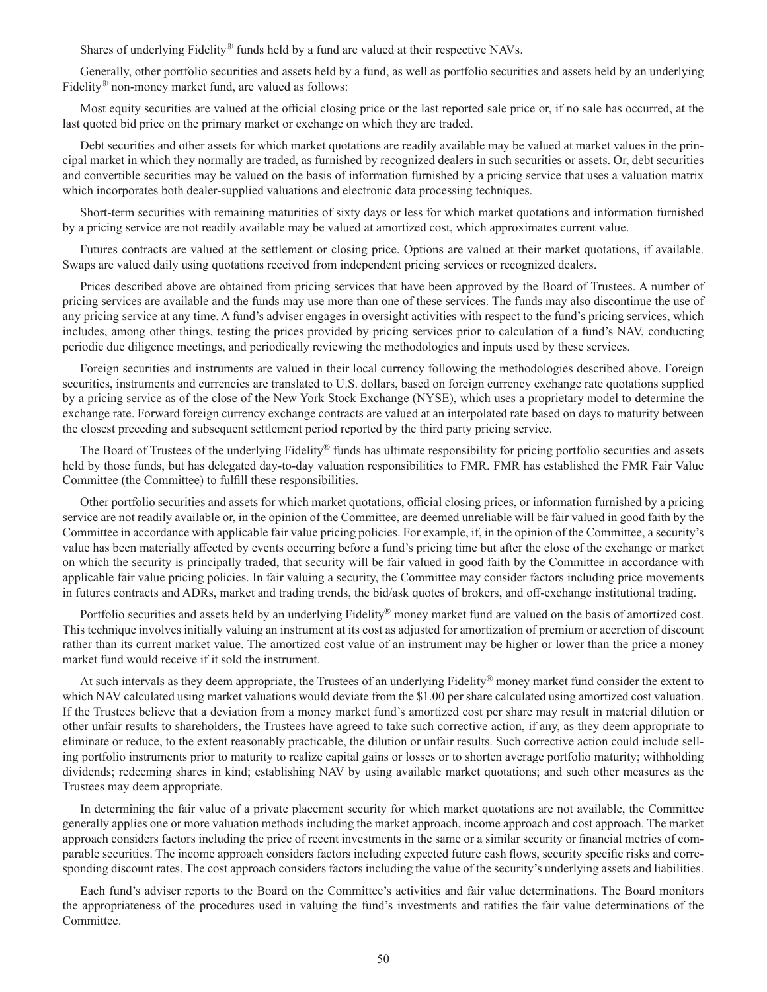Shares of underlying Fidelity<sup>®</sup> funds held by a fund are valued at their respective NAVs.

Generally, other portfolio securities and assets held by a fund, as well as portfolio securities and assets held by an underlying Fidelity® non-money market fund, are valued as follows:

Most equity securities are valued at the official closing price or the last reported sale price or, if no sale has occurred, at the last quoted bid price on the primary market or exchange on which they are traded.

Debt securities and other assets for which market quotations are readily available may be valued at market values in the principal market in which they normally are traded, as furnished by recognized dealers in such securities or assets. Or, debt securities and convertible securities may be valued on the basis of information furnished by a pricing service that uses a valuation matrix which incorporates both dealer-supplied valuations and electronic data processing techniques.

Short-term securities with remaining maturities of sixty days or less for which market quotations and information furnished by a pricing service are not readily available may be valued at amortized cost, which approximates current value.

Futures contracts are valued at the settlement or closing price. Options are valued at their market quotations, if available. Swaps are valued daily using quotations received from independent pricing services or recognized dealers.

Prices described above are obtained from pricing services that have been approved by the Board of Trustees. A number of pricing services are available and the funds may use more than one of these services. The funds may also discontinue the use of any pricing service at any time. A fund's adviser engages in oversight activities with respect to the fund's pricing services, which includes, among other things, testing the prices provided by pricing services prior to calculation of a fund's NAV, conducting periodic due diligence meetings, and periodically reviewing the methodologies and inputs used by these services.

Foreign securities and instruments are valued in their local currency following the methodologies described above. Foreign securities, instruments and currencies are translated to U.S. dollars, based on foreign currency exchange rate quotations supplied by a pricing service as of the close of the New York Stock Exchange (NYSE), which uses a proprietary model to determine the exchange rate. Forward foreign currency exchange contracts are valued at an interpolated rate based on days to maturity between the closest preceding and subsequent settlement period reported by the third party pricing service.

The Board of Trustees of the underlying Fidelity® funds has ultimate responsibility for pricing portfolio securities and assets held by those funds, but has delegated day-to-day valuation responsibilities to FMR. FMR has established the FMR Fair Value Committee (the Committee) to fulfill these responsibilities.

Other portfolio securities and assets for which market quotations, official closing prices, or information furnished by a pricing service are not readily available or, in the opinion of the Committee, are deemed unreliable will be fair valued in good faith by the Committee in accordance with applicable fair value pricing policies. For example, if, in the opinion of the Committee, a security's value has been materially affected by events occurring before a fund's pricing time but after the close of the exchange or market on which the security is principally traded, that security will be fair valued in good faith by the Committee in accordance with applicable fair value pricing policies. In fair valuing a security, the Committee may consider factors including price movements in futures contracts and ADRs, market and trading trends, the bid/ask quotes of brokers, and off-exchange institutional trading.

Portfolio securities and assets held by an underlying Fidelity® money market fund are valued on the basis of amortized cost. This technique involves initially valuing an instrument at its cost as adjusted for amortization of premium or accretion of discount rather than its current market value. The amortized cost value of an instrument may be higher or lower than the price a money market fund would receive if it sold the instrument.

At such intervals as they deem appropriate, the Trustees of an underlying Fidelity® money market fund consider the extent to which NAV calculated using market valuations would deviate from the \$1.00 per share calculated using amortized cost valuation. If the Trustees believe that a deviation from a money market fund's amortized cost per share may result in material dilution or other unfair results to shareholders, the Trustees have agreed to take such corrective action, if any, as they deem appropriate to eliminate or reduce, to the extent reasonably practicable, the dilution or unfair results. Such corrective action could include selling portfolio instruments prior to maturity to realize capital gains or losses or to shorten average portfolio maturity; withholding dividends; redeeming shares in kind; establishing NAV by using available market quotations; and such other measures as the Trustees may deem appropriate.

In determining the fair value of a private placement security for which market quotations are not available, the Committee generally applies one or more valuation methods including the market approach, income approach and cost approach. The market approach considers factors including the price of recent investments in the same or a similar security or financial metrics of comparable securities. The income approach considers factors including expected future cash flows, security specific risks and corresponding discount rates. The cost approach considers factors including the value of the security's underlying assets and liabilities.

Each fund's adviser reports to the Board on the Committee's activities and fair value determinations. The Board monitors the appropriateness of the procedures used in valuing the fund's investments and ratifies the fair value determinations of the Committee.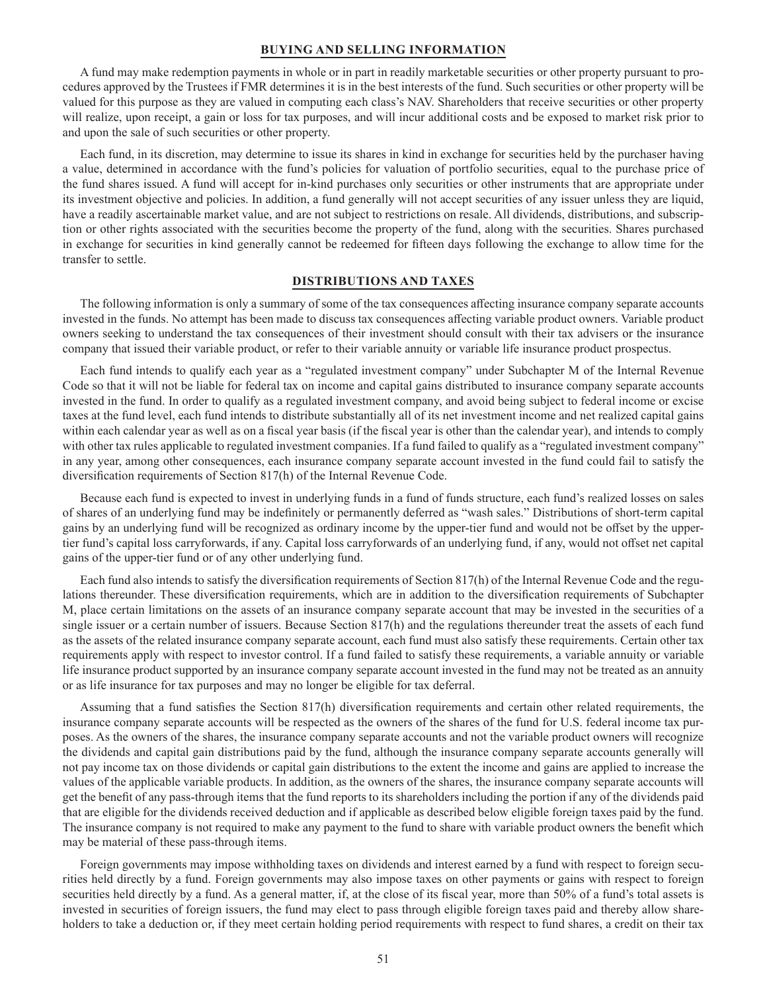#### **BUYING AND SELLING INFORMATION**

A fund may make redemption payments in whole or in part in readily marketable securities or other property pursuant to procedures approved by the Trustees if FMR determines it is in the best interests of the fund. Such securities or other property will be valued for this purpose as they are valued in computing each class's NAV. Shareholders that receive securities or other property will realize, upon receipt, a gain or loss for tax purposes, and will incur additional costs and be exposed to market risk prior to and upon the sale of such securities or other property.

Each fund, in its discretion, may determine to issue its shares in kind in exchange for securities held by the purchaser having a value, determined in accordance with the fund's policies for valuation of portfolio securities, equal to the purchase price of the fund shares issued. A fund will accept for in-kind purchases only securities or other instruments that are appropriate under its investment objective and policies. In addition, a fund generally will not accept securities of any issuer unless they are liquid, have a readily ascertainable market value, and are not subject to restrictions on resale. All dividends, distributions, and subscription or other rights associated with the securities become the property of the fund, along with the securities. Shares purchased in exchange for securities in kind generally cannot be redeemed for fifteen days following the exchange to allow time for the transfer to settle.

### **DISTRIBUTIONS AND TAXES**

The following information is only a summary of some of the tax consequences affecting insurance company separate accounts invested in the funds. No attempt has been made to discuss tax consequences affecting variable product owners. Variable product owners seeking to understand the tax consequences of their investment should consult with their tax advisers or the insurance company that issued their variable product, or refer to their variable annuity or variable life insurance product prospectus.

Each fund intends to qualify each year as a "regulated investment company" under Subchapter M of the Internal Revenue Code so that it will not be liable for federal tax on income and capital gains distributed to insurance company separate accounts invested in the fund. In order to qualify as a regulated investment company, and avoid being subject to federal income or excise taxes at the fund level, each fund intends to distribute substantially all of its net investment income and net realized capital gains within each calendar year as well as on a fiscal year basis (if the fiscal year is other than the calendar year), and intends to comply with other tax rules applicable to regulated investment companies. If a fund failed to qualify as a "regulated investment company" in any year, among other consequences, each insurance company separate account invested in the fund could fail to satisfy the diversification requirements of Section 817(h) of the Internal Revenue Code.

Because each fund is expected to invest in underlying funds in a fund of funds structure, each fund's realized losses on sales of shares of an underlying fund may be indefinitely or permanently deferred as "wash sales." Distributions of short-term capital gains by an underlying fund will be recognized as ordinary income by the upper-tier fund and would not be offset by the uppertier fund's capital loss carryforwards, if any. Capital loss carryforwards of an underlying fund, if any, would not offset net capital gains of the upper-tier fund or of any other underlying fund.

Each fund also intends to satisfy the diversification requirements of Section 817(h) of the Internal Revenue Code and the regulations thereunder. These diversification requirements, which are in addition to the diversification requirements of Subchapter M, place certain limitations on the assets of an insurance company separate account that may be invested in the securities of a single issuer or a certain number of issuers. Because Section 817(h) and the regulations thereunder treat the assets of each fund as the assets of the related insurance company separate account, each fund must also satisfy these requirements. Certain other tax requirements apply with respect to investor control. If a fund failed to satisfy these requirements, a variable annuity or variable life insurance product supported by an insurance company separate account invested in the fund may not be treated as an annuity or as life insurance for tax purposes and may no longer be eligible for tax deferral.

Assuming that a fund satisfies the Section 817(h) diversification requirements and certain other related requirements, the insurance company separate accounts will be respected as the owners of the shares of the fund for U.S. federal income tax purposes. As the owners of the shares, the insurance company separate accounts and not the variable product owners will recognize the dividends and capital gain distributions paid by the fund, although the insurance company separate accounts generally will not pay income tax on those dividends or capital gain distributions to the extent the income and gains are applied to increase the values of the applicable variable products. In addition, as the owners of the shares, the insurance company separate accounts will get the benefit of any pass-through items that the fund reports to its shareholders including the portion if any of the dividends paid that are eligible for the dividends received deduction and if applicable as described below eligible foreign taxes paid by the fund. The insurance company is not required to make any payment to the fund to share with variable product owners the benefit which may be material of these pass-through items.

Foreign governments may impose withholding taxes on dividends and interest earned by a fund with respect to foreign securities held directly by a fund. Foreign governments may also impose taxes on other payments or gains with respect to foreign securities held directly by a fund. As a general matter, if, at the close of its fiscal year, more than 50% of a fund's total assets is invested in securities of foreign issuers, the fund may elect to pass through eligible foreign taxes paid and thereby allow shareholders to take a deduction or, if they meet certain holding period requirements with respect to fund shares, a credit on their tax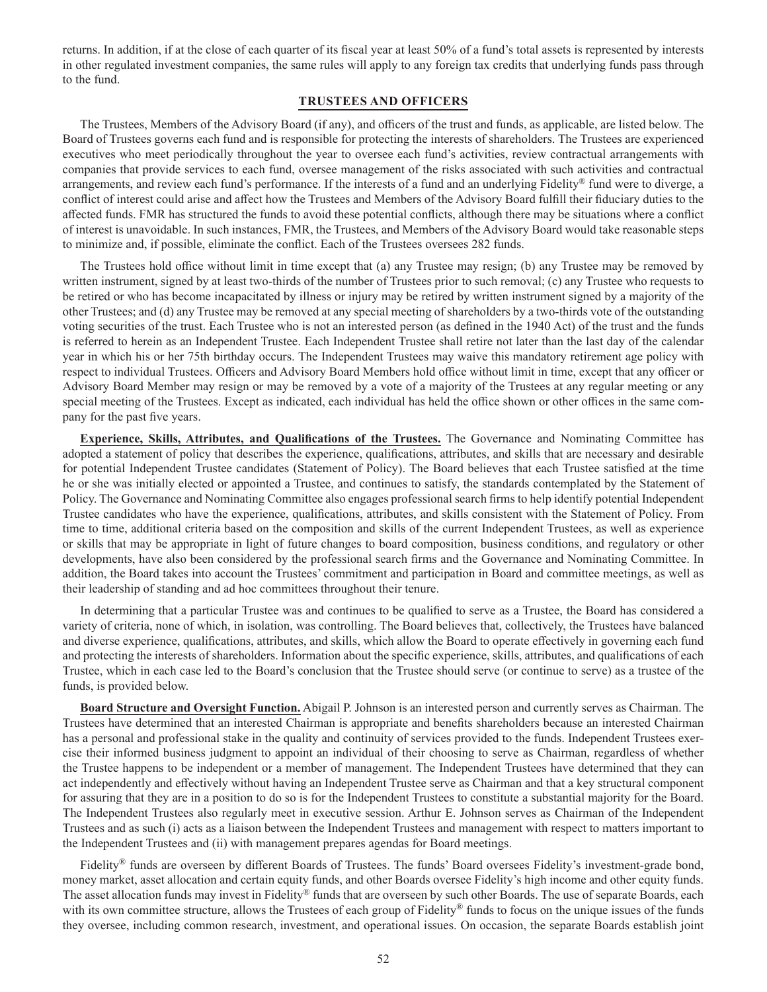returns. In addition, if at the close of each quarter of its fiscal year at least 50% of a fund's total assets is represented by interests in other regulated investment companies, the same rules will apply to any foreign tax credits that underlying funds pass through to the fund.

## **TRUSTEES AND OFFICERS**

The Trustees, Members of the Advisory Board (if any), and officers of the trust and funds, as applicable, are listed below. The Board of Trustees governs each fund and is responsible for protecting the interests of shareholders. The Trustees are experienced executives who meet periodically throughout the year to oversee each fund's activities, review contractual arrangements with companies that provide services to each fund, oversee management of the risks associated with such activities and contractual arrangements, and review each fund's performance. If the interests of a fund and an underlying Fidelity® fund were to diverge, a conflict of interest could arise and affect how the Trustees and Members of the Advisory Board fulfill their fiduciary duties to the affected funds. FMR has structured the funds to avoid these potential conflicts, although there may be situations where a conflict of interest is unavoidable. In such instances, FMR, the Trustees, and Members of the Advisory Board would take reasonable steps to minimize and, if possible, eliminate the conflict. Each of the Trustees oversees 282 funds.

The Trustees hold office without limit in time except that (a) any Trustee may resign; (b) any Trustee may be removed by written instrument, signed by at least two-thirds of the number of Trustees prior to such removal; (c) any Trustee who requests to be retired or who has become incapacitated by illness or injury may be retired by written instrument signed by a majority of the other Trustees; and (d) any Trustee may be removed at any special meeting of shareholders by a two-thirds vote of the outstanding voting securities of the trust. Each Trustee who is not an interested person (as defined in the 1940 Act) of the trust and the funds is referred to herein as an Independent Trustee. Each Independent Trustee shall retire not later than the last day of the calendar year in which his or her 75th birthday occurs. The Independent Trustees may waive this mandatory retirement age policy with respect to individual Trustees. Officers and Advisory Board Members hold office without limit in time, except that any officer or Advisory Board Member may resign or may be removed by a vote of a majority of the Trustees at any regular meeting or any special meeting of the Trustees. Except as indicated, each individual has held the office shown or other offices in the same company for the past five years.

**Experience, Skills, Attributes, and Qualifications of the Trustees.** The Governance and Nominating Committee has adopted a statement of policy that describes the experience, qualifications, attributes, and skills that are necessary and desirable for potential Independent Trustee candidates (Statement of Policy). The Board believes that each Trustee satisfied at the time he or she was initially elected or appointed a Trustee, and continues to satisfy, the standards contemplated by the Statement of Policy. The Governance and Nominating Committee also engages professional search firms to help identify potential Independent Trustee candidates who have the experience, qualifications, attributes, and skills consistent with the Statement of Policy. From time to time, additional criteria based on the composition and skills of the current Independent Trustees, as well as experience or skills that may be appropriate in light of future changes to board composition, business conditions, and regulatory or other developments, have also been considered by the professional search firms and the Governance and Nominating Committee. In addition, the Board takes into account the Trustees' commitment and participation in Board and committee meetings, as well as their leadership of standing and ad hoc committees throughout their tenure.

In determining that a particular Trustee was and continues to be qualified to serve as a Trustee, the Board has considered a variety of criteria, none of which, in isolation, was controlling. The Board believes that, collectively, the Trustees have balanced and diverse experience, qualifications, attributes, and skills, which allow the Board to operate effectively in governing each fund and protecting the interests of shareholders. Information about the specific experience, skills, attributes, and qualifications of each Trustee, which in each case led to the Board's conclusion that the Trustee should serve (or continue to serve) as a trustee of the funds, is provided below.

**Board Structure and Oversight Function.** Abigail P. Johnson is an interested person and currently serves as Chairman. The Trustees have determined that an interested Chairman is appropriate and benefits shareholders because an interested Chairman has a personal and professional stake in the quality and continuity of services provided to the funds. Independent Trustees exercise their informed business judgment to appoint an individual of their choosing to serve as Chairman, regardless of whether the Trustee happens to be independent or a member of management. The Independent Trustees have determined that they can act independently and effectively without having an Independent Trustee serve as Chairman and that a key structural component for assuring that they are in a position to do so is for the Independent Trustees to constitute a substantial majority for the Board. The Independent Trustees also regularly meet in executive session. Arthur E. Johnson serves as Chairman of the Independent Trustees and as such (i) acts as a liaison between the Independent Trustees and management with respect to matters important to the Independent Trustees and (ii) with management prepares agendas for Board meetings.

Fidelity<sup>®</sup> funds are overseen by different Boards of Trustees. The funds' Board oversees Fidelity's investment-grade bond, money market, asset allocation and certain equity funds, and other Boards oversee Fidelity's high income and other equity funds. The asset allocation funds may invest in Fidelity® funds that are overseen by such other Boards. The use of separate Boards, each with its own committee structure, allows the Trustees of each group of Fidelity® funds to focus on the unique issues of the funds they oversee, including common research, investment, and operational issues. On occasion, the separate Boards establish joint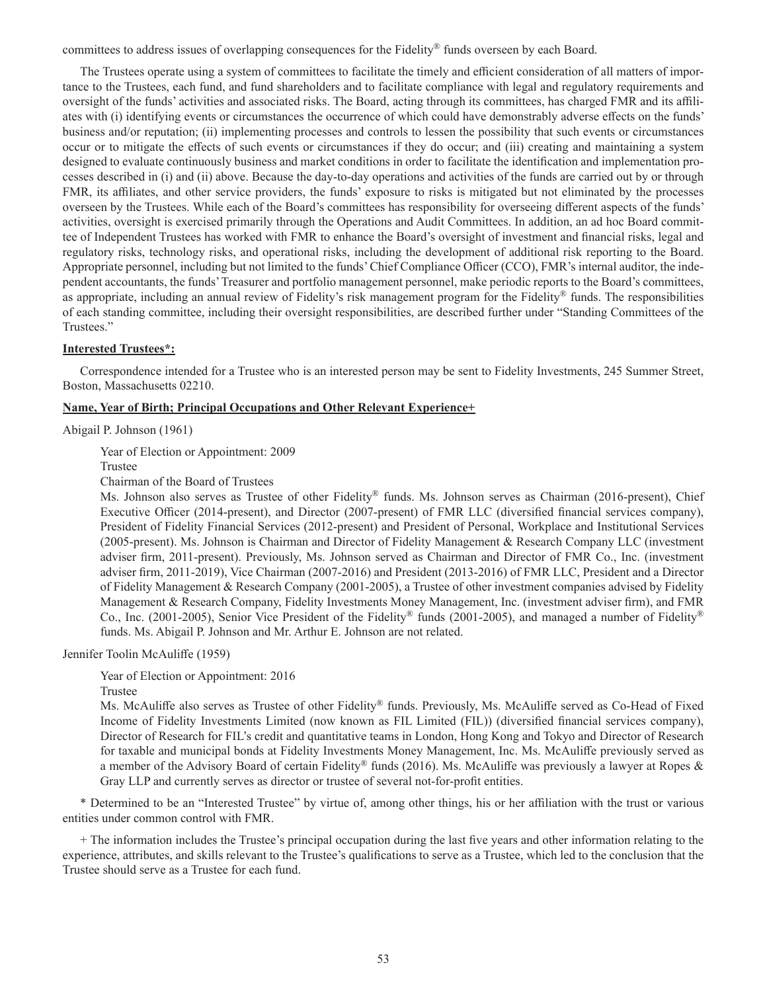committees to address issues of overlapping consequences for the Fidelity® funds overseen by each Board.

The Trustees operate using a system of committees to facilitate the timely and efficient consideration of all matters of importance to the Trustees, each fund, and fund shareholders and to facilitate compliance with legal and regulatory requirements and oversight of the funds' activities and associated risks. The Board, acting through its committees, has charged FMR and its affiliates with (i) identifying events or circumstances the occurrence of which could have demonstrably adverse effects on the funds' business and/or reputation; (ii) implementing processes and controls to lessen the possibility that such events or circumstances occur or to mitigate the effects of such events or circumstances if they do occur; and (iii) creating and maintaining a system designed to evaluate continuously business and market conditions in order to facilitate the identification and implementation processes described in (i) and (ii) above. Because the day-to-day operations and activities of the funds are carried out by or through FMR, its affiliates, and other service providers, the funds' exposure to risks is mitigated but not eliminated by the processes overseen by the Trustees. While each of the Board's committees has responsibility for overseeing different aspects of the funds' activities, oversight is exercised primarily through the Operations and Audit Committees. In addition, an ad hoc Board committee of Independent Trustees has worked with FMR to enhance the Board's oversight of investment and financial risks, legal and regulatory risks, technology risks, and operational risks, including the development of additional risk reporting to the Board. Appropriate personnel, including but not limited to the funds' Chief Compliance Officer (CCO), FMR's internal auditor, the independent accountants, the funds' Treasurer and portfolio management personnel, make periodic reports to the Board's committees, as appropriate, including an annual review of Fidelity's risk management program for the Fidelity® funds. The responsibilities of each standing committee, including their oversight responsibilities, are described further under "Standing Committees of the Trustees."

## **Interested Trustees\*:**

Correspondence intended for a Trustee who is an interested person may be sent to Fidelity Investments, 245 Summer Street, Boston, Massachusetts 02210.

## **Name, Year of Birth; Principal Occupations and Other Relevant Experience+**

Abigail P. Johnson (1961)

Year of Election or Appointment: 2009

Trustee

Chairman of the Board of Trustees

Ms. Johnson also serves as Trustee of other Fidelity® funds. Ms. Johnson serves as Chairman (2016-present), Chief Executive Officer (2014-present), and Director (2007-present) of FMR LLC (diversified financial services company), President of Fidelity Financial Services (2012-present) and President of Personal, Workplace and Institutional Services (2005-present). Ms. Johnson is Chairman and Director of Fidelity Management & Research Company LLC (investment adviser firm, 2011-present). Previously, Ms. Johnson served as Chairman and Director of FMR Co., Inc. (investment adviser firm, 2011-2019), Vice Chairman (2007-2016) and President (2013-2016) of FMR LLC, President and a Director of Fidelity Management & Research Company (2001-2005), a Trustee of other investment companies advised by Fidelity Management & Research Company, Fidelity Investments Money Management, Inc. (investment adviser firm), and FMR Co., Inc. (2001-2005), Senior Vice President of the Fidelity® funds (2001-2005), and managed a number of Fidelity® funds. Ms. Abigail P. Johnson and Mr. Arthur E. Johnson are not related.

Jennifer Toolin McAuliffe (1959)

Year of Election or Appointment: 2016

Trustee

Ms. McAuliffe also serves as Trustee of other Fidelity® funds. Previously, Ms. McAuliffe served as Co-Head of Fixed Income of Fidelity Investments Limited (now known as FIL Limited (FIL)) (diversified financial services company), Director of Research for FIL's credit and quantitative teams in London, Hong Kong and Tokyo and Director of Research for taxable and municipal bonds at Fidelity Investments Money Management, Inc. Ms. McAuliffe previously served as a member of the Advisory Board of certain Fidelity® funds (2016). Ms. McAuliffe was previously a lawyer at Ropes & Gray LLP and currently serves as director or trustee of several not-for-profit entities.

\* Determined to be an "Interested Trustee" by virtue of, among other things, his or her affiliation with the trust or various entities under common control with FMR.

+ The information includes the Trustee's principal occupation during the last five years and other information relating to the experience, attributes, and skills relevant to the Trustee's qualifications to serve as a Trustee, which led to the conclusion that the Trustee should serve as a Trustee for each fund.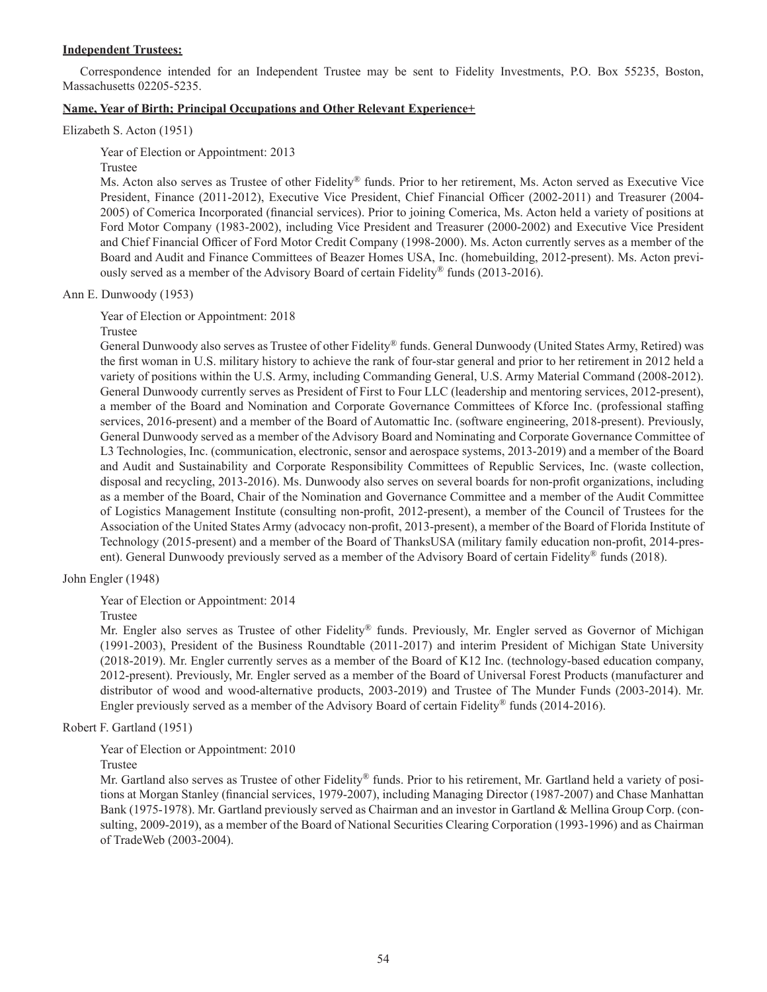## **Independent Trustees:**

Correspondence intended for an Independent Trustee may be sent to Fidelity Investments, P.O. Box 55235, Boston, Massachusetts 02205-5235.

## **Name, Year of Birth; Principal Occupations and Other Relevant Experience+**

Elizabeth S. Acton (1951)

Year of Election or Appointment: 2013

Trustee

Ms. Acton also serves as Trustee of other Fidelity® funds. Prior to her retirement, Ms. Acton served as Executive Vice President, Finance (2011-2012), Executive Vice President, Chief Financial Officer (2002-2011) and Treasurer (2004- 2005) of Comerica Incorporated (financial services). Prior to joining Comerica, Ms. Acton held a variety of positions at Ford Motor Company (1983-2002), including Vice President and Treasurer (2000-2002) and Executive Vice President and Chief Financial Officer of Ford Motor Credit Company (1998-2000). Ms. Acton currently serves as a member of the Board and Audit and Finance Committees of Beazer Homes USA, Inc. (homebuilding, 2012-present). Ms. Acton previously served as a member of the Advisory Board of certain Fidelity® funds (2013-2016).

Ann E. Dunwoody (1953)

Year of Election or Appointment: 2018

Trustee

General Dunwoody also serves as Trustee of other Fidelity® funds. General Dunwoody (United States Army, Retired) was the first woman in U.S. military history to achieve the rank of four-star general and prior to her retirement in 2012 held a variety of positions within the U.S. Army, including Commanding General, U.S. Army Material Command (2008-2012). General Dunwoody currently serves as President of First to Four LLC (leadership and mentoring services, 2012-present), a member of the Board and Nomination and Corporate Governance Committees of Kforce Inc. (professional staffing services, 2016-present) and a member of the Board of Automattic Inc. (software engineering, 2018-present). Previously, General Dunwoody served as a member of the Advisory Board and Nominating and Corporate Governance Committee of L3 Technologies, Inc. (communication, electronic, sensor and aerospace systems, 2013-2019) and a member of the Board and Audit and Sustainability and Corporate Responsibility Committees of Republic Services, Inc. (waste collection, disposal and recycling, 2013-2016). Ms. Dunwoody also serves on several boards for non-profit organizations, including as a member of the Board, Chair of the Nomination and Governance Committee and a member of the Audit Committee of Logistics Management Institute (consulting non-profit, 2012-present), a member of the Council of Trustees for the Association of the United States Army (advocacy non-profit, 2013-present), a member of the Board of Florida Institute of Technology (2015-present) and a member of the Board of ThanksUSA (military family education non-profit, 2014-present). General Dunwoody previously served as a member of the Advisory Board of certain Fidelity® funds (2018).

John Engler (1948)

Year of Election or Appointment: 2014

Trustee

Mr. Engler also serves as Trustee of other Fidelity® funds. Previously, Mr. Engler served as Governor of Michigan (1991-2003), President of the Business Roundtable (2011-2017) and interim President of Michigan State University (2018-2019). Mr. Engler currently serves as a member of the Board of K12 Inc. (technology-based education company, 2012-present). Previously, Mr. Engler served as a member of the Board of Universal Forest Products (manufacturer and distributor of wood and wood-alternative products, 2003-2019) and Trustee of The Munder Funds (2003-2014). Mr. Engler previously served as a member of the Advisory Board of certain Fidelity<sup>®</sup> funds (2014-2016).

Robert F. Gartland (1951)

Year of Election or Appointment: 2010

Trustee

Mr. Gartland also serves as Trustee of other Fidelity® funds. Prior to his retirement, Mr. Gartland held a variety of positions at Morgan Stanley (financial services, 1979-2007), including Managing Director (1987-2007) and Chase Manhattan Bank (1975-1978). Mr. Gartland previously served as Chairman and an investor in Gartland & Mellina Group Corp. (consulting, 2009-2019), as a member of the Board of National Securities Clearing Corporation (1993-1996) and as Chairman of TradeWeb (2003-2004).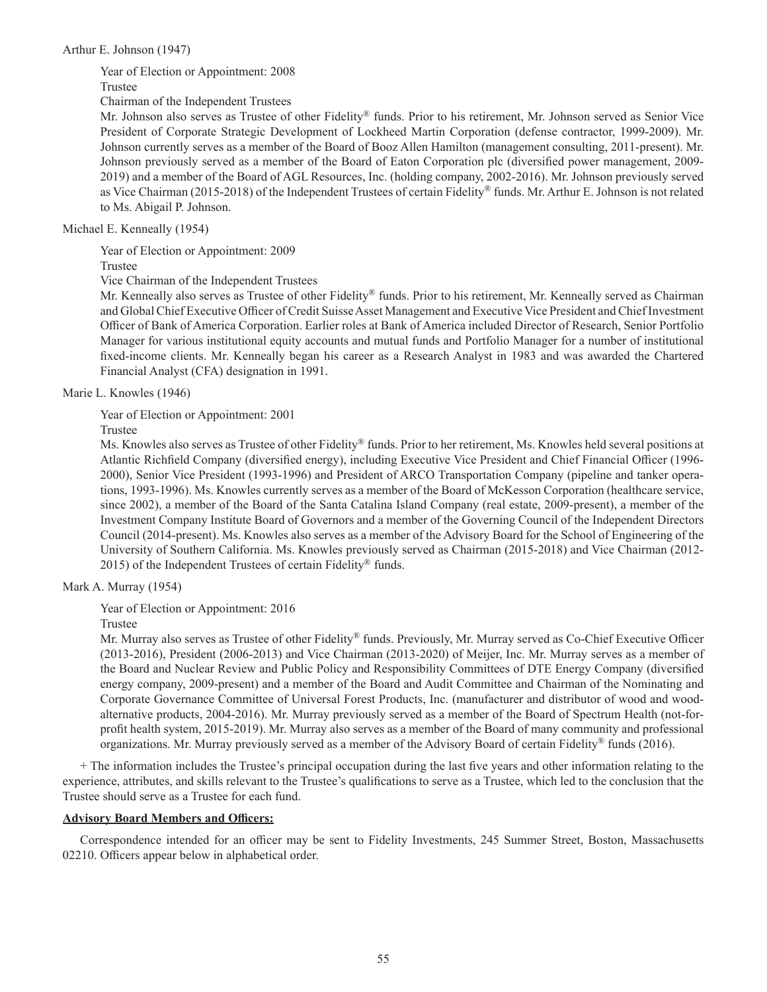### Arthur E. Johnson (1947)

Year of Election or Appointment: 2008

Trustee

Chairman of the Independent Trustees

Mr. Johnson also serves as Trustee of other Fidelity® funds. Prior to his retirement, Mr. Johnson served as Senior Vice President of Corporate Strategic Development of Lockheed Martin Corporation (defense contractor, 1999-2009). Mr. Johnson currently serves as a member of the Board of Booz Allen Hamilton (management consulting, 2011-present). Mr. Johnson previously served as a member of the Board of Eaton Corporation plc (diversified power management, 2009- 2019) and a member of the Board of AGL Resources, Inc. (holding company, 2002-2016). Mr. Johnson previously served as Vice Chairman (2015-2018) of the Independent Trustees of certain Fidelity® funds. Mr. Arthur E. Johnson is not related to Ms. Abigail P. Johnson.

Michael E. Kenneally (1954)

Year of Election or Appointment: 2009

Trustee

Vice Chairman of the Independent Trustees

Mr. Kenneally also serves as Trustee of other Fidelity® funds. Prior to his retirement, Mr. Kenneally served as Chairman and Global Chief Executive Officer of Credit Suisse Asset Management and Executive Vice President and Chief Investment Officer of Bank of America Corporation. Earlier roles at Bank of America included Director of Research, Senior Portfolio Manager for various institutional equity accounts and mutual funds and Portfolio Manager for a number of institutional fixed-income clients. Mr. Kenneally began his career as a Research Analyst in 1983 and was awarded the Chartered Financial Analyst (CFA) designation in 1991.

Marie L. Knowles (1946)

Year of Election or Appointment: 2001

Trustee

Ms. Knowles also serves as Trustee of other Fidelity® funds. Prior to her retirement, Ms. Knowles held several positions at Atlantic Richfield Company (diversified energy), including Executive Vice President and Chief Financial Officer (1996- 2000), Senior Vice President (1993-1996) and President of ARCO Transportation Company (pipeline and tanker operations, 1993-1996). Ms. Knowles currently serves as a member of the Board of McKesson Corporation (healthcare service, since 2002), a member of the Board of the Santa Catalina Island Company (real estate, 2009-present), a member of the Investment Company Institute Board of Governors and a member of the Governing Council of the Independent Directors Council (2014-present). Ms. Knowles also serves as a member of the Advisory Board for the School of Engineering of the University of Southern California. Ms. Knowles previously served as Chairman (2015-2018) and Vice Chairman (2012- 2015) of the Independent Trustees of certain Fidelity<sup>®</sup> funds.

Mark A. Murray (1954)

Year of Election or Appointment: 2016

Trustee

Mr. Murray also serves as Trustee of other Fidelity® funds. Previously, Mr. Murray served as Co-Chief Executive Officer (2013-2016), President (2006-2013) and Vice Chairman (2013-2020) of Meijer, Inc. Mr. Murray serves as a member of the Board and Nuclear Review and Public Policy and Responsibility Committees of DTE Energy Company (diversified energy company, 2009-present) and a member of the Board and Audit Committee and Chairman of the Nominating and Corporate Governance Committee of Universal Forest Products, Inc. (manufacturer and distributor of wood and woodalternative products, 2004-2016). Mr. Murray previously served as a member of the Board of Spectrum Health (not-forprofit health system, 2015-2019). Mr. Murray also serves as a member of the Board of many community and professional organizations. Mr. Murray previously served as a member of the Advisory Board of certain Fidelity® funds (2016).

+ The information includes the Trustee's principal occupation during the last five years and other information relating to the experience, attributes, and skills relevant to the Trustee's qualifications to serve as a Trustee, which led to the conclusion that the Trustee should serve as a Trustee for each fund.

## **Advisory Board Members and Officers:**

Correspondence intended for an officer may be sent to Fidelity Investments, 245 Summer Street, Boston, Massachusetts 02210. Officers appear below in alphabetical order.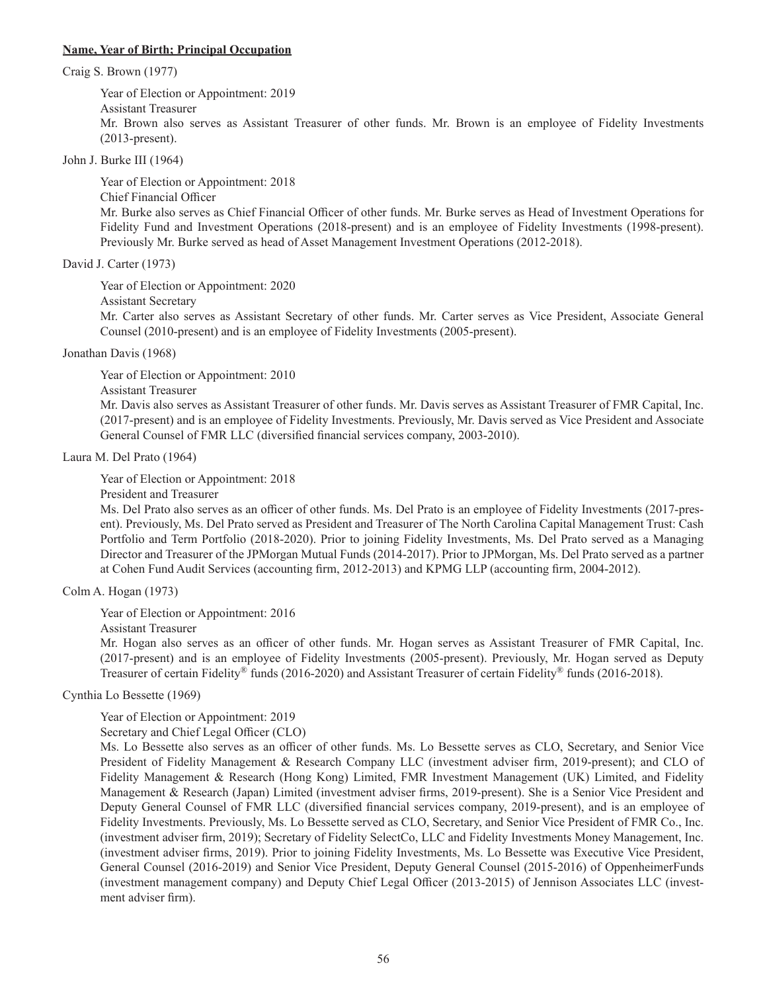### **Name, Year of Birth; Principal Occupation**

Craig S. Brown (1977)

Year of Election or Appointment: 2019 Assistant Treasurer Mr. Brown also serves as Assistant Treasurer of other funds. Mr. Brown is an employee of Fidelity Investments (2013-present).

John J. Burke III (1964)

Year of Election or Appointment: 2018 Chief Financial Officer Mr. Burke also serves as Chief Financial Officer of other funds. Mr. Burke serves as Head of Investment Operations for Fidelity Fund and Investment Operations (2018-present) and is an employee of Fidelity Investments (1998-present). Previously Mr. Burke served as head of Asset Management Investment Operations (2012-2018).

David J. Carter (1973)

Year of Election or Appointment: 2020

Assistant Secretary

Mr. Carter also serves as Assistant Secretary of other funds. Mr. Carter serves as Vice President, Associate General Counsel (2010-present) and is an employee of Fidelity Investments (2005-present).

Jonathan Davis (1968)

Year of Election or Appointment: 2010

Assistant Treasurer

Mr. Davis also serves as Assistant Treasurer of other funds. Mr. Davis serves as Assistant Treasurer of FMR Capital, Inc. (2017-present) and is an employee of Fidelity Investments. Previously, Mr. Davis served as Vice President and Associate General Counsel of FMR LLC (diversified financial services company, 2003-2010).

Laura M. Del Prato (1964)

Year of Election or Appointment: 2018

President and Treasurer

Ms. Del Prato also serves as an officer of other funds. Ms. Del Prato is an employee of Fidelity Investments (2017-present). Previously, Ms. Del Prato served as President and Treasurer of The North Carolina Capital Management Trust: Cash Portfolio and Term Portfolio (2018-2020). Prior to joining Fidelity Investments, Ms. Del Prato served as a Managing Director and Treasurer of the JPMorgan Mutual Funds (2014-2017). Prior to JPMorgan, Ms. Del Prato served as a partner at Cohen Fund Audit Services (accounting firm, 2012-2013) and KPMG LLP (accounting firm, 2004-2012).

Colm A. Hogan (1973)

Year of Election or Appointment: 2016

Assistant Treasurer

Mr. Hogan also serves as an officer of other funds. Mr. Hogan serves as Assistant Treasurer of FMR Capital, Inc. (2017-present) and is an employee of Fidelity Investments (2005-present). Previously, Mr. Hogan served as Deputy Treasurer of certain Fidelity® funds (2016-2020) and Assistant Treasurer of certain Fidelity® funds (2016-2018).

Cynthia Lo Bessette (1969)

Year of Election or Appointment: 2019

Secretary and Chief Legal Officer (CLO)

Ms. Lo Bessette also serves as an officer of other funds. Ms. Lo Bessette serves as CLO, Secretary, and Senior Vice President of Fidelity Management & Research Company LLC (investment adviser firm, 2019-present); and CLO of Fidelity Management & Research (Hong Kong) Limited, FMR Investment Management (UK) Limited, and Fidelity Management & Research (Japan) Limited (investment adviser firms, 2019-present). She is a Senior Vice President and Deputy General Counsel of FMR LLC (diversified financial services company, 2019-present), and is an employee of Fidelity Investments. Previously, Ms. Lo Bessette served as CLO, Secretary, and Senior Vice President of FMR Co., Inc. (investment adviser firm, 2019); Secretary of Fidelity SelectCo, LLC and Fidelity Investments Money Management, Inc. (investment adviser firms, 2019). Prior to joining Fidelity Investments, Ms. Lo Bessette was Executive Vice President, General Counsel (2016-2019) and Senior Vice President, Deputy General Counsel (2015-2016) of OppenheimerFunds (investment management company) and Deputy Chief Legal Officer (2013-2015) of Jennison Associates LLC (investment adviser firm).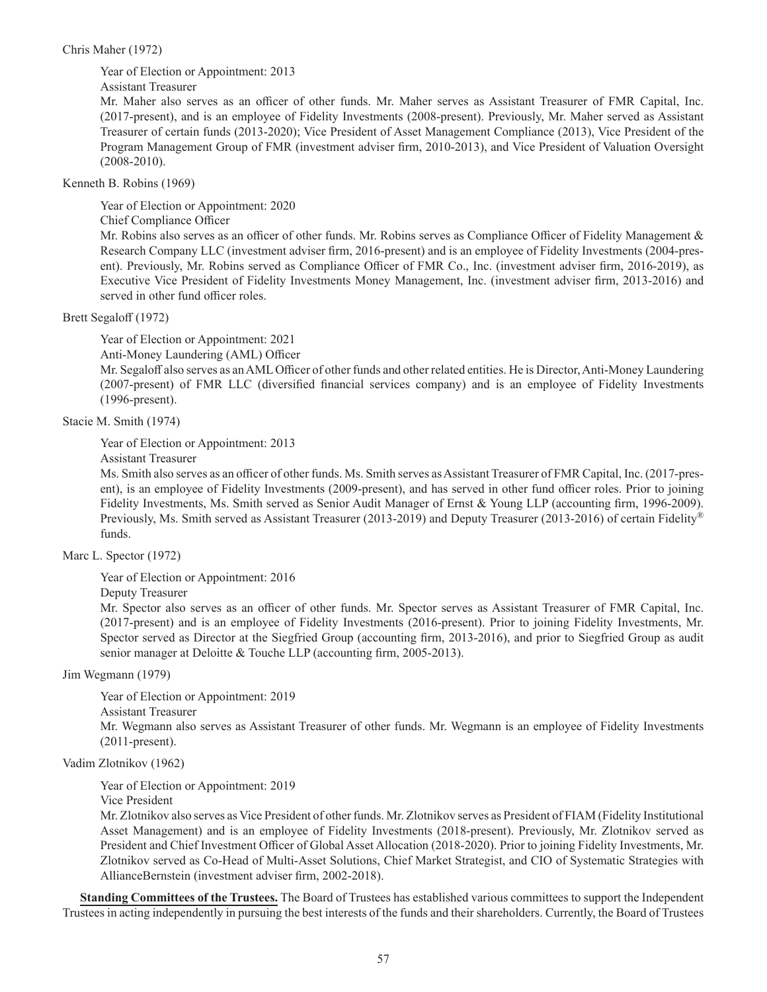## Chris Maher (1972)

Year of Election or Appointment: 2013

Assistant Treasurer

Mr. Maher also serves as an officer of other funds. Mr. Maher serves as Assistant Treasurer of FMR Capital, Inc. (2017-present), and is an employee of Fidelity Investments (2008-present). Previously, Mr. Maher served as Assistant Treasurer of certain funds (2013-2020); Vice President of Asset Management Compliance (2013), Vice President of the Program Management Group of FMR (investment adviser firm, 2010-2013), and Vice President of Valuation Oversight (2008-2010).

Kenneth B. Robins (1969)

Year of Election or Appointment: 2020

Chief Compliance Officer

Mr. Robins also serves as an officer of other funds. Mr. Robins serves as Compliance Officer of Fidelity Management & Research Company LLC (investment adviser firm, 2016-present) and is an employee of Fidelity Investments (2004-present). Previously, Mr. Robins served as Compliance Officer of FMR Co., Inc. (investment adviser firm, 2016-2019), as Executive Vice President of Fidelity Investments Money Management, Inc. (investment adviser firm, 2013-2016) and served in other fund officer roles.

Brett Segaloff (1972)

Year of Election or Appointment: 2021

Anti-Money Laundering (AML) Officer

Mr. Segaloff also serves as an AML Officer of other funds and other related entities. He is Director, Anti-Money Laundering (2007-present) of FMR LLC (diversified financial services company) and is an employee of Fidelity Investments (1996-present).

Stacie M. Smith (1974)

Year of Election or Appointment: 2013

Assistant Treasurer

Ms. Smith also serves as an officer of other funds. Ms. Smith serves as Assistant Treasurer of FMR Capital, Inc. (2017-present), is an employee of Fidelity Investments (2009-present), and has served in other fund officer roles. Prior to joining Fidelity Investments, Ms. Smith served as Senior Audit Manager of Ernst & Young LLP (accounting firm, 1996-2009). Previously, Ms. Smith served as Assistant Treasurer (2013-2019) and Deputy Treasurer (2013-2016) of certain Fidelity® funds.

Marc L. Spector (1972)

Year of Election or Appointment: 2016

Deputy Treasurer

Mr. Spector also serves as an officer of other funds. Mr. Spector serves as Assistant Treasurer of FMR Capital, Inc. (2017-present) and is an employee of Fidelity Investments (2016-present). Prior to joining Fidelity Investments, Mr. Spector served as Director at the Siegfried Group (accounting firm, 2013-2016), and prior to Siegfried Group as audit senior manager at Deloitte & Touche LLP (accounting firm, 2005-2013).

Jim Wegmann (1979)

Year of Election or Appointment: 2019 Assistant Treasurer Mr. Wegmann also serves as Assistant Treasurer of other funds. Mr. Wegmann is an employee of Fidelity Investments (2011-present).

Vadim Zlotnikov (1962)

Year of Election or Appointment: 2019

Vice President

Mr. Zlotnikov also serves as Vice President of other funds. Mr. Zlotnikov serves as President of FIAM (Fidelity Institutional Asset Management) and is an employee of Fidelity Investments (2018-present). Previously, Mr. Zlotnikov served as President and Chief Investment Officer of Global Asset Allocation (2018-2020). Prior to joining Fidelity Investments, Mr. Zlotnikov served as Co-Head of Multi-Asset Solutions, Chief Market Strategist, and CIO of Systematic Strategies with AllianceBernstein (investment adviser firm, 2002-2018).

**Standing Committees of the Trustees.** The Board of Trustees has established various committees to support the Independent Trustees in acting independently in pursuing the best interests of the funds and their shareholders. Currently, the Board of Trustees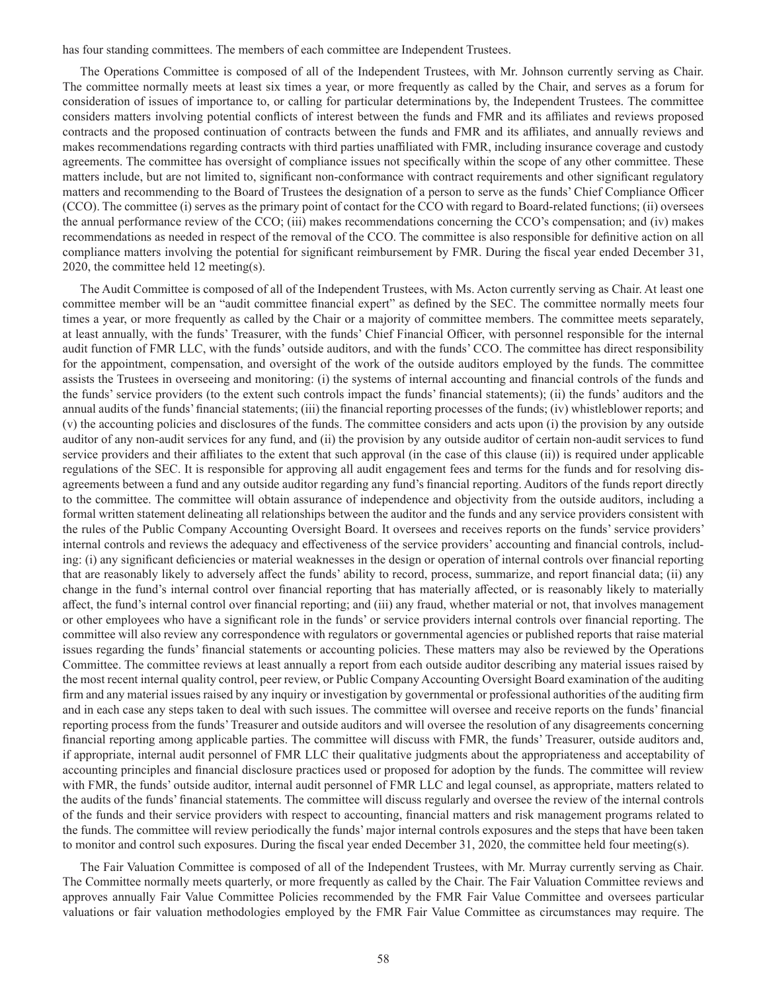has four standing committees. The members of each committee are Independent Trustees.

The Operations Committee is composed of all of the Independent Trustees, with Mr. Johnson currently serving as Chair. The committee normally meets at least six times a year, or more frequently as called by the Chair, and serves as a forum for consideration of issues of importance to, or calling for particular determinations by, the Independent Trustees. The committee considers matters involving potential conflicts of interest between the funds and FMR and its affiliates and reviews proposed contracts and the proposed continuation of contracts between the funds and FMR and its affiliates, and annually reviews and makes recommendations regarding contracts with third parties unaffiliated with FMR, including insurance coverage and custody agreements. The committee has oversight of compliance issues not specifically within the scope of any other committee. These matters include, but are not limited to, significant non-conformance with contract requirements and other significant regulatory matters and recommending to the Board of Trustees the designation of a person to serve as the funds' Chief Compliance Officer (CCO). The committee (i) serves as the primary point of contact for the CCO with regard to Board-related functions; (ii) oversees the annual performance review of the CCO; (iii) makes recommendations concerning the CCO's compensation; and (iv) makes recommendations as needed in respect of the removal of the CCO. The committee is also responsible for definitive action on all compliance matters involving the potential for significant reimbursement by FMR. During the fiscal year ended December 31, 2020, the committee held 12 meeting(s).

The Audit Committee is composed of all of the Independent Trustees, with Ms. Acton currently serving as Chair. At least one committee member will be an "audit committee financial expert" as defined by the SEC. The committee normally meets four times a year, or more frequently as called by the Chair or a majority of committee members. The committee meets separately, at least annually, with the funds' Treasurer, with the funds' Chief Financial Officer, with personnel responsible for the internal audit function of FMR LLC, with the funds' outside auditors, and with the funds' CCO. The committee has direct responsibility for the appointment, compensation, and oversight of the work of the outside auditors employed by the funds. The committee assists the Trustees in overseeing and monitoring: (i) the systems of internal accounting and financial controls of the funds and the funds' service providers (to the extent such controls impact the funds' financial statements); (ii) the funds' auditors and the annual audits of the funds' financial statements; (iii) the financial reporting processes of the funds; (iv) whistleblower reports; and (v) the accounting policies and disclosures of the funds. The committee considers and acts upon (i) the provision by any outside auditor of any non-audit services for any fund, and (ii) the provision by any outside auditor of certain non-audit services to fund service providers and their affiliates to the extent that such approval (in the case of this clause (ii)) is required under applicable regulations of the SEC. It is responsible for approving all audit engagement fees and terms for the funds and for resolving disagreements between a fund and any outside auditor regarding any fund's financial reporting. Auditors of the funds report directly to the committee. The committee will obtain assurance of independence and objectivity from the outside auditors, including a formal written statement delineating all relationships between the auditor and the funds and any service providers consistent with the rules of the Public Company Accounting Oversight Board. It oversees and receives reports on the funds' service providers' internal controls and reviews the adequacy and effectiveness of the service providers' accounting and financial controls, including: (i) any significant deficiencies or material weaknesses in the design or operation of internal controls over financial reporting that are reasonably likely to adversely affect the funds' ability to record, process, summarize, and report financial data; (ii) any change in the fund's internal control over financial reporting that has materially affected, or is reasonably likely to materially affect, the fund's internal control over financial reporting; and (iii) any fraud, whether material or not, that involves management or other employees who have a significant role in the funds' or service providers internal controls over financial reporting. The committee will also review any correspondence with regulators or governmental agencies or published reports that raise material issues regarding the funds' financial statements or accounting policies. These matters may also be reviewed by the Operations Committee. The committee reviews at least annually a report from each outside auditor describing any material issues raised by the most recent internal quality control, peer review, or Public Company Accounting Oversight Board examination of the auditing firm and any material issues raised by any inquiry or investigation by governmental or professional authorities of the auditing firm and in each case any steps taken to deal with such issues. The committee will oversee and receive reports on the funds' financial reporting process from the funds' Treasurer and outside auditors and will oversee the resolution of any disagreements concerning financial reporting among applicable parties. The committee will discuss with FMR, the funds' Treasurer, outside auditors and, if appropriate, internal audit personnel of FMR LLC their qualitative judgments about the appropriateness and acceptability of accounting principles and financial disclosure practices used or proposed for adoption by the funds. The committee will review with FMR, the funds' outside auditor, internal audit personnel of FMR LLC and legal counsel, as appropriate, matters related to the audits of the funds' financial statements. The committee will discuss regularly and oversee the review of the internal controls of the funds and their service providers with respect to accounting, financial matters and risk management programs related to the funds. The committee will review periodically the funds' major internal controls exposures and the steps that have been taken to monitor and control such exposures. During the fiscal year ended December 31, 2020, the committee held four meeting(s).

The Fair Valuation Committee is composed of all of the Independent Trustees, with Mr. Murray currently serving as Chair. The Committee normally meets quarterly, or more frequently as called by the Chair. The Fair Valuation Committee reviews and approves annually Fair Value Committee Policies recommended by the FMR Fair Value Committee and oversees particular valuations or fair valuation methodologies employed by the FMR Fair Value Committee as circumstances may require. The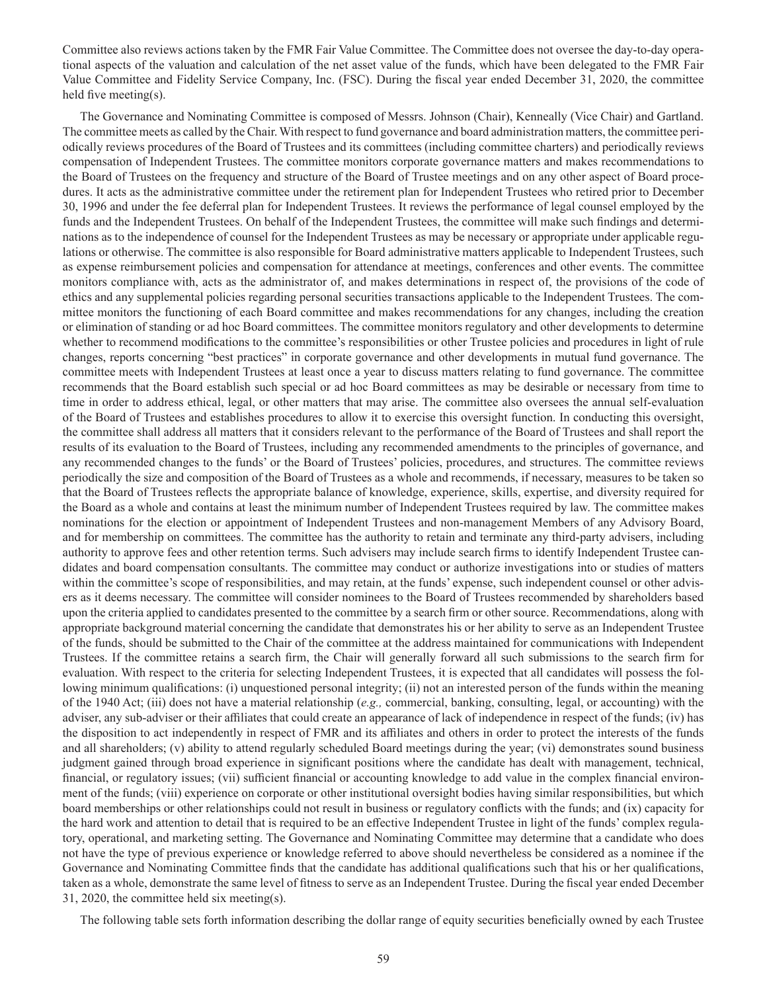Committee also reviews actions taken by the FMR Fair Value Committee. The Committee does not oversee the day-to-day operational aspects of the valuation and calculation of the net asset value of the funds, which have been delegated to the FMR Fair Value Committee and Fidelity Service Company, Inc. (FSC). During the fiscal year ended December 31, 2020, the committee held five meeting(s).

The Governance and Nominating Committee is composed of Messrs. Johnson (Chair), Kenneally (Vice Chair) and Gartland. The committee meets as called by the Chair. With respect to fund governance and board administration matters, the committee periodically reviews procedures of the Board of Trustees and its committees (including committee charters) and periodically reviews compensation of Independent Trustees. The committee monitors corporate governance matters and makes recommendations to the Board of Trustees on the frequency and structure of the Board of Trustee meetings and on any other aspect of Board procedures. It acts as the administrative committee under the retirement plan for Independent Trustees who retired prior to December 30, 1996 and under the fee deferral plan for Independent Trustees. It reviews the performance of legal counsel employed by the funds and the Independent Trustees. On behalf of the Independent Trustees, the committee will make such findings and determinations as to the independence of counsel for the Independent Trustees as may be necessary or appropriate under applicable regulations or otherwise. The committee is also responsible for Board administrative matters applicable to Independent Trustees, such as expense reimbursement policies and compensation for attendance at meetings, conferences and other events. The committee monitors compliance with, acts as the administrator of, and makes determinations in respect of, the provisions of the code of ethics and any supplemental policies regarding personal securities transactions applicable to the Independent Trustees. The committee monitors the functioning of each Board committee and makes recommendations for any changes, including the creation or elimination of standing or ad hoc Board committees. The committee monitors regulatory and other developments to determine whether to recommend modifications to the committee's responsibilities or other Trustee policies and procedures in light of rule changes, reports concerning "best practices" in corporate governance and other developments in mutual fund governance. The committee meets with Independent Trustees at least once a year to discuss matters relating to fund governance. The committee recommends that the Board establish such special or ad hoc Board committees as may be desirable or necessary from time to time in order to address ethical, legal, or other matters that may arise. The committee also oversees the annual self-evaluation of the Board of Trustees and establishes procedures to allow it to exercise this oversight function. In conducting this oversight, the committee shall address all matters that it considers relevant to the performance of the Board of Trustees and shall report the results of its evaluation to the Board of Trustees, including any recommended amendments to the principles of governance, and any recommended changes to the funds' or the Board of Trustees' policies, procedures, and structures. The committee reviews periodically the size and composition of the Board of Trustees as a whole and recommends, if necessary, measures to be taken so that the Board of Trustees reflects the appropriate balance of knowledge, experience, skills, expertise, and diversity required for the Board as a whole and contains at least the minimum number of Independent Trustees required by law. The committee makes nominations for the election or appointment of Independent Trustees and non-management Members of any Advisory Board, and for membership on committees. The committee has the authority to retain and terminate any third-party advisers, including authority to approve fees and other retention terms. Such advisers may include search firms to identify Independent Trustee candidates and board compensation consultants. The committee may conduct or authorize investigations into or studies of matters within the committee's scope of responsibilities, and may retain, at the funds' expense, such independent counsel or other advisers as it deems necessary. The committee will consider nominees to the Board of Trustees recommended by shareholders based upon the criteria applied to candidates presented to the committee by a search firm or other source. Recommendations, along with appropriate background material concerning the candidate that demonstrates his or her ability to serve as an Independent Trustee of the funds, should be submitted to the Chair of the committee at the address maintained for communications with Independent Trustees. If the committee retains a search firm, the Chair will generally forward all such submissions to the search firm for evaluation. With respect to the criteria for selecting Independent Trustees, it is expected that all candidates will possess the following minimum qualifications: (i) unquestioned personal integrity; (ii) not an interested person of the funds within the meaning of the 1940 Act; (iii) does not have a material relationship (*e.g.,* commercial, banking, consulting, legal, or accounting) with the adviser, any sub-adviser or their affiliates that could create an appearance of lack of independence in respect of the funds; (iv) has the disposition to act independently in respect of FMR and its affiliates and others in order to protect the interests of the funds and all shareholders; (v) ability to attend regularly scheduled Board meetings during the year; (vi) demonstrates sound business judgment gained through broad experience in significant positions where the candidate has dealt with management, technical, financial, or regulatory issues; (vii) sufficient financial or accounting knowledge to add value in the complex financial environment of the funds; (viii) experience on corporate or other institutional oversight bodies having similar responsibilities, but which board memberships or other relationships could not result in business or regulatory conflicts with the funds; and (ix) capacity for the hard work and attention to detail that is required to be an effective Independent Trustee in light of the funds' complex regulatory, operational, and marketing setting. The Governance and Nominating Committee may determine that a candidate who does not have the type of previous experience or knowledge referred to above should nevertheless be considered as a nominee if the Governance and Nominating Committee finds that the candidate has additional qualifications such that his or her qualifications, taken as a whole, demonstrate the same level of fitness to serve as an Independent Trustee. During the fiscal year ended December 31, 2020, the committee held six meeting(s).

The following table sets forth information describing the dollar range of equity securities beneficially owned by each Trustee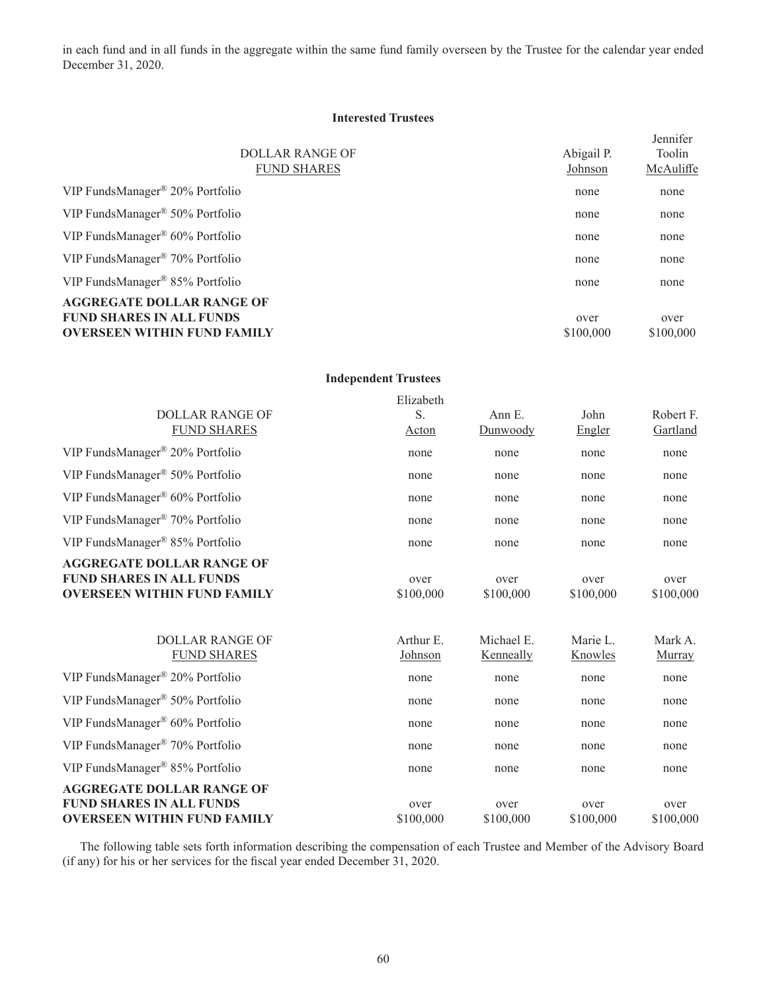in each fund and in all funds in the aggregate within the same fund family overseen by the Trustee for the calendar year ended December 31, 2020.

## **Interested Trustees**

|                                                |            | Jennifer  |
|------------------------------------------------|------------|-----------|
| <b>DOLLAR RANGE OF</b>                         | Abigail P. | Toolin    |
| <b>FUND SHARES</b>                             | Johnson    | McAuliffe |
| VIP FundsManager <sup>®</sup> 20% Portfolio    | none       | none      |
| VIP FundsManager <sup>®</sup> 50% Portfolio    | none       | none      |
| VIP FundsManager <sup>®</sup> $60\%$ Portfolio | none       | none      |
| VIP FundsManager <sup>®</sup> 70% Portfolio    | none       | none      |
| VIP FundsManager® 85% Portfolio                | none       | none      |
| <b>AGGREGATE DOLLAR RANGE OF</b>               |            |           |
| <b>FUND SHARES IN ALL FUNDS</b>                | over       | over      |
| <b>OVERSEEN WITHIN FUND FAMILY</b>             | \$100,000  | \$100,000 |

#### **Independent Trustees**

|                                                | Elizabeth |            |           |           |
|------------------------------------------------|-----------|------------|-----------|-----------|
| <b>DOLLAR RANGE OF</b>                         | S.        | Ann E.     | John      | Robert F. |
| <b>FUND SHARES</b>                             | Acton     | Dunwoody   | Engler    | Gartland  |
| VIP FundsManager <sup>®</sup> 20% Portfolio    | none      | none       | none      | none      |
| VIP FundsManager® 50% Portfolio                | none      | none       | none      | none      |
| VIP FundsManager® 60% Portfolio                | none      | none       | none      | none      |
| VIP FundsManager <sup>®</sup> 70% Portfolio    | none      | none       | none      | none      |
| VIP FundsManager® 85% Portfolio                | none      | none       | none      | none      |
| <b>AGGREGATE DOLLAR RANGE OF</b>               |           |            |           |           |
| <b>FUND SHARES IN ALL FUNDS</b>                | over      | over       | over      | over      |
| <b>OVERSEEN WITHIN FUND FAMILY</b>             | \$100,000 | \$100,000  | \$100,000 | \$100,000 |
|                                                |           |            |           |           |
| <b>DOLLAR RANGE OF</b>                         | Arthur E. | Michael E. | Marie L.  | Mark A.   |
| <b>FUND SHARES</b>                             | Johnson   | Kenneally  | Knowles   | Murray    |
| VIP FundsManager® 20% Portfolio                | none      | none       | none      | none      |
| VIP FundsManager <sup>®</sup> 50% Portfolio    | none      | none       | none      | none      |
| VIP FundsManager <sup>®</sup> $60\%$ Portfolio | none      | none       | none      | none      |
| VIP FundsManager <sup>®</sup> 70% Portfolio    | none      | none       | none      | none      |
| VIP FundsManager® 85% Portfolio                | none      | none       | none      | none      |
| <b>AGGREGATE DOLLAR RANGE OF</b>               |           |            |           |           |
| <b>FUND SHARES IN ALL FUNDS</b>                | over      | over       | over      | over      |
| <b>OVERSEEN WITHIN FUND FAMILY</b>             | \$100,000 | \$100,000  | \$100,000 | \$100,000 |

The following table sets forth information describing the compensation of each Trustee and Member of the Advisory Board (if any) for his or her services for the fiscal year ended December 31, 2020.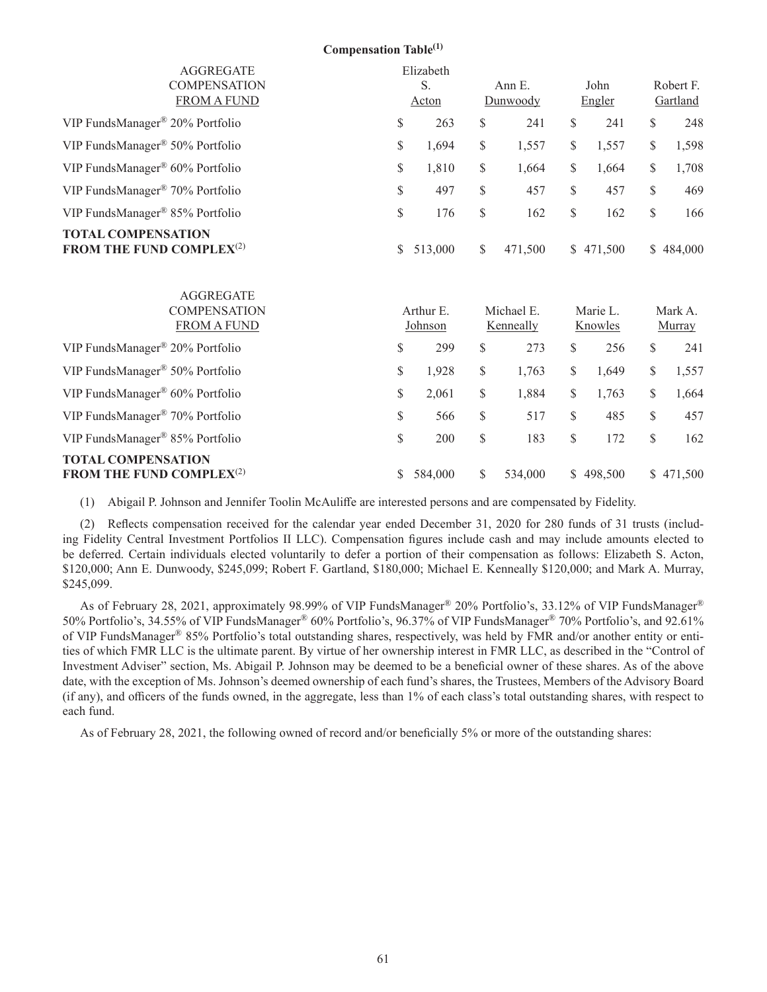|                                                                   | <b>Compensation Table</b> <sup>(1)</sup>                              |                      |                    |                         |                |                     |                       |  |
|-------------------------------------------------------------------|-----------------------------------------------------------------------|----------------------|--------------------|-------------------------|----------------|---------------------|-----------------------|--|
| <b>AGGREGATE</b><br><b>COMPENSATION</b><br><b>FROM A FUND</b>     | Elizabeth<br>S.<br>Acton                                              |                      | Ann E.<br>Dunwoody |                         | John<br>Engler |                     | Robert F.<br>Gartland |  |
| VIP FundsManager® 20% Portfolio                                   | $\mathbb{S}% _{t}\left( t\right) \equiv\mathbb{S}_{t}\left( t\right)$ | 263                  | \$                 | 241                     | \$             | 241                 | \$<br>248             |  |
| VIP FundsManager® 50% Portfolio                                   | \$                                                                    | 1,694                | \$                 | 1,557                   | \$             | 1,557               | \$<br>1,598           |  |
| VIP FundsManager® 60% Portfolio                                   | \$                                                                    | 1,810                | \$                 | 1,664                   | \$             | 1,664               | \$<br>1,708           |  |
| VIP FundsManager® 70% Portfolio                                   | \$                                                                    | 497                  | \$                 | 457                     | \$             | 457                 | \$<br>469             |  |
| VIP FundsManager® 85% Portfolio                                   | \$                                                                    | 176                  | \$                 | 162                     | \$             | 162                 | \$<br>166             |  |
| <b>TOTAL COMPENSATION</b><br>FROM THE FUND COMPLEX <sup>(2)</sup> | \$                                                                    | 513,000              | \$                 | 471,500                 |                | \$471,500           | \$484,000             |  |
| <b>AGGREGATE</b><br><b>COMPENSATION</b><br><b>FROM A FUND</b>     |                                                                       | Arthur E.<br>Johnson |                    | Michael E.<br>Kenneally |                | Marie L.<br>Knowles | Mark A.<br>Murray     |  |
| VIP FundsManager® 20% Portfolio                                   | \$                                                                    | 299                  | \$                 | 273                     | \$             | 256                 | \$<br>241             |  |
| VIP FundsManager® 50% Portfolio                                   | \$                                                                    | 1,928                | \$                 | 1,763                   | \$             | 1,649               | \$<br>1,557           |  |
| VIP FundsManager® 60% Portfolio                                   | \$                                                                    | 2,061                | \$                 | 1,884                   | \$             | 1,763               | \$<br>1,664           |  |
| VIP FundsManager® 70% Portfolio                                   | \$                                                                    | 566                  | \$                 | 517                     | \$             | 485                 | \$<br>457             |  |
| VIP FundsManager® 85% Portfolio                                   | \$                                                                    | 200                  | \$                 | 183                     | \$             | 172                 | \$<br>162             |  |
| <b>TOTAL COMPENSATION</b><br>FROM THE FUND COMPLEX <sup>(2)</sup> | \$                                                                    | 584,000              | \$                 | 534,000                 |                | \$498,500           | \$471,500             |  |

(1) Abigail P. Johnson and Jennifer Toolin McAuliffe are interested persons and are compensated by Fidelity.

(2) Reflects compensation received for the calendar year ended December 31, 2020 for 280 funds of 31 trusts (including Fidelity Central Investment Portfolios II LLC). Compensation figures include cash and may include amounts elected to be deferred. Certain individuals elected voluntarily to defer a portion of their compensation as follows: Elizabeth S. Acton, \$120,000; Ann E. Dunwoody, \$245,099; Robert F. Gartland, \$180,000; Michael E. Kenneally \$120,000; and Mark A. Murray, \$245,099.

As of February 28, 2021, approximately 98.99% of VIP FundsManager® 20% Portfolio's, 33.12% of VIP FundsManager® 50% Portfolio's, 34.55% of VIP FundsManager® 60% Portfolio's, 96.37% of VIP FundsManager® 70% Portfolio's, and 92.61% of VIP FundsManager® 85% Portfolio's total outstanding shares, respectively, was held by FMR and/or another entity or entities of which FMR LLC is the ultimate parent. By virtue of her ownership interest in FMR LLC, as described in the "Control of Investment Adviser" section, Ms. Abigail P. Johnson may be deemed to be a beneficial owner of these shares. As of the above date, with the exception of Ms. Johnson's deemed ownership of each fund's shares, the Trustees, Members of the Advisory Board (if any), and officers of the funds owned, in the aggregate, less than 1% of each class's total outstanding shares, with respect to each fund.

As of February 28, 2021, the following owned of record and/or beneficially 5% or more of the outstanding shares: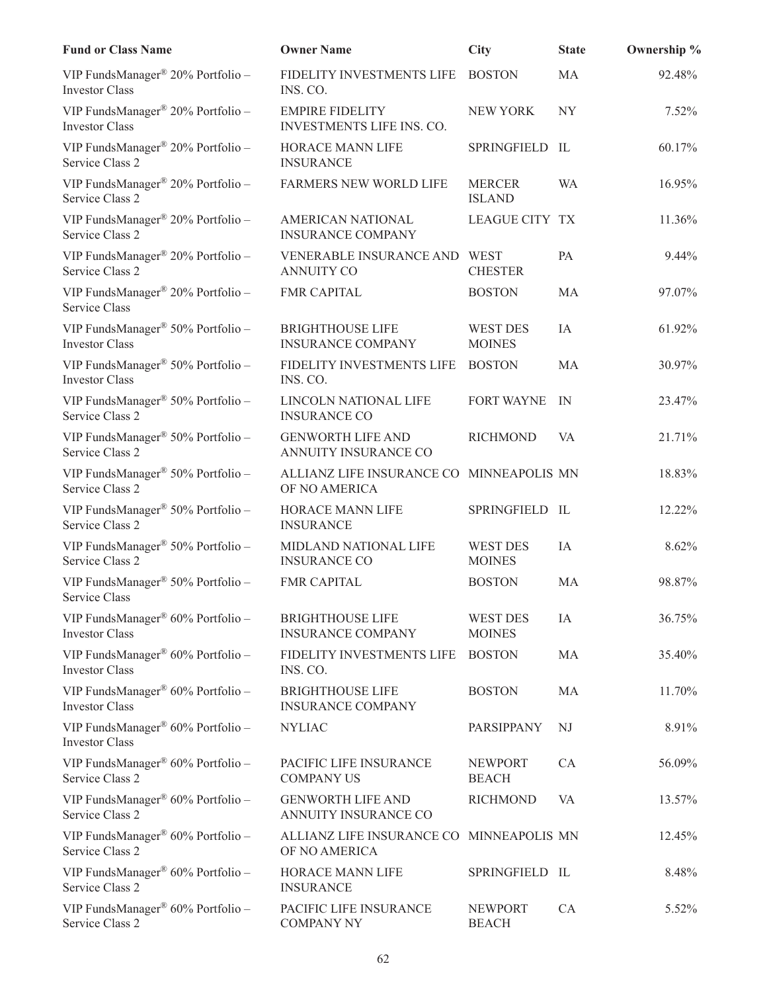| <b>Fund or Class Name</b>                                              | <b>Owner Name</b>                                         | <b>City</b>                      | <b>State</b> | Ownership % |
|------------------------------------------------------------------------|-----------------------------------------------------------|----------------------------------|--------------|-------------|
| VIP FundsManager® 20% Portfolio -<br><b>Investor Class</b>             | FIDELITY INVESTMENTS LIFE<br>INS. CO.                     | <b>BOSTON</b>                    | MA           | 92.48%      |
| VIP FundsManager <sup>®</sup> 20% Portfolio -<br><b>Investor Class</b> | <b>EMPIRE FIDELITY</b><br>INVESTMENTS LIFE INS. CO.       | NEW YORK                         | NY           | 7.52%       |
| VIP FundsManager® 20% Portfolio -<br>Service Class 2                   | HORACE MANN LIFE<br><b>INSURANCE</b>                      | SPRINGFIELD IL                   |              | 60.17%      |
| VIP FundsManager® 20% Portfolio -<br>Service Class 2                   | FARMERS NEW WORLD LIFE                                    | <b>MERCER</b><br><b>ISLAND</b>   | WA           | 16.95%      |
| VIP FundsManager® 20% Portfolio -<br>Service Class 2                   | AMERICAN NATIONAL<br><b>INSURANCE COMPANY</b>             | <b>LEAGUE CITY TX</b>            |              | 11.36%      |
| VIP FundsManager® 20% Portfolio -<br>Service Class 2                   | VENERABLE INSURANCE AND WEST<br><b>ANNUITY CO</b>         | <b>CHESTER</b>                   | PA           | 9.44%       |
| VIP FundsManager® 20% Portfolio -<br>Service Class                     | <b>FMR CAPITAL</b>                                        | <b>BOSTON</b>                    | MA           | 97.07%      |
| VIP FundsManager® 50% Portfolio -<br><b>Investor Class</b>             | <b>BRIGHTHOUSE LIFE</b><br><b>INSURANCE COMPANY</b>       | <b>WEST DES</b><br><b>MOINES</b> | IA           | 61.92%      |
| VIP FundsManager <sup>®</sup> 50% Portfolio -<br><b>Investor Class</b> | FIDELITY INVESTMENTS LIFE<br>INS. CO.                     | <b>BOSTON</b>                    | MA           | 30.97%      |
| VIP FundsManager® 50% Portfolio -<br>Service Class 2                   | LINCOLN NATIONAL LIFE<br><b>INSURANCE CO</b>              | <b>FORT WAYNE</b>                | IN           | 23.47%      |
| VIP FundsManager® 50% Portfolio -<br>Service Class 2                   | <b>GENWORTH LIFE AND</b><br>ANNUITY INSURANCE CO          | <b>RICHMOND</b>                  | VA           | 21.71%      |
| VIP FundsManager® 50% Portfolio -<br>Service Class 2                   | ALLIANZ LIFE INSURANCE CO MINNEAPOLIS MN<br>OF NO AMERICA |                                  |              | 18.83%      |
| VIP FundsManager® 50% Portfolio -<br>Service Class 2                   | HORACE MANN LIFE<br><b>INSURANCE</b>                      | SPRINGFIELD IL                   |              | 12.22%      |
| VIP FundsManager® 50% Portfolio -<br>Service Class 2                   | MIDLAND NATIONAL LIFE<br><b>INSURANCE CO</b>              | WEST DES<br><b>MOINES</b>        | IA           | 8.62%       |
| VIP FundsManager® 50% Portfolio -<br>Service Class                     | <b>FMR CAPITAL</b>                                        | <b>BOSTON</b>                    | MA           | 98.87%      |
| VIP FundsManager® 60% Portfolio -<br><b>Investor Class</b>             | <b>BRIGHTHOUSE LIFE</b><br><b>INSURANCE COMPANY</b>       | <b>WEST DES</b><br><b>MOINES</b> | IA           | 36.75%      |
| VIP FundsManager® 60% Portfolio -<br><b>Investor Class</b>             | FIDELITY INVESTMENTS LIFE<br>INS. CO.                     | <b>BOSTON</b>                    | MA           | 35.40%      |
| VIP FundsManager® 60% Portfolio -<br><b>Investor Class</b>             | <b>BRIGHTHOUSE LIFE</b><br><b>INSURANCE COMPANY</b>       | <b>BOSTON</b>                    | MA           | 11.70%      |
| VIP FundsManager® 60% Portfolio -<br><b>Investor Class</b>             | <b>NYLIAC</b>                                             | PARSIPPANY                       | NJ           | 8.91%       |
| VIP FundsManager <sup>®</sup> 60% Portfolio -<br>Service Class 2       | PACIFIC LIFE INSURANCE<br><b>COMPANY US</b>               | <b>NEWPORT</b><br><b>BEACH</b>   | CA           | 56.09%      |
| VIP FundsManager® 60% Portfolio -<br>Service Class 2                   | <b>GENWORTH LIFE AND</b><br>ANNUITY INSURANCE CO          | <b>RICHMOND</b>                  | VA           | 13.57%      |
| VIP FundsManager <sup>®</sup> 60% Portfolio -<br>Service Class 2       | ALLIANZ LIFE INSURANCE CO MINNEAPOLIS MN<br>OF NO AMERICA |                                  |              | 12.45%      |
| VIP FundsManager® 60% Portfolio -<br>Service Class 2                   | HORACE MANN LIFE<br><b>INSURANCE</b>                      | SPRINGFIELD IL                   |              | 8.48%       |
| VIP FundsManager® 60% Portfolio -<br>Service Class 2                   | PACIFIC LIFE INSURANCE<br><b>COMPANY NY</b>               | <b>NEWPORT</b><br><b>BEACH</b>   | CA           | 5.52%       |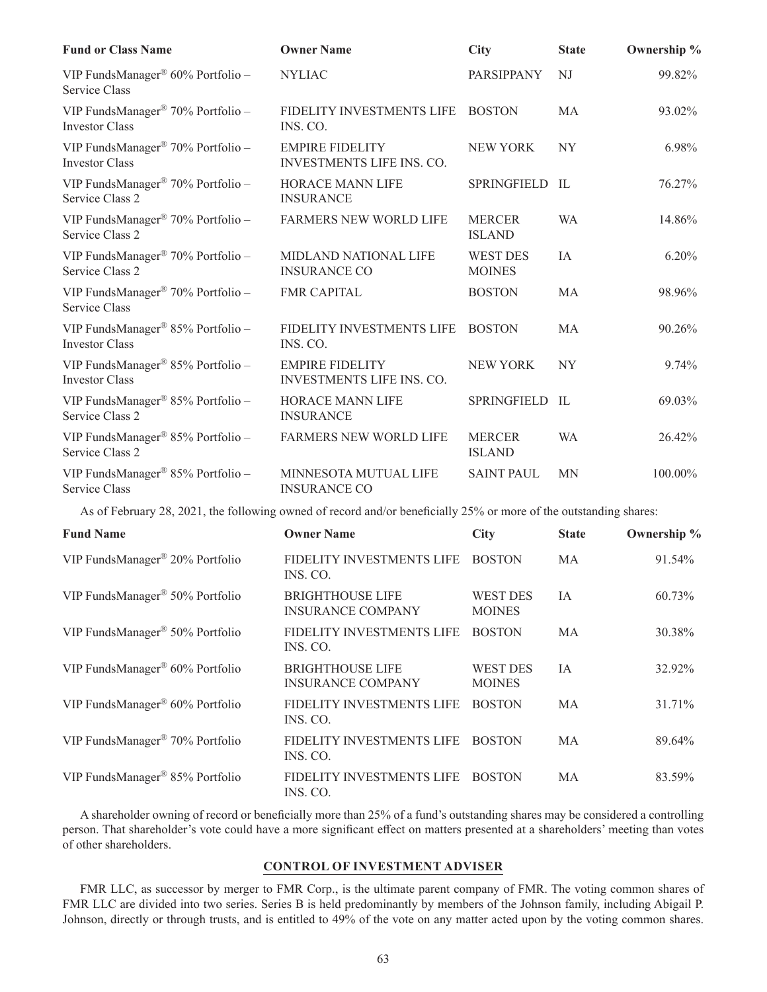| <b>Fund or Class Name</b>                                              | <b>Owner Name</b>                                   | <b>City</b>                      | <b>State</b>   | Ownership % |
|------------------------------------------------------------------------|-----------------------------------------------------|----------------------------------|----------------|-------------|
| VIP FundsManager® 60% Portfolio -<br>Service Class                     | <b>NYLIAC</b>                                       | PARSIPPANY                       | NJ             | 99.82%      |
| VIP FundsManager® 70% Portfolio -<br><b>Investor Class</b>             | FIDELITY INVESTMENTS LIFE<br>INS. CO.               | <b>BOSTON</b>                    | MA             | 93.02%      |
| VIP FundsManager® 70% Portfolio -<br><b>Investor Class</b>             | <b>EMPIRE FIDELITY</b><br>INVESTMENTS LIFE INS. CO. | <b>NEW YORK</b>                  | NY <sub></sub> | 6.98%       |
| VIP FundsManager® 70% Portfolio -<br>Service Class 2                   | <b>HORACE MANN LIFE</b><br><b>INSURANCE</b>         | <b>SPRINGFIELD</b>               | - IL           | 76.27%      |
| VIP FundsManager® 70% Portfolio -<br>Service Class 2                   | <b>FARMERS NEW WORLD LIFE</b>                       | <b>MERCER</b><br><b>ISLAND</b>   | <b>WA</b>      | 14.86%      |
| VIP FundsManager® 70% Portfolio -<br>Service Class 2                   | MIDLAND NATIONAL LIFE<br><b>INSURANCE CO</b>        | <b>WEST DES</b><br><b>MOINES</b> | IA             | 6.20%       |
| VIP FundsManager® 70% Portfolio -<br>Service Class                     | <b>FMR CAPITAL</b>                                  | <b>BOSTON</b>                    | MA             | 98.96%      |
| VIP FundsManager <sup>®</sup> 85% Portfolio -<br><b>Investor Class</b> | FIDELITY INVESTMENTS LIFE<br>INS. CO.               | <b>BOSTON</b>                    | <b>MA</b>      | 90.26%      |
| VIP FundsManager® 85% Portfolio -<br><b>Investor Class</b>             | <b>EMPIRE FIDELITY</b><br>INVESTMENTS LIFE INS. CO. | <b>NEW YORK</b>                  | NY <sub></sub> | 9.74%       |
| VIP FundsManager® 85% Portfolio -<br>Service Class 2                   | <b>HORACE MANN LIFE</b><br><b>INSURANCE</b>         | SPRINGFIELD                      | - IL           | 69.03%      |
| VIP FundsManager® 85% Portfolio -<br>Service Class 2                   | <b>FARMERS NEW WORLD LIFE</b>                       | <b>MERCER</b><br><b>ISLAND</b>   | <b>WA</b>      | 26.42%      |
| VIP FundsManager <sup>®</sup> 85% Portfolio -<br>Service Class         | MINNESOTA MUTUAL LIFE<br><b>INSURANCE CO</b>        | <b>SAINT PAUL</b>                | <b>MN</b>      | 100.00%     |

As of February 28, 2021, the following owned of record and/or beneficially 25% or more of the outstanding shares:

| <b>Fund Name</b>                            | <b>Owner Name</b>                                   | <b>City</b>                      | <b>State</b> | Ownership % |
|---------------------------------------------|-----------------------------------------------------|----------------------------------|--------------|-------------|
| VIP FundsManager® 20% Portfolio             | FIDELITY INVESTMENTS LIFE<br>INS. CO.               | <b>BOSTON</b>                    | MA           | 91.54%      |
| VIP FundsManager <sup>®</sup> 50% Portfolio | <b>BRIGHTHOUSE LIFE</b><br><b>INSURANCE COMPANY</b> | <b>WEST DES</b><br><b>MOINES</b> | IA           | 60.73%      |
| VIP FundsManager <sup>®</sup> 50% Portfolio | FIDELITY INVESTMENTS LIFE<br>INS. CO.               | <b>BOSTON</b>                    | MA           | 30.38%      |
| VIP FundsManager® 60% Portfolio             | <b>BRIGHTHOUSE LIFE</b><br><b>INSURANCE COMPANY</b> | <b>WEST DES</b><br><b>MOINES</b> | <b>IA</b>    | 32.92%      |
| VIP FundsManager® 60% Portfolio             | FIDELITY INVESTMENTS LIFE<br>INS. CO.               | <b>BOSTON</b>                    | МA           | 31.71%      |
| VIP FundsManager <sup>®</sup> 70% Portfolio | FIDELITY INVESTMENTS LIFE<br>INS. CO.               | <b>BOSTON</b>                    | MA           | 89.64%      |
| VIP FundsManager® 85% Portfolio             | FIDELITY INVESTMENTS LIFE<br>INS. CO.               | <b>BOSTON</b>                    | МA           | 83.59%      |

A shareholder owning of record or beneficially more than 25% of a fund's outstanding shares may be considered a controlling person. That shareholder's vote could have a more significant effect on matters presented at a shareholders' meeting than votes of other shareholders.

## **CONTROL OF INVESTMENT ADVISER**

FMR LLC, as successor by merger to FMR Corp., is the ultimate parent company of FMR. The voting common shares of FMR LLC are divided into two series. Series B is held predominantly by members of the Johnson family, including Abigail P. Johnson, directly or through trusts, and is entitled to 49% of the vote on any matter acted upon by the voting common shares.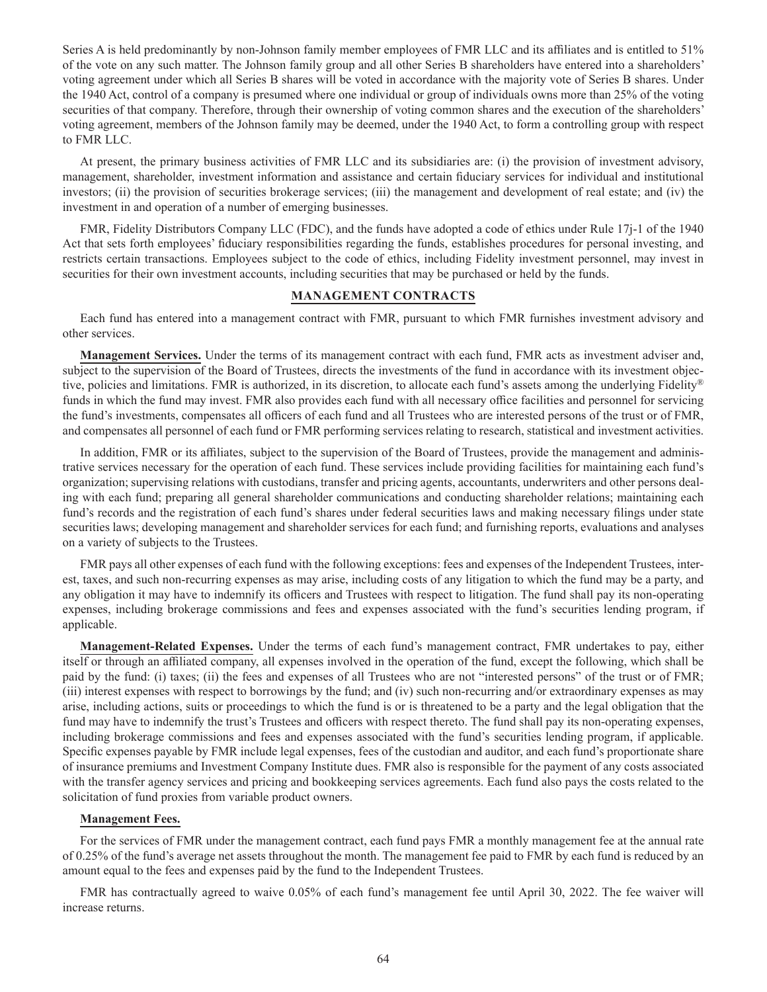Series A is held predominantly by non-Johnson family member employees of FMR LLC and its affiliates and is entitled to 51% of the vote on any such matter. The Johnson family group and all other Series B shareholders have entered into a shareholders' voting agreement under which all Series B shares will be voted in accordance with the majority vote of Series B shares. Under the 1940 Act, control of a company is presumed where one individual or group of individuals owns more than 25% of the voting securities of that company. Therefore, through their ownership of voting common shares and the execution of the shareholders' voting agreement, members of the Johnson family may be deemed, under the 1940 Act, to form a controlling group with respect to FMR LLC.

At present, the primary business activities of FMR LLC and its subsidiaries are: (i) the provision of investment advisory, management, shareholder, investment information and assistance and certain fiduciary services for individual and institutional investors; (ii) the provision of securities brokerage services; (iii) the management and development of real estate; and (iv) the investment in and operation of a number of emerging businesses.

FMR, Fidelity Distributors Company LLC (FDC), and the funds have adopted a code of ethics under Rule 17j-1 of the 1940 Act that sets forth employees' fiduciary responsibilities regarding the funds, establishes procedures for personal investing, and restricts certain transactions. Employees subject to the code of ethics, including Fidelity investment personnel, may invest in securities for their own investment accounts, including securities that may be purchased or held by the funds.

## **MANAGEMENT CONTRACTS**

Each fund has entered into a management contract with FMR, pursuant to which FMR furnishes investment advisory and other services.

**Management Services.** Under the terms of its management contract with each fund, FMR acts as investment adviser and, subject to the supervision of the Board of Trustees, directs the investments of the fund in accordance with its investment objective, policies and limitations. FMR is authorized, in its discretion, to allocate each fund's assets among the underlying Fidelity<sup>®</sup> funds in which the fund may invest. FMR also provides each fund with all necessary office facilities and personnel for servicing the fund's investments, compensates all officers of each fund and all Trustees who are interested persons of the trust or of FMR, and compensates all personnel of each fund or FMR performing services relating to research, statistical and investment activities.

In addition, FMR or its affiliates, subject to the supervision of the Board of Trustees, provide the management and administrative services necessary for the operation of each fund. These services include providing facilities for maintaining each fund's organization; supervising relations with custodians, transfer and pricing agents, accountants, underwriters and other persons dealing with each fund; preparing all general shareholder communications and conducting shareholder relations; maintaining each fund's records and the registration of each fund's shares under federal securities laws and making necessary filings under state securities laws; developing management and shareholder services for each fund; and furnishing reports, evaluations and analyses on a variety of subjects to the Trustees.

FMR pays all other expenses of each fund with the following exceptions: fees and expenses of the Independent Trustees, interest, taxes, and such non-recurring expenses as may arise, including costs of any litigation to which the fund may be a party, and any obligation it may have to indemnify its officers and Trustees with respect to litigation. The fund shall pay its non-operating expenses, including brokerage commissions and fees and expenses associated with the fund's securities lending program, if applicable.

**Management-Related Expenses.** Under the terms of each fund's management contract, FMR undertakes to pay, either itself or through an affiliated company, all expenses involved in the operation of the fund, except the following, which shall be paid by the fund: (i) taxes; (ii) the fees and expenses of all Trustees who are not "interested persons" of the trust or of FMR; (iii) interest expenses with respect to borrowings by the fund; and (iv) such non-recurring and/or extraordinary expenses as may arise, including actions, suits or proceedings to which the fund is or is threatened to be a party and the legal obligation that the fund may have to indemnify the trust's Trustees and officers with respect thereto. The fund shall pay its non-operating expenses, including brokerage commissions and fees and expenses associated with the fund's securities lending program, if applicable. Specific expenses payable by FMR include legal expenses, fees of the custodian and auditor, and each fund's proportionate share of insurance premiums and Investment Company Institute dues. FMR also is responsible for the payment of any costs associated with the transfer agency services and pricing and bookkeeping services agreements. Each fund also pays the costs related to the solicitation of fund proxies from variable product owners.

## **Management Fees.**

For the services of FMR under the management contract, each fund pays FMR a monthly management fee at the annual rate of 0.25% of the fund's average net assets throughout the month. The management fee paid to FMR by each fund is reduced by an amount equal to the fees and expenses paid by the fund to the Independent Trustees.

FMR has contractually agreed to waive 0.05% of each fund's management fee until April 30, 2022. The fee waiver will increase returns.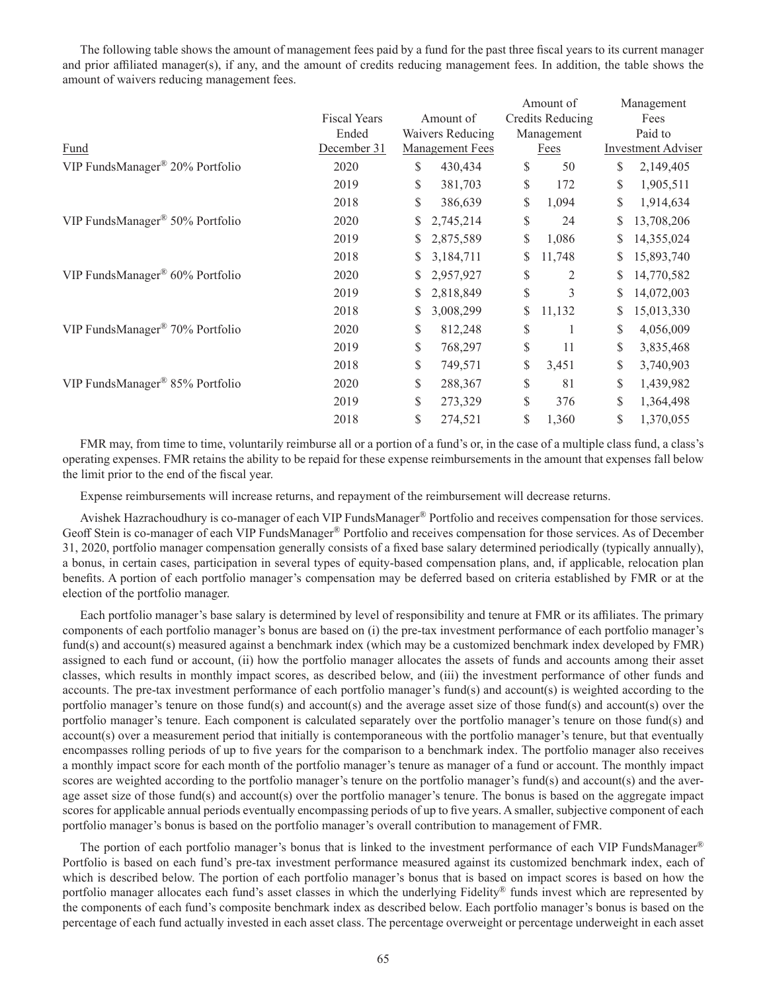The following table shows the amount of management fees paid by a fund for the past three fiscal years to its current manager and prior affiliated manager(s), if any, and the amount of credits reducing management fees. In addition, the table shows the amount of waivers reducing management fees.

|                                 |                     |    |                        | Amount of               |    | Management                |
|---------------------------------|---------------------|----|------------------------|-------------------------|----|---------------------------|
|                                 | <b>Fiscal Years</b> |    | Amount of              | <b>Credits Reducing</b> |    | Fees                      |
|                                 | Ended               |    | Waivers Reducing       | Management              |    | Paid to                   |
| Fund                            | December 31         |    | <b>Management Fees</b> | Fees                    |    | <b>Investment Adviser</b> |
| VIP FundsManager® 20% Portfolio | 2020                | \$ | 430,434                | \$<br>50                | \$ | 2,149,405                 |
|                                 | 2019                | \$ | 381,703                | \$<br>172               | \$ | 1,905,511                 |
|                                 | 2018                | \$ | 386,639                | \$<br>1,094             |    | 1,914,634                 |
| VIP FundsManager® 50% Portfolio | 2020                | \$ | 2,745,214              | \$<br>24                |    | 13,708,206                |
|                                 | 2019                | \$ | 2,875,589              | \$<br>1,086             |    | 14,355,024                |
|                                 | 2018                | S  | 3,184,711              | \$<br>11,748            |    | 15,893,740                |
| VIP FundsManager® 60% Portfolio | 2020                | S. | 2,957,927              | \$<br>2                 | S  | 14,770,582                |
|                                 | 2019                | \$ | 2,818,849              | \$<br>3                 | S  | 14,072,003                |
|                                 | 2018                | \$ | 3,008,299              | \$<br>11,132            |    | 15,013,330                |
| VIP FundsManager® 70% Portfolio | 2020                | S  | 812,248                | \$                      | S  | 4,056,009                 |
|                                 | 2019                | \$ | 768,297                | \$<br>11                | \$ | 3,835,468                 |
|                                 | 2018                | \$ | 749,571                | \$<br>3,451             |    | 3,740,903                 |
| VIP FundsManager® 85% Portfolio | 2020                | \$ | 288,367                | \$<br>81                | \$ | 1,439,982                 |
|                                 | 2019                | \$ | 273,329                | \$<br>376               |    | 1,364,498                 |
|                                 | 2018                | \$ | 274,521                | \$<br>1,360             | \$ | 1,370,055                 |

FMR may, from time to time, voluntarily reimburse all or a portion of a fund's or, in the case of a multiple class fund, a class's operating expenses. FMR retains the ability to be repaid for these expense reimbursements in the amount that expenses fall below the limit prior to the end of the fiscal year.

Expense reimbursements will increase returns, and repayment of the reimbursement will decrease returns.

Avishek Hazrachoudhury is co-manager of each VIP FundsManager® Portfolio and receives compensation for those services. Geoff Stein is co-manager of each VIP FundsManager® Portfolio and receives compensation for those services. As of December 31, 2020, portfolio manager compensation generally consists of a fixed base salary determined periodically (typically annually), a bonus, in certain cases, participation in several types of equity-based compensation plans, and, if applicable, relocation plan benefits. A portion of each portfolio manager's compensation may be deferred based on criteria established by FMR or at the election of the portfolio manager.

Each portfolio manager's base salary is determined by level of responsibility and tenure at FMR or its affiliates. The primary components of each portfolio manager's bonus are based on (i) the pre-tax investment performance of each portfolio manager's fund(s) and account(s) measured against a benchmark index (which may be a customized benchmark index developed by FMR) assigned to each fund or account, (ii) how the portfolio manager allocates the assets of funds and accounts among their asset classes, which results in monthly impact scores, as described below, and (iii) the investment performance of other funds and accounts. The pre-tax investment performance of each portfolio manager's fund(s) and account(s) is weighted according to the portfolio manager's tenure on those fund(s) and account(s) and the average asset size of those fund(s) and account(s) over the portfolio manager's tenure. Each component is calculated separately over the portfolio manager's tenure on those fund(s) and account(s) over a measurement period that initially is contemporaneous with the portfolio manager's tenure, but that eventually encompasses rolling periods of up to five years for the comparison to a benchmark index. The portfolio manager also receives a monthly impact score for each month of the portfolio manager's tenure as manager of a fund or account. The monthly impact scores are weighted according to the portfolio manager's tenure on the portfolio manager's fund(s) and account(s) and the average asset size of those fund(s) and account(s) over the portfolio manager's tenure. The bonus is based on the aggregate impact scores for applicable annual periods eventually encompassing periods of up to five years. A smaller, subjective component of each portfolio manager's bonus is based on the portfolio manager's overall contribution to management of FMR.

The portion of each portfolio manager's bonus that is linked to the investment performance of each VIP FundsManager® Portfolio is based on each fund's pre-tax investment performance measured against its customized benchmark index, each of which is described below. The portion of each portfolio manager's bonus that is based on impact scores is based on how the portfolio manager allocates each fund's asset classes in which the underlying Fidelity® funds invest which are represented by the components of each fund's composite benchmark index as described below. Each portfolio manager's bonus is based on the percentage of each fund actually invested in each asset class. The percentage overweight or percentage underweight in each asset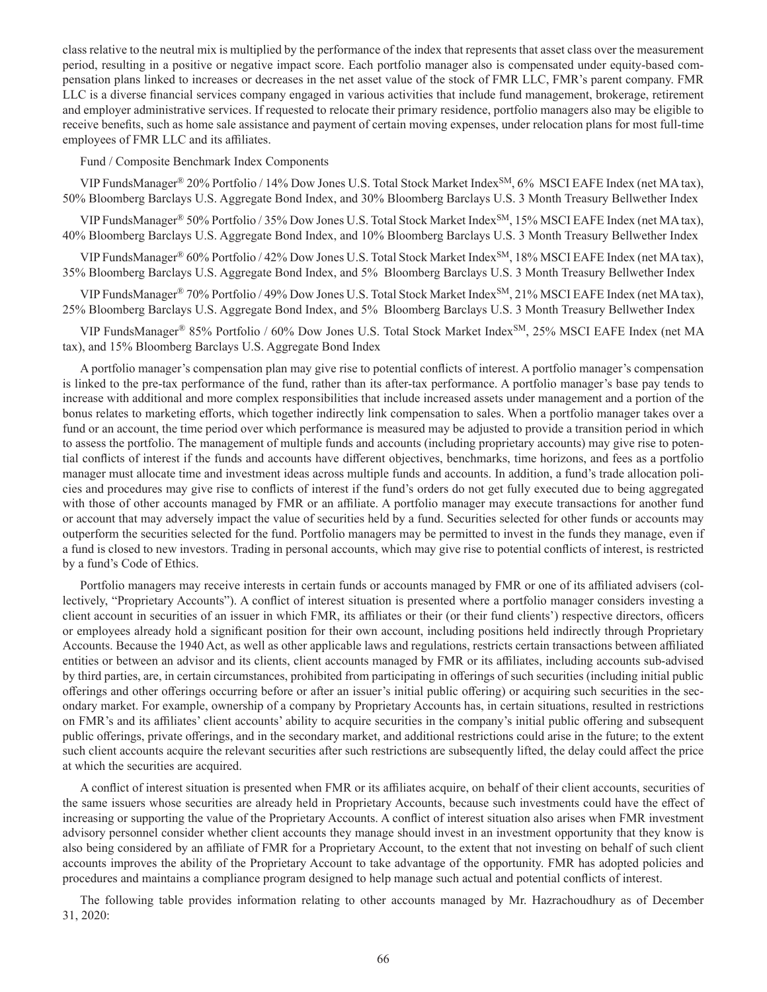class relative to the neutral mix is multiplied by the performance of the index that represents that asset class over the measurement period, resulting in a positive or negative impact score. Each portfolio manager also is compensated under equity-based compensation plans linked to increases or decreases in the net asset value of the stock of FMR LLC, FMR's parent company. FMR LLC is a diverse financial services company engaged in various activities that include fund management, brokerage, retirement and employer administrative services. If requested to relocate their primary residence, portfolio managers also may be eligible to receive benefits, such as home sale assistance and payment of certain moving expenses, under relocation plans for most full-time employees of FMR LLC and its affiliates.

## Fund / Composite Benchmark Index Components

VIP FundsManager® 20% Portfolio / 14% Dow Jones U.S. Total Stock Market Index<sup>SM</sup>, 6% MSCI EAFE Index (net MA tax), 50% Bloomberg Barclays U.S. Aggregate Bond Index, and 30% Bloomberg Barclays U.S. 3 Month Treasury Bellwether Index

VIP FundsManager® 50% Portfolio / 35% Dow Jones U.S. Total Stock Market Index<sup>SM</sup>, 15% MSCI EAFE Index (net MA tax), 40% Bloomberg Barclays U.S. Aggregate Bond Index, and 10% Bloomberg Barclays U.S. 3 Month Treasury Bellwether Index

VIP FundsManager® 60% Portfolio / 42% Dow Jones U.S. Total Stock Market Index<sup>SM</sup>, 18% MSCI EAFE Index (net MA tax), 35% Bloomberg Barclays U.S. Aggregate Bond Index, and 5% Bloomberg Barclays U.S. 3 Month Treasury Bellwether Index

VIP FundsManager® 70% Portfolio / 49% Dow Jones U.S. Total Stock Market Index<sup>SM</sup>, 21% MSCI EAFE Index (net MA tax), 25% Bloomberg Barclays U.S. Aggregate Bond Index, and 5% Bloomberg Barclays U.S. 3 Month Treasury Bellwether Index

VIP FundsManager® 85% Portfolio / 60% Dow Jones U.S. Total Stock Market Index<sup>SM</sup>, 25% MSCI EAFE Index (net MA tax), and 15% Bloomberg Barclays U.S. Aggregate Bond Index

A portfolio manager's compensation plan may give rise to potential conflicts of interest. A portfolio manager's compensation is linked to the pre-tax performance of the fund, rather than its after-tax performance. A portfolio manager's base pay tends to increase with additional and more complex responsibilities that include increased assets under management and a portion of the bonus relates to marketing efforts, which together indirectly link compensation to sales. When a portfolio manager takes over a fund or an account, the time period over which performance is measured may be adjusted to provide a transition period in which to assess the portfolio. The management of multiple funds and accounts (including proprietary accounts) may give rise to potential conflicts of interest if the funds and accounts have different objectives, benchmarks, time horizons, and fees as a portfolio manager must allocate time and investment ideas across multiple funds and accounts. In addition, a fund's trade allocation policies and procedures may give rise to conflicts of interest if the fund's orders do not get fully executed due to being aggregated with those of other accounts managed by FMR or an affiliate. A portfolio manager may execute transactions for another fund or account that may adversely impact the value of securities held by a fund. Securities selected for other funds or accounts may outperform the securities selected for the fund. Portfolio managers may be permitted to invest in the funds they manage, even if a fund is closed to new investors. Trading in personal accounts, which may give rise to potential conflicts of interest, is restricted by a fund's Code of Ethics.

Portfolio managers may receive interests in certain funds or accounts managed by FMR or one of its affiliated advisers (collectively, "Proprietary Accounts"). A conflict of interest situation is presented where a portfolio manager considers investing a client account in securities of an issuer in which FMR, its affiliates or their (or their fund clients') respective directors, officers or employees already hold a significant position for their own account, including positions held indirectly through Proprietary Accounts. Because the 1940 Act, as well as other applicable laws and regulations, restricts certain transactions between affiliated entities or between an advisor and its clients, client accounts managed by FMR or its affiliates, including accounts sub-advised by third parties, are, in certain circumstances, prohibited from participating in offerings of such securities (including initial public offerings and other offerings occurring before or after an issuer's initial public offering) or acquiring such securities in the secondary market. For example, ownership of a company by Proprietary Accounts has, in certain situations, resulted in restrictions on FMR's and its affiliates' client accounts' ability to acquire securities in the company's initial public offering and subsequent public offerings, private offerings, and in the secondary market, and additional restrictions could arise in the future; to the extent such client accounts acquire the relevant securities after such restrictions are subsequently lifted, the delay could affect the price at which the securities are acquired.

A conflict of interest situation is presented when FMR or its affiliates acquire, on behalf of their client accounts, securities of the same issuers whose securities are already held in Proprietary Accounts, because such investments could have the effect of increasing or supporting the value of the Proprietary Accounts. A conflict of interest situation also arises when FMR investment advisory personnel consider whether client accounts they manage should invest in an investment opportunity that they know is also being considered by an affiliate of FMR for a Proprietary Account, to the extent that not investing on behalf of such client accounts improves the ability of the Proprietary Account to take advantage of the opportunity. FMR has adopted policies and procedures and maintains a compliance program designed to help manage such actual and potential conflicts of interest.

The following table provides information relating to other accounts managed by Mr. Hazrachoudhury as of December 31, 2020: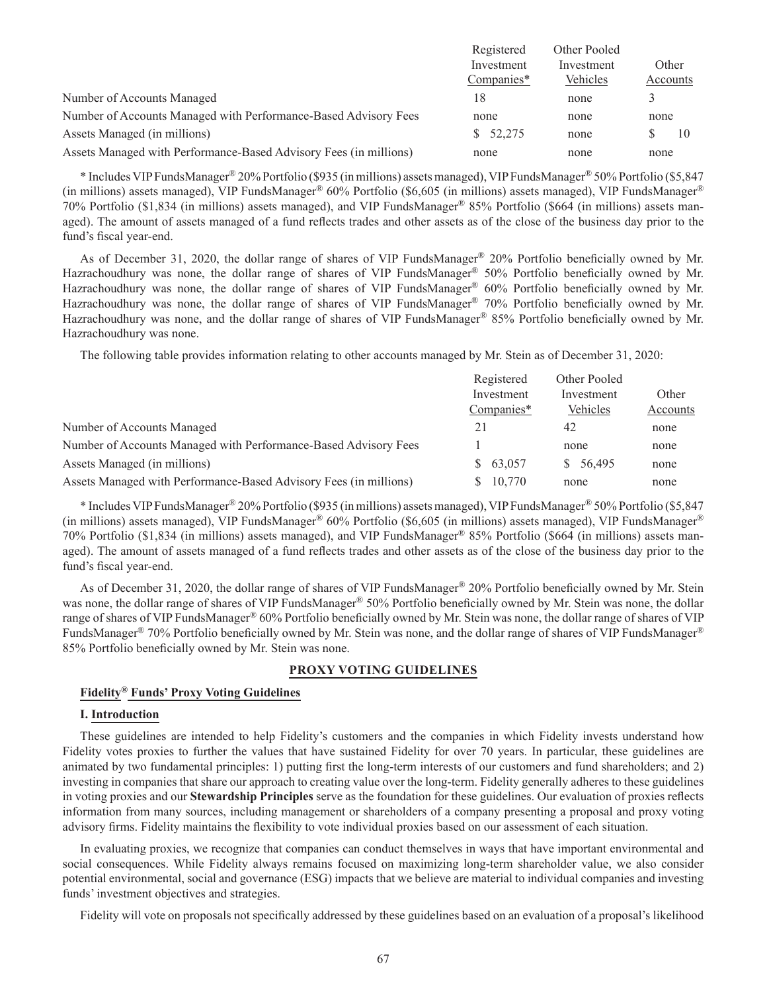|                                                                   | Registered   | Other Pooled |          |
|-------------------------------------------------------------------|--------------|--------------|----------|
|                                                                   | Investment   | Investment   | Other    |
|                                                                   | Companies*   | Vehicles     | Accounts |
| Number of Accounts Managed                                        | 18           | none         | 3        |
| Number of Accounts Managed with Performance-Based Advisory Fees   | none         | none         | none     |
| Assets Managed (in millions)                                      | 52,275<br>S. | none         | 10       |
| Assets Managed with Performance-Based Advisory Fees (in millions) | none         | none         | none     |

\* Includes VIP FundsManager® 20% Portfolio (\$935 (in millions) assets managed), VIP FundsManager® 50% Portfolio (\$5,847 (in millions) assets managed), VIP FundsManager® 60% Portfolio (\$6,605 (in millions) assets managed), VIP FundsManager® 70% Portfolio (\$1,834 (in millions) assets managed), and VIP FundsManager® 85% Portfolio (\$664 (in millions) assets managed). The amount of assets managed of a fund reflects trades and other assets as of the close of the business day prior to the fund's fiscal year-end.

As of December 31, 2020, the dollar range of shares of VIP FundsManager® 20% Portfolio beneficially owned by Mr. Hazrachoudhury was none, the dollar range of shares of VIP FundsManager® 50% Portfolio beneficially owned by Mr. Hazrachoudhury was none, the dollar range of shares of VIP FundsManager® 60% Portfolio beneficially owned by Mr. Hazrachoudhury was none, the dollar range of shares of VIP FundsManager® 70% Portfolio beneficially owned by Mr. Hazrachoudhury was none, and the dollar range of shares of VIP FundsManager® 85% Portfolio beneficially owned by Mr. Hazrachoudhury was none.

The following table provides information relating to other accounts managed by Mr. Stein as of December 31, 2020:

|                                                                   | Registered<br>Investment<br>Companies* | Other Pooled<br>Investment<br>Vehicles | Other<br>Accounts |
|-------------------------------------------------------------------|----------------------------------------|----------------------------------------|-------------------|
|                                                                   |                                        |                                        |                   |
|                                                                   |                                        |                                        |                   |
| Number of Accounts Managed                                        | 21                                     | 42                                     | none              |
| Number of Accounts Managed with Performance-Based Advisory Fees   |                                        | none                                   | none              |
| Assets Managed (in millions)                                      | 63,057                                 | \$ 56,495                              | none              |
| Assets Managed with Performance-Based Advisory Fees (in millions) | 10,770                                 | none                                   | none              |

\* Includes VIP FundsManager® 20% Portfolio (\$935 (in millions) assets managed), VIP FundsManager® 50% Portfolio (\$5,847 (in millions) assets managed), VIP FundsManager® 60% Portfolio (\$6,605 (in millions) assets managed), VIP FundsManager® 70% Portfolio (\$1,834 (in millions) assets managed), and VIP FundsManager® 85% Portfolio (\$664 (in millions) assets managed). The amount of assets managed of a fund reflects trades and other assets as of the close of the business day prior to the fund's fiscal year-end.

As of December 31, 2020, the dollar range of shares of VIP FundsManager® 20% Portfolio beneficially owned by Mr. Stein was none, the dollar range of shares of VIP FundsManager® 50% Portfolio beneficially owned by Mr. Stein was none, the dollar range of shares of VIP FundsManager® 60% Portfolio beneficially owned by Mr. Stein was none, the dollar range of shares of VIP FundsManager<sup>®</sup> 70% Portfolio beneficially owned by Mr. Stein was none, and the dollar range of shares of VIP FundsManager<sup>®</sup> 85% Portfolio beneficially owned by Mr. Stein was none.

## **PROXY VOTING GUIDELINES**

# **Fidelity® Funds' Proxy Voting Guidelines**

### **I. Introduction**

These guidelines are intended to help Fidelity's customers and the companies in which Fidelity invests understand how Fidelity votes proxies to further the values that have sustained Fidelity for over 70 years. In particular, these guidelines are animated by two fundamental principles: 1) putting first the long-term interests of our customers and fund shareholders; and 2) investing in companies that share our approach to creating value over the long-term. Fidelity generally adheres to these guidelines in voting proxies and our **Stewardship Principles** serve as the foundation for these guidelines. Our evaluation of proxies reflects information from many sources, including management or shareholders of a company presenting a proposal and proxy voting advisory firms. Fidelity maintains the flexibility to vote individual proxies based on our assessment of each situation.

In evaluating proxies, we recognize that companies can conduct themselves in ways that have important environmental and social consequences. While Fidelity always remains focused on maximizing long-term shareholder value, we also consider potential environmental, social and governance (ESG) impacts that we believe are material to individual companies and investing funds' investment objectives and strategies.

Fidelity will vote on proposals not specifically addressed by these guidelines based on an evaluation of a proposal's likelihood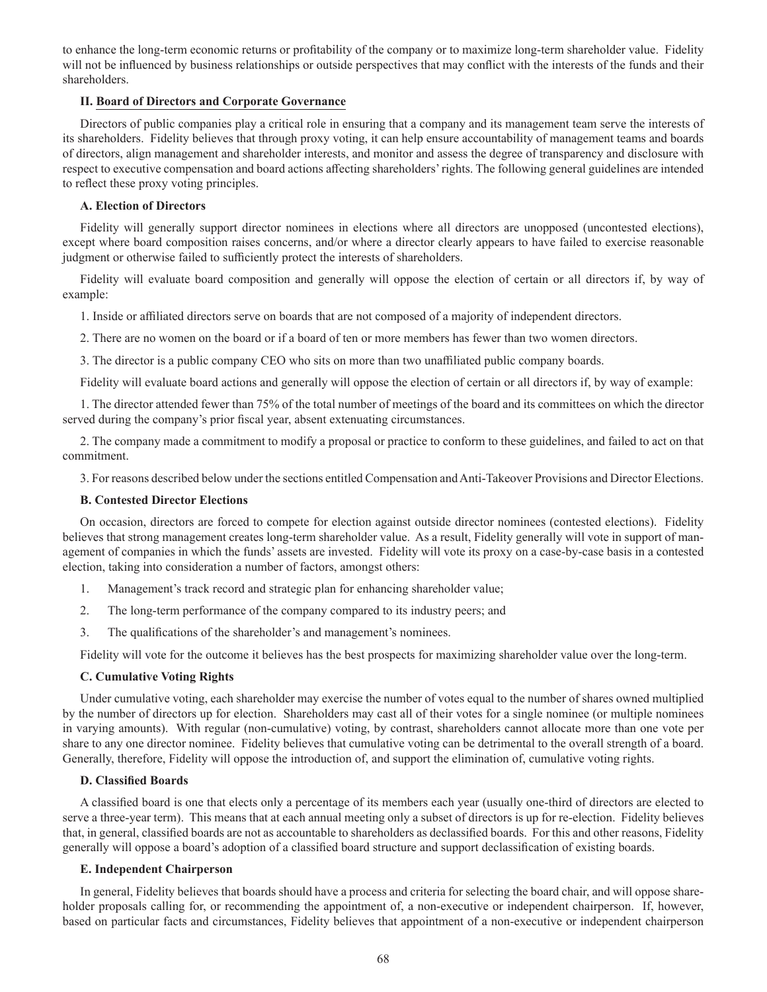to enhance the long-term economic returns or profitability of the company or to maximize long-term shareholder value. Fidelity will not be influenced by business relationships or outside perspectives that may conflict with the interests of the funds and their shareholders.

## **II. Board of Directors and Corporate Governance**

Directors of public companies play a critical role in ensuring that a company and its management team serve the interests of its shareholders. Fidelity believes that through proxy voting, it can help ensure accountability of management teams and boards of directors, align management and shareholder interests, and monitor and assess the degree of transparency and disclosure with respect to executive compensation and board actions affecting shareholders' rights. The following general guidelines are intended to reflect these proxy voting principles.

## **A. Election of Directors**

Fidelity will generally support director nominees in elections where all directors are unopposed (uncontested elections), except where board composition raises concerns, and/or where a director clearly appears to have failed to exercise reasonable judgment or otherwise failed to sufficiently protect the interests of shareholders.

Fidelity will evaluate board composition and generally will oppose the election of certain or all directors if, by way of example:

1. Inside or affiliated directors serve on boards that are not composed of a majority of independent directors.

2. There are no women on the board or if a board of ten or more members has fewer than two women directors.

3. The director is a public company CEO who sits on more than two unaffiliated public company boards.

Fidelity will evaluate board actions and generally will oppose the election of certain or all directors if, by way of example:

1. The director attended fewer than 75% of the total number of meetings of the board and its committees on which the director served during the company's prior fiscal year, absent extenuating circumstances.

2. The company made a commitment to modify a proposal or practice to conform to these guidelines, and failed to act on that commitment.

3. For reasons described below under the sections entitled Compensation and Anti-Takeover Provisions and Director Elections.

## **B. Contested Director Elections**

On occasion, directors are forced to compete for election against outside director nominees (contested elections). Fidelity believes that strong management creates long-term shareholder value. As a result, Fidelity generally will vote in support of management of companies in which the funds' assets are invested. Fidelity will vote its proxy on a case-by-case basis in a contested election, taking into consideration a number of factors, amongst others:

- 1. Management's track record and strategic plan for enhancing shareholder value;
- 2. The long-term performance of the company compared to its industry peers; and
- 3. The qualifications of the shareholder's and management's nominees.

Fidelity will vote for the outcome it believes has the best prospects for maximizing shareholder value over the long-term.

## **C. Cumulative Voting Rights**

Under cumulative voting, each shareholder may exercise the number of votes equal to the number of shares owned multiplied by the number of directors up for election. Shareholders may cast all of their votes for a single nominee (or multiple nominees in varying amounts). With regular (non-cumulative) voting, by contrast, shareholders cannot allocate more than one vote per share to any one director nominee. Fidelity believes that cumulative voting can be detrimental to the overall strength of a board. Generally, therefore, Fidelity will oppose the introduction of, and support the elimination of, cumulative voting rights.

## **D. Classified Boards**

A classified board is one that elects only a percentage of its members each year (usually one-third of directors are elected to serve a three-year term). This means that at each annual meeting only a subset of directors is up for re-election. Fidelity believes that, in general, classified boards are not as accountable to shareholders as declassified boards. For this and other reasons, Fidelity generally will oppose a board's adoption of a classified board structure and support declassification of existing boards.

## **E. Independent Chairperson**

In general, Fidelity believes that boards should have a process and criteria for selecting the board chair, and will oppose shareholder proposals calling for, or recommending the appointment of, a non-executive or independent chairperson. If, however, based on particular facts and circumstances, Fidelity believes that appointment of a non-executive or independent chairperson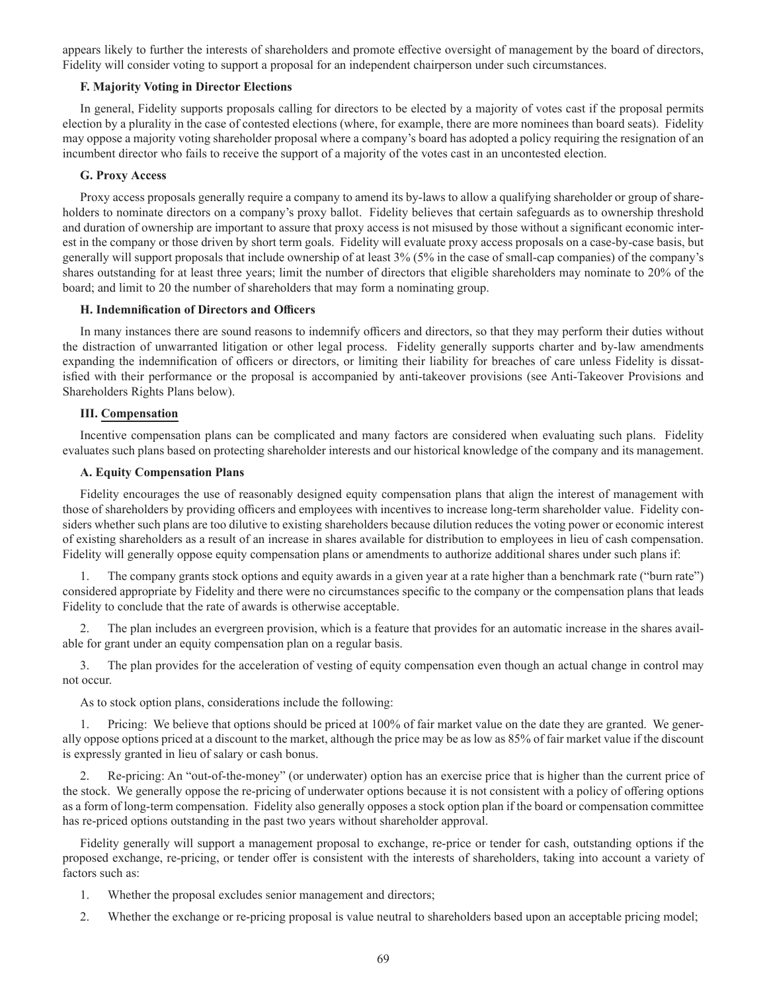appears likely to further the interests of shareholders and promote effective oversight of management by the board of directors, Fidelity will consider voting to support a proposal for an independent chairperson under such circumstances.

## **F. Majority Voting in Director Elections**

In general, Fidelity supports proposals calling for directors to be elected by a majority of votes cast if the proposal permits election by a plurality in the case of contested elections (where, for example, there are more nominees than board seats). Fidelity may oppose a majority voting shareholder proposal where a company's board has adopted a policy requiring the resignation of an incumbent director who fails to receive the support of a majority of the votes cast in an uncontested election.

## **G. Proxy Access**

Proxy access proposals generally require a company to amend its by-laws to allow a qualifying shareholder or group of shareholders to nominate directors on a company's proxy ballot. Fidelity believes that certain safeguards as to ownership threshold and duration of ownership are important to assure that proxy access is not misused by those without a significant economic interest in the company or those driven by short term goals. Fidelity will evaluate proxy access proposals on a case-by-case basis, but generally will support proposals that include ownership of at least 3% (5% in the case of small-cap companies) of the company's shares outstanding for at least three years; limit the number of directors that eligible shareholders may nominate to 20% of the board; and limit to 20 the number of shareholders that may form a nominating group.

## **H. Indemnification of Directors and Officers**

In many instances there are sound reasons to indemnify officers and directors, so that they may perform their duties without the distraction of unwarranted litigation or other legal process. Fidelity generally supports charter and by-law amendments expanding the indemnification of officers or directors, or limiting their liability for breaches of care unless Fidelity is dissatisfied with their performance or the proposal is accompanied by anti-takeover provisions (see Anti-Takeover Provisions and Shareholders Rights Plans below).

## **III. Compensation**

Incentive compensation plans can be complicated and many factors are considered when evaluating such plans. Fidelity evaluates such plans based on protecting shareholder interests and our historical knowledge of the company and its management.

## **A. Equity Compensation Plans**

Fidelity encourages the use of reasonably designed equity compensation plans that align the interest of management with those of shareholders by providing officers and employees with incentives to increase long-term shareholder value. Fidelity considers whether such plans are too dilutive to existing shareholders because dilution reduces the voting power or economic interest of existing shareholders as a result of an increase in shares available for distribution to employees in lieu of cash compensation. Fidelity will generally oppose equity compensation plans or amendments to authorize additional shares under such plans if:

1. The company grants stock options and equity awards in a given year at a rate higher than a benchmark rate ("burn rate") considered appropriate by Fidelity and there were no circumstances specific to the company or the compensation plans that leads Fidelity to conclude that the rate of awards is otherwise acceptable.

2. The plan includes an evergreen provision, which is a feature that provides for an automatic increase in the shares available for grant under an equity compensation plan on a regular basis.

3. The plan provides for the acceleration of vesting of equity compensation even though an actual change in control may not occur.

As to stock option plans, considerations include the following:

Pricing: We believe that options should be priced at 100% of fair market value on the date they are granted. We generally oppose options priced at a discount to the market, although the price may be as low as 85% of fair market value if the discount is expressly granted in lieu of salary or cash bonus.

2. Re-pricing: An "out-of-the-money" (or underwater) option has an exercise price that is higher than the current price of the stock. We generally oppose the re-pricing of underwater options because it is not consistent with a policy of offering options as a form of long-term compensation. Fidelity also generally opposes a stock option plan if the board or compensation committee has re-priced options outstanding in the past two years without shareholder approval.

Fidelity generally will support a management proposal to exchange, re-price or tender for cash, outstanding options if the proposed exchange, re-pricing, or tender offer is consistent with the interests of shareholders, taking into account a variety of factors such as:

- 1. Whether the proposal excludes senior management and directors;
- 2. Whether the exchange or re-pricing proposal is value neutral to shareholders based upon an acceptable pricing model;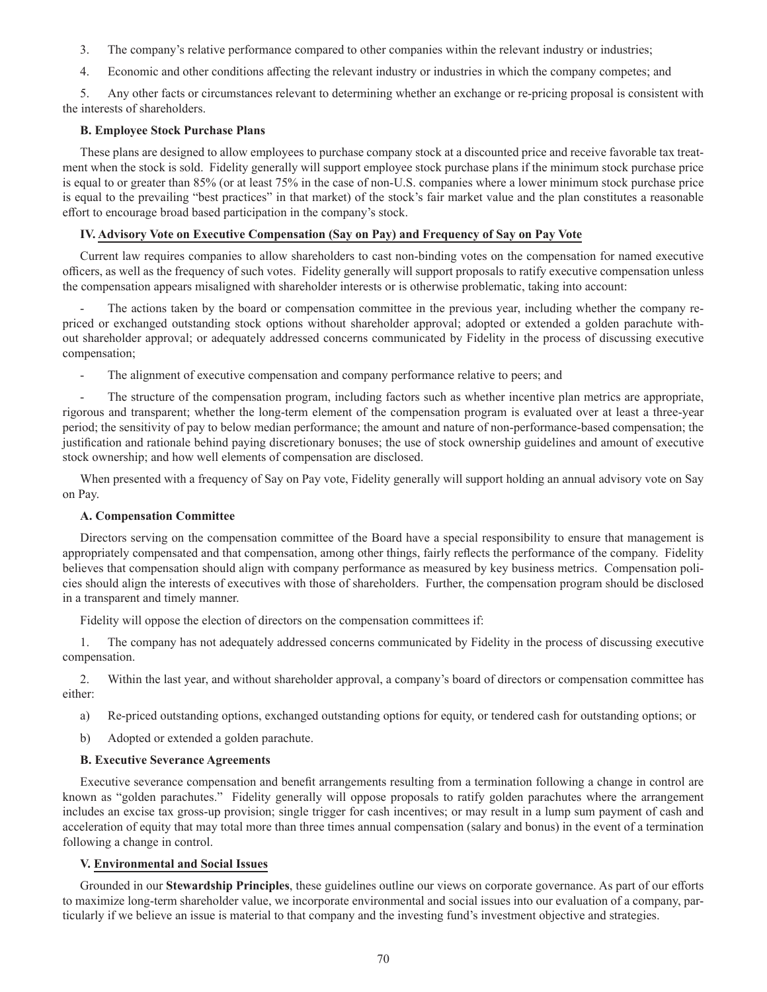3. The company's relative performance compared to other companies within the relevant industry or industries;

4. Economic and other conditions affecting the relevant industry or industries in which the company competes; and

5. Any other facts or circumstances relevant to determining whether an exchange or re-pricing proposal is consistent with the interests of shareholders.

## **B. Employee Stock Purchase Plans**

These plans are designed to allow employees to purchase company stock at a discounted price and receive favorable tax treatment when the stock is sold. Fidelity generally will support employee stock purchase plans if the minimum stock purchase price is equal to or greater than 85% (or at least 75% in the case of non-U.S. companies where a lower minimum stock purchase price is equal to the prevailing "best practices" in that market) of the stock's fair market value and the plan constitutes a reasonable effort to encourage broad based participation in the company's stock.

## **IV. Advisory Vote on Executive Compensation (Say on Pay) and Frequency of Say on Pay Vote**

Current law requires companies to allow shareholders to cast non-binding votes on the compensation for named executive officers, as well as the frequency of such votes. Fidelity generally will support proposals to ratify executive compensation unless the compensation appears misaligned with shareholder interests or is otherwise problematic, taking into account:

The actions taken by the board or compensation committee in the previous year, including whether the company repriced or exchanged outstanding stock options without shareholder approval; adopted or extended a golden parachute without shareholder approval; or adequately addressed concerns communicated by Fidelity in the process of discussing executive compensation;

The alignment of executive compensation and company performance relative to peers; and

The structure of the compensation program, including factors such as whether incentive plan metrics are appropriate, rigorous and transparent; whether the long-term element of the compensation program is evaluated over at least a three-year period; the sensitivity of pay to below median performance; the amount and nature of non-performance-based compensation; the justification and rationale behind paying discretionary bonuses; the use of stock ownership guidelines and amount of executive stock ownership; and how well elements of compensation are disclosed.

When presented with a frequency of Say on Pay vote, Fidelity generally will support holding an annual advisory vote on Say on Pay.

## **A. Compensation Committee**

Directors serving on the compensation committee of the Board have a special responsibility to ensure that management is appropriately compensated and that compensation, among other things, fairly reflects the performance of the company. Fidelity believes that compensation should align with company performance as measured by key business metrics. Compensation policies should align the interests of executives with those of shareholders. Further, the compensation program should be disclosed in a transparent and timely manner.

Fidelity will oppose the election of directors on the compensation committees if:

1. The company has not adequately addressed concerns communicated by Fidelity in the process of discussing executive compensation.

2. Within the last year, and without shareholder approval, a company's board of directors or compensation committee has either:

- a) Re-priced outstanding options, exchanged outstanding options for equity, or tendered cash for outstanding options; or
- b) Adopted or extended a golden parachute.

## **B. Executive Severance Agreements**

Executive severance compensation and benefit arrangements resulting from a termination following a change in control are known as "golden parachutes." Fidelity generally will oppose proposals to ratify golden parachutes where the arrangement includes an excise tax gross-up provision; single trigger for cash incentives; or may result in a lump sum payment of cash and acceleration of equity that may total more than three times annual compensation (salary and bonus) in the event of a termination following a change in control.

## **V. Environmental and Social Issues**

Grounded in our **Stewardship Principles**, these guidelines outline our views on corporate governance. As part of our efforts to maximize long-term shareholder value, we incorporate environmental and social issues into our evaluation of a company, particularly if we believe an issue is material to that company and the investing fund's investment objective and strategies.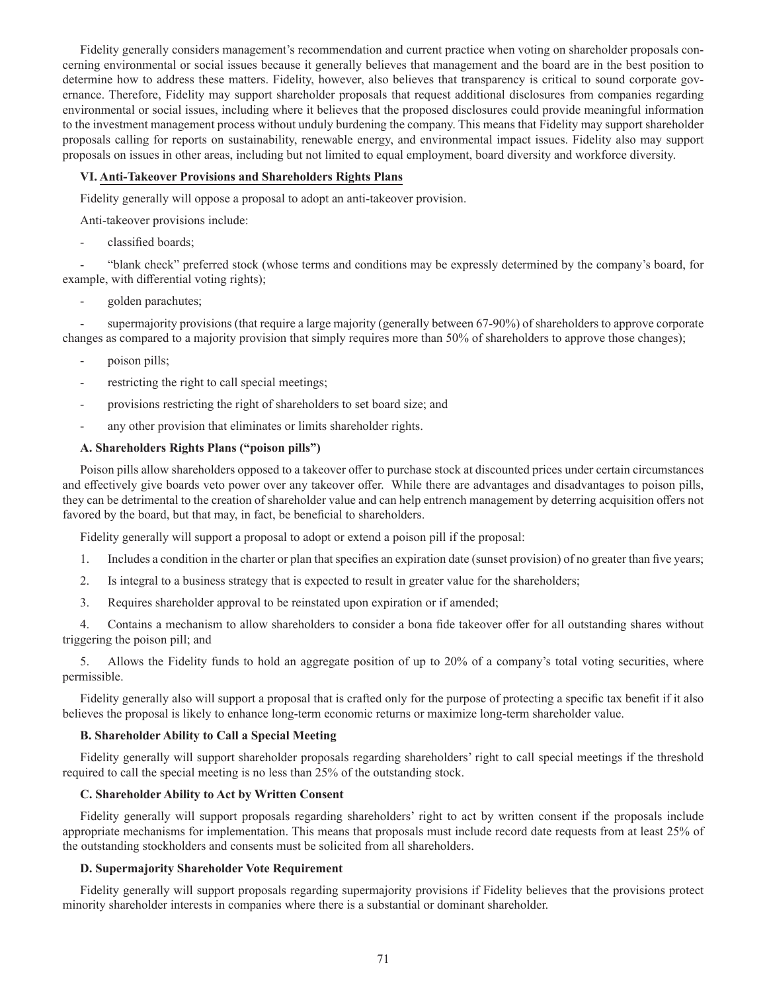Fidelity generally considers management's recommendation and current practice when voting on shareholder proposals concerning environmental or social issues because it generally believes that management and the board are in the best position to determine how to address these matters. Fidelity, however, also believes that transparency is critical to sound corporate governance. Therefore, Fidelity may support shareholder proposals that request additional disclosures from companies regarding environmental or social issues, including where it believes that the proposed disclosures could provide meaningful information to the investment management process without unduly burdening the company. This means that Fidelity may support shareholder proposals calling for reports on sustainability, renewable energy, and environmental impact issues. Fidelity also may support proposals on issues in other areas, including but not limited to equal employment, board diversity and workforce diversity.

## **VI. Anti-Takeover Provisions and Shareholders Rights Plans**

Fidelity generally will oppose a proposal to adopt an anti-takeover provision.

Anti-takeover provisions include:

classified boards;

- "blank check" preferred stock (whose terms and conditions may be expressly determined by the company's board, for example, with differential voting rights);

golden parachutes;

supermajority provisions (that require a large majority (generally between 67-90%) of shareholders to approve corporate changes as compared to a majority provision that simply requires more than 50% of shareholders to approve those changes);

- poison pills;
- restricting the right to call special meetings;
- provisions restricting the right of shareholders to set board size; and
- any other provision that eliminates or limits shareholder rights.

## **A. Shareholders Rights Plans ("poison pills")**

Poison pills allow shareholders opposed to a takeover offer to purchase stock at discounted prices under certain circumstances and effectively give boards veto power over any takeover offer. While there are advantages and disadvantages to poison pills, they can be detrimental to the creation of shareholder value and can help entrench management by deterring acquisition offers not favored by the board, but that may, in fact, be beneficial to shareholders.

Fidelity generally will support a proposal to adopt or extend a poison pill if the proposal:

- 1. Includes a condition in the charter or plan that specifies an expiration date (sunset provision) of no greater than five years;
- 2. Is integral to a business strategy that is expected to result in greater value for the shareholders;
- 3. Requires shareholder approval to be reinstated upon expiration or if amended;

4. Contains a mechanism to allow shareholders to consider a bona fide takeover offer for all outstanding shares without triggering the poison pill; and

5. Allows the Fidelity funds to hold an aggregate position of up to 20% of a company's total voting securities, where permissible.

Fidelity generally also will support a proposal that is crafted only for the purpose of protecting a specific tax benefit if it also believes the proposal is likely to enhance long-term economic returns or maximize long-term shareholder value.

#### **B. Shareholder Ability to Call a Special Meeting**

Fidelity generally will support shareholder proposals regarding shareholders' right to call special meetings if the threshold required to call the special meeting is no less than 25% of the outstanding stock.

#### **C. Shareholder Ability to Act by Written Consent**

Fidelity generally will support proposals regarding shareholders' right to act by written consent if the proposals include appropriate mechanisms for implementation. This means that proposals must include record date requests from at least 25% of the outstanding stockholders and consents must be solicited from all shareholders.

### **D. Supermajority Shareholder Vote Requirement**

Fidelity generally will support proposals regarding supermajority provisions if Fidelity believes that the provisions protect minority shareholder interests in companies where there is a substantial or dominant shareholder.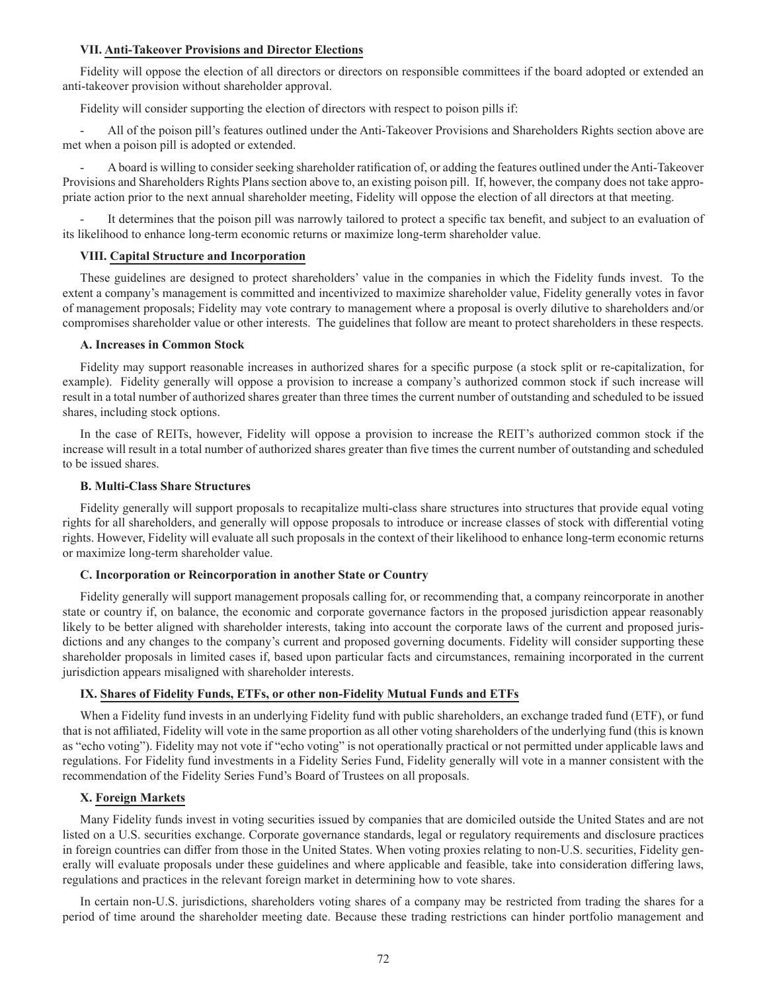#### **VII. Anti-Takeover Provisions and Director Elections**

Fidelity will oppose the election of all directors or directors on responsible committees if the board adopted or extended an anti-takeover provision without shareholder approval.

Fidelity will consider supporting the election of directors with respect to poison pills if:

- All of the poison pill's features outlined under the Anti-Takeover Provisions and Shareholders Rights section above are met when a poison pill is adopted or extended.

- A board is willing to consider seeking shareholder ratification of, or adding the features outlined under the Anti-Takeover Provisions and Shareholders Rights Plans section above to, an existing poison pill. If, however, the company does not take appropriate action prior to the next annual shareholder meeting, Fidelity will oppose the election of all directors at that meeting.

It determines that the poison pill was narrowly tailored to protect a specific tax benefit, and subject to an evaluation of its likelihood to enhance long-term economic returns or maximize long-term shareholder value.

#### **VIII. Capital Structure and Incorporation**

These guidelines are designed to protect shareholders' value in the companies in which the Fidelity funds invest. To the extent a company's management is committed and incentivized to maximize shareholder value, Fidelity generally votes in favor of management proposals; Fidelity may vote contrary to management where a proposal is overly dilutive to shareholders and/or compromises shareholder value or other interests. The guidelines that follow are meant to protect shareholders in these respects.

#### **A. Increases in Common Stock**

Fidelity may support reasonable increases in authorized shares for a specific purpose (a stock split or re-capitalization, for example). Fidelity generally will oppose a provision to increase a company's authorized common stock if such increase will result in a total number of authorized shares greater than three times the current number of outstanding and scheduled to be issued shares, including stock options.

In the case of REITs, however, Fidelity will oppose a provision to increase the REIT's authorized common stock if the increase will result in a total number of authorized shares greater than five times the current number of outstanding and scheduled to be issued shares.

#### **B. Multi-Class Share Structures**

Fidelity generally will support proposals to recapitalize multi-class share structures into structures that provide equal voting rights for all shareholders, and generally will oppose proposals to introduce or increase classes of stock with differential voting rights. However, Fidelity will evaluate all such proposals in the context of their likelihood to enhance long-term economic returns or maximize long-term shareholder value.

### **C. Incorporation or Reincorporation in another State or Country**

Fidelity generally will support management proposals calling for, or recommending that, a company reincorporate in another state or country if, on balance, the economic and corporate governance factors in the proposed jurisdiction appear reasonably likely to be better aligned with shareholder interests, taking into account the corporate laws of the current and proposed jurisdictions and any changes to the company's current and proposed governing documents. Fidelity will consider supporting these shareholder proposals in limited cases if, based upon particular facts and circumstances, remaining incorporated in the current jurisdiction appears misaligned with shareholder interests.

#### **IX. Shares of Fidelity Funds, ETFs, or other non-Fidelity Mutual Funds and ETFs**

When a Fidelity fund invests in an underlying Fidelity fund with public shareholders, an exchange traded fund (ETF), or fund that is not affiliated, Fidelity will vote in the same proportion as all other voting shareholders of the underlying fund (this is known as "echo voting"). Fidelity may not vote if "echo voting" is not operationally practical or not permitted under applicable laws and regulations. For Fidelity fund investments in a Fidelity Series Fund, Fidelity generally will vote in a manner consistent with the recommendation of the Fidelity Series Fund's Board of Trustees on all proposals.

## **X. Foreign Markets**

Many Fidelity funds invest in voting securities issued by companies that are domiciled outside the United States and are not listed on a U.S. securities exchange. Corporate governance standards, legal or regulatory requirements and disclosure practices in foreign countries can differ from those in the United States. When voting proxies relating to non-U.S. securities, Fidelity generally will evaluate proposals under these guidelines and where applicable and feasible, take into consideration differing laws, regulations and practices in the relevant foreign market in determining how to vote shares.

In certain non-U.S. jurisdictions, shareholders voting shares of a company may be restricted from trading the shares for a period of time around the shareholder meeting date. Because these trading restrictions can hinder portfolio management and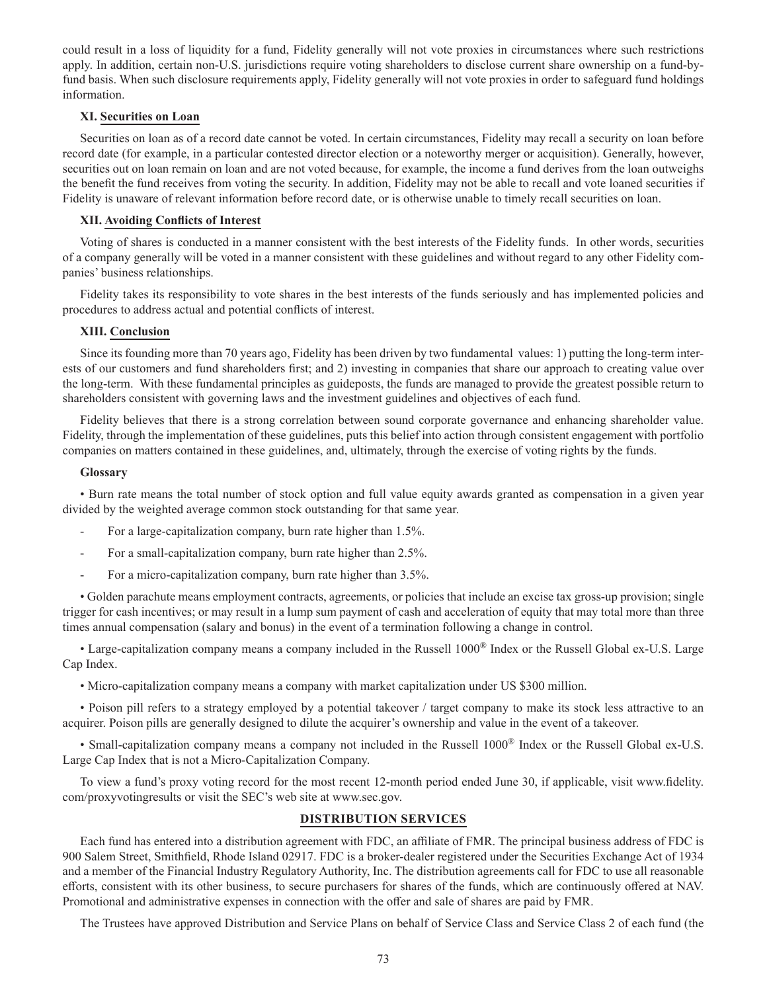could result in a loss of liquidity for a fund, Fidelity generally will not vote proxies in circumstances where such restrictions apply. In addition, certain non-U.S. jurisdictions require voting shareholders to disclose current share ownership on a fund-byfund basis. When such disclosure requirements apply, Fidelity generally will not vote proxies in order to safeguard fund holdings information.

### **XI. Securities on Loan**

Securities on loan as of a record date cannot be voted. In certain circumstances, Fidelity may recall a security on loan before record date (for example, in a particular contested director election or a noteworthy merger or acquisition). Generally, however, securities out on loan remain on loan and are not voted because, for example, the income a fund derives from the loan outweighs the benefit the fund receives from voting the security. In addition, Fidelity may not be able to recall and vote loaned securities if Fidelity is unaware of relevant information before record date, or is otherwise unable to timely recall securities on loan.

## **XII. Avoiding Conflicts of Interest**

Voting of shares is conducted in a manner consistent with the best interests of the Fidelity funds. In other words, securities of a company generally will be voted in a manner consistent with these guidelines and without regard to any other Fidelity companies' business relationships.

Fidelity takes its responsibility to vote shares in the best interests of the funds seriously and has implemented policies and procedures to address actual and potential conflicts of interest.

# **XIII. Conclusion**

Since its founding more than 70 years ago, Fidelity has been driven by two fundamental values: 1) putting the long-term interests of our customers and fund shareholders first; and 2) investing in companies that share our approach to creating value over the long-term. With these fundamental principles as guideposts, the funds are managed to provide the greatest possible return to shareholders consistent with governing laws and the investment guidelines and objectives of each fund.

Fidelity believes that there is a strong correlation between sound corporate governance and enhancing shareholder value. Fidelity, through the implementation of these guidelines, puts this belief into action through consistent engagement with portfolio companies on matters contained in these guidelines, and, ultimately, through the exercise of voting rights by the funds.

### **Glossary**

• Burn rate means the total number of stock option and full value equity awards granted as compensation in a given year divided by the weighted average common stock outstanding for that same year.

- For a large-capitalization company, burn rate higher than 1.5%.
- For a small-capitalization company, burn rate higher than 2.5%.
- For a micro-capitalization company, burn rate higher than 3.5%.

• Golden parachute means employment contracts, agreements, or policies that include an excise tax gross-up provision; single trigger for cash incentives; or may result in a lump sum payment of cash and acceleration of equity that may total more than three times annual compensation (salary and bonus) in the event of a termination following a change in control.

• Large-capitalization company means a company included in the Russell 1000® Index or the Russell Global ex-U.S. Large Cap Index.

• Micro-capitalization company means a company with market capitalization under US \$300 million.

• Poison pill refers to a strategy employed by a potential takeover / target company to make its stock less attractive to an acquirer. Poison pills are generally designed to dilute the acquirer's ownership and value in the event of a takeover.

• Small-capitalization company means a company not included in the Russell 1000® Index or the Russell Global ex-U.S. Large Cap Index that is not a Micro-Capitalization Company.

To view a fund's proxy voting record for the most recent 12-month period ended June 30, if applicable, visit www.fidelity. com/proxyvotingresults or visit the SEC's web site at www.sec.gov.

## **DISTRIBUTION SERVICES**

Each fund has entered into a distribution agreement with FDC, an affiliate of FMR. The principal business address of FDC is 900 Salem Street, Smithfield, Rhode Island 02917. FDC is a broker-dealer registered under the Securities Exchange Act of 1934 and a member of the Financial Industry Regulatory Authority, Inc. The distribution agreements call for FDC to use all reasonable efforts, consistent with its other business, to secure purchasers for shares of the funds, which are continuously offered at NAV. Promotional and administrative expenses in connection with the offer and sale of shares are paid by FMR.

The Trustees have approved Distribution and Service Plans on behalf of Service Class and Service Class 2 of each fund (the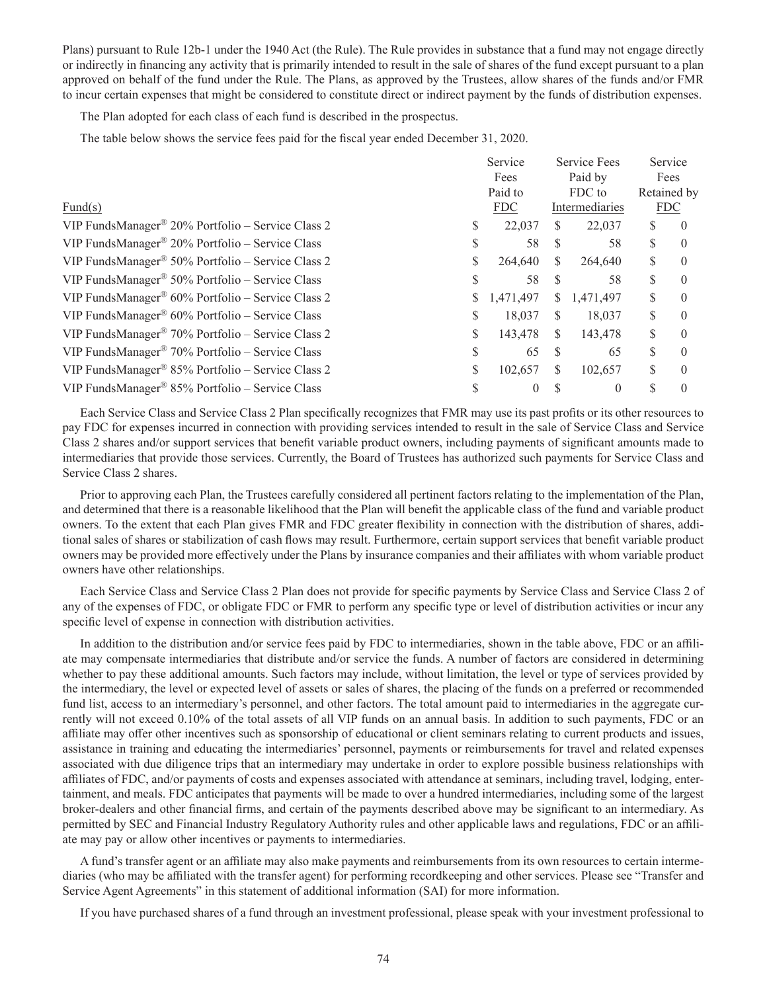Plans) pursuant to Rule 12b-1 under the 1940 Act (the Rule). The Rule provides in substance that a fund may not engage directly or indirectly in financing any activity that is primarily intended to result in the sale of shares of the fund except pursuant to a plan approved on behalf of the fund under the Rule. The Plans, as approved by the Trustees, allow shares of the funds and/or FMR to incur certain expenses that might be considered to constitute direct or indirect payment by the funds of distribution expenses.

The Plan adopted for each class of each fund is described in the prospectus.

The table below shows the service fees paid for the fiscal year ended December 31, 2020.

|                                                                  |    | Service<br>Fees |        | <b>Service Fees</b><br>Paid by |             | Service<br>Fees |  |
|------------------------------------------------------------------|----|-----------------|--------|--------------------------------|-------------|-----------------|--|
|                                                                  |    |                 |        |                                |             |                 |  |
|                                                                  |    | Paid to         | FDC to |                                | Retained by |                 |  |
| Fund(s)                                                          |    | <b>FDC</b>      |        | Intermediaries                 | <b>FDC</b>  |                 |  |
| VIP FundsManager <sup>®</sup> 20% Portfolio – Service Class 2    | S  | 22,037          | S      | 22,037                         |             | $\theta$        |  |
| VIP FundsManager <sup>®</sup> 20% Portfolio – Service Class      | S  | 58              | S      | 58                             |             | $\theta$        |  |
| VIP FundsManager® 50% Portfolio – Service Class 2                | S  | 264,640         | \$     | 264,640                        | S           | $\theta$        |  |
| VIP FundsManager <sup>®</sup> 50% Portfolio – Service Class      | S  | 58              | S      | 58                             |             | $\theta$        |  |
| VIP FundsManager <sup>®</sup> $60\%$ Portfolio – Service Class 2 | S  | 1,471,497       | S.     | 1,471,497                      | S           | $\theta$        |  |
| VIP FundsManager® 60% Portfolio – Service Class                  | S  | 18,037          | S      | 18,037                         |             | $\theta$        |  |
| VIP FundsManager <sup>®</sup> 70% Portfolio – Service Class 2    | \$ | 143,478         | S      | 143,478                        | \$          | $\theta$        |  |
| VIP FundsManager <sup>®</sup> 70% Portfolio – Service Class      | S  | 65              | S      | 65                             | S           | $\Omega$        |  |
| VIP FundsManager <sup>®</sup> 85% Portfolio – Service Class 2    | \$ | 102,657         | \$     | 102,657                        | \$          | $\theta$        |  |
| VIP FundsManager® 85% Portfolio – Service Class                  |    | $\theta$        |        | $\theta$                       |             |                 |  |

Each Service Class and Service Class 2 Plan specifically recognizes that FMR may use its past profits or its other resources to pay FDC for expenses incurred in connection with providing services intended to result in the sale of Service Class and Service Class 2 shares and/or support services that benefit variable product owners, including payments of significant amounts made to intermediaries that provide those services. Currently, the Board of Trustees has authorized such payments for Service Class and Service Class 2 shares.

Prior to approving each Plan, the Trustees carefully considered all pertinent factors relating to the implementation of the Plan, and determined that there is a reasonable likelihood that the Plan will benefit the applicable class of the fund and variable product owners. To the extent that each Plan gives FMR and FDC greater flexibility in connection with the distribution of shares, additional sales of shares or stabilization of cash flows may result. Furthermore, certain support services that benefit variable product owners may be provided more effectively under the Plans by insurance companies and their affiliates with whom variable product owners have other relationships.

Each Service Class and Service Class 2 Plan does not provide for specific payments by Service Class and Service Class 2 of any of the expenses of FDC, or obligate FDC or FMR to perform any specific type or level of distribution activities or incur any specific level of expense in connection with distribution activities.

In addition to the distribution and/or service fees paid by FDC to intermediaries, shown in the table above, FDC or an affiliate may compensate intermediaries that distribute and/or service the funds. A number of factors are considered in determining whether to pay these additional amounts. Such factors may include, without limitation, the level or type of services provided by the intermediary, the level or expected level of assets or sales of shares, the placing of the funds on a preferred or recommended fund list, access to an intermediary's personnel, and other factors. The total amount paid to intermediaries in the aggregate currently will not exceed 0.10% of the total assets of all VIP funds on an annual basis. In addition to such payments, FDC or an affiliate may offer other incentives such as sponsorship of educational or client seminars relating to current products and issues, assistance in training and educating the intermediaries' personnel, payments or reimbursements for travel and related expenses associated with due diligence trips that an intermediary may undertake in order to explore possible business relationships with affiliates of FDC, and/or payments of costs and expenses associated with attendance at seminars, including travel, lodging, entertainment, and meals. FDC anticipates that payments will be made to over a hundred intermediaries, including some of the largest broker-dealers and other financial firms, and certain of the payments described above may be significant to an intermediary. As permitted by SEC and Financial Industry Regulatory Authority rules and other applicable laws and regulations, FDC or an affiliate may pay or allow other incentives or payments to intermediaries.

A fund's transfer agent or an affiliate may also make payments and reimbursements from its own resources to certain intermediaries (who may be affiliated with the transfer agent) for performing recordkeeping and other services. Please see "Transfer and Service Agent Agreements" in this statement of additional information (SAI) for more information.

If you have purchased shares of a fund through an investment professional, please speak with your investment professional to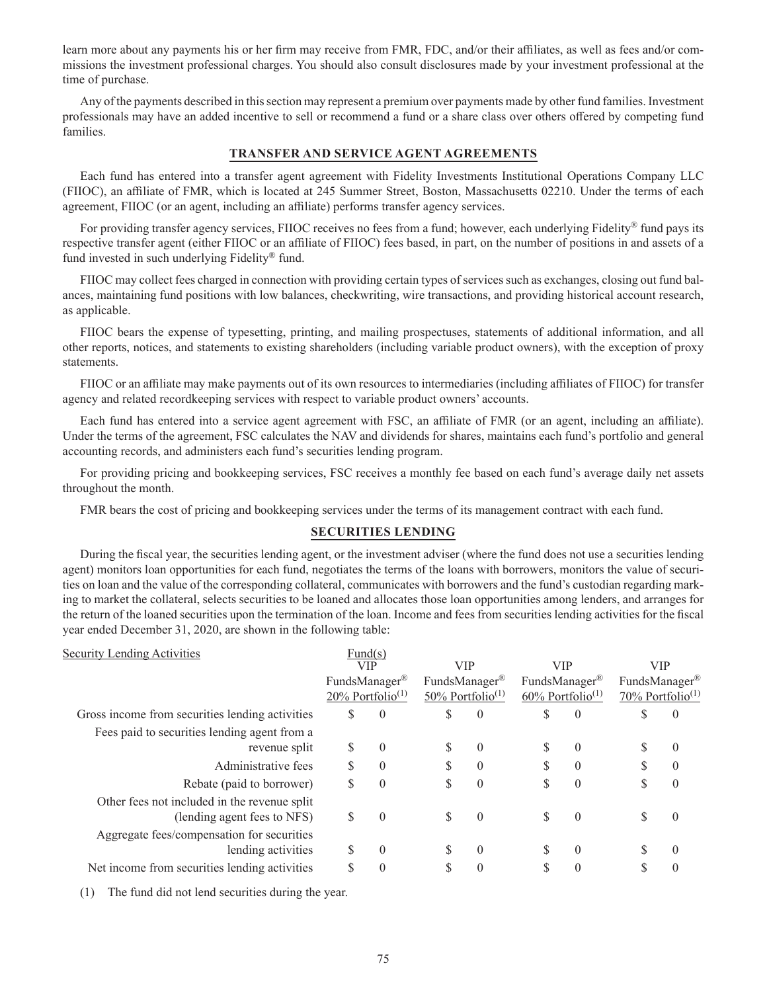learn more about any payments his or her firm may receive from FMR, FDC, and/or their affiliates, as well as fees and/or commissions the investment professional charges. You should also consult disclosures made by your investment professional at the time of purchase.

Any of the payments described in this section may represent a premium over payments made by other fund families. Investment professionals may have an added incentive to sell or recommend a fund or a share class over others offered by competing fund families.

### **TRANSFER AND SERVICE AGENT AGREEMENTS**

Each fund has entered into a transfer agent agreement with Fidelity Investments Institutional Operations Company LLC (FIIOC), an affiliate of FMR, which is located at 245 Summer Street, Boston, Massachusetts 02210. Under the terms of each agreement, FIIOC (or an agent, including an affiliate) performs transfer agency services.

For providing transfer agency services, FIIOC receives no fees from a fund; however, each underlying Fidelity® fund pays its respective transfer agent (either FIIOC or an affiliate of FIIOC) fees based, in part, on the number of positions in and assets of a fund invested in such underlying Fidelity® fund.

FIIOC may collect fees charged in connection with providing certain types of services such as exchanges, closing out fund balances, maintaining fund positions with low balances, checkwriting, wire transactions, and providing historical account research, as applicable.

FIIOC bears the expense of typesetting, printing, and mailing prospectuses, statements of additional information, and all other reports, notices, and statements to existing shareholders (including variable product owners), with the exception of proxy statements.

FIIOC or an affiliate may make payments out of its own resources to intermediaries (including affiliates of FIIOC) for transfer agency and related recordkeeping services with respect to variable product owners' accounts.

Each fund has entered into a service agent agreement with FSC, an affiliate of FMR (or an agent, including an affiliate). Under the terms of the agreement, FSC calculates the NAV and dividends for shares, maintains each fund's portfolio and general accounting records, and administers each fund's securities lending program.

For providing pricing and bookkeeping services, FSC receives a monthly fee based on each fund's average daily net assets throughout the month.

FMR bears the cost of pricing and bookkeeping services under the terms of its management contract with each fund.

## **SECURITIES LENDING**

During the fiscal year, the securities lending agent, or the investment adviser (where the fund does not use a securities lending agent) monitors loan opportunities for each fund, negotiates the terms of the loans with borrowers, monitors the value of securities on loan and the value of the corresponding collateral, communicates with borrowers and the fund's custodian regarding marking to market the collateral, selects securities to be loaned and allocates those loan opportunities among lenders, and arranges for the return of the loaned securities upon the termination of the loan. Income and fees from securities lending activities for the fiscal year ended December 31, 2020, are shown in the following table:

| <b>Security Lending Activities</b>                                          |                                                                                                                  | Fund(s)    |   |                                                              |    |                                               |    |            |
|-----------------------------------------------------------------------------|------------------------------------------------------------------------------------------------------------------|------------|---|--------------------------------------------------------------|----|-----------------------------------------------|----|------------|
|                                                                             |                                                                                                                  | <b>VIP</b> |   | <b>VIP</b>                                                   |    | <b>VIP</b>                                    |    | <b>VIP</b> |
|                                                                             | FundsManager®<br>FundsManager <sup>®</sup><br>$20\%$ Portfolio <sup>(1)</sup><br>$50\%$ Portfolio <sup>(1)</sup> |            |   | FundsManager <sup>®</sup><br>$60\%$ Portfolio <sup>(1)</sup> |    | FundsManager®<br>70% Portfolio <sup>(1)</sup> |    |            |
| Gross income from securities lending activities                             | \$                                                                                                               | $\theta$   | S | $\theta$                                                     | \$ | $\theta$                                      |    | $\theta$   |
| Fees paid to securities lending agent from a<br>revenue split               | S                                                                                                                | $\theta$   |   | $\Omega$                                                     | S  | $\theta$                                      |    | $\theta$   |
| Administrative fees                                                         | \$                                                                                                               | $\Omega$   |   | $\Omega$                                                     | S  | $\theta$                                      |    | $\Omega$   |
| Rebate (paid to borrower)                                                   | \$                                                                                                               | $\Omega$   |   | $\Omega$                                                     | \$ | $\theta$                                      | \$ | $\theta$   |
| Other fees not included in the revenue split<br>(lending agent fees to NFS) | S                                                                                                                | $\theta$   | S | $\theta$                                                     | \$ | $\theta$                                      | ъ  | $\Omega$   |
| Aggregate fees/compensation for securities<br>lending activities            | S                                                                                                                | $\theta$   |   | $\theta$                                                     | S  | $\theta$                                      |    | $\Omega$   |
| Net income from securities lending activities                               |                                                                                                                  |            |   | $\Omega$                                                     |    | $\theta$                                      |    | $\Omega$   |

(1) The fund did not lend securities during the year.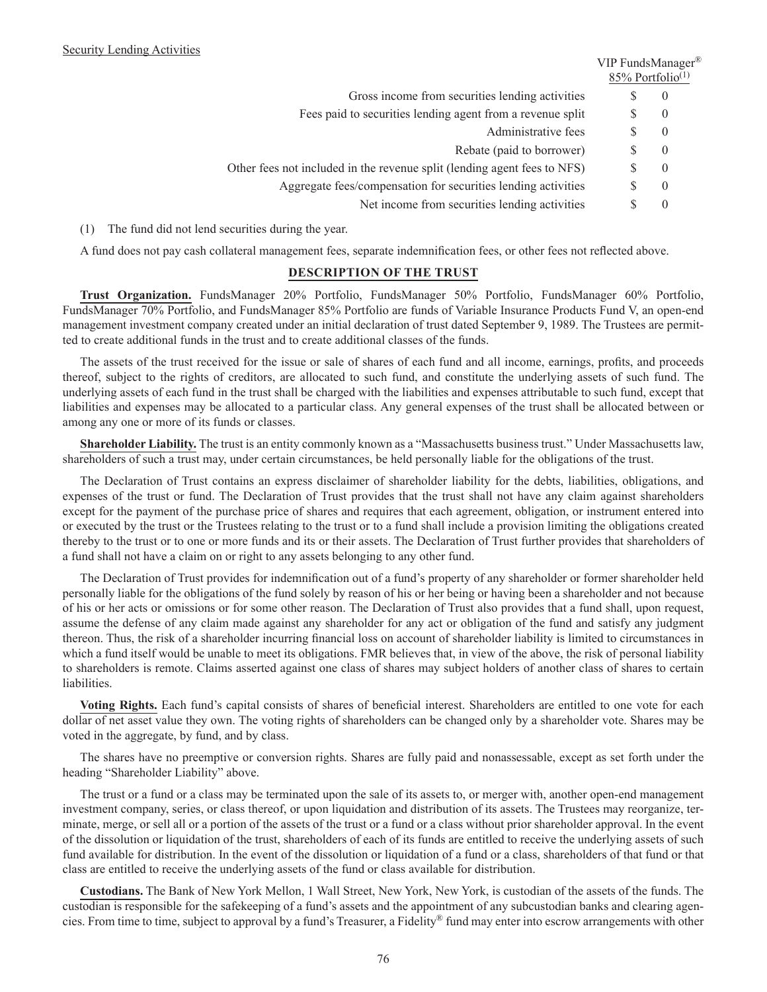|                                                                          | v ir rungsivianager<br>$85\%$ Portfolio <sup>(1)</sup> |                |  |  |
|--------------------------------------------------------------------------|--------------------------------------------------------|----------------|--|--|
| Gross income from securities lending activities                          | Ж                                                      | $\theta$       |  |  |
| Fees paid to securities lending agent from a revenue split               |                                                        | $\theta$       |  |  |
| Administrative fees                                                      | S                                                      | $\overline{0}$ |  |  |
| Rebate (paid to borrower)                                                | S                                                      | $\overline{0}$ |  |  |
| Other fees not included in the revenue split (lending agent fees to NFS) | S                                                      | $\overline{0}$ |  |  |
| Aggregate fees/compensation for securities lending activities            |                                                        | $\overline{0}$ |  |  |
| Net income from securities lending activities                            | S                                                      | $\theta$       |  |  |
|                                                                          |                                                        |                |  |  |

 $VID$  FundsManager<sup>®</sup>

(1) The fund did not lend securities during the year.

A fund does not pay cash collateral management fees, separate indemnification fees, or other fees not reflected above.

# **DESCRIPTION OF THE TRUST**

**Trust Organization.** FundsManager 20% Portfolio, FundsManager 50% Portfolio, FundsManager 60% Portfolio, FundsManager 70% Portfolio, and FundsManager 85% Portfolio are funds of Variable Insurance Products Fund V, an open-end management investment company created under an initial declaration of trust dated September 9, 1989. The Trustees are permitted to create additional funds in the trust and to create additional classes of the funds.

The assets of the trust received for the issue or sale of shares of each fund and all income, earnings, profits, and proceeds thereof, subject to the rights of creditors, are allocated to such fund, and constitute the underlying assets of such fund. The underlying assets of each fund in the trust shall be charged with the liabilities and expenses attributable to such fund, except that liabilities and expenses may be allocated to a particular class. Any general expenses of the trust shall be allocated between or among any one or more of its funds or classes.

**Shareholder Liability.** The trust is an entity commonly known as a "Massachusetts business trust." Under Massachusetts law, shareholders of such a trust may, under certain circumstances, be held personally liable for the obligations of the trust.

The Declaration of Trust contains an express disclaimer of shareholder liability for the debts, liabilities, obligations, and expenses of the trust or fund. The Declaration of Trust provides that the trust shall not have any claim against shareholders except for the payment of the purchase price of shares and requires that each agreement, obligation, or instrument entered into or executed by the trust or the Trustees relating to the trust or to a fund shall include a provision limiting the obligations created thereby to the trust or to one or more funds and its or their assets. The Declaration of Trust further provides that shareholders of a fund shall not have a claim on or right to any assets belonging to any other fund.

The Declaration of Trust provides for indemnification out of a fund's property of any shareholder or former shareholder held personally liable for the obligations of the fund solely by reason of his or her being or having been a shareholder and not because of his or her acts or omissions or for some other reason. The Declaration of Trust also provides that a fund shall, upon request, assume the defense of any claim made against any shareholder for any act or obligation of the fund and satisfy any judgment thereon. Thus, the risk of a shareholder incurring financial loss on account of shareholder liability is limited to circumstances in which a fund itself would be unable to meet its obligations. FMR believes that, in view of the above, the risk of personal liability to shareholders is remote. Claims asserted against one class of shares may subject holders of another class of shares to certain liabilities.

**Voting Rights.** Each fund's capital consists of shares of beneficial interest. Shareholders are entitled to one vote for each dollar of net asset value they own. The voting rights of shareholders can be changed only by a shareholder vote. Shares may be voted in the aggregate, by fund, and by class.

The shares have no preemptive or conversion rights. Shares are fully paid and nonassessable, except as set forth under the heading "Shareholder Liability" above.

The trust or a fund or a class may be terminated upon the sale of its assets to, or merger with, another open-end management investment company, series, or class thereof, or upon liquidation and distribution of its assets. The Trustees may reorganize, terminate, merge, or sell all or a portion of the assets of the trust or a fund or a class without prior shareholder approval. In the event of the dissolution or liquidation of the trust, shareholders of each of its funds are entitled to receive the underlying assets of such fund available for distribution. In the event of the dissolution or liquidation of a fund or a class, shareholders of that fund or that class are entitled to receive the underlying assets of the fund or class available for distribution.

**Custodians.** The Bank of New York Mellon, 1 Wall Street, New York, New York, is custodian of the assets of the funds. The custodian is responsible for the safekeeping of a fund's assets and the appointment of any subcustodian banks and clearing agencies. From time to time, subject to approval by a fund's Treasurer, a Fidelity® fund may enter into escrow arrangements with other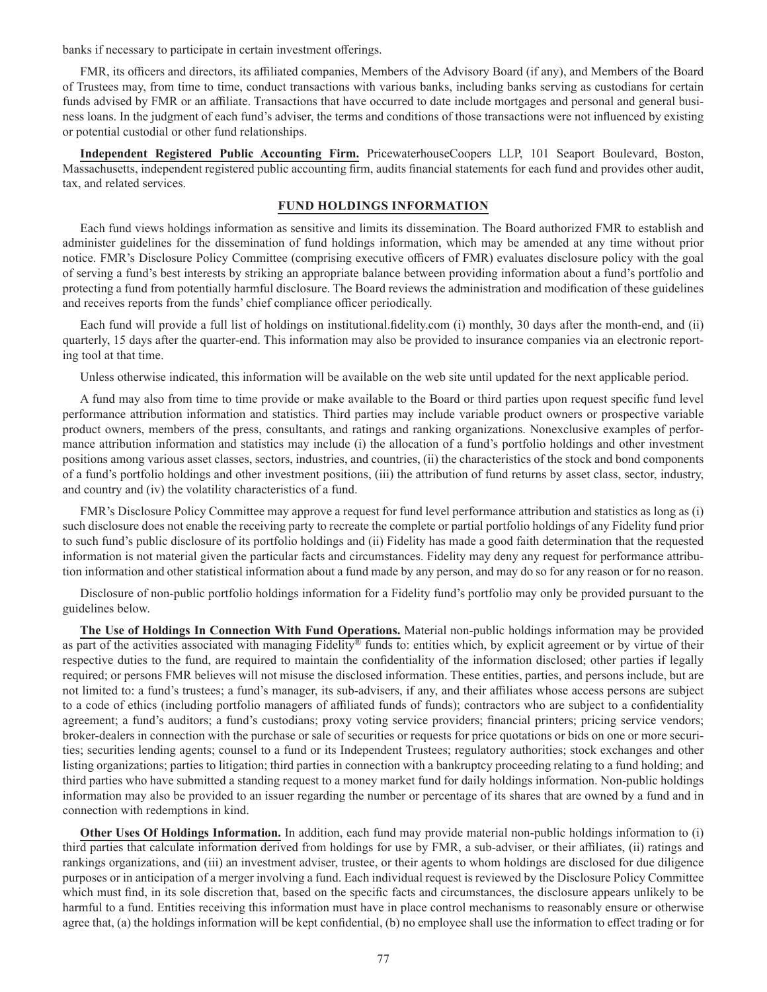banks if necessary to participate in certain investment offerings.

FMR, its officers and directors, its affiliated companies, Members of the Advisory Board (if any), and Members of the Board of Trustees may, from time to time, conduct transactions with various banks, including banks serving as custodians for certain funds advised by FMR or an affiliate. Transactions that have occurred to date include mortgages and personal and general business loans. In the judgment of each fund's adviser, the terms and conditions of those transactions were not influenced by existing or potential custodial or other fund relationships.

**Independent Registered Public Accounting Firm.** PricewaterhouseCoopers LLP, 101 Seaport Boulevard, Boston, Massachusetts, independent registered public accounting firm, audits financial statements for each fund and provides other audit, tax, and related services.

### **FUND HOLDINGS INFORMATION**

Each fund views holdings information as sensitive and limits its dissemination. The Board authorized FMR to establish and administer guidelines for the dissemination of fund holdings information, which may be amended at any time without prior notice. FMR's Disclosure Policy Committee (comprising executive officers of FMR) evaluates disclosure policy with the goal of serving a fund's best interests by striking an appropriate balance between providing information about a fund's portfolio and protecting a fund from potentially harmful disclosure. The Board reviews the administration and modification of these guidelines and receives reports from the funds' chief compliance officer periodically.

Each fund will provide a full list of holdings on institutional.fidelity.com (i) monthly, 30 days after the month-end, and (ii) quarterly, 15 days after the quarter-end. This information may also be provided to insurance companies via an electronic reporting tool at that time.

Unless otherwise indicated, this information will be available on the web site until updated for the next applicable period.

A fund may also from time to time provide or make available to the Board or third parties upon request specific fund level performance attribution information and statistics. Third parties may include variable product owners or prospective variable product owners, members of the press, consultants, and ratings and ranking organizations. Nonexclusive examples of performance attribution information and statistics may include (i) the allocation of a fund's portfolio holdings and other investment positions among various asset classes, sectors, industries, and countries, (ii) the characteristics of the stock and bond components of a fund's portfolio holdings and other investment positions, (iii) the attribution of fund returns by asset class, sector, industry, and country and (iv) the volatility characteristics of a fund.

FMR's Disclosure Policy Committee may approve a request for fund level performance attribution and statistics as long as (i) such disclosure does not enable the receiving party to recreate the complete or partial portfolio holdings of any Fidelity fund prior to such fund's public disclosure of its portfolio holdings and (ii) Fidelity has made a good faith determination that the requested information is not material given the particular facts and circumstances. Fidelity may deny any request for performance attribution information and other statistical information about a fund made by any person, and may do so for any reason or for no reason.

Disclosure of non-public portfolio holdings information for a Fidelity fund's portfolio may only be provided pursuant to the guidelines below.

**The Use of Holdings In Connection With Fund Operations.** Material non-public holdings information may be provided as part of the activities associated with managing Fidelity® funds to: entities which, by explicit agreement or by virtue of their respective duties to the fund, are required to maintain the confidentiality of the information disclosed; other parties if legally required; or persons FMR believes will not misuse the disclosed information. These entities, parties, and persons include, but are not limited to: a fund's trustees; a fund's manager, its sub-advisers, if any, and their affiliates whose access persons are subject to a code of ethics (including portfolio managers of affiliated funds of funds); contractors who are subject to a confidentiality agreement; a fund's auditors; a fund's custodians; proxy voting service providers; financial printers; pricing service vendors; broker-dealers in connection with the purchase or sale of securities or requests for price quotations or bids on one or more securities; securities lending agents; counsel to a fund or its Independent Trustees; regulatory authorities; stock exchanges and other listing organizations; parties to litigation; third parties in connection with a bankruptcy proceeding relating to a fund holding; and third parties who have submitted a standing request to a money market fund for daily holdings information. Non-public holdings information may also be provided to an issuer regarding the number or percentage of its shares that are owned by a fund and in connection with redemptions in kind.

**Other Uses Of Holdings Information.** In addition, each fund may provide material non-public holdings information to (i) third parties that calculate information derived from holdings for use by FMR, a sub-adviser, or their affiliates, (ii) ratings and rankings organizations, and (iii) an investment adviser, trustee, or their agents to whom holdings are disclosed for due diligence purposes or in anticipation of a merger involving a fund. Each individual request is reviewed by the Disclosure Policy Committee which must find, in its sole discretion that, based on the specific facts and circumstances, the disclosure appears unlikely to be harmful to a fund. Entities receiving this information must have in place control mechanisms to reasonably ensure or otherwise agree that, (a) the holdings information will be kept confidential, (b) no employee shall use the information to effect trading or for